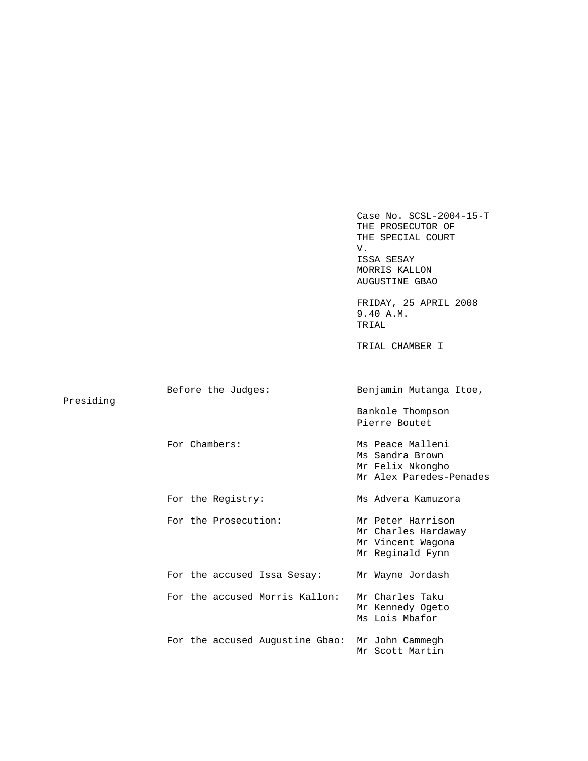|           |                                 | Case No. $SCSL-2004-15-T$<br>THE PROSECUTOR OF<br>THE SPECIAL COURT<br>V.<br>ISSA SESAY<br>MORRIS KALLON<br>AUGUSTINE GBAO<br>FRIDAY, 25 APRIL 2008<br>9.40 A.M.<br>TRIAL<br>TRIAL CHAMBER I |
|-----------|---------------------------------|----------------------------------------------------------------------------------------------------------------------------------------------------------------------------------------------|
| Presiding | Before the Judges:              | Benjamin Mutanga Itoe,<br>Bankole Thompson<br>Pierre Boutet                                                                                                                                  |
|           | For Chambers:                   | Ms Peace Malleni<br>Ms Sandra Brown<br>Mr Felix Nkongho<br>Mr Alex Paredes-Penades                                                                                                           |
|           | For the Registry:               | Ms Advera Kamuzora                                                                                                                                                                           |
|           | For the Prosecution:            | Mr Peter Harrison<br>Mr Charles Hardaway<br>Mr Vincent Wagona<br>Mr Reginald Fynn                                                                                                            |
|           | For the accused Issa Sesay:     | Mr Wayne Jordash                                                                                                                                                                             |
|           | For the accused Morris Kallon:  | Mr Charles Taku<br>Mr Kennedy Ogeto<br>Ms Lois Mbafor                                                                                                                                        |
|           | For the accused Augustine Gbao: | Mr John Cammegh<br>Mr Scott Martin                                                                                                                                                           |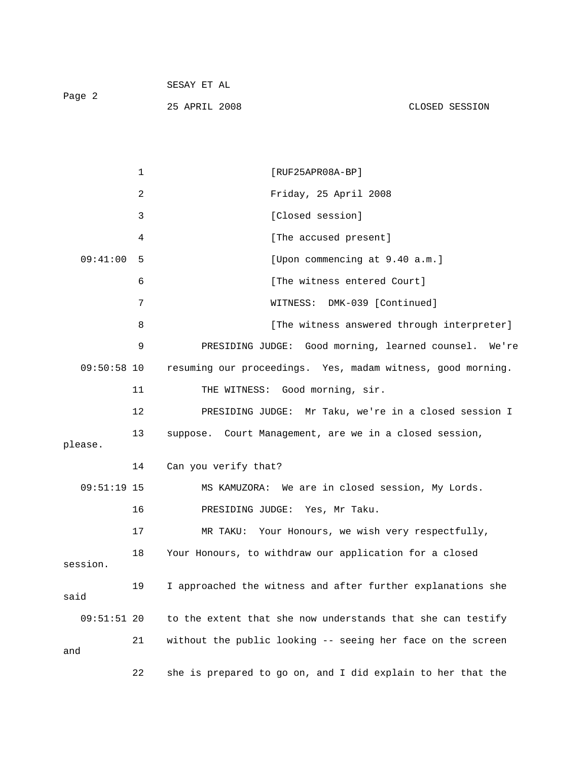|        | SESAY ET AL   |                |
|--------|---------------|----------------|
| Page 2 |               |                |
|        | 25 APRIL 2008 | CLOSED SESSION |

|               | $\mathbf{1}$ | $[RUF25APR08A-BP]$                                          |
|---------------|--------------|-------------------------------------------------------------|
|               | 2            | Friday, 25 April 2008                                       |
|               | 3            | [Closed session]                                            |
|               | 4            | [The accused present]                                       |
| 09:41:00      | 5            | [Upon commencing at 9.40 a.m.]                              |
|               | 6            | [The witness entered Court]                                 |
|               | 7            | WITNESS: DMK-039 [Continued]                                |
|               | 8            | [The witness answered through interpreter]                  |
|               | 9            | PRESIDING JUDGE: Good morning, learned counsel.<br>We're    |
| $09:50:58$ 10 |              | resuming our proceedings. Yes, madam witness, good morning. |
|               | 11           | THE WITNESS: Good morning, sir.                             |
|               | 12           | PRESIDING JUDGE: Mr Taku, we're in a closed session I       |
| please.       | 13           | suppose. Court Management, are we in a closed session,      |
|               | 14           | Can you verify that?                                        |
| $09:51:19$ 15 |              | MS KAMUZORA: We are in closed session, My Lords.            |
|               | 16           | PRESIDING JUDGE: Yes, Mr Taku.                              |
|               | 17           | MR TAKU: Your Honours, we wish very respectfully,           |
|               | 18           | Your Honours, to withdraw our application for a closed      |
| session.      |              |                                                             |
| said          | 19           | I approached the witness and after further explanations she |
| 09:51:51 20   |              | to the extent that she now understands that she can testify |
| and           | 21           | without the public looking -- seeing her face on the screen |
|               | 22           | she is prepared to go on, and I did explain to her that the |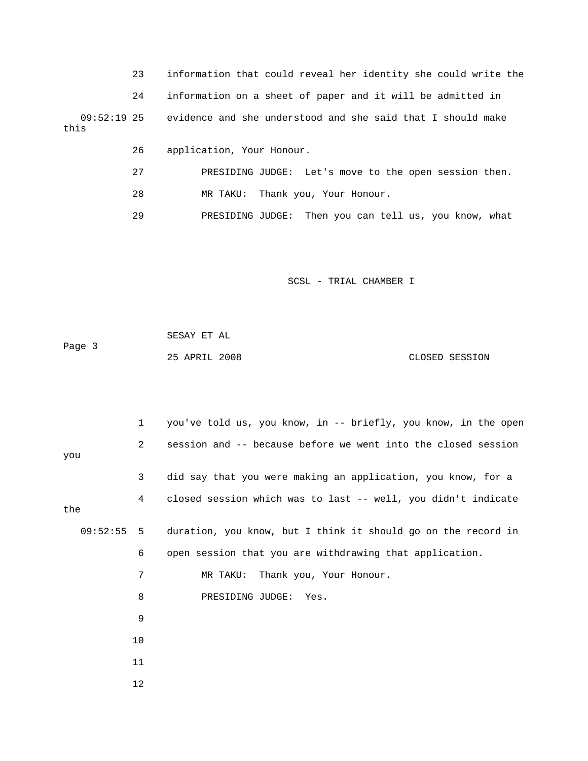23 information that could reveal her identity she could write the

24 information on a sheet of paper and it will be admitted in

 09:52:19 25 evidence and she understood and she said that I should make this

- 26 application, Your Honour.
- 27 PRESIDING JUDGE: Let's move to the open session then.
- 28 MR TAKU: Thank you, Your Honour.

29 PRESIDING JUDGE: Then you can tell us, you know, what

SCSL - TRIAL CHAMBER I

| Page 3 | SESAY ET AL   |                |
|--------|---------------|----------------|
|        | 25 APRIL 2008 | CLOSED SESSION |

 1 you've told us, you know, in -- briefly, you know, in the open 2 session and -- because before we went into the closed session you 3 did say that you were making an application, you know, for a 4 closed session which was to last -- well, you didn't indicate the 09:52:55 5 duration, you know, but I think it should go on the record in 6 open session that you are withdrawing that application. 7 MR TAKU: Thank you, Your Honour. 8 PRESIDING JUDGE: Yes. 9 10 11 12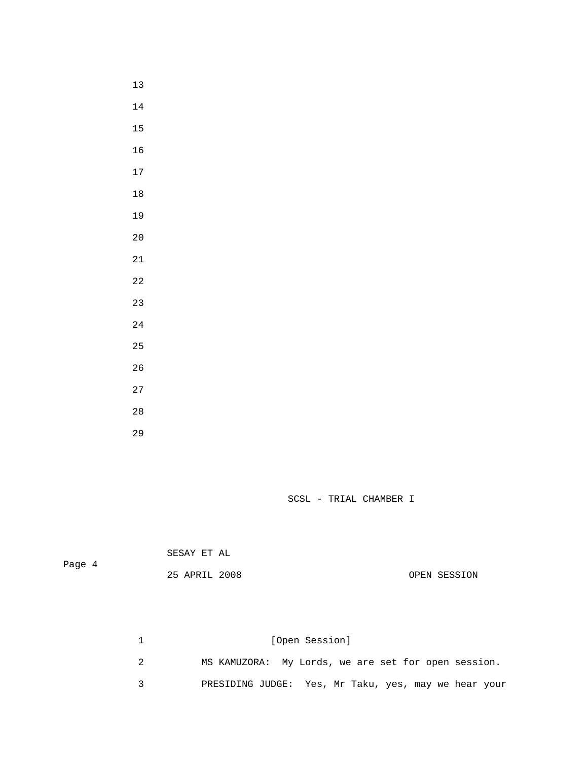- 
- 
- 
- 
- 
- 
- 
- 
- 
- 
- 
- 
- 
- 
- 
- 
- 
- 
- 

| Page 4 | SESAY ET AL   |  |              |
|--------|---------------|--|--------------|
|        | 25 APRIL 2008 |  | OPEN SESSION |

| [Open Session]                                       |
|------------------------------------------------------|
| MS KAMUZORA: My Lords, we are set for open session.  |
| PRESIDING JUDGE: Yes, Mr Taku, yes, may we hear your |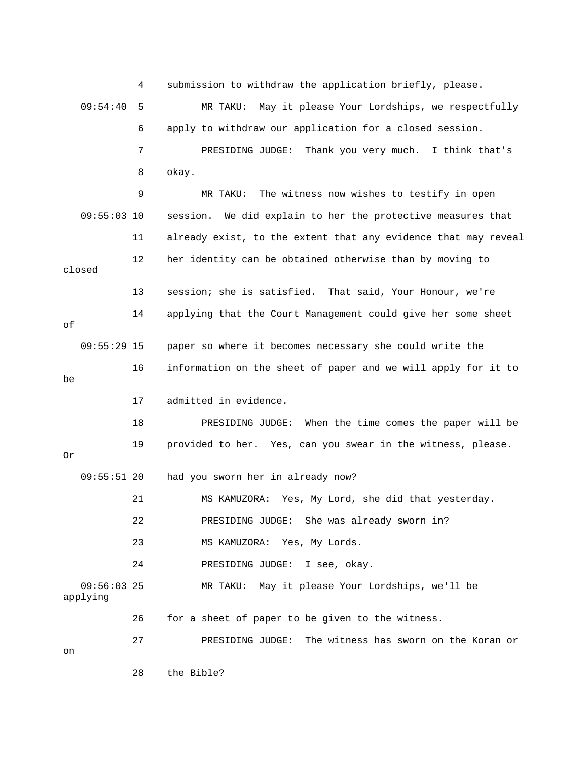4 submission to withdraw the application briefly, please. 09:54:40 5 MR TAKU: May it please Your Lordships, we respectfully 6 apply to withdraw our application for a closed session. 7 PRESIDING JUDGE: Thank you very much. I think that's 8 okay. 9 MR TAKU: The witness now wishes to testify in open 09:55:03 10 session. We did explain to her the protective measures that 11 already exist, to the extent that any evidence that may reveal 12 her identity can be obtained otherwise than by moving to closed 13 session; she is satisfied. That said, Your Honour, we're 14 applying that the Court Management could give her some sheet of 09:55:29 15 paper so where it becomes necessary she could write the 16 information on the sheet of paper and we will apply for it to be 17 admitted in evidence. 18 PRESIDING JUDGE: When the time comes the paper will be 19 provided to her. Yes, can you swear in the witness, please. Or 09:55:51 20 had you sworn her in already now? 21 MS KAMUZORA: Yes, My Lord, she did that yesterday. 22 PRESIDING JUDGE: She was already sworn in? 23 MS KAMUZORA: Yes, My Lords. 24 PRESIDING JUDGE: I see, okay. 09:56:03 25 MR TAKU: May it please Your Lordships, we'll be applying 26 for a sheet of paper to be given to the witness. 27 PRESIDING JUDGE: The witness has sworn on the Koran or on 28 the Bible?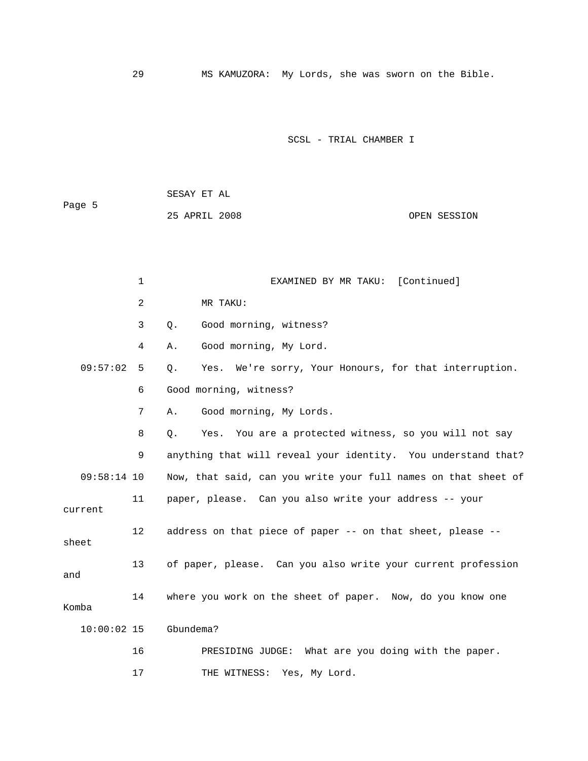29 MS KAMUZORA: My Lords, she was sworn on the Bible.

SCSL - TRIAL CHAMBER I

 SESAY ET AL Page 5 25 APRIL 2008 OPEN SESSION

 1 EXAMINED BY MR TAKU: [Continued] 2 MR TAKU: 3 Q. Good morning, witness? 4 A. Good morning, My Lord. 09:57:02 5 Q. Yes. We're sorry, Your Honours, for that interruption. 6 Good morning, witness? 7 A. Good morning, My Lords. 8 Q. Yes. You are a protected witness, so you will not say 9 anything that will reveal your identity. You understand that? 09:58:14 10 Now, that said, can you write your full names on that sheet of 11 paper, please. Can you also write your address -- your current 12 address on that piece of paper -- on that sheet, please - sheet 13 of paper, please. Can you also write your current profession and 14 where you work on the sheet of paper. Now, do you know one Komba 10:00:02 15 Gbundema? 16 PRESIDING JUDGE: What are you doing with the paper. 17 THE WITNESS: Yes, My Lord.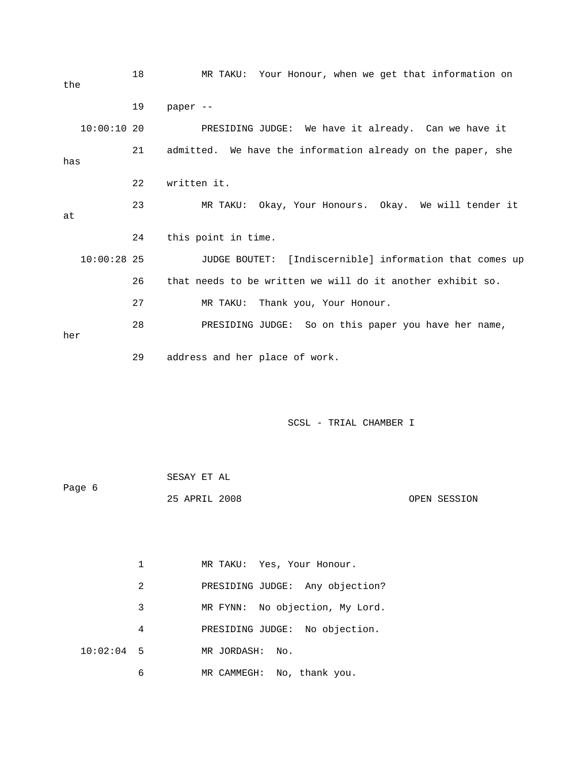18 MR TAKU: Your Honour, when we get that information on the 19 paper -- 10:00:10 20 PRESIDING JUDGE: We have it already. Can we have it 21 admitted. We have the information already on the paper, she has 22 written it. 23 MR TAKU: Okay, Your Honours. Okay. We will tender it at 24 this point in time. 10:00:28 25 JUDGE BOUTET: [Indiscernible] information that comes up 26 that needs to be written we will do it another exhibit so. 27 MR TAKU: Thank you, Your Honour. 28 PRESIDING JUDGE: So on this paper you have her name, her 29 address and her place of work.

| Page 6 | SESAY ET AL   |  |              |
|--------|---------------|--|--------------|
|        | 25 APRIL 2008 |  | OPEN SESSION |

|              |   | MR TAKU: Yes, Your Honour.      |
|--------------|---|---------------------------------|
|              | 2 | PRESIDING JUDGE: Any objection? |
|              | 3 | MR FYNN: No objection, My Lord. |
|              | 4 | PRESIDING JUDGE: No objection.  |
| $10:02:04$ 5 |   | MR JORDASH:<br>No.              |
|              | 6 | MR CAMMEGH: No, thank you.      |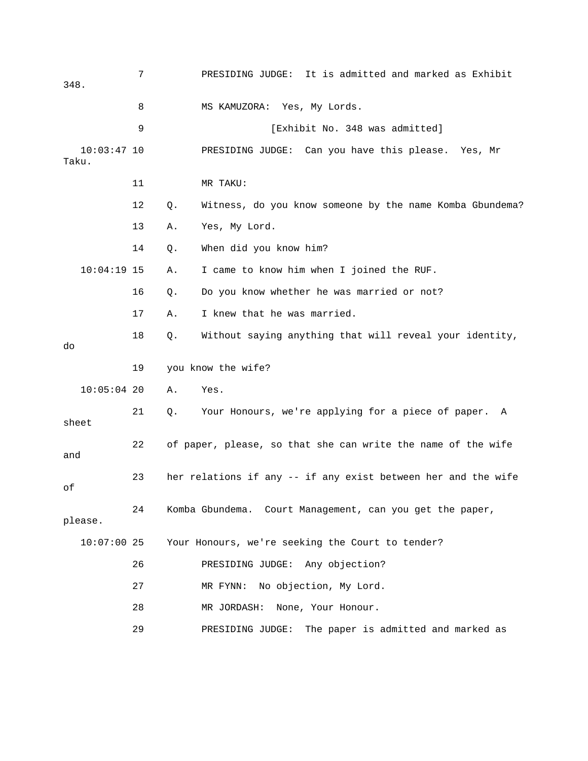| 348.  |               | 7  |    | It is admitted and marked as Exhibit<br>PRESIDING JUDGE:      |
|-------|---------------|----|----|---------------------------------------------------------------|
|       |               | 8  |    | MS KAMUZORA: Yes, My Lords.                                   |
|       |               | 9  |    | [Exhibit No. 348 was admitted]                                |
| Taku. | $10:03:47$ 10 |    |    | PRESIDING JUDGE: Can you have this please.<br>Yes, Mr         |
|       |               | 11 |    | MR TAKU:                                                      |
|       |               | 12 | Q. | Witness, do you know someone by the name Komba Gbundema?      |
|       |               | 13 | Α. | Yes, My Lord.                                                 |
|       |               | 14 | Q. | When did you know him?                                        |
|       | $10:04:19$ 15 |    | Α. | I came to know him when I joined the RUF.                     |
|       |               | 16 | Q. | Do you know whether he was married or not?                    |
|       |               | 17 | Α. | I knew that he was married.                                   |
| do    |               | 18 | Q. | Without saying anything that will reveal your identity,       |
|       |               | 19 |    | you know the wife?                                            |
|       | $10:05:04$ 20 |    | Α. | Yes.                                                          |
|       | sheet         | 21 | Q. | Your Honours, we're applying for a piece of paper. A          |
| and   |               | 22 |    | of paper, please, so that she can write the name of the wife  |
|       |               |    |    |                                                               |
| оf    |               | 23 |    | her relations if any -- if any exist between her and the wife |
|       | please.       | 24 |    | Komba Gbundema. Court Management, can you get the paper,      |
|       | $10:07:00$ 25 |    |    | Your Honours, we're seeking the Court to tender?              |
|       |               | 26 |    | PRESIDING JUDGE: Any objection?                               |
|       |               | 27 |    | No objection, My Lord.<br>MR FYNN:                            |
|       |               | 28 |    | MR JORDASH:<br>None, Your Honour.                             |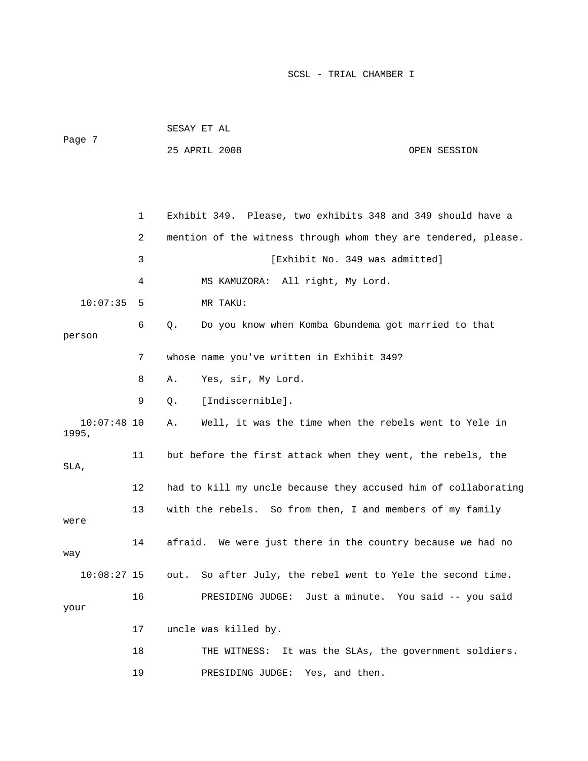| Page 7                 |    | SESAY ET AL                                                    |              |
|------------------------|----|----------------------------------------------------------------|--------------|
|                        |    | 25 APRIL 2008                                                  | OPEN SESSION |
|                        |    |                                                                |              |
|                        |    |                                                                |              |
|                        | 1  | Exhibit 349. Please, two exhibits 348 and 349 should have a    |              |
|                        | 2  | mention of the witness through whom they are tendered, please. |              |
|                        | 3  | [Exhibit No. 349 was admitted]                                 |              |
|                        | 4  | MS KAMUZORA: All right, My Lord.                               |              |
| 10:07:35               | 5  | MR TAKU:                                                       |              |
| person                 | 6  | Do you know when Komba Gbundema got married to that<br>Q.      |              |
|                        | 7  | whose name you've written in Exhibit 349?                      |              |
|                        | 8  | Yes, sir, My Lord.<br>Α.                                       |              |
|                        | 9  | [Indiscernible].<br>Q.                                         |              |
| $10:07:48$ 10<br>1995, |    | Well, it was the time when the rebels went to Yele in<br>Α.    |              |
| SLA,                   | 11 | but before the first attack when they went, the rebels, the    |              |
|                        | 12 | had to kill my uncle because they accused him of collaborating |              |
| were                   | 13 | with the rebels. So from then, I and members of my family      |              |
| way                    | 14 | afraid. We were just there in the country because we had no    |              |
| $10:08:27$ 15          |    | out. So after July, the rebel went to Yele the second time.    |              |
| your                   | 16 | PRESIDING JUDGE: Just a minute. You said -- you said           |              |
|                        | 17 | uncle was killed by.                                           |              |
|                        | 18 | It was the SLAs, the government soldiers.<br>THE WITNESS:      |              |
|                        | 19 | PRESIDING JUDGE: Yes, and then.                                |              |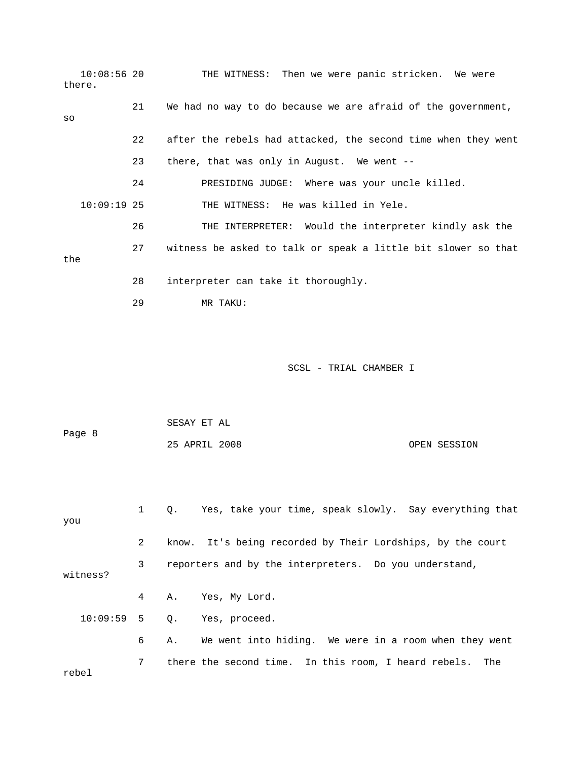| $10:08:56$ 20<br>there. |    | THE WITNESS: Then we were panic stricken. We were             |
|-------------------------|----|---------------------------------------------------------------|
| SO                      | 21 | We had no way to do because we are afraid of the government,  |
|                         | 22 | after the rebels had attacked, the second time when they went |
|                         | 23 | there, that was only in August. We went $-$ -                 |
|                         | 24 | PRESIDING JUDGE: Where was your uncle killed.                 |
| $10:09:19$ 25           |    | THE WITNESS: He was killed in Yele.                           |
|                         | 26 | THE INTERPRETER: Would the interpreter kindly ask the         |
| the                     | 27 | witness be asked to talk or speak a little bit slower so that |
|                         | 28 | interpreter can take it thoroughly.                           |
|                         | 29 | MR TAKU:                                                      |

| Page 8 | SESAY ET AL   |              |
|--------|---------------|--------------|
|        | 25 APRIL 2008 | OPEN SESSION |

| you      |             |    | Q. Yes, take your time, speak slowly. Say everything that  |
|----------|-------------|----|------------------------------------------------------------|
|          | $2^{\circ}$ |    | know. It's being recorded by Their Lordships, by the court |
| witness? | 3           |    | reporters and by the interpreters. Do you understand,      |
|          | $4\degree$  |    | A. Yes, My Lord.                                           |
|          |             |    | 10:09:59 5 Q. Yes, proceed.                                |
|          | 6           | Α. | We went into hiding. We were in a room when they went      |
| rebel    | 7           |    | there the second time. In this room, I heard rebels. The   |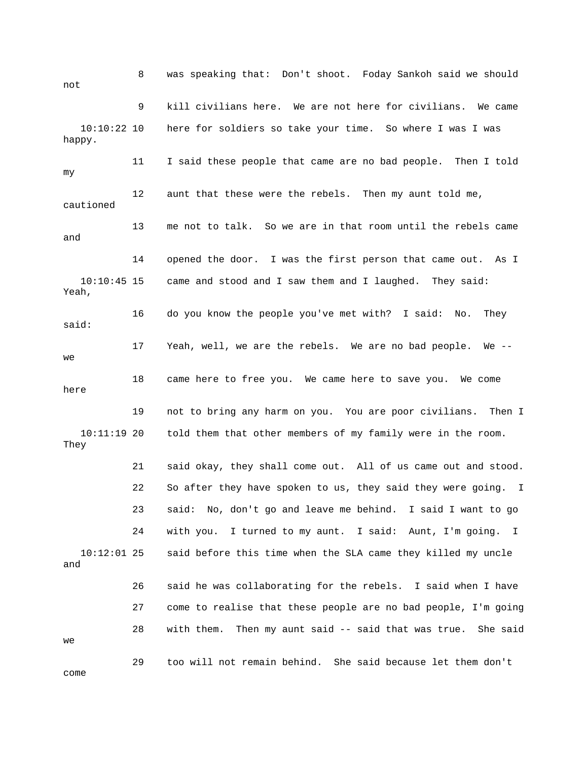8 was speaking that: Don't shoot. Foday Sankoh said we should not 9 kill civilians here. We are not here for civilians. We came 10:10:22 10 here for soldiers so take your time. So where I was I was happy. 11 I said these people that came are no bad people. Then I told my 12 aunt that these were the rebels. Then my aunt told me, cautioned 13 me not to talk. So we are in that room until the rebels came and 14 opened the door. I was the first person that came out. As I 10:10:45 15 came and stood and I saw them and I laughed. They said: Yeah, 16 do you know the people you've met with? I said: No. They said: 17 Yeah, well, we are the rebels. We are no bad people. We - we 18 came here to free you. We came here to save you. We come here 19 not to bring any harm on you. You are poor civilians. Then I 10:11:19 20 told them that other members of my family were in the room. They 21 said okay, they shall come out. All of us came out and stood. 22 So after they have spoken to us, they said they were going. I 23 said: No, don't go and leave me behind. I said I want to go 24 with you. I turned to my aunt. I said: Aunt, I'm going. I 10:12:01 25 said before this time when the SLA came they killed my uncle and 26 said he was collaborating for the rebels. I said when I have 27 come to realise that these people are no bad people, I'm going 28 with them. Then my aunt said -- said that was true. She said we 29 too will not remain behind. She said because let them don't come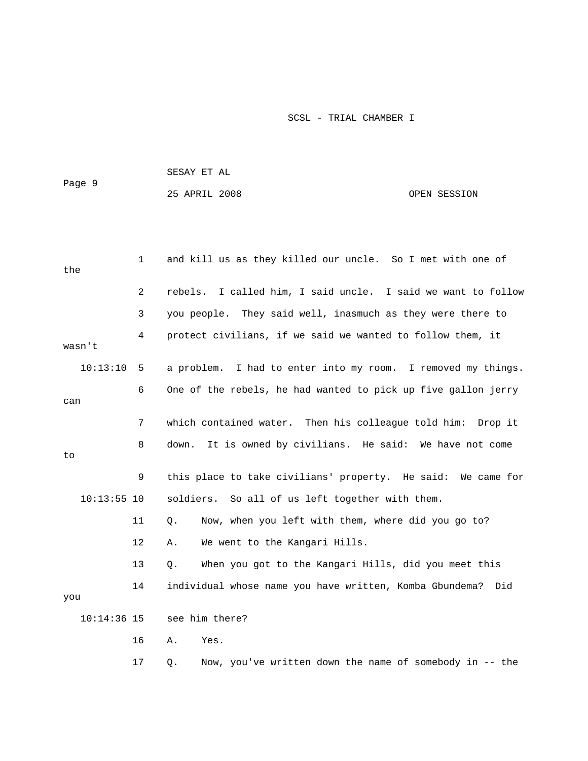| Page 9        |    | SESAY ET AL    |                                                               |              |
|---------------|----|----------------|---------------------------------------------------------------|--------------|
|               |    | 25 APRIL 2008  |                                                               | OPEN SESSION |
|               |    |                |                                                               |              |
|               |    |                |                                                               |              |
| the           | 1  |                | and kill us as they killed our uncle. So I met with one of    |              |
|               | 2  |                | rebels. I called him, I said uncle. I said we want to follow  |              |
|               | 3  |                | you people. They said well, inasmuch as they were there to    |              |
| wasn't        | 4  |                | protect civilians, if we said we wanted to follow them, it    |              |
| 10:13:10      | 5  |                | a problem. I had to enter into my room. I removed my things.  |              |
| can           | 6  |                | One of the rebels, he had wanted to pick up five gallon jerry |              |
|               | 7  |                | which contained water. Then his colleague told him: Drop it   |              |
| to            | 8  | down.          | It is owned by civilians. He said: We have not come           |              |
|               | 9  |                | this place to take civilians' property. He said: We came for  |              |
| $10:13:55$ 10 |    |                | soldiers. So all of us left together with them.               |              |
|               | 11 | О.             | Now, when you left with them, where did you go to?            |              |
|               | 12 | Α.             | We went to the Kangari Hills.                                 |              |
|               | 13 | Q.             | When you got to the Kangari Hills, did you meet this          |              |
| you           | 14 |                | individual whose name you have written, Komba Gbundema?       | Did          |
| $10:14:36$ 15 |    | see him there? |                                                               |              |
|               | 16 | Α.<br>Yes.     |                                                               |              |
|               | 17 | Q.             | Now, you've written down the name of somebody in -- the       |              |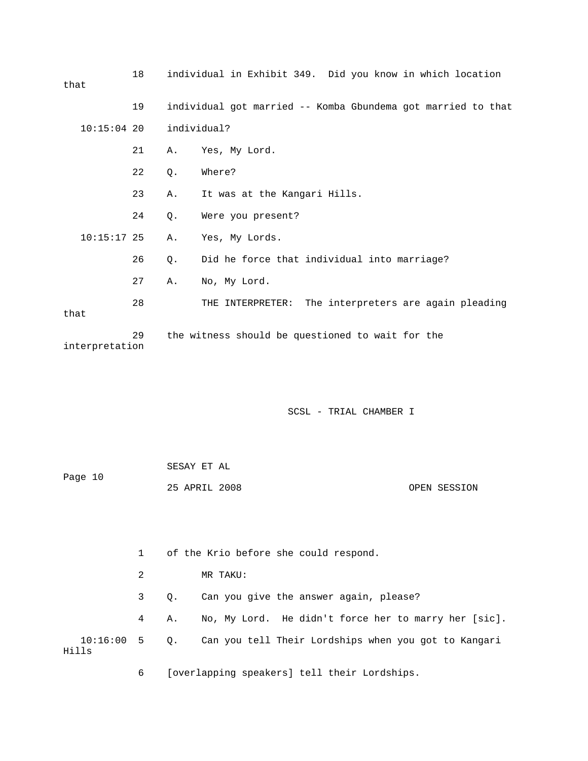| 18 |                                                  | individual in Exhibit 349. Did you know in which location    |
|----|--------------------------------------------------|--------------------------------------------------------------|
| 19 |                                                  | individual got married -- Komba Gbundema got married to that |
|    |                                                  | individual?                                                  |
| 21 | Α.                                               | Yes, My Lord.                                                |
| 22 | Q.                                               | Where?                                                       |
| 23 | Α.                                               | It was at the Kangari Hills.                                 |
| 24 | $Q$ .                                            | Were you present?                                            |
|    | Α.                                               | Yes, My Lords.                                               |
| 26 | Q.                                               | Did he force that individual into marriage?                  |
| 27 | Α.                                               | No, My Lord.                                                 |
| 28 |                                                  | The interpreters are again pleading<br>THE INTERPRETER:      |
| 29 |                                                  | the witness should be questioned to wait for the             |
|    |                                                  | SCSL - TRIAL CHAMBER I                                       |
|    | $10:15:04$ 20<br>$10:15:17$ 25<br>interpretation |                                                              |

| Page 10 | SESAY ET AL   |  |              |
|---------|---------------|--|--------------|
|         | 25 APRIL 2008 |  | OPEN SESSION |

 1 of the Krio before she could respond. 2 MR TAKU: 3 Q. Can you give the answer again, please? 4 A. No, My Lord. He didn't force her to marry her [sic]. 10:16:00 5 Q. Can you tell Their Lordships when you got to Kangari Hills

6 [overlapping speakers] tell their Lordships.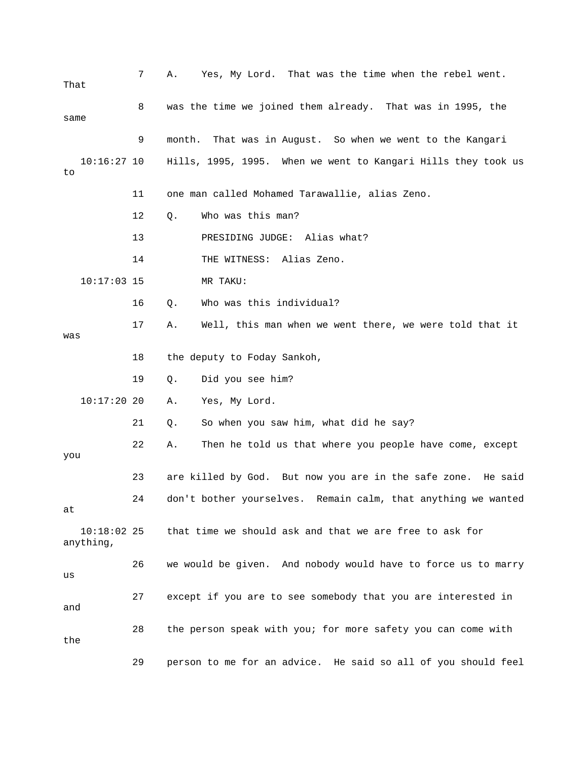| That                       | 7  | Yes, My Lord. That was the time when the rebel went.<br>Α.    |
|----------------------------|----|---------------------------------------------------------------|
| same                       | 8  | was the time we joined them already. That was in 1995, the    |
|                            | 9  | That was in August. So when we went to the Kangari<br>month.  |
| $10:16:27$ 10<br>to        |    | Hills, 1995, 1995. When we went to Kangari Hills they took us |
|                            | 11 | one man called Mohamed Tarawallie, alias Zeno.                |
|                            | 12 | Who was this man?<br>Q.                                       |
|                            | 13 | PRESIDING JUDGE: Alias what?                                  |
|                            | 14 | THE WITNESS: Alias Zeno.                                      |
| $10:17:03$ 15              |    | MR TAKU:                                                      |
|                            | 16 | Who was this individual?<br>Q.                                |
| was                        | 17 | Well, this man when we went there, we were told that it<br>Α. |
|                            | 18 | the deputy to Foday Sankoh,                                   |
|                            | 19 | Did you see him?<br>Q.                                        |
| $10:17:20$ 20              |    | Yes, My Lord.<br>Α.                                           |
|                            | 21 | So when you saw him, what did he say?<br>Q.                   |
| you                        | 22 | Then he told us that where you people have come, except<br>Α. |
|                            | 23 | are killed by God. But now you are in the safe zone. He said  |
| at                         | 24 | don't bother yourselves. Remain calm, that anything we wanted |
| $10:18:02$ 25<br>anything, |    | that time we should ask and that we are free to ask for       |
| us                         | 26 | we would be given. And nobody would have to force us to marry |
| and                        | 27 | except if you are to see somebody that you are interested in  |
| the                        | 28 | the person speak with you; for more safety you can come with  |
|                            | 29 | person to me for an advice. He said so all of you should feel |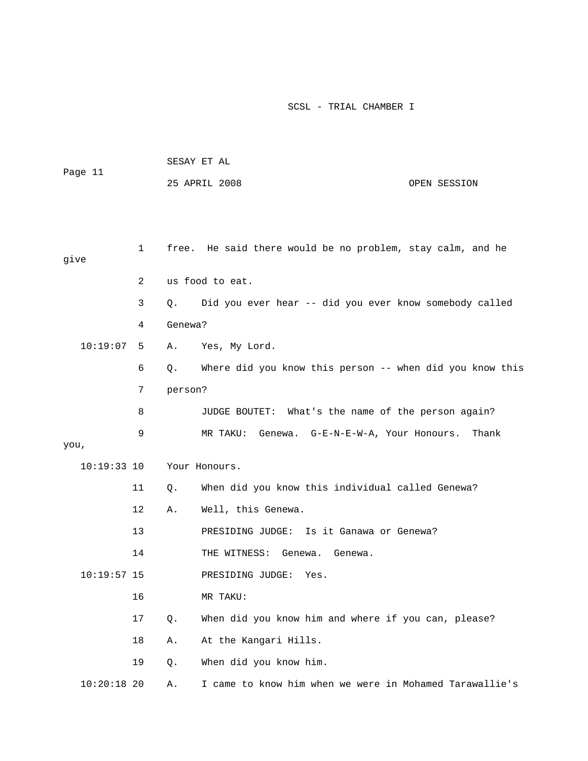| Page 11       |              |         | SESAY ET AL                                                |              |
|---------------|--------------|---------|------------------------------------------------------------|--------------|
|               |              |         | 25 APRIL 2008                                              | OPEN SESSION |
|               |              |         |                                                            |              |
|               |              |         |                                                            |              |
| give          | $\mathbf{1}$ |         | free. He said there would be no problem, stay calm, and he |              |
|               | 2            |         | us food to eat.                                            |              |
|               | 3            | О.      | Did you ever hear -- did you ever know somebody called     |              |
|               | 4            | Genewa? |                                                            |              |
| 10:19:07      | 5            | Α.      | Yes, My Lord.                                              |              |
|               | 6            | Q.      | Where did you know this person -- when did you know this   |              |
|               | 7            | person? |                                                            |              |
|               | 8            |         | JUDGE BOUTET: What's the name of the person again?         |              |
|               | 9            |         | MR TAKU: Genewa. G-E-N-E-W-A, Your Honours.                | Thank        |
| you,          |              |         |                                                            |              |
| $10:19:33$ 10 |              |         | Your Honours.                                              |              |
|               | 11           | Q.      | When did you know this individual called Genewa?           |              |
|               | 12           | Α.      | Well, this Genewa.                                         |              |
|               | 13           |         | PRESIDING JUDGE: Is it Ganawa or Genewa?                   |              |
|               | 14           |         | THE WITNESS: Genewa.<br>Genewa.                            |              |
| $10:19:57$ 15 |              |         | PRESIDING JUDGE:<br>Yes.                                   |              |
|               | 16           |         | MR TAKU:                                                   |              |
|               | 17           | Q.      | When did you know him and where if you can, please?        |              |
|               | 18           | Α.      | At the Kangari Hills.                                      |              |
|               | 19           | Q.      | When did you know him.                                     |              |
| $10:20:18$ 20 |              | Α.      | I came to know him when we were in Mohamed Tarawallie's    |              |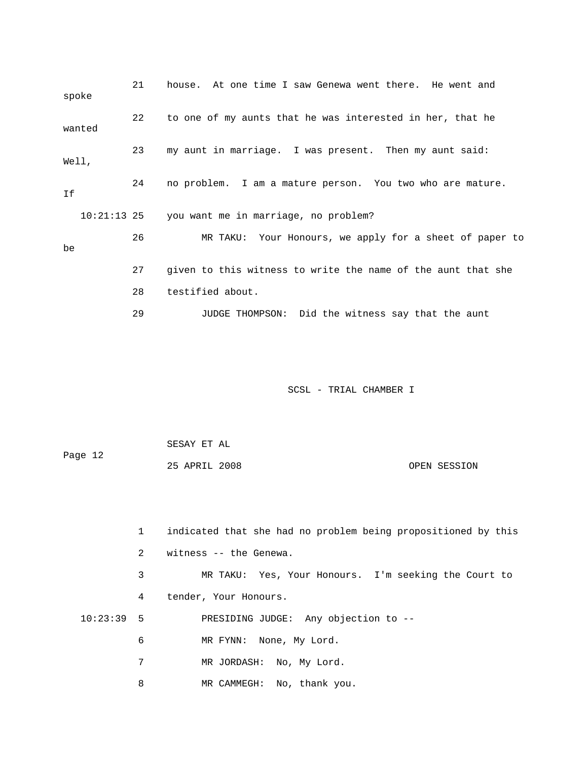| spoke         | 21 | house. At one time I saw Genewa went there. He went and      |
|---------------|----|--------------------------------------------------------------|
| wanted        | 22 | to one of my aunts that he was interested in her, that he    |
| Well,         | 23 | my aunt in marriage. I was present. Then my aunt said:       |
| Ιf            | 24 | no problem. I am a mature person. You two who are mature.    |
| $10:21:13$ 25 |    | you want me in marriage, no problem?                         |
| be            | 26 | MR TAKU: Your Honours, we apply for a sheet of paper to      |
|               | 27 | given to this witness to write the name of the aunt that she |
|               | 28 | testified about.                                             |
|               | 29 | Did the witness say that the aunt<br>JUDGE THOMPSON:         |

| Page 12 | SESAY ET AL   |              |
|---------|---------------|--------------|
|         | 25 APRIL 2008 | OPEN SESSION |

|              | $1 \quad$ | indicated that she had no problem being propositioned by this |
|--------------|-----------|---------------------------------------------------------------|
|              | 2         | witness -- the Genewa.                                        |
|              | 3         | MR TAKU: Yes, Your Honours. I'm seeking the Court to          |
|              | 4         | tender, Your Honours.                                         |
| $10:23:39$ 5 |           | PRESIDING JUDGE: Any objection to --                          |
|              | 6         | MR FYNN: None, My Lord.                                       |
|              | 7         | MR JORDASH: No, My Lord.                                      |
|              | 8         | MR CAMMEGH: No, thank you.                                    |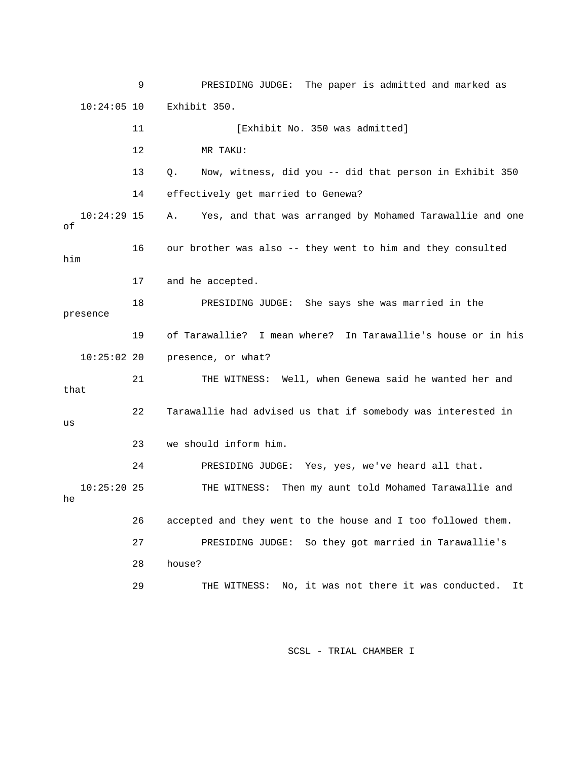9 PRESIDING JUDGE: The paper is admitted and marked as 10:24:05 10 Exhibit 350.

11 [Exhibit No. 350 was admitted] 13 Q. Now, witness, did you -- did that person in Exhibit 350 14 effectively get married to Genewa? 18 PRESIDING JUDGE: She says she was married in the 19 of Tarawallie? I mean where? In Tarawallie's house or in his 10:25:02 20 presence, or what? Well, when Genewa said he wanted her and 21 THE WITNESS: 22 Tarawallie had advised us that if somebody was interested in 23 we should inform him. 24 PRESIDING JUDGE: Yes, yes, we've heard all that. 10:25:20 25 THE WITNESS: Then my aunt told Mohamed Tarawallie and 26 accepted and they went to the house and I too followed them. 28 house? THE WITNESS: No, it was not there it was conducted. It 12 MR TAKU: 10:24:29 15 A. Yes, and that was arranged by Mohamed Tarawallie and one of 16 our brother was also -- they went to him and they consulted him 17 and he accepted. presence that us he 27 PRESIDING JUDGE: So they got married in Tarawallie's 29 TH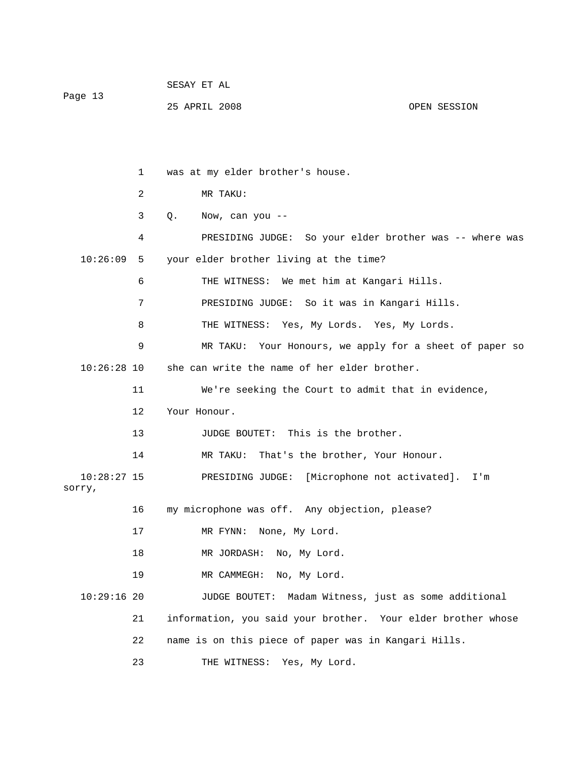| Page 13               |    | SESAY ET AL                                                  |              |
|-----------------------|----|--------------------------------------------------------------|--------------|
|                       |    | 25 APRIL 2008                                                | OPEN SESSION |
|                       |    |                                                              |              |
|                       |    |                                                              |              |
|                       | 1  | was at my elder brother's house.                             |              |
|                       | 2  | MR TAKU:                                                     |              |
|                       | 3  | Q.<br>Now, can you $-$                                       |              |
|                       | 4  | PRESIDING JUDGE: So your elder brother was -- where was      |              |
| 10:26:09              | 5  | your elder brother living at the time?                       |              |
|                       | 6  | THE WITNESS: We met him at Kangari Hills.                    |              |
|                       | 7  | PRESIDING JUDGE: So it was in Kangari Hills.                 |              |
|                       | 8  | THE WITNESS: Yes, My Lords. Yes, My Lords.                   |              |
|                       | 9  | MR TAKU: Your Honours, we apply for a sheet of paper so      |              |
| $10:26:28$ 10         |    | she can write the name of her elder brother.                 |              |
|                       | 11 | We're seeking the Court to admit that in evidence,           |              |
|                       | 12 | Your Honour.                                                 |              |
|                       | 13 | JUDGE BOUTET: This is the brother.                           |              |
|                       | 14 | That's the brother, Your Honour.<br>MR TAKU:                 |              |
| 10:28:27 15<br>sorry, |    | PRESIDING JUDGE: [Microphone not activated].                 | I'm          |
|                       | 16 | my microphone was off. Any objection, please?                |              |
|                       | 17 | MR FYNN:<br>None, My Lord.                                   |              |
|                       | 18 | MR JORDASH: No, My Lord.                                     |              |
|                       | 19 | MR CAMMEGH: No, My Lord.                                     |              |
| 10:29:1620            |    | JUDGE BOUTET: Madam Witness, just as some additional         |              |
|                       | 21 | information, you said your brother. Your elder brother whose |              |
|                       | 22 | name is on this piece of paper was in Kangari Hills.         |              |
|                       | 23 | THE WITNESS: Yes, My Lord.                                   |              |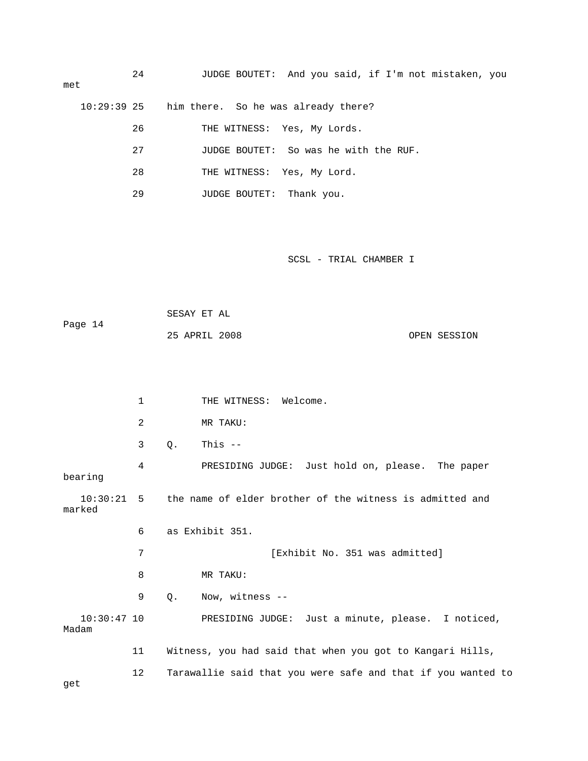| met                    | 24           |             |                             | JUDGE BOUTET: And you said, if I'm not mistaken, you     |              |
|------------------------|--------------|-------------|-----------------------------|----------------------------------------------------------|--------------|
| 10:29:3925             |              |             |                             | him there. So he was already there?                      |              |
|                        | 26           |             | THE WITNESS: Yes, My Lords. |                                                          |              |
|                        | 27           |             |                             | JUDGE BOUTET: So was he with the RUF.                    |              |
|                        | 28           |             | THE WITNESS: Yes, My Lord.  |                                                          |              |
|                        | 29           |             | JUDGE BOUTET:               | Thank you.                                               |              |
|                        |              |             |                             |                                                          |              |
|                        |              |             |                             |                                                          |              |
|                        |              |             |                             | SCSL - TRIAL CHAMBER I                                   |              |
|                        |              |             |                             |                                                          |              |
|                        |              |             |                             |                                                          |              |
| Page 14                |              | SESAY ET AL |                             |                                                          |              |
|                        |              |             | 25 APRIL 2008               |                                                          | OPEN SESSION |
|                        |              |             |                             |                                                          |              |
|                        |              |             |                             |                                                          |              |
|                        | $\mathbf{1}$ |             | THE WITNESS: Welcome.       |                                                          |              |
|                        | 2            |             | MR TAKU:                    |                                                          |              |
|                        | 3            | Q.          | This $--$                   |                                                          |              |
|                        | 4            |             |                             | PRESIDING JUDGE: Just hold on, please. The paper         |              |
| bearing                |              |             |                             |                                                          |              |
| $10:30:21$ 5<br>marked |              |             |                             | the name of elder brother of the witness is admitted and |              |
|                        | 6            |             | as Exhibit 351.             |                                                          |              |
|                        | 7            |             |                             | [Exhibit No. 351 was admitted]                           |              |
|                        | 8            |             | MR TAKU:                    |                                                          |              |
|                        | 9            | Q.          | Now, witness --             |                                                          |              |

 10:30:47 10 PRESIDING JUDGE: Just a minute, please. I noticed, Madam

12 Tarawallie said that you were safe and that if you wanted to get 11 Witness, you had said that when you got to Kangari Hills,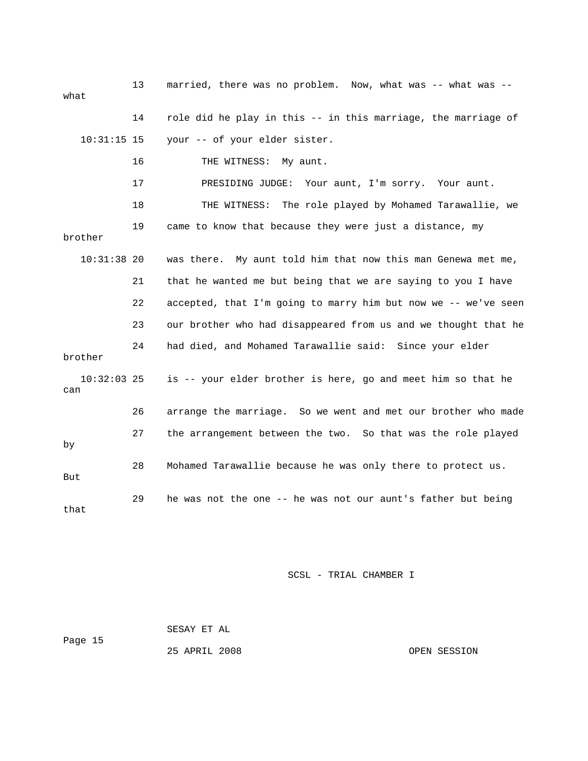| what                 | 13 | married, there was no problem. Now, what was -- what was --    |
|----------------------|----|----------------------------------------------------------------|
|                      | 14 | role did he play in this -- in this marriage, the marriage of  |
| $10:31:15$ 15        |    | your -- of your elder sister.                                  |
|                      | 16 | THE WITNESS: My aunt.                                          |
|                      | 17 | PRESIDING JUDGE: Your aunt, I'm sorry. Your aunt.              |
|                      | 18 | The role played by Mohamed Tarawallie, we<br>THE WITNESS:      |
| brother              | 19 | came to know that because they were just a distance, my        |
| $10:31:38$ 20        |    | was there. My aunt told him that now this man Genewa met me,   |
|                      | 21 | that he wanted me but being that we are saying to you I have   |
|                      | 22 | accepted, that I'm going to marry him but now we -- we've seen |
|                      | 23 | our brother who had disappeared from us and we thought that he |
| brother              | 24 | had died, and Mohamed Tarawallie said: Since your elder        |
| $10:32:03$ 25<br>can |    | is -- your elder brother is here, go and meet him so that he   |
|                      | 26 | arrange the marriage. So we went and met our brother who made  |
| by                   | 27 | the arrangement between the two. So that was the role played   |
| But                  | 28 | Mohamed Tarawallie because he was only there to protect us.    |
| that                 | 29 | he was not the one -- he was not our aunt's father but being   |

 SESAY ET AL ge 15 Pa

25 APRIL 2008 OPEN SESSION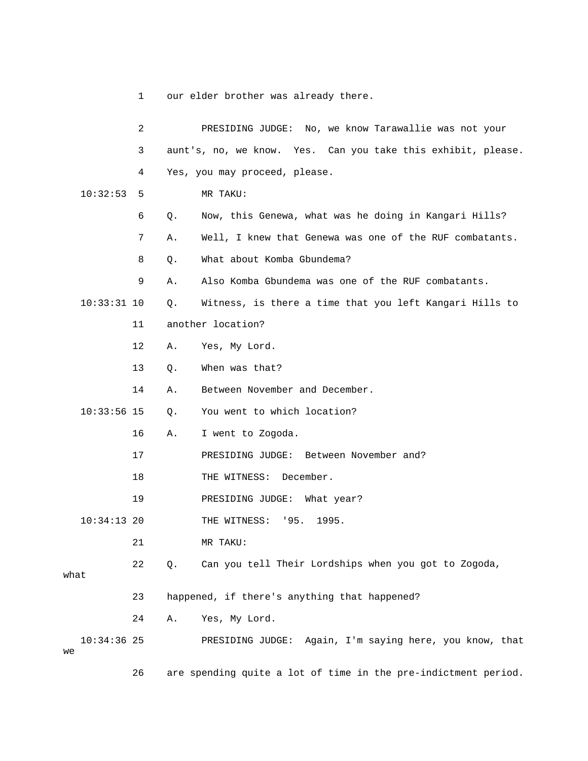1 our elder brother was already there.

|      |               | 2  |       | PRESIDING JUDGE: No, we know Tarawallie was not your           |
|------|---------------|----|-------|----------------------------------------------------------------|
|      |               | 3  |       | aunt's, no, we know. Yes. Can you take this exhibit, please.   |
|      |               | 4  |       | Yes, you may proceed, please.                                  |
|      | 10:32:53      | 5  |       | MR TAKU:                                                       |
|      |               | 6  | Q.    | Now, this Genewa, what was he doing in Kangari Hills?          |
|      |               | 7  | Α.    | Well, I knew that Genewa was one of the RUF combatants.        |
|      |               | 8  | Q.    | What about Komba Gbundema?                                     |
|      |               | 9  | Α.    | Also Komba Gbundema was one of the RUF combatants.             |
|      | $10:33:31$ 10 |    | Q.    | Witness, is there a time that you left Kangari Hills to        |
|      |               | 11 |       | another location?                                              |
|      |               | 12 | Α.    | Yes, My Lord.                                                  |
|      |               | 13 | $Q$ . | When was that?                                                 |
|      |               | 14 | Α.    | Between November and December.                                 |
|      | $10:33:56$ 15 |    | $Q$ . | You went to which location?                                    |
|      |               | 16 | Α.    | I went to Zogoda.                                              |
|      |               | 17 |       | PRESIDING JUDGE: Between November and?                         |
|      |               | 18 |       | THE WITNESS: December.                                         |
|      |               | 19 |       | PRESIDING JUDGE: What year?                                    |
|      | $10:34:13$ 20 |    |       | THE WITNESS: '95.<br>1995.                                     |
|      |               | 21 |       | MR TAKU:                                                       |
|      |               | 22 | Q.    | Can you tell Their Lordships when you got to Zogoda,           |
| what |               |    |       |                                                                |
|      |               | 23 |       | happened, if there's anything that happened?                   |
|      |               | 24 | Α.    | Yes, My Lord.                                                  |
| we   | $10:34:36$ 25 |    |       | PRESIDING JUDGE: Again, I'm saying here, you know, that        |
|      |               | 26 |       | are spending quite a lot of time in the pre-indictment period. |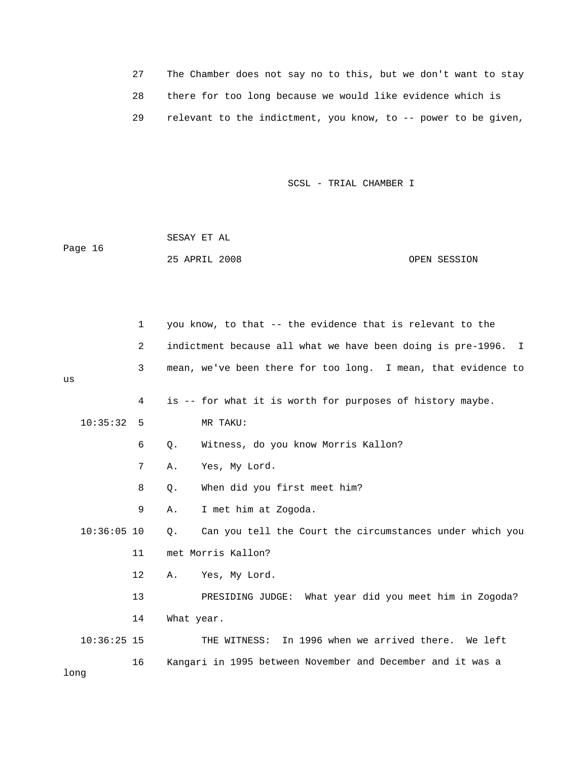|    | The Chamber does not say no to this, but we don't want to stay |
|----|----------------------------------------------------------------|
| 28 | there for too long because we would like evidence which is     |
| 29 | relevant to the indictment, you know, to -- power to be given, |

|         | SESAY ET AL   |              |
|---------|---------------|--------------|
| Page 16 |               |              |
|         | 25 APRIL 2008 | OPEN SESSION |

| you know, to that -- the evidence that is relevant to the<br>1 |               |                |                                                                |  |
|----------------------------------------------------------------|---------------|----------------|----------------------------------------------------------------|--|
|                                                                |               | $\overline{2}$ | indictment because all what we have been doing is pre-1996. I  |  |
| us                                                             |               | 3              | mean, we've been there for too long. I mean, that evidence to  |  |
|                                                                |               | 4              | is -- for what it is worth for purposes of history maybe.      |  |
|                                                                |               |                |                                                                |  |
|                                                                | 10:35:32      | 5              | MR TAKU:                                                       |  |
|                                                                |               | 6              | Witness, do you know Morris Kallon?<br>Q.                      |  |
|                                                                |               | 7              | Yes, My Lord.<br>Α.                                            |  |
|                                                                |               | 8              | When did you first meet him?<br>$\circ$ .                      |  |
|                                                                |               | 9              | I met him at Zogoda.<br>Α.                                     |  |
|                                                                | $10:36:05$ 10 |                | Can you tell the Court the circumstances under which you<br>Q. |  |
|                                                                |               | 11             | met Morris Kallon?                                             |  |
|                                                                |               | 12             | Yes, My Lord.<br>Α.                                            |  |
|                                                                |               | 13             | PRESIDING JUDGE: What year did you meet him in Zogoda?         |  |
|                                                                |               | 14             | What year.                                                     |  |
|                                                                | $10:36:25$ 15 |                | THE WITNESS: In 1996 when we arrived there. We left            |  |
| long                                                           |               | 16             | Kangari in 1995 between November and December and it was a     |  |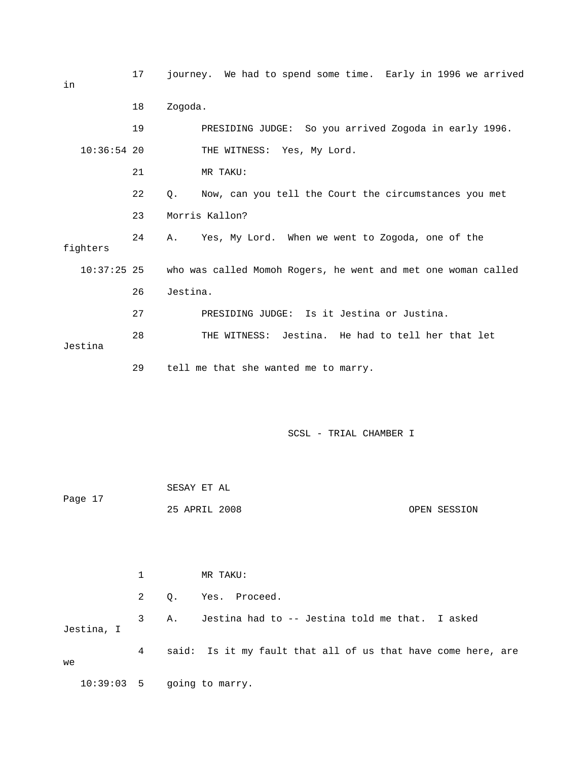17 journey. We had to spend some time. Early in 1996 we arrived 18 Zogoda. 19 PRESIDING JUDGE: So you arrived Zogoda in early 1996. THE WITNESS: Yes, My Lord. 22 Q. Now, can you tell the Court the circumstances you met 10:37:25 25 who was called Momoh Rogers, he went and met one woman called 26 Jestina. 28 THE WITNESS: Jestina. He had to tell her that let 29 tell me that she wanted me to marry. in  $10:36:54$  20 21 MR TAKU: 23 Morris Kallon? 24 A. Yes, My Lord. When we went to Zogoda, one of the fighters 27 PRESIDING JUDGE: Is it Jestina or Justina. Jestina

|    |            |                 | SESAY ET AL |                                                              |  |              |  |
|----|------------|-----------------|-------------|--------------------------------------------------------------|--|--------------|--|
|    | Page 17    |                 |             | 25 APRIL 2008                                                |  | OPEN SESSION |  |
|    |            |                 |             |                                                              |  |              |  |
|    |            |                 |             |                                                              |  |              |  |
|    |            | $\mathbf{1}$    |             | MR TAKU:                                                     |  |              |  |
|    |            | 2               | $Q$ .       | Yes. Proceed.                                                |  |              |  |
|    | Jestina, I | 3 <sup>7</sup>  |             | A. Jestina had to -- Jestina told me that. I asked           |  |              |  |
| we |            | $4\overline{ }$ |             | said: Is it my fault that all of us that have come here, are |  |              |  |
|    |            |                 |             | $10:39:03$ 5 going to marry.                                 |  |              |  |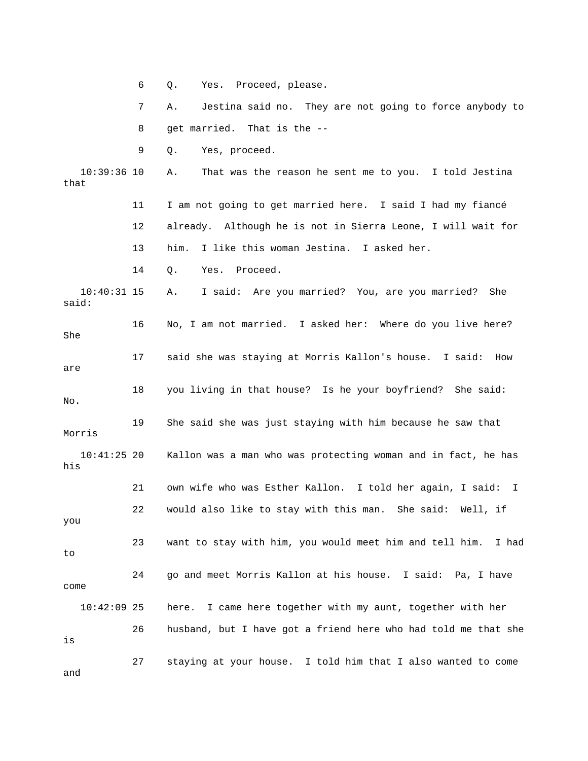6 Q. Yes. Proceed, please.

7 A. Jestina said no. They are not going to force anybody to 8 get married. That is the --

9 Q. Yes, proceed.

10:39:36 10 A. That was the reason he sent me to you. I told Jestina 11 I am not going to get married here. I said I had my fiancé that

> 12 already. Although he is not in Sierra Leone, I will wait for 13 him. I like this woman Jestina. I asked her.

14 Q. Yes. Proceed.

10:40:31 15 A. I said: Are you married? You, are you married? She said:

 16 No, I am not married. I asked her: Where do you live here? 17 said she was staying at Morris Kallon's house. I said: How 18 you living in that house? Is he your boyfriend? She said: 19 She said she was just staying with him because he saw that 10:41:25 20 Kallon was a man who was protecting woman and in fact, he has 21 own wife who was Esther Kallon. I told her again, I said: I you She are No. Morris his 22 would also like to stay with this man. She said: Well, if

 24 go and meet Morris Kallon at his house. I said: Pa, I have 10:42:09 25 here. I came here together with my aunt, together with her 26 husband, but I have got a friend here who had told me that she 27 staying at your house. I told him that I also wanted to come 23 want to stay with him, you would meet him and tell him. I had to come is

and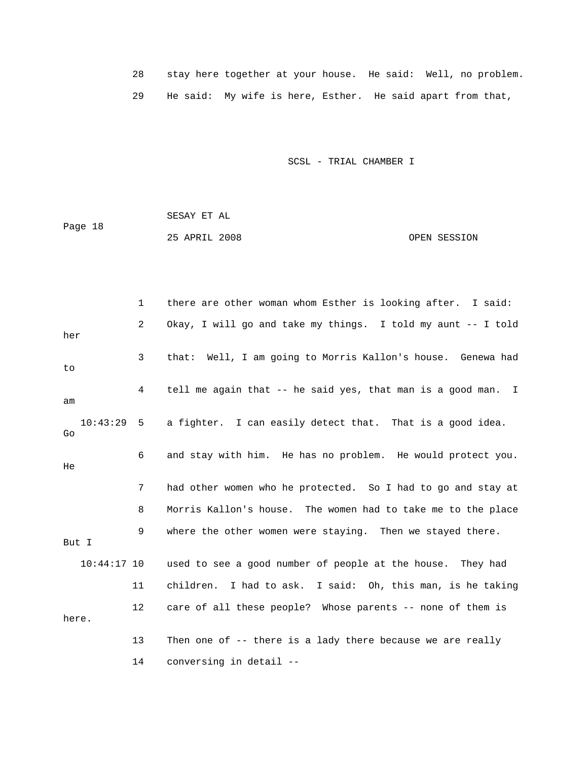28 stay here together at your house. He said: Well, no problem. 29 He said: My wife is here, Esther. He said apart from that,

SCSL - TRIAL CHAMBER I

 SESAY ET AL Page 18 25 APRIL 2008 OPEN SESSION

 1 there are other woman whom Esther is looking after. I said: 2 Okay, I will go and take my things. I told my aunt -- I told her 3 that: Well, I am going to Morris Kallon's house. Genewa had 4 tell me again that -- he said yes, that man is a good man. I 10:43:29 5 a fighter. I can easily detect that. That is a good idea. 6 and stay with him. He has no problem. He would protect you. 7 had other women who he protected. So I had to go and stay at 10:44:17 10 used to see a good number of people at the house. They had 11 children. I had to ask. I said: Oh, this man, is he taking here. 14 conversing in detail - to am Go He 8 Morris Kallon's house. The women had to take me to the place 9 where the other women were staying. Then we stayed there. But I 12 care of all these people? Whose parents -- none of them is 13 Then one of -- there is a lady there because we are really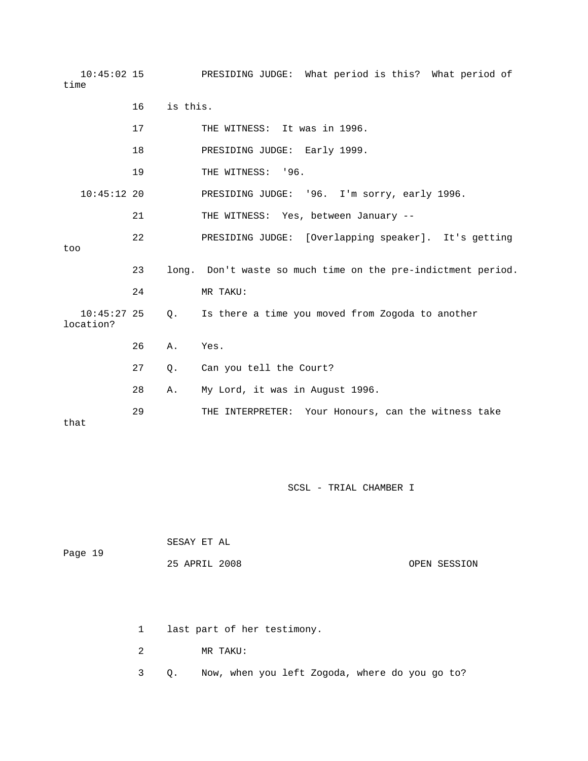10:45:02 15 PRESIDING JUDGE: What period is this? What period of 17 THE WITNESS: It was in 1996. 19 THE WITNESS: '96. 10:45:12 20 PRESIDING JUDGE: '96. I'm sorry, early 1996. 22 PRESIDING JUDGE: [Overlapping speaker]. It's getting 24 MR TAKU: Is there a time you moved from Zogoda to another 27 Q. Can you tell the Court? 28 A. My Lord, it was in August 1996. onours, can the witness take 29 THE INTERPRETER: Your H time 16 is this. 18 PRESIDING JUDGE: Early 1999. 21 THE WITNESS: Yes, between January - too 23 long. Don't waste so much time on the pre-indictment period.  $10:45:27$  25 Q. location? 26 A. Yes. that

SCSL - TRIAL CHAMBER I

| Page 19 | SESAY ET AL   |              |
|---------|---------------|--------------|
|         | 25 APRIL 2008 | OPEN SESSION |

1 last part of her testimony.

2 MR TAKU:

3 Q. Now, when you left Zogoda, where do you go to?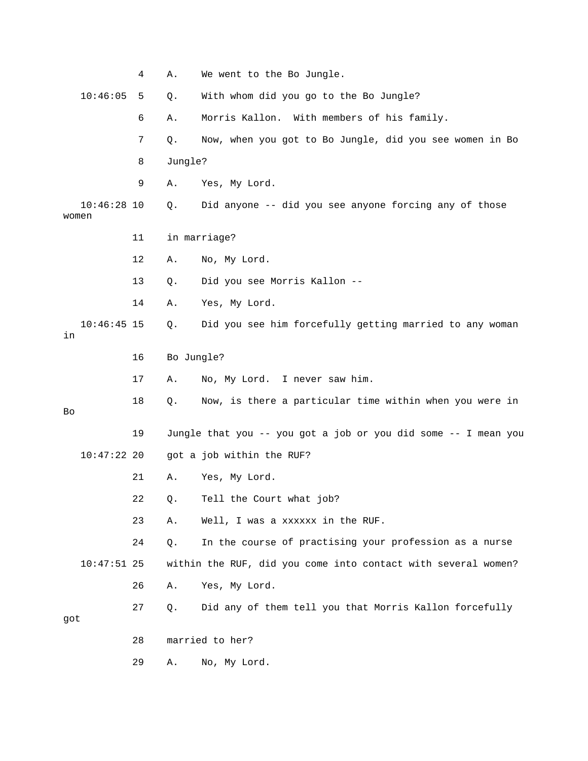|                        | 4  | Α.         | We went to the Bo Jungle.                                      |
|------------------------|----|------------|----------------------------------------------------------------|
| 10:46:05               | 5  | Q.         | With whom did you go to the Bo Jungle?                         |
|                        | 6  | Α.         | Morris Kallon. With members of his family.                     |
|                        | 7  | Q.         | Now, when you got to Bo Jungle, did you see women in Bo        |
|                        | 8  | Jungle?    |                                                                |
|                        | 9  | Α.         | Yes, My Lord.                                                  |
| $10:46:28$ 10<br>women |    | Q.         | Did anyone -- did you see anyone forcing any of those          |
|                        | 11 |            | in marriage?                                                   |
|                        | 12 | Α.         | No, My Lord.                                                   |
|                        | 13 | Q.         | Did you see Morris Kallon --                                   |
|                        | 14 | Α.         | Yes, My Lord.                                                  |
| $10:46:45$ 15<br>in    |    | Q.         | Did you see him forcefully getting married to any woman        |
|                        | 16 | Bo Jungle? |                                                                |
|                        | 17 | Α.         | No, My Lord. I never saw him.                                  |
| Bo                     | 18 | Q.         | Now, is there a particular time within when you were in        |
|                        | 19 |            | Jungle that you -- you got a job or you did some -- I mean you |
| $10:47:22$ 20          |    |            | got a job within the RUF?                                      |
|                        | 21 | Α.         | Yes, My Lord.                                                  |
|                        | 22 | Q.         | Tell the Court what job?                                       |
|                        | 23 | Α.         | Well, I was a xxxxxx in the RUF.                               |
|                        | 24 | Q.         | In the course of practising your profession as a nurse         |
| $10:47:51$ 25          |    |            | within the RUF, did you come into contact with several women?  |
|                        | 26 | Α.         | Yes, My Lord.                                                  |
| got                    | 27 | Q.         | Did any of them tell you that Morris Kallon forcefully         |
|                        | 28 |            | married to her?                                                |
|                        | 29 | Α.         | No, My Lord.                                                   |
|                        |    |            |                                                                |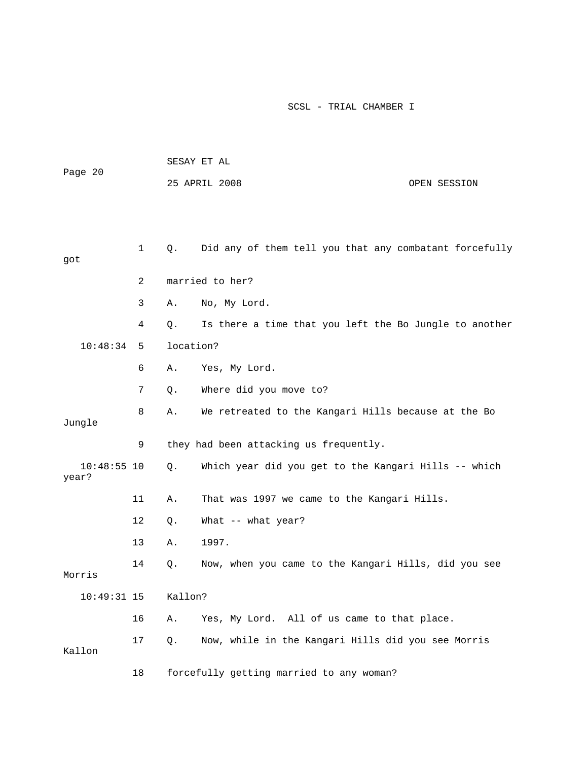| Page 20                |                | SESAY ET AL |                                                        |  |              |  |
|------------------------|----------------|-------------|--------------------------------------------------------|--|--------------|--|
|                        |                |             | 25 APRIL 2008                                          |  | OPEN SESSION |  |
|                        |                |             |                                                        |  |              |  |
|                        |                |             |                                                        |  |              |  |
| got                    | $\mathbf 1$    | Q.          | Did any of them tell you that any combatant forcefully |  |              |  |
|                        | $\overline{2}$ |             | married to her?                                        |  |              |  |
|                        | 3              | Α.          | No, My Lord.                                           |  |              |  |
|                        | 4              | Q.          | Is there a time that you left the Bo Jungle to another |  |              |  |
| 10:48:34               | 5              | location?   |                                                        |  |              |  |
|                        | 6              | Α.          | Yes, My Lord.                                          |  |              |  |
|                        | 7              | Q.          | Where did you move to?                                 |  |              |  |
|                        | 8              | Α.          | We retreated to the Kangari Hills because at the Bo    |  |              |  |
| Jungle                 |                |             |                                                        |  |              |  |
|                        | 9              |             | they had been attacking us frequently.                 |  |              |  |
| $10:48:55$ 10<br>year? |                | Q.          | Which year did you get to the Kangari Hills -- which   |  |              |  |
|                        | 11             | Α.          | That was 1997 we came to the Kangari Hills.            |  |              |  |
|                        | 12             | Q.          | What -- what year?                                     |  |              |  |
|                        | 13             | Α.          | 1997.                                                  |  |              |  |
|                        | 14             | Q.          | Now, when you came to the Kangari Hills, did you see   |  |              |  |
| Morris                 |                |             |                                                        |  |              |  |
| $10:49:31$ 15          |                | Kallon?     |                                                        |  |              |  |
|                        | 16             | Α.          | Yes, My Lord. All of us came to that place.            |  |              |  |
| Kallon                 | 17             | Q.          | Now, while in the Kangari Hills did you see Morris     |  |              |  |
|                        | 18             |             | forcefully getting married to any woman?               |  |              |  |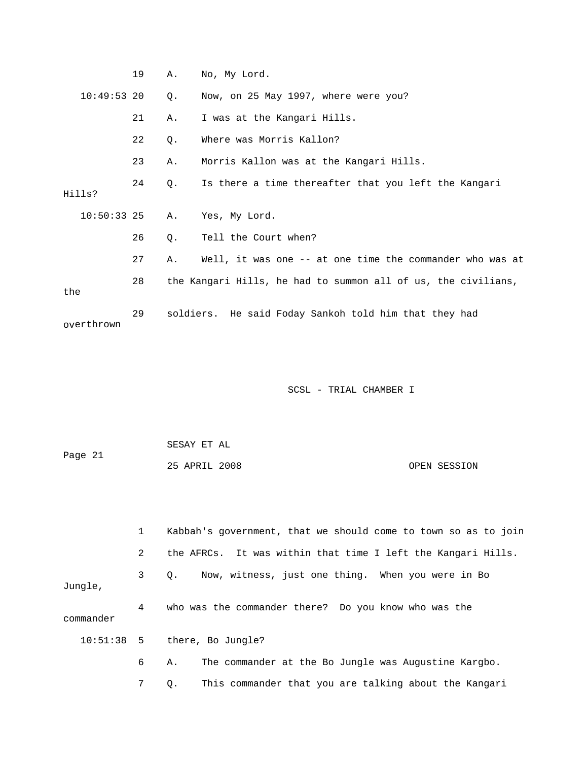|               | 19 | Α. | No, My Lord.                                                  |
|---------------|----|----|---------------------------------------------------------------|
| $10:49:53$ 20 |    | Q. | Now, on 25 May 1997, where were you?                          |
|               | 21 | Α. | I was at the Kangari Hills.                                   |
|               | 22 | Q. | Where was Morris Kallon?                                      |
|               | 23 | Α. | Morris Kallon was at the Kangari Hills.                       |
| Hills?        | 24 | Q. | Is there a time thereafter that you left the Kangari          |
| $10:50:33$ 25 |    | Α. | Yes, My Lord.                                                 |
|               | 26 | Q. | Tell the Court when?                                          |
|               | 27 | Α. | Well, it was one -- at one time the commander who was at      |
| the           | 28 |    | the Kangari Hills, he had to summon all of us, the civilians, |
| overthrown    | 29 |    | soldiers. He said Foday Sankoh told him that they had         |

| Page 21 | SESAY ET AL   |              |
|---------|---------------|--------------|
|         | 25 APRIL 2008 | OPEN SESSION |

|           | $\mathbf{1}$   | Kabbah's government, that we should come to town so as to join |  |  |  |  |  |  |
|-----------|----------------|----------------------------------------------------------------|--|--|--|--|--|--|
|           | $\overline{2}$ | the AFRCs. It was within that time I left the Kangari Hills.   |  |  |  |  |  |  |
| Jungle,   | 3 <sup>7</sup> | Q. Now, witness, just one thing. When you were in Bo           |  |  |  |  |  |  |
| commander | 4              | who was the commander there? Do you know who was the           |  |  |  |  |  |  |
|           |                | $10:51:38$ 5 there, Bo Jungle?                                 |  |  |  |  |  |  |
|           | 6              | The commander at the Bo Jungle was Augustine Kargbo.<br>Α.     |  |  |  |  |  |  |
|           | 7              | This commander that you are talking about the Kangari<br>О.    |  |  |  |  |  |  |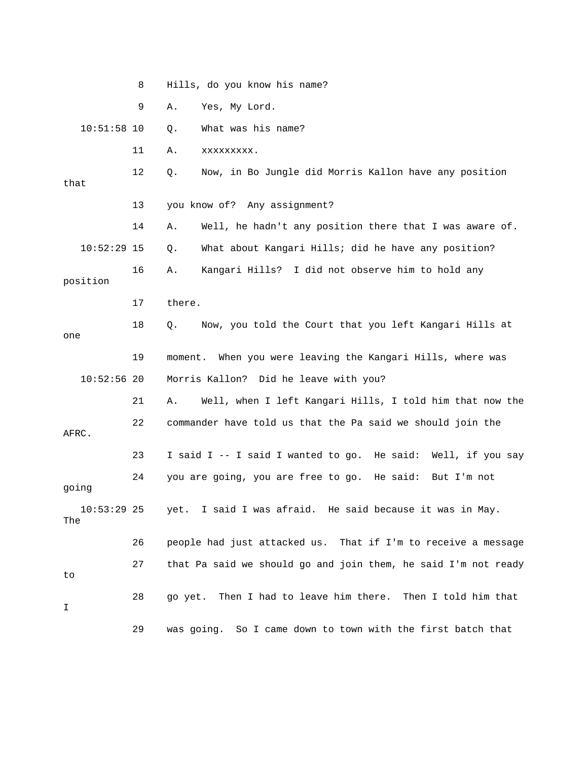8 Hills, do you know his name? 9 A. Yes, My Lord. 10:51:58 10 Q. What was his name? 12 Q. Now, in Bo Jungle did Morris Kallon have any position 13 you know of? Any assignment? 10:52:29 15 Q. What about Kangari Hills; did he have any position? 16 A. Kangari Hills? I did not observe him to hold any 18 Q. Now, you told the Court that you left Kangari Hills at 19 moment. When you were leaving the Kangari Hills, where was 21 A. Well, when I left Kangari Hills, I told him that now the 22 commander have told us that the Pa said we should join the The 26 people had just attacked us. That if I'm to receive a message 27 that Pa said we should go and join them, he said I'm not ready 29 was going. So I came down to town with the first batch that 11 A. xxxxxxxxx. that 14 A. Well, he hadn't any position there that I was aware of. position 17 there. one 10:52:56 20 Morris Kallon? Did he leave with you? AFRC. 23 I said I -- I said I wanted to go. He said: Well, if you say 24 you are going, you are free to go. He said: But I'm not going 10:53:29 25 yet. I said I was afraid. He said because it was in May. to 28 go yet. Then I had to leave him there. Then I told him that I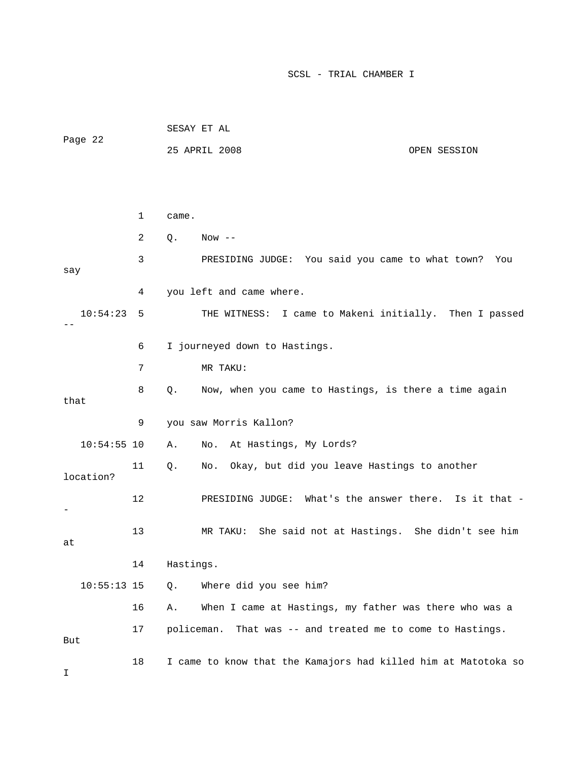| Page 22       |    |            | 25 APRIL 2008                                                  | OPEN SESSION |
|---------------|----|------------|----------------------------------------------------------------|--------------|
|               |    |            |                                                                |              |
|               | 1  | came.      |                                                                |              |
|               | 2  | Q.         | $Now --$                                                       |              |
| say           | 3  |            | PRESIDING JUDGE: You said you came to what town?               | You          |
|               | 4  |            | you left and came where.                                       |              |
| 10:54:23      | 5  |            | THE WITNESS: I came to Makeni initially. Then I passed         |              |
|               | 6  |            | I journeyed down to Hastings.                                  |              |
|               | 7  |            | MR TAKU:                                                       |              |
| that          | 8  | Q.         | Now, when you came to Hastings, is there a time again          |              |
|               | 9  |            | you saw Morris Kallon?                                         |              |
| $10:54:55$ 10 |    | Α.         | No. At Hastings, My Lords?                                     |              |
| location?     | 11 | Q.         | No. Okay, but did you leave Hastings to another                |              |
|               | 12 |            | PRESIDING JUDGE: What's the answer there. Is it that -         |              |
| at            | 13 |            | She said not at Hastings. She didn't see him<br>MR TAKU:       |              |
|               | 14 | Hastings.  |                                                                |              |
| $10:55:13$ 15 |    | Q.         | Where did you see him?                                         |              |
|               | 16 | Α.         | When I came at Hastings, my father was there who was a         |              |
| But           | 17 | policeman. | That was -- and treated me to come to Hastings.                |              |
|               | 18 |            | I came to know that the Kamajors had killed him at Matotoka so |              |

SESAY ET AL

I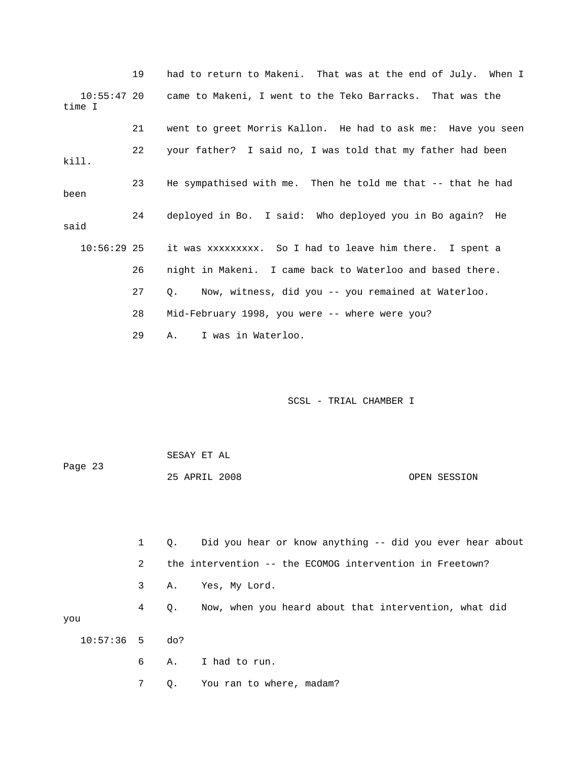19 had to return to Makeni. That was at the end of July. When I 10:55:47 20 came to Makeni, I went to the Teko Barracks. That was the 21 went to greet Morris Kallon. He had to ask me: Have you seen 26 night in Makeni. I came back to Waterloo and based there. 27 Q. Now, witness, did you -- you remained at Waterloo. time I 22 your father? I said no, I was told that my father had been kill. 23 He sympathised with me. Then he told me that -- that he had been 24 deployed in Bo. I said: Who deployed you in Bo again? He said 10:56:29 25 it was xxxxxxxxx. So I had to leave him there. I spent a 28 Mid-February 1998, you were -- where were you? 29 A. I was in Waterloo.

SCSL - TRIAL CHAMBER I **SCSL** 

 SESAY ET AL OPEN SESSION Page 23 25 APRIL 2008

1 Q. Did you hear or know anything -- did you ever hear about 2 the intervention -- the ECOMOG intervention in Freetown? 3 A. Yes, My Lord. you 6 A. I had to run. 4 Q. Now, when you heard about that intervention, what did 10:57:36 5 do?

7 Q. You ran to where, madam?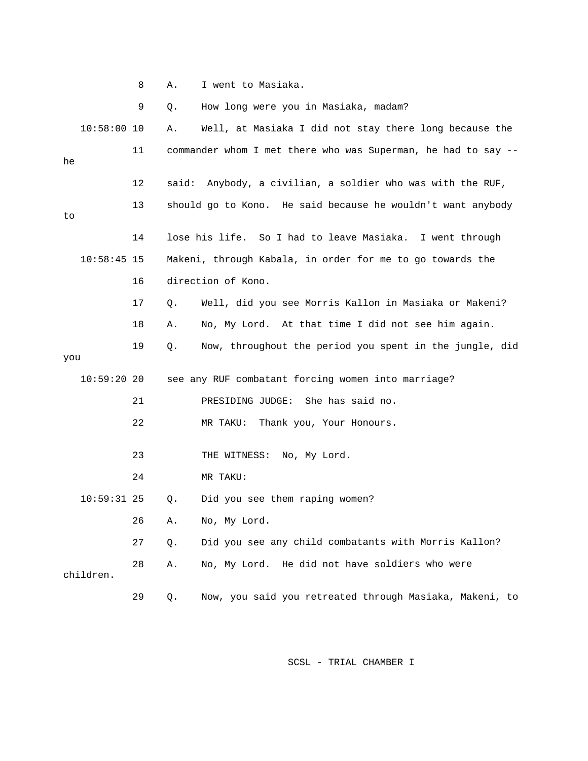8 A. I went to Masiaka.

|     |               | 9  | Q. | How long were you in Masiaka, madam?                          |
|-----|---------------|----|----|---------------------------------------------------------------|
|     | $10:58:00$ 10 |    | Α. | Well, at Masiaka I did not stay there long because the        |
| he  |               | 11 |    | commander whom I met there who was Superman, he had to say -- |
|     |               | 12 |    | said: Anybody, a civilian, a soldier who was with the RUF,    |
| to  | $10:58:45$ 15 | 13 |    | should go to Kono. He said because he wouldn't want anybody   |
|     |               | 14 |    | lose his life. So I had to leave Masiaka. I went through      |
|     |               |    |    | Makeni, through Kabala, in order for me to go towards the     |
|     |               | 16 |    | direction of Kono.                                            |
|     |               | 17 | Q. | Well, did you see Morris Kallon in Masiaka or Makeni?         |
|     |               | 18 | Α. | No, My Lord. At that time I did not see him again.            |
| you | $10:59:20$ 20 | 19 | Q. | Now, throughout the period you spent in the jungle, did       |
|     |               |    |    | see any RUF combatant forcing women into marriage?            |
|     |               | 21 |    | She has said no.<br>PRESIDING JUDGE:                          |
|     |               | 22 |    | MR TAKU: Thank you, Your Honours.                             |
|     |               | 23 |    | THE WITNESS: No, My Lord.                                     |
|     | $10:59:31$ 25 | 24 |    | MR TAKU:                                                      |
|     |               |    | Q. | Did you see them raping women?                                |
|     |               | 26 | Α. | No, My Lord.                                                  |
|     |               | 27 | Q. | Did you see any child combatants with Morris Kallon?          |
|     | children.     | 28 | Α. | He did not have soldiers who were<br>No, My Lord.             |
|     |               | 29 | Q. | Now, you said you retreated through Masiaka, Makeni, to       |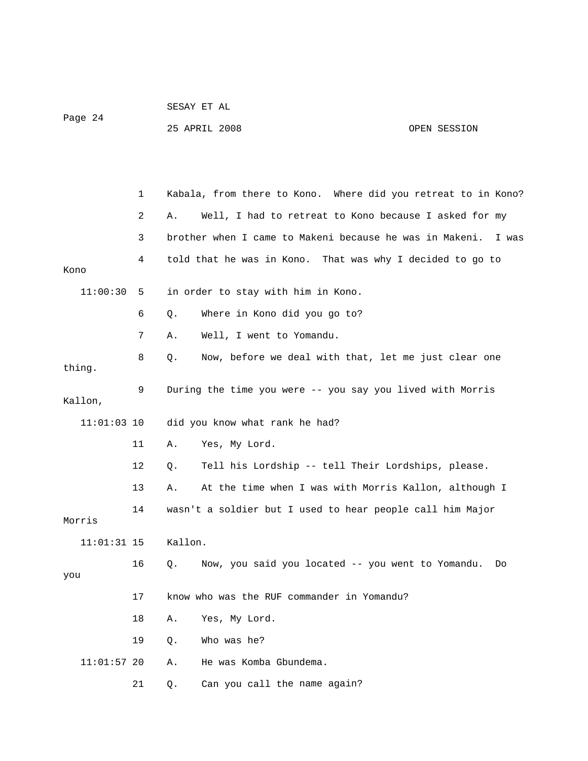|               |    |         | 25 APRIL 2008                                                 | OPEN SESSION                    |  |  |
|---------------|----|---------|---------------------------------------------------------------|---------------------------------|--|--|
|               |    |         |                                                               |                                 |  |  |
|               |    |         |                                                               |                                 |  |  |
|               | 1  |         | Kabala, from there to Kono. Where did you retreat to in Kono? |                                 |  |  |
|               | 2  | Α.      | Well, I had to retreat to Kono because I asked for my         |                                 |  |  |
|               | 3  |         | brother when I came to Makeni because he was in Makeni.       | I was                           |  |  |
|               | 4  |         | told that he was in Kono.                                     | That was why I decided to go to |  |  |
| Kono          |    |         |                                                               |                                 |  |  |
| 11:00:30      | 5  |         | in order to stay with him in Kono.                            |                                 |  |  |
|               | 6  | Q.      | Where in Kono did you go to?                                  |                                 |  |  |
|               | 7  | Α.      | Well, I went to Yomandu.                                      |                                 |  |  |
| thing.        | 8  | Q.      | Now, before we deal with that, let me just clear one          |                                 |  |  |
|               | 9  |         | During the time you were -- you say you lived with Morris     |                                 |  |  |
| Kallon,       |    |         |                                                               |                                 |  |  |
| $11:01:03$ 10 |    |         | did you know what rank he had?                                |                                 |  |  |
|               | 11 | Α.      | Yes, My Lord.                                                 |                                 |  |  |
|               | 12 | Q.      | Tell his Lordship -- tell Their Lordships, please.            |                                 |  |  |
|               | 13 | Α.      | At the time when I was with Morris Kallon, although I         |                                 |  |  |
| Morris        | 14 |         | wasn't a soldier but I used to hear people call him Major     |                                 |  |  |
|               |    |         |                                                               |                                 |  |  |
| $11:01:31$ 15 |    | Kallon. |                                                               |                                 |  |  |
| you           | 16 | Q.      | Now, you said you located -- you went to Yomandu.             | Do                              |  |  |
|               | 17 |         | know who was the RUF commander in Yomandu?                    |                                 |  |  |
|               | 18 | Α.      | Yes, My Lord.                                                 |                                 |  |  |
|               | 19 | Q.      | Who was he?                                                   |                                 |  |  |
| $11:01:57$ 20 |    | Α.      | He was Komba Gbundema.                                        |                                 |  |  |
|               | 21 | Q.      | Can you call the name again?                                  |                                 |  |  |

SESAY ET AL

Page 24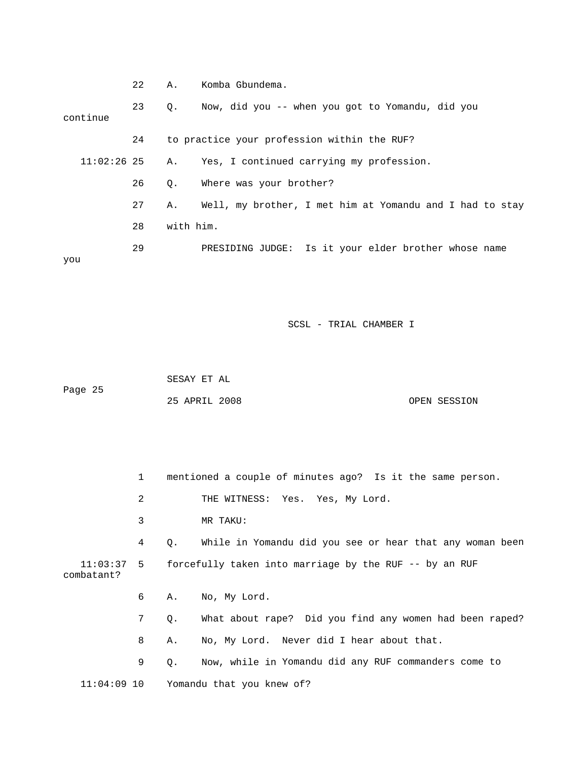|          | 22 | Α.        | Komba Gbundema.                                          |
|----------|----|-----------|----------------------------------------------------------|
| continue | 23 | Q.        | Now, did you -- when you got to Yomandu, did you         |
|          | 24 |           | to practice your profession within the RUF?              |
|          |    |           | 11:02:26 25 A. Yes, I continued carrying my profession.  |
|          | 26 | 0.        | Where was your brother?                                  |
|          | 27 | А.        | Well, my brother, I met him at Yomandu and I had to stay |
|          | 28 | with him. |                                                          |
| you      | 29 |           | PRESIDING JUDGE: Is it your elder brother whose name     |

 SESAY ET AL 25 APRIL 2008 OPEN SESSION Page 25

1 mentioned a couple of minutes ago? Is it the same person. 2 THE WITNESS: Yes. Yes, My Lord. 3 MR TAKU: 4 Q. While in Yomandu did you see or hear that any woman been  $11:03:37$  5 forcefully taken into marriage by the RUF -- by an RUF 6 A. No, My Lord. 7 Q. What about rape? Did you find any women had been raped? 9 Q. Now, while in Yomandu did any RUF commanders come to combatant? 8 A. No, My Lord. Never did I hear about that. 11:04:09 10 Yomandu that you knew of?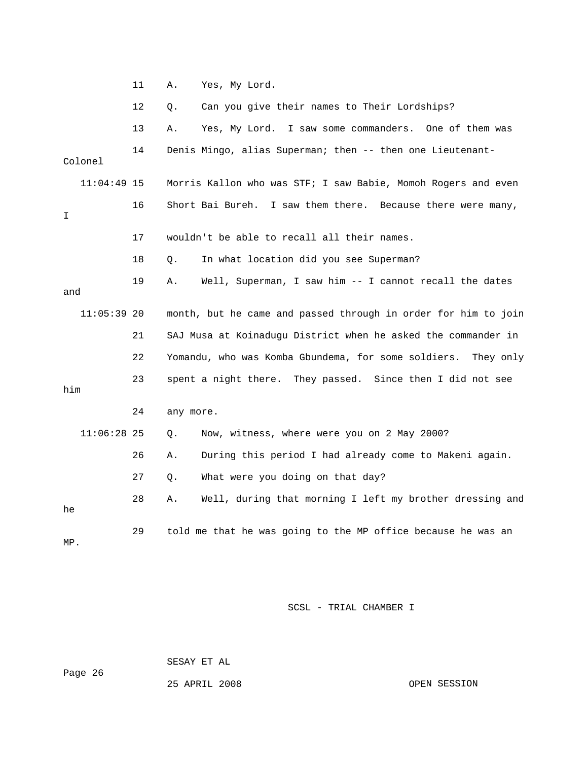|                                                                           |  | 11 | Α.        | Yes, My Lord.                                                  |
|---------------------------------------------------------------------------|--|----|-----------|----------------------------------------------------------------|
|                                                                           |  | 12 | Q.        | Can you give their names to Their Lordships?                   |
|                                                                           |  | 13 | Α.        | Yes, My Lord. I saw some commanders. One of them was           |
| Colonel                                                                   |  | 14 |           | Denis Mingo, alias Superman; then -- then one Lieutenant-      |
| $11:04:49$ 15                                                             |  |    |           | Morris Kallon who was STF; I saw Babie, Momoh Rogers and even  |
| I                                                                         |  | 16 |           | Short Bai Bureh. I saw them there. Because there were many,    |
|                                                                           |  | 17 |           | wouldn't be able to recall all their names.                    |
|                                                                           |  | 18 | Q.        | In what location did you see Superman?                         |
| and                                                                       |  | 19 | Α.        | Well, Superman, I saw him -- I cannot recall the dates         |
| 11:05:39 20                                                               |  |    |           | month, but he came and passed through in order for him to join |
|                                                                           |  | 21 |           | SAJ Musa at Koinadugu District when he asked the commander in  |
|                                                                           |  | 22 |           | Yomandu, who was Komba Gbundema, for some soldiers. They only  |
| him                                                                       |  | 23 |           | spent a night there. They passed. Since then I did not see     |
|                                                                           |  | 24 | any more. |                                                                |
| $11:06:28$ 25                                                             |  |    | Q.        | Now, witness, where were you on 2 May 2000?                    |
|                                                                           |  | 26 | Α.        | During this period I had already come to Makeni again.         |
|                                                                           |  | 27 | Q.        | What were you doing on that day?                               |
| he                                                                        |  | 28 | Α.        | Well, during that morning I left my brother dressing and       |
| 29<br>told me that he was going to the MP office because he was an<br>MP. |  |    |           |                                                                |

SESAY ET AL

ge 26 Pa

25 APRIL 2008

OPEN SESSION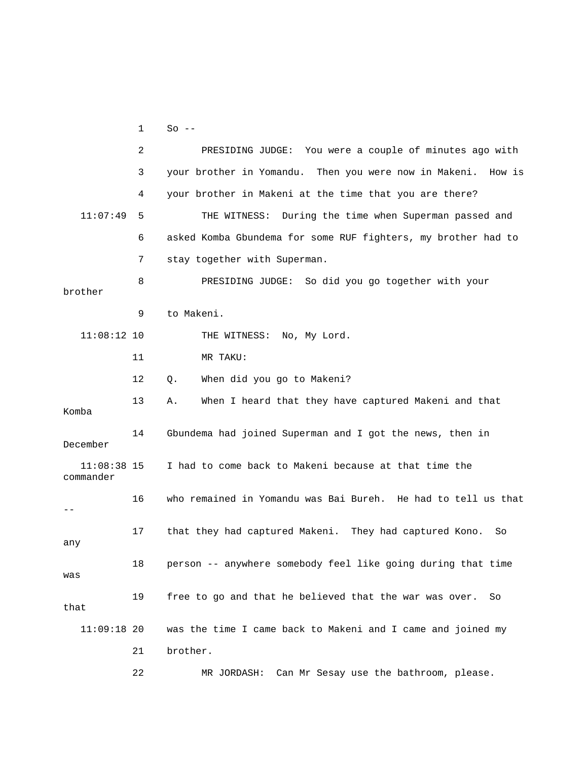1 So --

|                            | 2  | PRESIDING JUDGE: You were a couple of minutes ago with        |
|----------------------------|----|---------------------------------------------------------------|
|                            | 3  | your brother in Yomandu. Then you were now in Makeni. How is  |
|                            | 4  | your brother in Makeni at the time that you are there?        |
| 11:07:49                   | 5  | THE WITNESS: During the time when Superman passed and         |
|                            | 6  | asked Komba Gbundema for some RUF fighters, my brother had to |
|                            | 7  | stay together with Superman.                                  |
| brother                    | 8  | PRESIDING JUDGE: So did you go together with your             |
|                            | 9  | to Makeni.                                                    |
| $11:08:12$ 10              |    | THE WITNESS: No, My Lord.                                     |
|                            | 11 | MR TAKU:                                                      |
|                            | 12 | When did you go to Makeni?<br>Q.                              |
| Komba                      | 13 | When I heard that they have captured Makeni and that<br>Α.    |
| December                   | 14 | Gbundema had joined Superman and I got the news, then in      |
| $11:08:38$ 15<br>commander |    | I had to come back to Makeni because at that time the         |
|                            | 16 | who remained in Yomandu was Bai Bureh. He had to tell us that |
| any                        | 17 | that they had captured Makeni. They had captured Kono.<br>So  |
| was                        | 18 | person -- anywhere somebody feel like going during that time  |
| that                       | 19 | free to go and that he believed that the war was over.<br>So  |
| $11:09:18$ 20              |    | was the time I came back to Makeni and I came and joined my   |
|                            | 21 | brother.                                                      |
|                            | 22 | Can Mr Sesay use the bathroom, please.<br>MR JORDASH:         |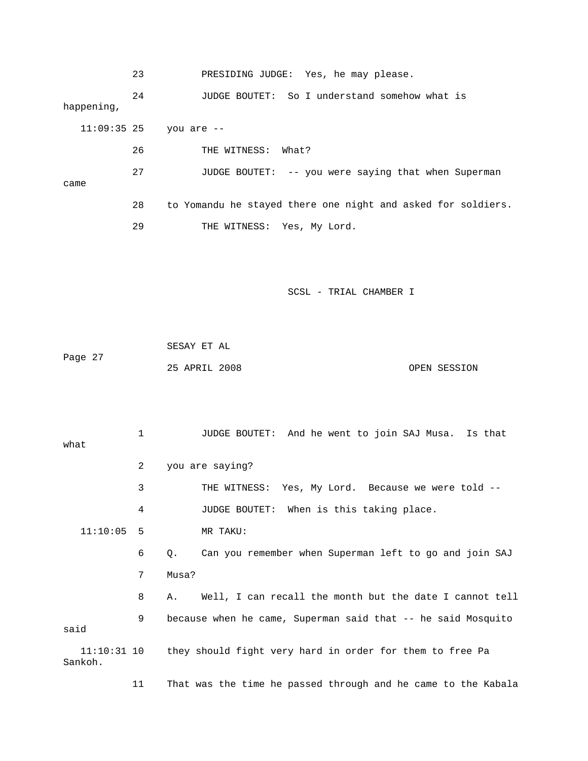23 PRESIDING JUDGE: Yes, he may please. 24 JUDGE BOUTET: So I understand somehow what is 27 JUDGE BOUTET: -- you were saying that when Superman 28 to Yomandu he stayed there one night and asked for soldiers. 29 THE WITNESS: Yes, My Lord. happening, 11:09:35 25 you are -- 26 THE WITNESS: What? came

SCSL - TRIAL CHAMBER I

 SESAY ET AL Page 27 OPEN SESSION 25 APRIL 2008

 1 JUDGE BOUTET: And he went to join SAJ Musa. Is that 2 you are saying? 3 THE WITNESS: Yes, My Lord. Because we were told -- 4 JUDGE BOUTET: When is this taking place. MR TAKU: 6 Q. Can you remember when Superman left to go and join SAJ 8 A. Well, I can recall the month but the date I cannot tell 9 because when he came, Superman said that -- he said Mosquito said  $11:10:31$   $10$  they should fight very hard in order for them to free Pa what  $11:10:05$  5 7 Musa? Sankoh. 11 That was the time he passed through and he came to the Kabala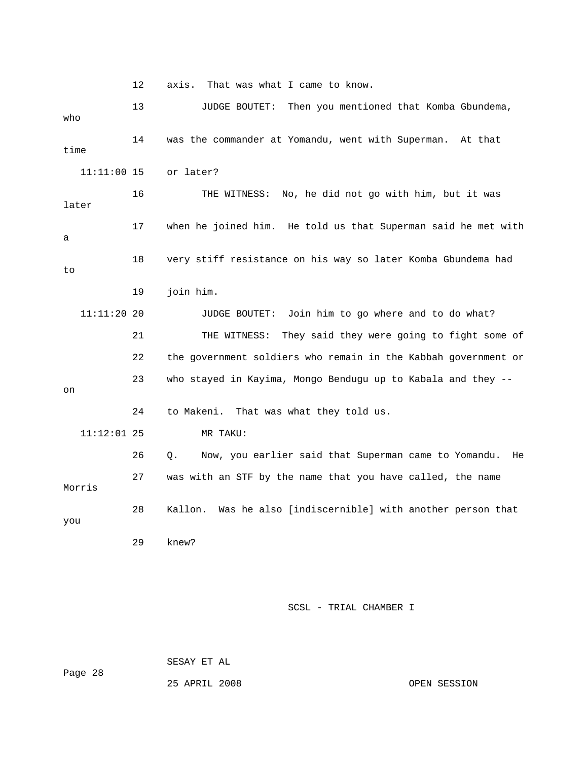12 axis. That was what I came to know.

 13 JUDGE BOUTET: Then you mentioned that Komba Gbundema, 14 was the commander at Yomandu, went with Superman. At that 17 when he joined him. He told us that Superman said he met with 18 very stiff resistance on his way so later Komba Gbundema had 19 join him. 21 THE WITNESS: They said they were going to fight some of 22 the government soldiers who remain in the Kabbah government or 23 who stayed in Kayima, Mongo Bendugu up to Kabala and they -- 11:12:01 25 MR TAKU: 26 Q. Now, you earlier said that Superman came to Yomandu. He Morris 28 Kallon. Was he also [indiscernible] with another person that who time 11:11:00 15 or later? 16 THE WITNESS: No, he did not go with him, but it was later a to 11:11:20 20 JUDGE BOUTET: Join him to go where and to do what? on 24 to Makeni. That was what they told us. 27 was with an STF by the name that you have called, the name you 29 knew?

SCSL - TRIAL CHAMBER I

SESAY ET AL

25 APRIL 2008 OPEN SESSION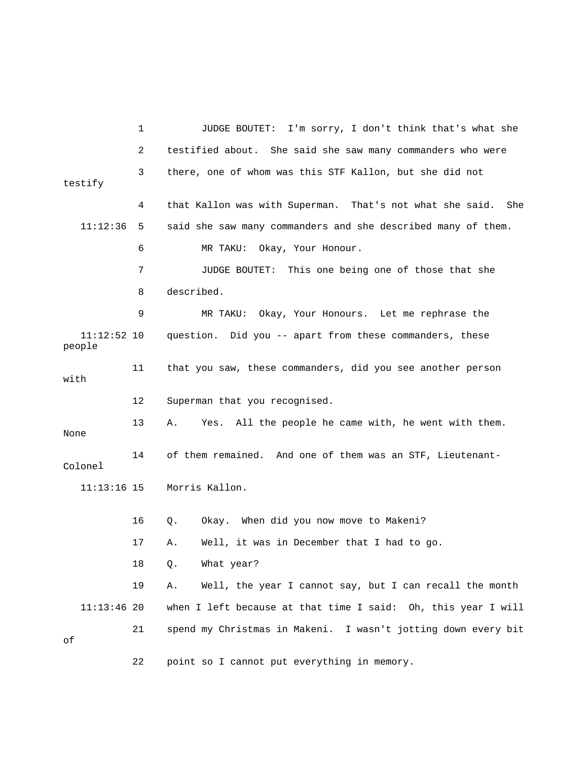1 JUDGE BOUTET: I'm sorry, I don't think that's what she 2 testified about. She said she saw many commanders who were 3 there, one of whom was this STF Kallon, but she did not testify 4 that Kallon was with Superman. That's not what she said. She 11:12:36 5 said she saw many commanders and she described many of them. 7 JUDGE BOUTET: This one being one of those that she  $11:12:52$  10 question. Did you -- apart from these commanders, these 11 that you saw, these commanders, did you see another person . 13 A. Yes. All the people he came with, he went with them Colonel 16 Q. Okay. When did you now move to Makeni? 18 Q. What year? 19 A. Well, the year I cannot say, but I can recall the month 11:13:46 20 when I left because at that time I said: Oh, this year I will 21 spend my Christmas in Makeni. I wasn't jotting down every bit 22 point so I cannot put everything in memory. 6 MR TAKU: Okay, Your Honour. 8 described. 9 MR TAKU: Okay, Your Honours. Let me rephrase the people with 12 Superman that you recognised. None 14 of them remained. And one of them was an STF, Lieutenant- 11:13:16 15 Morris Kallon. 17 A. Well, it was in December that I had to go. of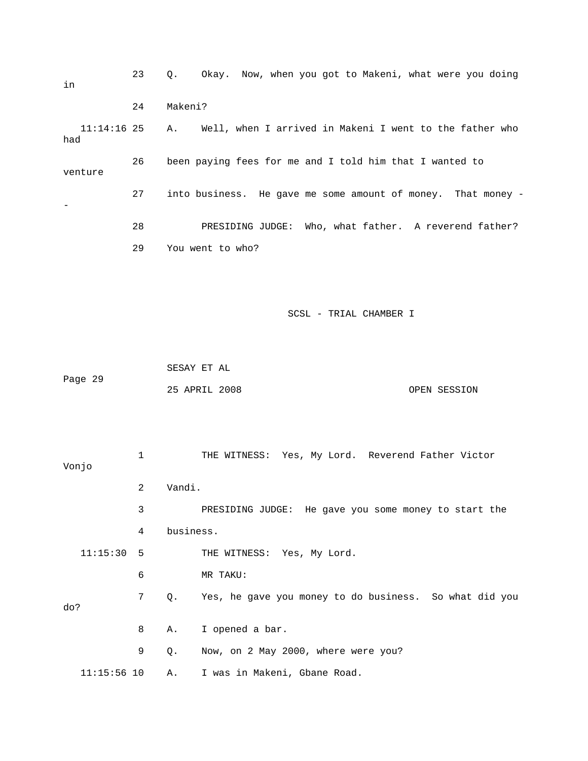| in                   | 23 | Q.        | Okay. Now, when you got to Makeni, what were you doing       |              |  |  |
|----------------------|----|-----------|--------------------------------------------------------------|--------------|--|--|
|                      | 24 | Makeni?   |                                                              |              |  |  |
| $11:14:16$ 25<br>had |    | Α.        | Well, when I arrived in Makeni I went to the father who      |              |  |  |
| venture              | 26 |           | been paying fees for me and I told him that I wanted to      |              |  |  |
|                      | 27 |           | into business. He gave me some amount of money. That money - |              |  |  |
|                      | 28 |           | PRESIDING JUDGE: Who, what father. A reverend father?        |              |  |  |
|                      | 29 |           | You went to who?                                             |              |  |  |
|                      |    |           |                                                              |              |  |  |
|                      |    |           |                                                              |              |  |  |
|                      |    |           | SCSL - TRIAL CHAMBER I                                       |              |  |  |
|                      |    |           |                                                              |              |  |  |
|                      |    |           | SESAY ET AL                                                  |              |  |  |
| Page 29              |    |           | 25 APRIL 2008                                                | OPEN SESSION |  |  |
|                      |    |           |                                                              |              |  |  |
|                      |    |           |                                                              |              |  |  |
| Vonjo                | 1  |           | THE WITNESS: Yes, My Lord. Reverend Father Victor            |              |  |  |
|                      | 2  | Vandi.    |                                                              |              |  |  |
|                      | 3  |           | PRESIDING JUDGE: He gave you some money to start the         |              |  |  |
|                      | 4  | business. |                                                              |              |  |  |
| 11:15:30             | 5  |           | THE WITNESS: Yes, My Lord.                                   |              |  |  |
|                      | 6  |           | MR TAKU:                                                     |              |  |  |
| do?                  | 7  | Q.        | Yes, he gave you money to do business. So what did you       |              |  |  |
|                      | 8  | Α.        | I opened a bar.                                              |              |  |  |
|                      | 9  | Q.        | Now, on 2 May 2000, where were you?                          |              |  |  |
| $11:15:56$ 10        |    | Α.        | I was in Makeni, Gbane Road.                                 |              |  |  |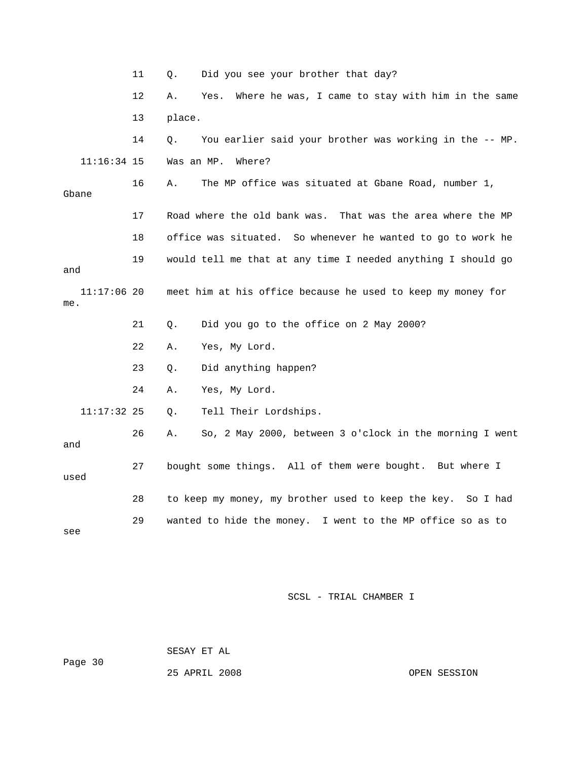|                    | 11 | Did you see your brother that day?<br>Q.                        |
|--------------------|----|-----------------------------------------------------------------|
|                    | 12 | Where he was, I came to stay with him in the same<br>Α.<br>Yes. |
|                    | 13 | place.                                                          |
|                    | 14 | You earlier said your brother was working in the -- MP.<br>О.   |
| $11:16:34$ 15      |    | Where?<br>Was an MP.                                            |
| Gbane              | 16 | The MP office was situated at Gbane Road, number 1,<br>Α.       |
|                    | 17 | Road where the old bank was. That was the area where the MP     |
|                    | 18 | office was situated. So whenever he wanted to go to work he     |
| and                | 19 | would tell me that at any time I needed anything I should go    |
| 11:17:06 20<br>me. |    | meet him at his office because he used to keep my money for     |
|                    | 21 | Did you go to the office on 2 May 2000?<br>Q.                   |
|                    | 22 | Yes, My Lord.<br>Α.                                             |
|                    | 23 | Did anything happen?<br>Q.                                      |
|                    | 24 | Yes, My Lord.<br>Α.                                             |
| $11:17:32$ 25      |    | Tell Their Lordships.<br>Q.                                     |
| and                | 26 | So, 2 May 2000, between 3 o'clock in the morning I went<br>Α.   |
| used               | 27 | bought some things. All of them were bought. But where I        |
|                    | 28 | to keep my money, my brother used to keep the key. So I had     |
| see                | 29 | wanted to hide the money. I went to the MP office so as to      |

 SESAY ET AL ge 30 Pa

25 APRIL 2008 OPEN SESSION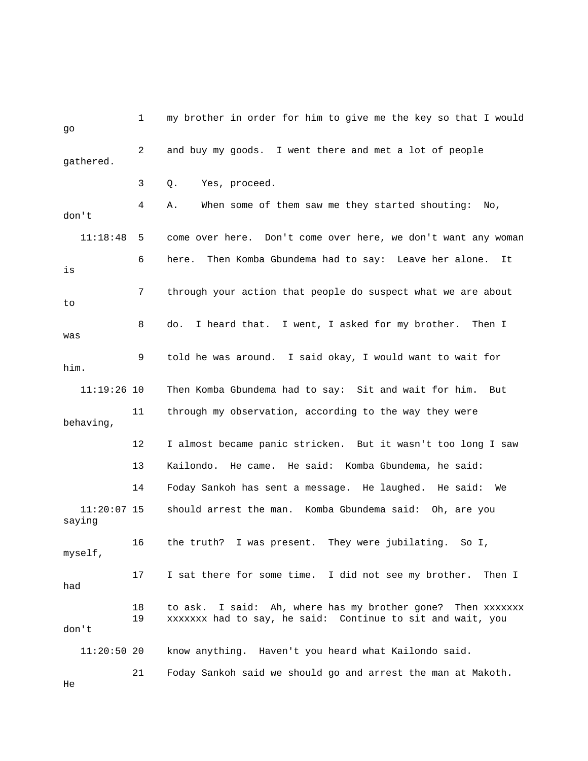1 my brother in order for him to give me the key so that I wou ld go gathered. 3 Q. Yes, proceed. 4 A. When some of them saw me they started shouting: No, 11:18:48 5 come over here. Don't come over here, we don't want any woman 6 here. Then Komba Gbundema had to say: Leave her alone. It 7 through your action that people do suspect what we are about 8 do. I heard that. I went, I asked for my brother. Then I 11 through my observation, according to the way they were 12 I almost became panic stricken. But it wasn't too long I saw 13 Kailondo. He came. He said: Komba Gbundema, he said: 11:20:07 15 should arrest the man. Komba Gbundema said: Oh, are you myself, hen I 18 to ask. I said: Ah, where has my brother gone? Then xxxxxxx 19 xxxxxxx had to say, he said: Continue to sit and wait, you don't know anything. Haven't you heard what Kailondo said. 2 and buy my goods. I went there and met a lot of people don't is to was 9 told he was around. I said okay, I would want to wait for him. 11:19:26 10 Then Komba Gbundema had to say: Sit and wait for him. But behaving, 14 Foday Sankoh has sent a message. He laughed. He said: We saying 16 the truth? I was present. They were jubilating. So I, 17 I sat there for some time. I did not see my brother. had 11:20: 21 Foday Sankoh said we should go and arrest the man at Makoth. He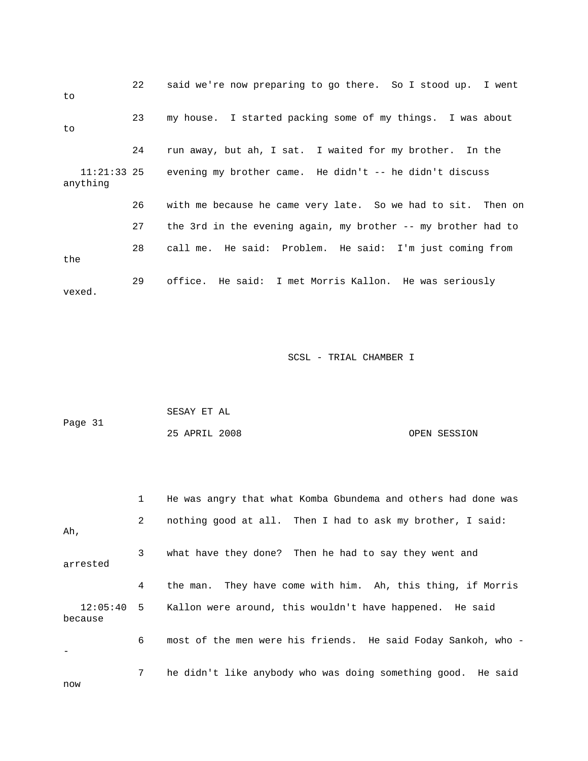| to       | 22 | said we're now preparing to go there. So I stood up. I went           |
|----------|----|-----------------------------------------------------------------------|
| to       | 23 | my house. I started packing some of my things. I was about            |
|          | 24 | run away, but ah, I sat. I waited for my brother. In the              |
| anything |    | $11:21:33$ 25 evening my brother came. He didn't -- he didn't discuss |
|          | 26 | with me because he came very late. So we had to sit. Then on          |
|          | 27 | the 3rd in the evening again, my brother -- my brother had to         |
| the      | 28 | call me. He said: Problem. He said: I'm just coming from              |
| vexed.   | 29 | office. He said: I met Morris Kallon. He was seriously                |

|         | SESAY ET AL   |              |
|---------|---------------|--------------|
| Page 31 |               |              |
|         | 25 APRIL 2008 | OPEN SESSION |

|          | $\mathbf{1}$   | He was angry that what Komba Gbundema and others had done was       |
|----------|----------------|---------------------------------------------------------------------|
| Ah,      | $\overline{2}$ | nothing good at all. Then I had to ask my brother, I said:          |
| arrested | 3              | what have they done? Then he had to say they went and               |
|          | 4              | the man. They have come with him. Ah, this thing, if Morris         |
| because  |                | 12:05:40 5 Kallon were around, this wouldn't have happened. He said |
|          | 6              | most of the men were his friends. He said Foday Sankoh, who -       |
| now      | 7              | he didn't like anybody who was doing something good. He said        |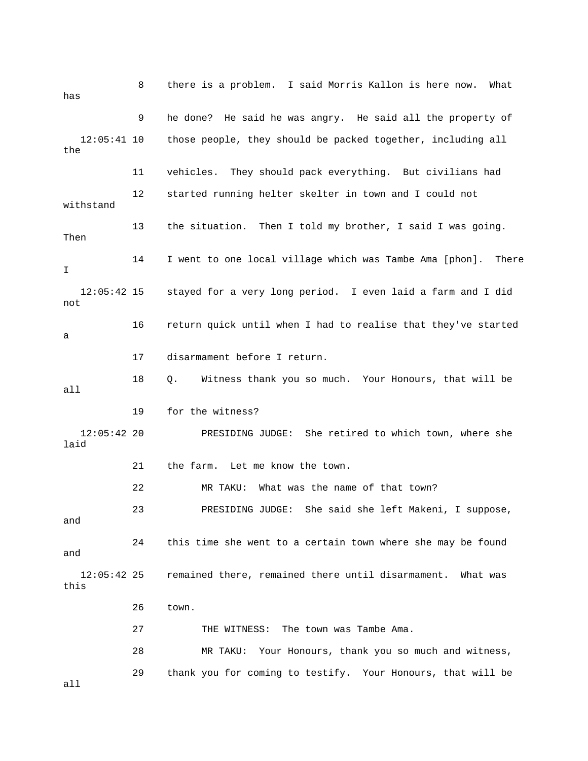8 there is a problem. I said Morris Kallon is here now. Wha t has 12:05:41 10 those people, they should be packed together, including all 11 vehicles. They should pack everything. But civilians had 12 started running helter skelter in town and I could not withstand 13 the situation. Then I told my brother, I said I was going. 14 I went to one local village which was Tambe Ama [phon]. There 12:05:42 15 stayed for a very long period. I even laid a farm and I did 18 Q. Witness thank you so much. Your Honours, that will be 19 for the witness? 12:05:42 20 PRESIDING JUDGE: She retired to which town, where she laid 21 the farm. Let me know the town. 22 MR TAKU: What was the name of that town? DGE: She said she left Makeni, I suppose, 23 PRESIDING JU and and 12:05:42 25 remained there, remained there until disarmament. What was 27 THE WITNESS: The town was Tambe Ama. 28 MR TAKU: Your Honours, thank you so much and witness, 9 he done? He said he was angry. He said all the property of the Then I not 16 return quick until when I had to realise that they've started a 17 disarmament before I return. all 24 this time she went to a certain town where she may be found this 26 town. 29 thank you for coming to testify. Your Honours, that will be all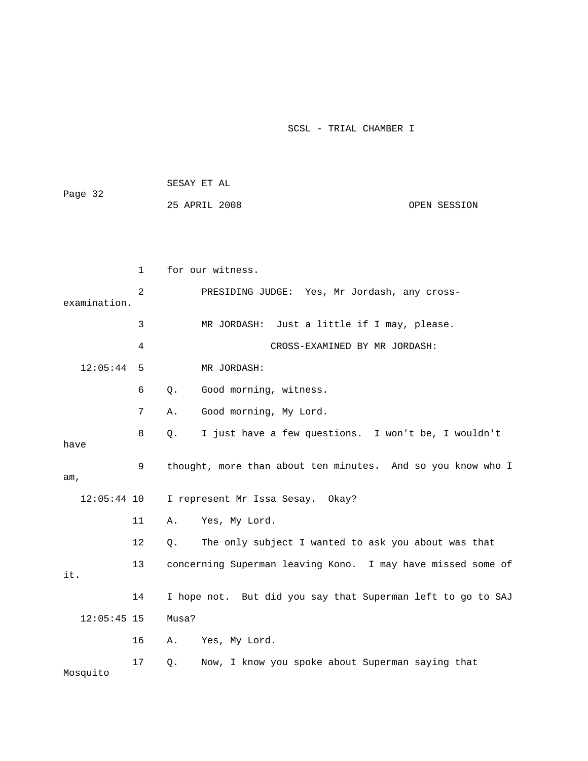| Page 32       |              | SESAY ET AL |                                                             |              |  |  |  |
|---------------|--------------|-------------|-------------------------------------------------------------|--------------|--|--|--|
|               |              |             | 25 APRIL 2008                                               | OPEN SESSION |  |  |  |
|               |              |             |                                                             |              |  |  |  |
|               |              |             |                                                             |              |  |  |  |
|               | $\mathbf{1}$ |             | for our witness.                                            |              |  |  |  |
| examination.  | 2            |             | PRESIDING JUDGE: Yes, Mr Jordash, any cross-                |              |  |  |  |
|               | 3            |             | MR JORDASH: Just a little if I may, please.                 |              |  |  |  |
|               | 4            |             | CROSS-EXAMINED BY MR JORDASH:                               |              |  |  |  |
| 12:05:44      | 5            |             | MR JORDASH:                                                 |              |  |  |  |
|               | 6            | 0.          | Good morning, witness.                                      |              |  |  |  |
|               | 7            | Α.          | Good morning, My Lord.                                      |              |  |  |  |
| have          | 8            | Q.          | I just have a few questions. I won't be, I wouldn't         |              |  |  |  |
| am,           | 9            |             | thought, more than about ten minutes. And so you know who I |              |  |  |  |
| $12:05:44$ 10 |              |             | I represent Mr Issa Sesay. Okay?                            |              |  |  |  |
|               | 11           | Α.          | Yes, My Lord.                                               |              |  |  |  |
|               | 12           | Q.          | The only subject I wanted to ask you about was that         |              |  |  |  |
| it.           | 13           |             | concerning Superman leaving Kono. I may have missed some of |              |  |  |  |
|               | 14           |             | I hope not. But did you say that Superman left to go to SAJ |              |  |  |  |
| $12:05:45$ 15 |              | Musa?       |                                                             |              |  |  |  |
|               | 16           | Α.          | Yes, My Lord.                                               |              |  |  |  |
| Mosquito      | 17           | Q.          | Now, I know you spoke about Superman saying that            |              |  |  |  |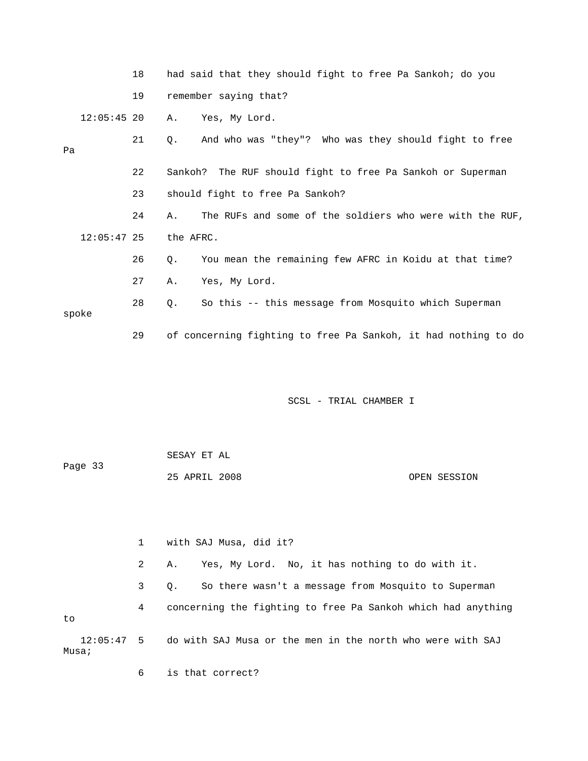|    |               | 18 |             | had said that they should fight to free Pa Sankoh; do you      |              |
|----|---------------|----|-------------|----------------------------------------------------------------|--------------|
|    |               | 19 |             | remember saying that?                                          |              |
|    | $12:05:45$ 20 |    | Α.          | Yes, My Lord.                                                  |              |
| Pa |               | 21 | Q.          | And who was "they"? Who was they should fight to free          |              |
|    |               | 22 | Sankoh?     | The RUF should fight to free Pa Sankoh or Superman             |              |
|    |               | 23 |             | should fight to free Pa Sankoh?                                |              |
|    |               | 24 | Α.          | The RUFs and some of the soldiers who were with the RUF,       |              |
|    | $12:05:47$ 25 |    | the AFRC.   |                                                                |              |
|    |               | 26 | Q.          | You mean the remaining few AFRC in Koidu at that time?         |              |
|    |               | 27 | Α.          | Yes, My Lord.                                                  |              |
|    | spoke         | 28 | Q.          | So this -- this message from Mosquito which Superman           |              |
|    |               | 29 |             | of concerning fighting to free Pa Sankoh, it had nothing to do |              |
|    |               |    |             |                                                                |              |
|    |               |    |             | SCSL - TRIAL CHAMBER I                                         |              |
|    |               |    |             |                                                                |              |
|    |               |    | SESAY ET AL |                                                                |              |
|    | Page 33       |    |             | 25 APRIL 2008                                                  | OPEN SESSION |
|    |               |    |             |                                                                |              |
|    |               | 1  |             | with SAJ Musa, did it?                                         |              |
|    |               | 2  | Α.          | Yes, My Lord.<br>No, it has nothing to do with it.             |              |
|    |               | 3  | Q.          | So there wasn't a message from Mosquito to Superman            |              |
|    |               | 4  |             | concerning the fighting to free Pa Sankoh which had anything   |              |

to

 12:05:47 5 do with SAJ Musa or the men in the north who were with SAJ Musa;

6 is that correct?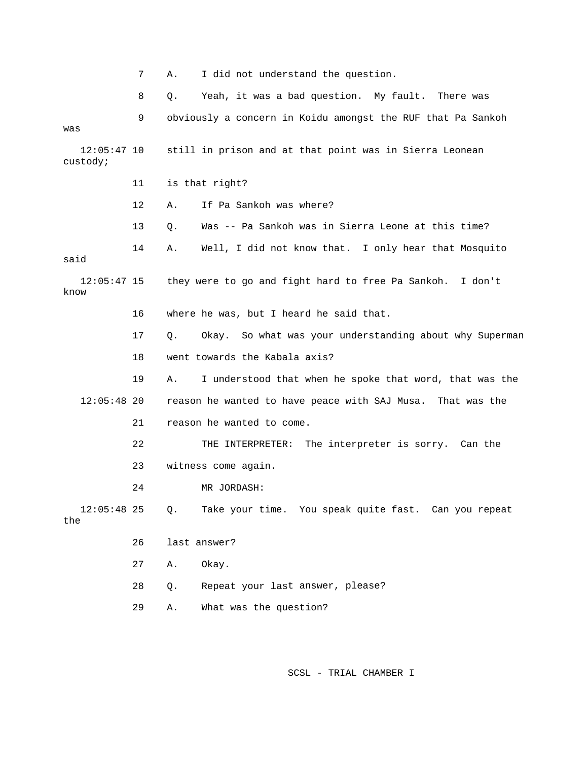7 A. I did not understand the question.

 8 Q. Yeah, it was a bad question. My fault. There was 9 obviously a concern in Koidu amongst the RUF that Pa Sankoh was 12:05:47 10 still in prison and at that point was in Sierra Leonean 14 A. Well, I did not know that. I only hear that Mosquito 12:05:47 15 they were to go and fight hard to free Pa Sankoh. I don't 16 where he was, but I heard he said that. 17 Q. Okay. So what was your understanding about why Superman 19 A. I understood that when he spoke that word, that was the reason he wanted to have peace with SAJ Musa. That was the 22 THE INTERPRETER: The interpreter is sorry. Can the 23 witness come again. 24 MR JORDASH: 28 Q. Repeat your last answer, please? 29 A. What was the question? custody; 11 is that right? 12 A. If Pa Sankoh was where? 13 Q. Was -- Pa Sankoh was in Sierra Leone at this time? said know 18 went towards the Kabala axis?  $12:05:48$  20 21 reason he wanted to come. 12:05:48 25 Q. Take your time. You speak quite fast. Can you repeat the 26 last answer? 27 A. Okay.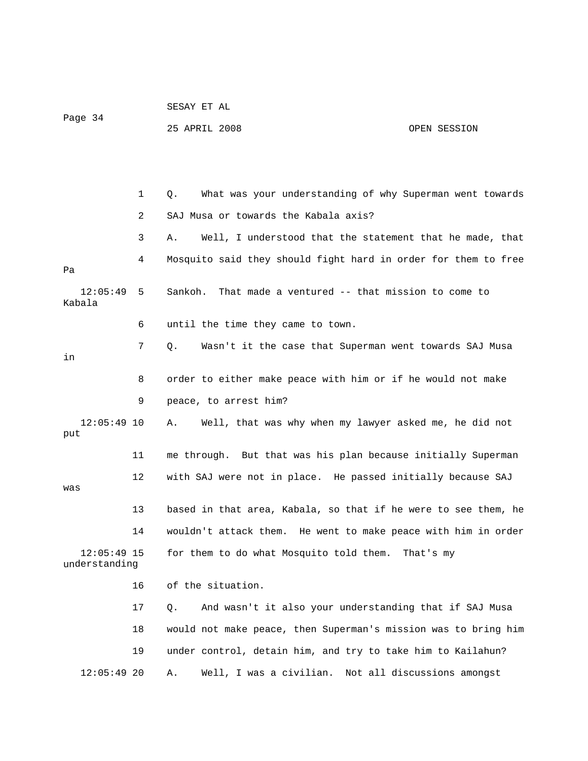|                                |    | SESAY ET AL                                                    |              |  |  |  |  |
|--------------------------------|----|----------------------------------------------------------------|--------------|--|--|--|--|
| Page 34                        |    | 25 APRIL 2008                                                  | OPEN SESSION |  |  |  |  |
|                                |    |                                                                |              |  |  |  |  |
|                                |    |                                                                |              |  |  |  |  |
|                                | 1  | What was your understanding of why Superman went towards<br>Q. |              |  |  |  |  |
|                                | 2  | SAJ Musa or towards the Kabala axis?                           |              |  |  |  |  |
|                                | 3  | Well, I understood that the statement that he made, that<br>Α. |              |  |  |  |  |
| Pa                             | 4  | Mosquito said they should fight hard in order for them to free |              |  |  |  |  |
| 12:05:49<br>Kabala             | 5  | That made a ventured -- that mission to come to<br>Sankoh.     |              |  |  |  |  |
|                                | 6  | until the time they came to town.                              |              |  |  |  |  |
| in                             | 7  | Wasn't it the case that Superman went towards SAJ Musa<br>Q.   |              |  |  |  |  |
|                                | 8  | order to either make peace with him or if he would not make    |              |  |  |  |  |
|                                | 9  | peace, to arrest him?                                          |              |  |  |  |  |
| $12:05:49$ 10<br>put           |    | Well, that was why when my lawyer asked me, he did not<br>Α.   |              |  |  |  |  |
|                                | 11 | me through. But that was his plan because initially Superman   |              |  |  |  |  |
| was                            | 12 | with SAJ were not in place. He passed initially because SAJ    |              |  |  |  |  |
|                                | 13 | based in that area, Kabala, so that if he were to see them, he |              |  |  |  |  |
|                                | 14 | wouldn't attack them. He went to make peace with him in order  |              |  |  |  |  |
| $12:05:49$ 15<br>understanding |    | for them to do what Mosquito told them. That's my              |              |  |  |  |  |
|                                | 16 | of the situation.                                              |              |  |  |  |  |
|                                | 17 | And wasn't it also your understanding that if SAJ Musa<br>Q.   |              |  |  |  |  |
|                                | 18 | would not make peace, then Superman's mission was to bring him |              |  |  |  |  |
|                                | 19 | under control, detain him, and try to take him to Kailahun?    |              |  |  |  |  |
| $12:05:49$ 20                  |    | Well, I was a civilian. Not all discussions amongst<br>Α.      |              |  |  |  |  |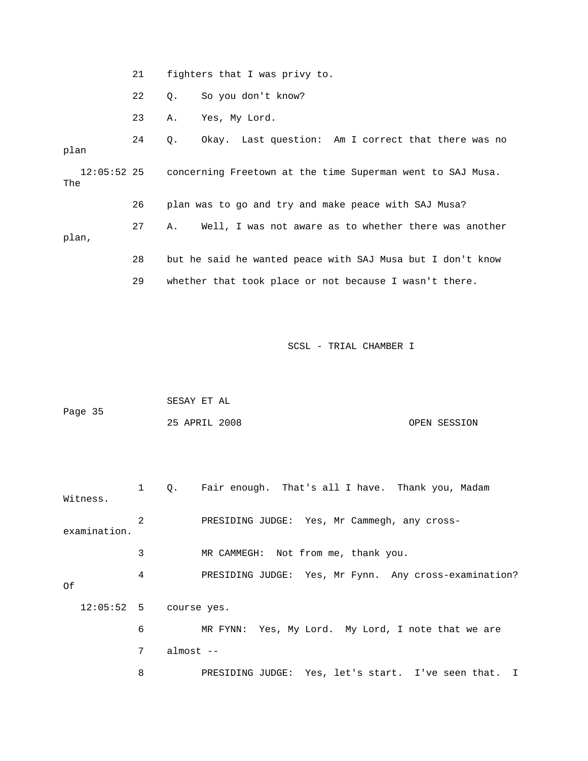|       | 21 | fighters that I was privy to.                                          |                                                            |  |  |  |  |
|-------|----|------------------------------------------------------------------------|------------------------------------------------------------|--|--|--|--|
|       | 22 | $\circ$ .                                                              | So you don't know?                                         |  |  |  |  |
|       | 23 | Α.                                                                     | Yes, My Lord.                                              |  |  |  |  |
| plan  | 24 | $\circ$ .                                                              | Okay. Last question: Am I correct that there was no        |  |  |  |  |
| The   |    | 12:05:52 25 concerning Freetown at the time Superman went to SAJ Musa. |                                                            |  |  |  |  |
|       | 26 |                                                                        | plan was to go and try and make peace with SAJ Musa?       |  |  |  |  |
| plan, | 27 | A.                                                                     | Well, I was not aware as to whether there was another      |  |  |  |  |
|       | 28 |                                                                        | but he said he wanted peace with SAJ Musa but I don't know |  |  |  |  |
|       | 29 |                                                                        | whether that took place or not because I wasn't there.     |  |  |  |  |

|         | SESAY ET AL   |  |              |
|---------|---------------|--|--------------|
| Page 35 |               |  |              |
|         | 25 APRIL 2008 |  | OPEN SESSION |

| Witness.     |   | Q. Fair enough. That's all I have. Thank you, Madam   |
|--------------|---|-------------------------------------------------------|
| examination. | 2 | PRESIDING JUDGE: Yes, Mr Cammegh, any cross-          |
|              | 3 | MR CAMMEGH: Not from me, thank you.                   |
| Of           | 4 | PRESIDING JUDGE: Yes, Mr Fynn. Any cross-examination? |
|              |   | $12:05:52$ 5 course yes.                              |
|              | 6 | MR FYNN: Yes, My Lord. My Lord, I note that we are    |
|              | 7 | $almost --$                                           |
|              | 8 | PRESIDING JUDGE: Yes, let's start. I've seen that. I  |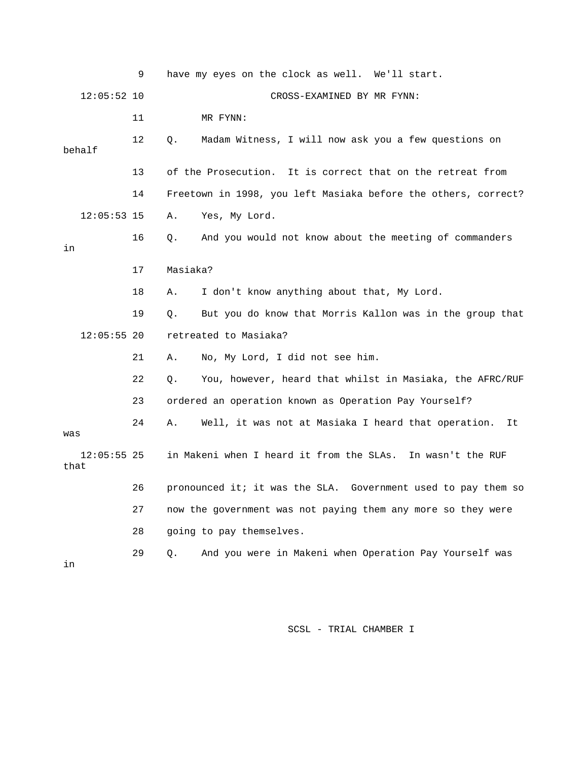|                       | 9  | have my eyes on the clock as well. We'll start.                  |
|-----------------------|----|------------------------------------------------------------------|
| $12:05:52$ 10         |    | CROSS-EXAMINED BY MR FYNN:                                       |
|                       | 11 | MR FYNN:                                                         |
| behalf                | 12 | Madam Witness, I will now ask you a few questions on<br>Q.       |
|                       | 13 | of the Prosecution.<br>It is correct that on the retreat from    |
|                       | 14 | Freetown in 1998, you left Masiaka before the others, correct?   |
| $12:05:53$ 15         |    | Yes, My Lord.<br>Α.                                              |
| in                    | 16 | And you would not know about the meeting of commanders<br>О.     |
|                       | 17 | Masiaka?                                                         |
|                       | 18 | I don't know anything about that, My Lord.<br>Α.                 |
|                       | 19 | But you do know that Morris Kallon was in the group that<br>О.   |
| $12:05:55$ 20         |    | retreated to Masiaka?                                            |
|                       | 21 | No, My Lord, I did not see him.<br>Α.                            |
|                       | 22 | Q.<br>You, however, heard that whilst in Masiaka, the AFRC/RUF   |
|                       | 23 | ordered an operation known as Operation Pay Yourself?            |
| was                   | 24 | Α.<br>Well, it was not at Masiaka I heard that operation.<br>It. |
| $12:05:55$ 25<br>that |    | in Makeni when I heard it from the SLAs. In wasn't the RUF       |
|                       | 26 | pronounced it; it was the SLA. Government used to pay them so    |
|                       | 27 | now the government was not paying them any more so they were     |
|                       | 28 | going to pay themselves.                                         |
| in                    | 29 | And you were in Makeni when Operation Pay Yourself was<br>Q.     |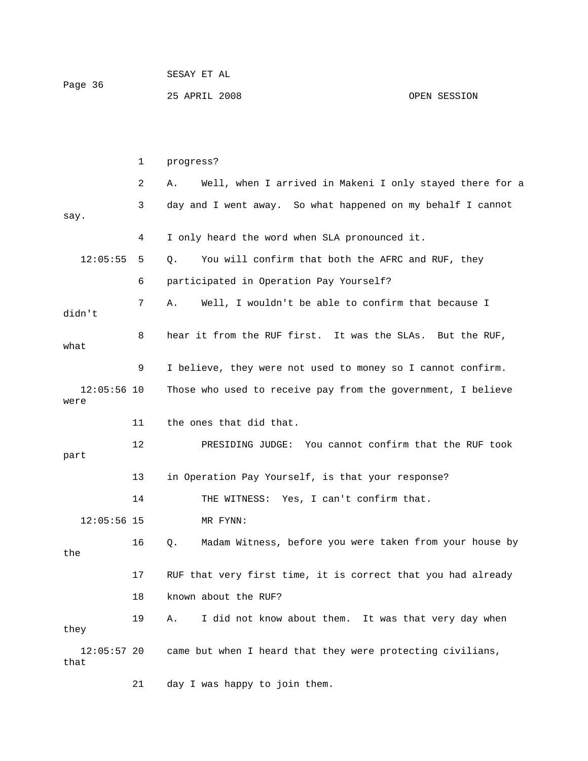| Page 36 | SESAY ET AL   |              |
|---------|---------------|--------------|
|         | 25 APRIL 2008 | OPEN SESSION |

|                       | $\mathbf 1$ | progress?                                                      |
|-----------------------|-------------|----------------------------------------------------------------|
|                       | 2           | Well, when I arrived in Makeni I only stayed there for a<br>Α. |
| say.                  | 3           | day and I went away. So what happened on my behalf I cannot    |
|                       | 4           | I only heard the word when SLA pronounced it.                  |
| 12:05:55              | 5           | You will confirm that both the AFRC and RUF, they<br>Q.        |
|                       | 6           | participated in Operation Pay Yourself?                        |
| didn't                | 7           | Well, I wouldn't be able to confirm that because I<br>Α.       |
| what                  | 8           | hear it from the RUF first. It was the SLAs. But the RUF,      |
|                       | 9           | I believe, they were not used to money so I cannot confirm.    |
| $12:05:56$ 10<br>were |             | Those who used to receive pay from the government, I believe   |
|                       | 11          | the ones that did that.                                        |
| part                  | 12          | PRESIDING JUDGE: You cannot confirm that the RUF took          |
|                       | 13          | in Operation Pay Yourself, is that your response?              |
|                       | 14          | THE WITNESS: Yes, I can't confirm that.                        |
| $12:05:56$ 15         |             | MR FYNN:                                                       |
| the                   | 16          | Madam Witness, before you were taken from your house by<br>Q.  |
|                       | 17          | RUF that very first time, it is correct that you had already   |
|                       | 18          | known about the RUF?                                           |
| they                  | 19          | I did not know about them. It was that very day when<br>Α.     |
| $12:05:57$ 20<br>that |             | came but when I heard that they were protecting civilians,     |
|                       | 21          | day I was happy to join them.                                  |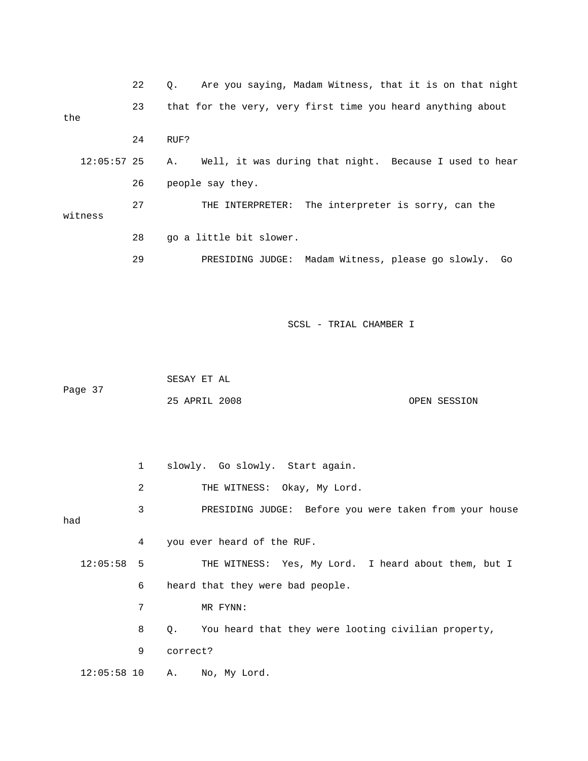|               | 22           | Are you saying, Madam Witness, that it is on that night<br>Q. |
|---------------|--------------|---------------------------------------------------------------|
| the           | 23           | that for the very, very first time you heard anything about   |
|               | 24           | RUF?                                                          |
| $12:05:57$ 25 |              | Well, it was during that night. Because I used to hear<br>A.  |
|               | 26           | people say they.                                              |
| witness       | 27           | THE INTERPRETER: The interpreter is sorry, can the            |
|               | 28           | go a little bit slower.                                       |
|               | 29           | PRESIDING JUDGE: Madam Witness, please go slowly. Go          |
|               |              |                                                               |
|               |              | SCSL - TRIAL CHAMBER I                                        |
|               |              |                                                               |
|               |              | SESAY ET AL                                                   |
| Page 37       |              | 25 APRIL 2008<br>OPEN SESSION                                 |
|               |              |                                                               |
|               | $\mathbf{1}$ | slowly. Go slowly. Start again.                               |
|               | 2            | THE WITNESS: Okay, My Lord.                                   |
| had           | 3            | PRESIDING JUDGE: Before you were taken from your house        |
|               | 4            | you ever heard of the RUF.                                    |
| 12:05:58      | 5            | THE WITNESS:<br>Yes, My Lord. I heard about them, but I       |
|               | 6            | heard that they were bad people.                              |
|               | 7            | MR FYNN:                                                      |
|               | 8            | You heard that they were looting civilian property,<br>Q.     |
|               | 9            | correct?                                                      |
| $12:05:58$ 10 |              | No, My Lord.<br>Α.                                            |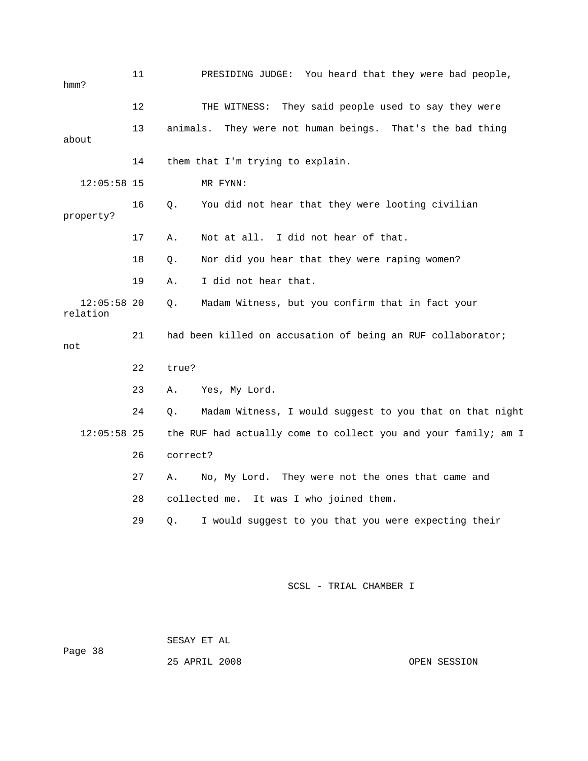| hmm?                      | 11 |          | PRESIDING JUDGE: You heard that they were bad people,          |
|---------------------------|----|----------|----------------------------------------------------------------|
|                           | 12 |          | THE WITNESS: They said people used to say they were            |
| about                     | 13 | animals. | They were not human beings. That's the bad thing               |
|                           | 14 |          | them that I'm trying to explain.                               |
| $12:05:58$ 15             |    |          | MR FYNN:                                                       |
| property?                 | 16 | Q.       | You did not hear that they were looting civilian               |
|                           | 17 | Α.       | Not at all. I did not hear of that.                            |
|                           | 18 | Q.       | Nor did you hear that they were raping women?                  |
|                           | 19 | Α.       | I did not hear that.                                           |
| $12:05:58$ 20<br>relation |    | Q.       | Madam Witness, but you confirm that in fact your               |
| not                       | 21 |          | had been killed on accusation of being an RUF collaborator;    |
|                           | 22 | true?    |                                                                |
|                           | 23 | Α.       | Yes, My Lord.                                                  |
|                           |    |          |                                                                |
|                           | 24 | Q.       | Madam Witness, I would suggest to you that on that night       |
| $12:05:58$ 25             |    |          | the RUF had actually come to collect you and your family; am I |
|                           | 26 | correct? |                                                                |
|                           | 27 | Α.       | No, My Lord. They were not the ones that came and              |
|                           | 28 |          | collected me. It was I who joined them.                        |
|                           | 29 | $Q$ .    | I would suggest to you that you were expecting their           |
|                           |    |          |                                                                |
|                           |    |          | SCSL - TRIAL CHAMBER I                                         |

Page 38

25 APRIL 2008 OPEN SESSION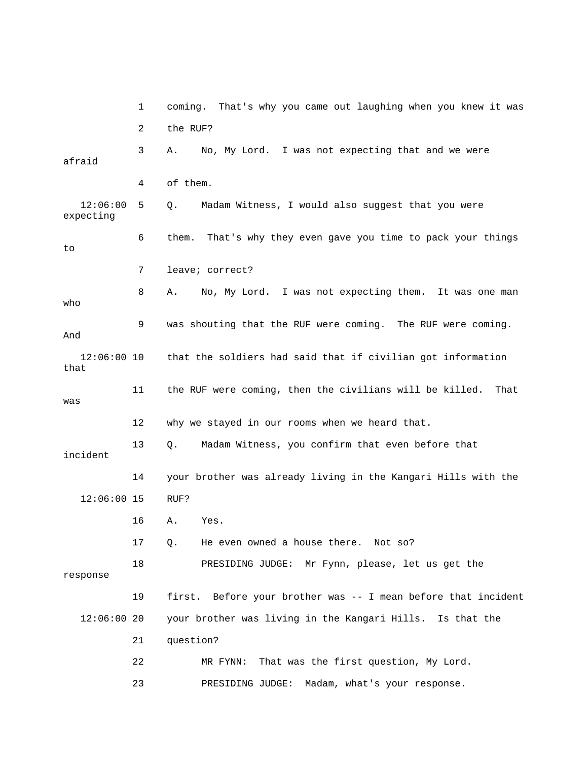1 coming. That's why you came out laughing when you knew it was afraid 4 of them. 12:06:00 5 Q. Madam Witness, I would also suggest that you were That's why they even gave you time to pack your things 7 leave; correct? 8 A. No, My Lord. I was not expecting them. It was one man o wh 9 was shouting that the RUF were coming. The RUF were coming. And that the soldiers had said that if civilian got information that 11 the RUF were coming, then the civilians will be killed. That 12 why we stayed in our rooms when we heard that. incident e 14 your brother was already living in the Kangari Hills with th 16 A. Yes. 18 PRESIDING JUDGE: Mr Fynn, please, let us get the 19 first. Before your brother was -- I mean before that incident 12:06:00 20 your brother was living in the Kangari Hills. Is that the 22 MR FYNN: That was the first question, My Lord. 23 PRESIDING JUDGE: Madam, what's your response. 2 the RUF? 3 A. No, My Lord. I was not expecting that and we were expecting 6 them. to  $12:06:00$  10 was 13 Q. Madam Witness, you confirm that even before that 12:06:00 15 RUF? 17 Q. He even owned a house there. Not so? response 21 question?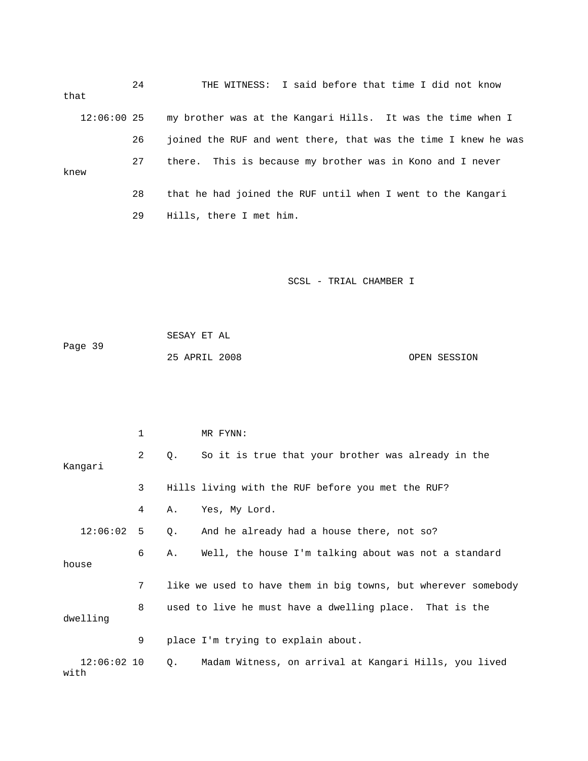| that          | 24 | THE WITNESS: I said before that time I did not know            |
|---------------|----|----------------------------------------------------------------|
| $12:06:00$ 25 |    | my brother was at the Kangari Hills. It was the time when I    |
|               | 26 | joined the RUF and went there, that was the time I knew he was |
| knew          | 27 | there. This is because my brother was in Kono and I never      |
|               | 28 | that he had joined the RUF until when I went to the Kangari    |
|               | 29 | Hills, there I met him.                                        |

| Page 39 | SESAY ET AL   |  |              |
|---------|---------------|--|--------------|
|         | 25 APRIL 2008 |  | OPEN SESSION |

|                       | 1              |    | MR FYNN:                                                      |
|-----------------------|----------------|----|---------------------------------------------------------------|
| Kangari               | $\overline{a}$ | Q. | So it is true that your brother was already in the            |
|                       | 3              |    | Hills living with the RUF before you met the RUF?             |
|                       | 4              | Α. | Yes, My Lord.                                                 |
| $12:06:02$ 5          |                | 0. | And he already had a house there, not so?                     |
| house                 | 6              | Α. | Well, the house I'm talking about was not a standard          |
|                       | $7^{\circ}$    |    | like we used to have them in big towns, but wherever somebody |
| dwelling              | 8              |    | used to live he must have a dwelling place. That is the       |
|                       | 9              |    | place I'm trying to explain about.                            |
| $12:06:02$ 10<br>with |                | Q. | Madam Witness, on arrival at Kangari Hills, you lived         |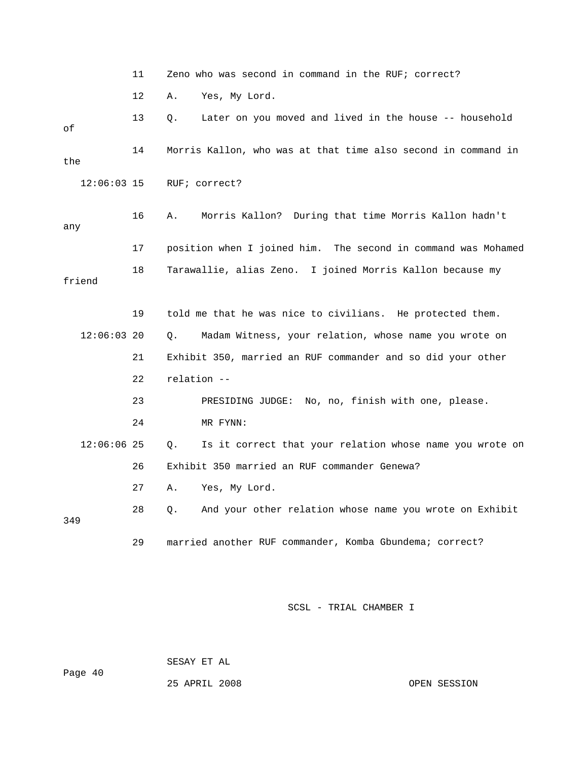11 Zeno who was second in command in the RUF; correct? 12 A. Yes, My Lord. 13 Q. Later on you moved and lived in the house -- household of 18 Tarawallie, alias Zeno. I joined Morris Kallon because my Q. Madam Witness, your relation, whose name you wrote on 23 PRESIDING JUDGE: No, no, finish with one, please. 12:06:06 25 Q. Is it correct that your relation whose name you wrote on 27 A. Yes, My Lord. 28 Q. And your other relation whose name you wrote on Exhibit 9 34 29 married another RUF commander, Komba Gbundema; correct? 14 Morris Kallon, who was at that time also second in command in the 12:06:03 15 RUF; correct? 16 A. Morris Kallon? During that time Morris Kallon hadn't any 17 position when I joined him. The second in command was Mohamed friend 19 told me that he was nice to civilians. He protected them.  $12:06:03$  20 21 Exhibit 350, married an RUF commander and so did your other 22 relation -- 24 MR FYNN: 26 Exhibit 350 married an RUF commander Genewa?

SCSL - TRIAL CHAMBER I

SESAY ET AL

25 APRIL 2008 OPEN SESSION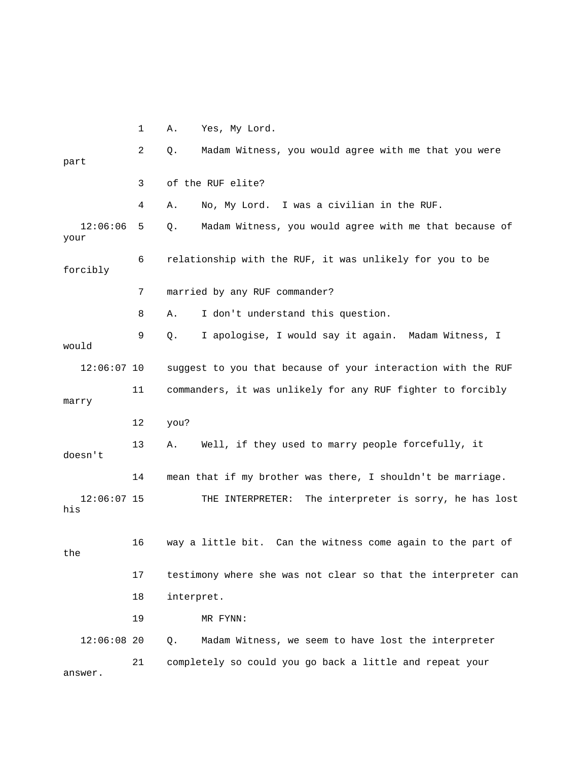1 A. Yes, My Lord.

 3 of the RUF elite? 4 A. No, My Lord. I was a civilian in the RUF. 12:06:06 5 Q. Madam Witness, you would agree with me that because of forcibly 7 married by any RUF commander? 9 Q. I apologise, I would say it again. Madam Witness, I 12:06:07 10 suggest to you that because of your interaction with the RUF 11 commanders, it was unlikely for any RUF fighter to forcibly marry 12 you? 13 A. Well, if they used to marry people forcefully, it 14 mean that if my brother was there, I shouldn't be marriage. 12:06:07 15 THE INTERPRETER: The interpreter is sorry, he has lost 16 way a little bit. Can the witness come again to the part of the 17 testimony where she was not clear so that the interpreter can Q. Madam Witness, we seem to have lost the interpreter 2 Q. Madam Witness, you would agree with me that you were part your 6 relationship with the RUF, it was unlikely for you to be 8 A. I don't understand this question. would doesn't his 18 interpret. 19 MR FYNN:  $12:06:08$  20 21 completely so could you go back a little and repeat your answer.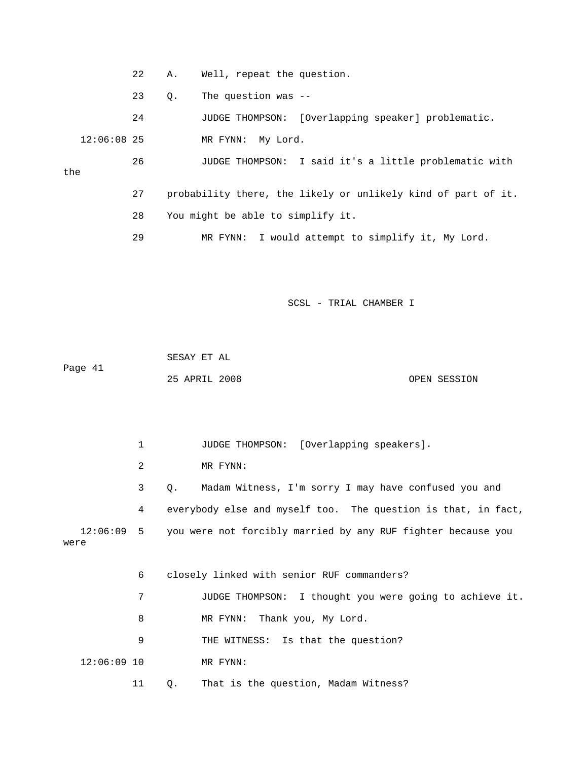|     |             | 22 | Α. | Well, repeat the question.                                    |
|-----|-------------|----|----|---------------------------------------------------------------|
|     |             | 23 | Q. | The question was $-$ -                                        |
|     |             | 24 |    | JUDGE THOMPSON: [Overlapping speaker] problematic.            |
|     | 12:06:08 25 |    |    | MR FYNN: My Lord.                                             |
| the |             | 26 |    | JUDGE THOMPSON: I said it's a little problematic with         |
|     |             |    |    |                                                               |
|     |             | 27 |    | probability there, the likely or unlikely kind of part of it. |
|     |             | 28 |    | You might be able to simplify it.                             |
|     |             | 29 |    | MR FYNN: I would attempt to simplify it, My Lord.             |
|     |             |    |    |                                                               |

Page 41 SESAY ET AL 25 APRIL 2008 OPEN SESSION

1 JUDGE THOMPSON: [Overlapping speakers]. 2 MR FYNN: 3 Q. Madam Witness, I'm sorry I may have confused you and 4 everybody else and myself too. The question is that, in fact, 12:06:09 5 you were not forcibly married by any RUF fighter because you were 6 closely linked with senior RUF commanders? 7 JUDGE THOMPSON: I thought you were going to achieve it. 8 MR FYNN: Thank you, My Lord. 12:06:09 10 MR FYNN: 11 Q. That is the question, Madam Witness? 9 THE WITNESS: Is that the question?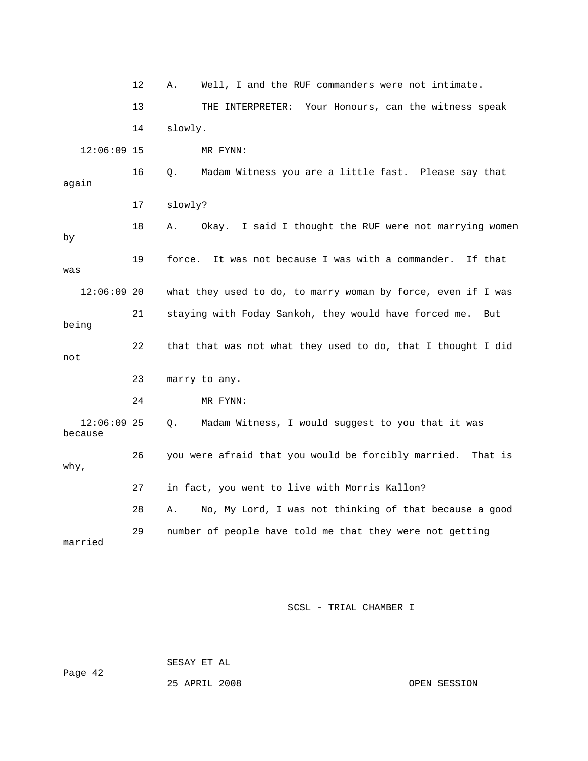12 A. Well, I and the RUF commanders were n ot intimate. 13 THE INTERPRETER: Your Honours, can t he witness speak 14 slowly. 16 Q. Madam Witness you are a little fast. Please say that 18 A. Okay. I said I thought the RUF were not marrying women 19 force. It was not because I was with a commander. If that  $12:06:09$  20 what they used to do, to marry woman by force, even if I was 22 that that was not what they used to do, that I thought I did not 12:06:09 25 Q. Madam Witness, I would suggest to you that it was 28 A. No, My Lord, I was not thinking of that because a good 29 number of people have told me that they were not getting 12:06:09 15 MR FYNN: again 17 slowly? by was 21 staying with Foday Sankoh, they would have forced me. But being 23 marry to any. 24 MR FYNN: because 26 you were afraid that you would be forcibly married. That is why, 27 in fact, you went to live with Morris Kallon? married

SCSL - TRIAL CHAMBER I

 SESAY ET AL Page 42

25 APRIL 2008 OPEN SESSION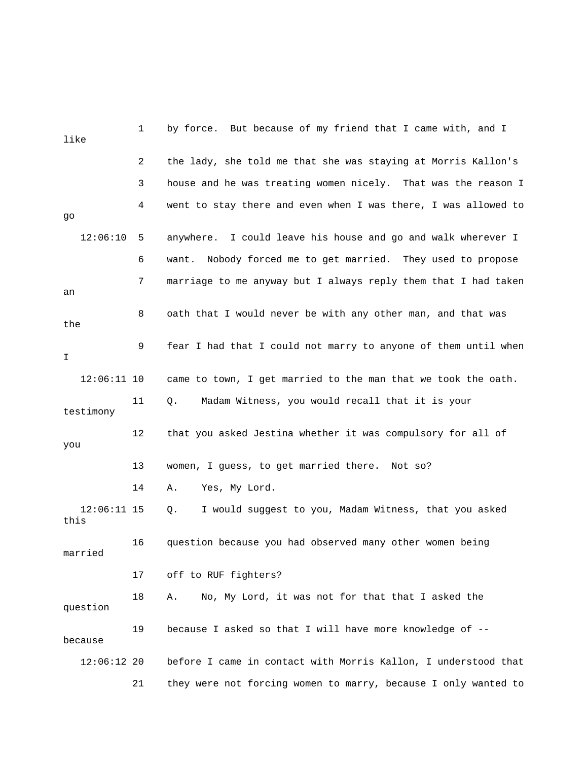| like                  | 1  | by force. But because of my friend that I came with, and I     |
|-----------------------|----|----------------------------------------------------------------|
|                       | 2  | the lady, she told me that she was staying at Morris Kallon's  |
|                       | 3  | house and he was treating women nicely. That was the reason I  |
| go                    | 4  | went to stay there and even when I was there, I was allowed to |
| 12:06:10              | 5  | anywhere. I could leave his house and go and walk wherever I   |
|                       | 6  | Nobody forced me to get married. They used to propose<br>want. |
| an                    | 7  | marriage to me anyway but I always reply them that I had taken |
| the                   | 8  | oath that I would never be with any other man, and that was    |
| I                     | 9  | fear I had that I could not marry to anyone of them until when |
| $12:06:11$ 10         |    | came to town, I get married to the man that we took the oath.  |
| testimony             | 11 | Madam Witness, you would recall that it is your<br>Q.          |
| you                   | 12 | that you asked Jestina whether it was compulsory for all of    |
|                       | 13 | women, I guess, to get married there. Not so?                  |
|                       | 14 | Yes, My Lord.<br>Α.                                            |
| $12:06:11$ 15<br>this |    | I would suggest to you, Madam Witness, that you asked<br>Q.    |
| married               | 16 | question because you had observed many other women being       |
|                       | 17 | off to RUF fighters?                                           |
| question              | 18 | No, My Lord, it was not for that that I asked the<br>Α.        |
| because               | 19 | because I asked so that I will have more knowledge of --       |
| $12:06:12$ 20         |    | before I came in contact with Morris Kallon, I understood that |
|                       | 21 | they were not forcing women to marry, because I only wanted to |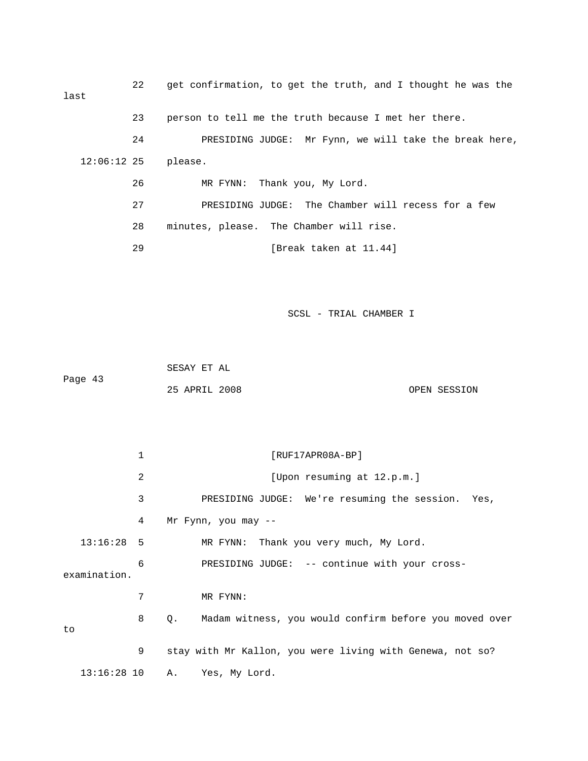| last          | 22 | get confirmation, to get the truth, and I thought he was the |
|---------------|----|--------------------------------------------------------------|
|               | 23 | person to tell me the truth because I met her there.         |
|               | 24 | PRESIDING JUDGE: Mr Fynn, we will take the break here,       |
| $12:06:12$ 25 |    | please.                                                      |
|               | 26 | MR FYNN: Thank you, My Lord.                                 |
|               | 27 | PRESIDING JUDGE: The Chamber will recess for a few           |
|               | 28 | minutes, please. The Chamber will rise.                      |
|               | 29 | [Break taken at 11.44]                                       |
|               |    |                                                              |

 SESAY ET AL 25 APRIL 2008 OPEN SESSION Page 43

 1 [RUF17APR08A-BP] 3 PRESIDING JUDGE: We're resuming the session. Yes, 6 PRESIDING JUDGE: -- continue with your crossexamination. 7 MR FYNN: 8 Q. Madam witness, you would confirm before you moved over 2 [Upon resuming at 12.p.m.] 4 Mr Fynn, you may -- 13:16:28 5 MR FYNN: Thank you very much, My Lord. to 9 stay with Mr Kallon, you were living with Genewa, not so? 13:16:28 10 A. Yes, My Lord.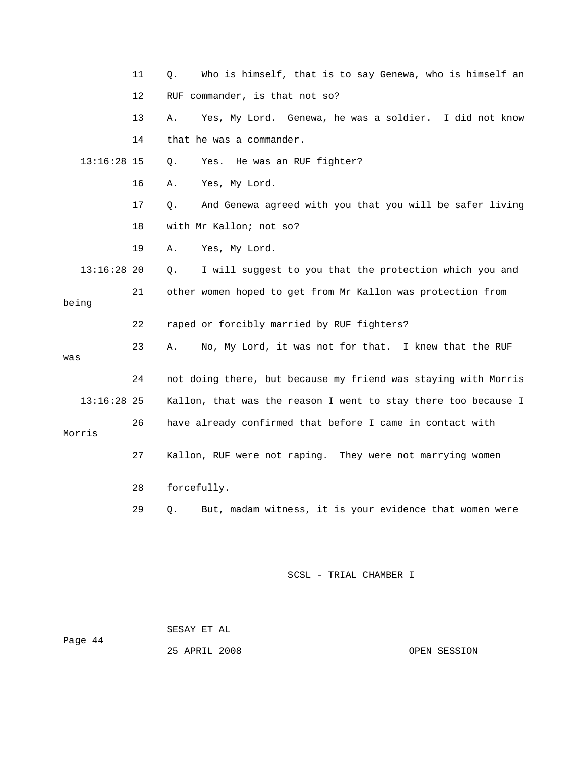|               | 11 | Who is himself, that is to say Genewa, who is himself an<br>Q. |
|---------------|----|----------------------------------------------------------------|
|               | 12 | RUF commander, is that not so?                                 |
|               | 13 | Yes, My Lord. Genewa, he was a soldier. I did not know<br>Α.   |
|               | 14 | that he was a commander.                                       |
| $13:16:28$ 15 |    | Yes. He was an RUF fighter?<br>Q.                              |
|               | 16 | Yes, My Lord.<br>Α.                                            |
|               | 17 | And Genewa agreed with you that you will be safer living<br>Q. |
|               | 18 | with Mr Kallon; not so?                                        |
|               | 19 | Yes, My Lord.<br>Α.                                            |
| $13:16:28$ 20 |    | I will suggest to you that the protection which you and<br>Q.  |
| being         | 21 | other women hoped to get from Mr Kallon was protection from    |
|               | 22 | raped or forcibly married by RUF fighters?                     |
| was           | 23 | No, My Lord, it was not for that. I knew that the RUF<br>Α.    |
|               | 24 | not doing there, but because my friend was staying with Morris |
| $13:16:28$ 25 |    | Kallon, that was the reason I went to stay there too because I |
| Morris        | 26 | have already confirmed that before I came in contact with      |
|               | 27 | Kallon, RUF were not raping. They were not marrying women      |
|               | 28 | forcefully.                                                    |
|               | 29 | But, madam witness, it is your evidence that women were<br>Q.  |
|               |    | SCSL - TRIAL CHAMBER I                                         |

 SESAY ET AL ge 44 Pa 25 APRIL 2008

OPEN SESSION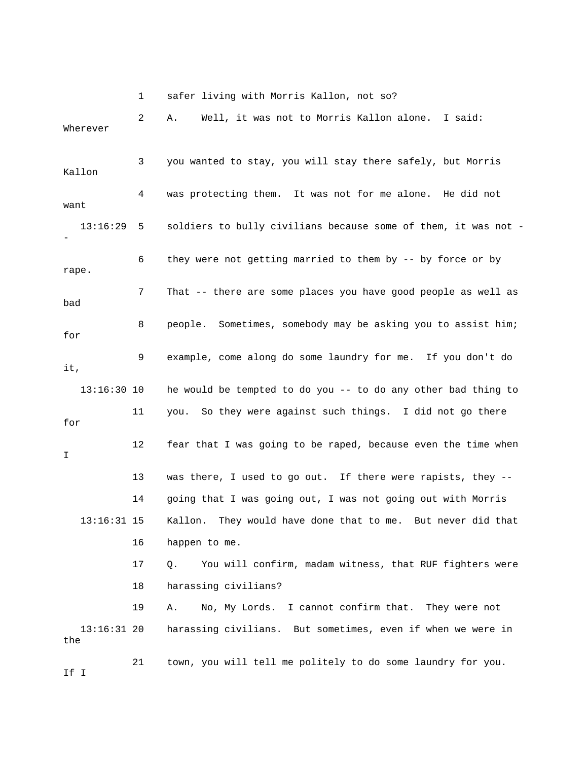1 safer living with Morris Kallon, not so?

2 A. Well, it was not to Morris Kallon alone. I said: Wherever

 3 you wanted to stay, you will stay there safely, but Morris Kallon 4 was protecting them. It was not for me alone. He did not 13:16:29 5 soldiers to bully civilians because some of them, it was not - 6 they were not getting married to them by -- by force or by 7 That -- there are some places you have good people as well as 8 people. Sometimes, somebody may be asking you to assist him; 9 example, come along do some laundry for me. If you don't do 13:16:30 10 he would be tempted to do you -- to do any other bad thing to for 12 fear that I was going to be raped, because even the time when 13:16:31 15 Kallon. They would have done that to me. But never did that 19 A. No, My Lords. I cannot confirm that. They were not 13:16:31 20 harassing civilians. But sometimes, even if when we were in the 21 town, you will tell me politely to do some laundry for you. want rape. bad for it, 11 you. So they were against such things. I did not go there I 13 was there, I used to go out. If there were rapists, they -- 14 going that I was going out, I was not going out with Morris 16 happen to me. 17 Q. You will confirm, madam witness, that RUF fighters were 18 harassing civilians?

If I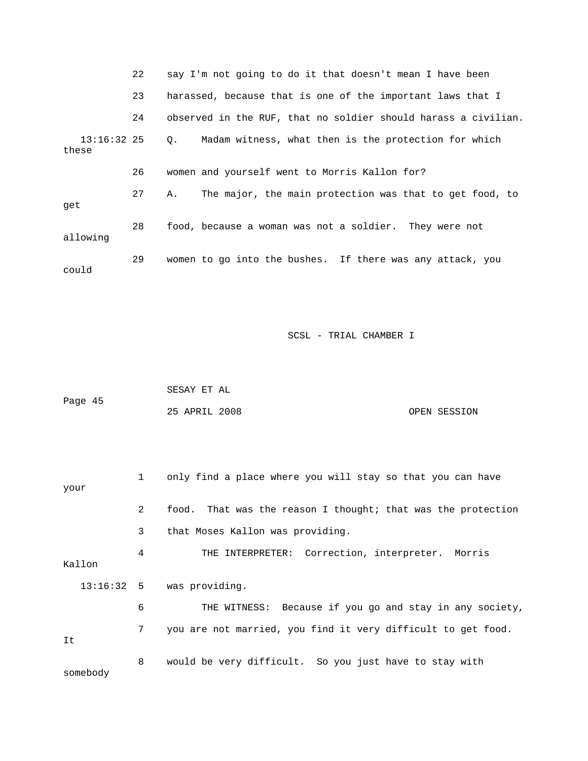|                        | 22 | say I'm not going to do it that doesn't mean I have been            |
|------------------------|----|---------------------------------------------------------------------|
|                        | 23 | harassed, because that is one of the important laws that I          |
|                        | 24 | observed in the RUF, that no soldier should harass a civilian.      |
| $13:16:32$ 25<br>these |    | Madam witness, what then is the protection for which<br>$Q_{\star}$ |
|                        | 26 | women and yourself went to Morris Kallon for?                       |
| qet                    | 27 | The major, the main protection was that to get food, to<br>Α.       |
| allowing               | 28 | food, because a woman was not a soldier. They were not              |
| could                  | 29 | women to go into the bushes. If there was any attack, you           |

|         | SESAY ET AL   |  |              |
|---------|---------------|--|--------------|
| Page 45 |               |  |              |
|         | 25 APRIL 2008 |  | OPEN SESSION |

| your     | $\mathbf{1}$ | only find a place where you will stay so that you can have   |
|----------|--------------|--------------------------------------------------------------|
|          | 2            | food. That was the reason I thought; that was the protection |
|          | 3            | that Moses Kallon was providing.                             |
| Kallon   | 4            | THE INTERPRETER: Correction, interpreter. Morris             |
|          |              | $13:16:32$ 5 was providing.                                  |
|          | 6            | THE WITNESS: Because if you go and stay in any society,      |
| It       | 7            | you are not married, you find it very difficult to get food. |
| somebody | 8            | would be very difficult. So you just have to stay with       |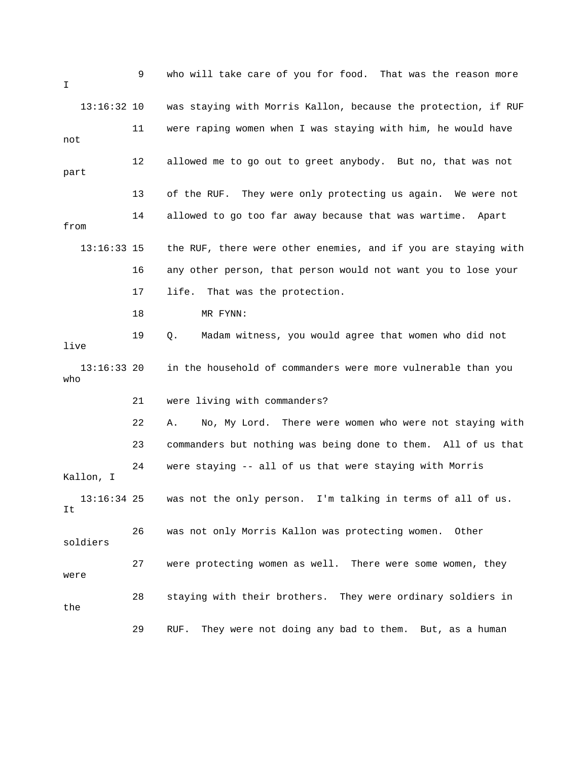| I.   |               | 9  | who will take care of you for food. That was the reason more   |
|------|---------------|----|----------------------------------------------------------------|
|      | $13:16:32$ 10 |    | was staying with Morris Kallon, because the protection, if RUF |
| not  |               | 11 | were raping women when I was staying with him, he would have   |
| part |               | 12 | allowed me to go out to greet anybody. But no, that was not    |
|      |               | 13 | of the RUF. They were only protecting us again. We were not    |
| from |               | 14 | allowed to go too far away because that was wartime.<br>Apart  |
|      | $13:16:33$ 15 |    | the RUF, there were other enemies, and if you are staying with |
|      |               | 16 | any other person, that person would not want you to lose your  |
|      |               | 17 | That was the protection.<br>life.                              |
|      |               | 18 | MR FYNN:                                                       |
| live |               | 19 | Madam witness, you would agree that women who did not<br>Q.    |
| who  | $13:16:33$ 20 |    | in the household of commanders were more vulnerable than you   |
|      |               | 21 | were living with commanders?                                   |
|      |               | 22 | No, My Lord. There were women who were not staying with<br>Α.  |
|      |               | 23 | commanders but nothing was being done to them. All of us that  |
|      | Kallon, I     | 24 | were staying -- all of us that were staying with Morris        |
| It   | $13:16:34$ 25 |    | was not the only person. I'm talking in terms of all of us.    |
|      | soldiers      | 26 | was not only Morris Kallon was protecting women. Other         |
| were |               | 27 | were protecting women as well. There were some women, they     |
| the  |               | 28 | staying with their brothers. They were ordinary soldiers in    |
|      |               | 29 | They were not doing any bad to them. But, as a human<br>RUF.   |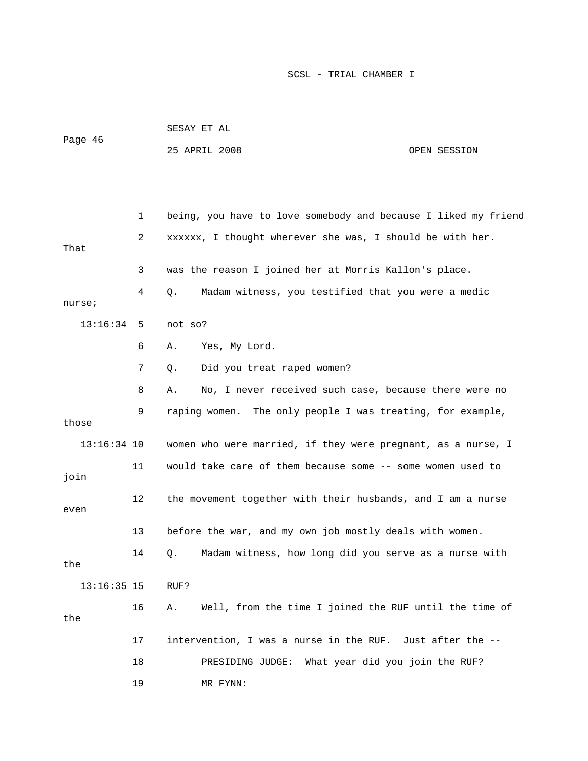|               |    | SESAY ET AL                                                    |              |  |  |
|---------------|----|----------------------------------------------------------------|--------------|--|--|
| Page 46       |    | 25 APRIL 2008                                                  | OPEN SESSION |  |  |
|               |    |                                                                |              |  |  |
|               |    |                                                                |              |  |  |
|               | 1  | being, you have to love somebody and because I liked my friend |              |  |  |
| That          | 2  | xxxxxx, I thought wherever she was, I should be with her.      |              |  |  |
|               | 3  | was the reason I joined her at Morris Kallon's place.          |              |  |  |
| nurse;        | 4  | Madam witness, you testified that you were a medic<br>Q.       |              |  |  |
| 13:16:34      | 5  | not so?                                                        |              |  |  |
|               | 6  | Yes, My Lord.<br>Α.                                            |              |  |  |
|               | 7  | Did you treat raped women?<br>Q.                               |              |  |  |
|               | 8  | No, I never received such case, because there were no<br>Α.    |              |  |  |
| those         | 9  | raping women. The only people I was treating, for example,     |              |  |  |
| $13:16:34$ 10 |    | women who were married, if they were pregnant, as a nurse, I   |              |  |  |
| join          | 11 | would take care of them because some -- some women used to     |              |  |  |
| even          | 12 | the movement together with their husbands, and I am a nurse    |              |  |  |
|               | 13 | before the war, and my own job mostly deals with women.        |              |  |  |
| the           | 14 | Q. Madam witness, how long did you serve as a nurse with       |              |  |  |
| $13:16:35$ 15 |    | RUF?                                                           |              |  |  |
| the           | 16 | Well, from the time I joined the RUF until the time of<br>Α.   |              |  |  |
|               | 17 | intervention, I was a nurse in the RUF. Just after the --      |              |  |  |
|               | 18 | PRESIDING JUDGE: What year did you join the RUF?               |              |  |  |
|               | 19 | MR FYNN:                                                       |              |  |  |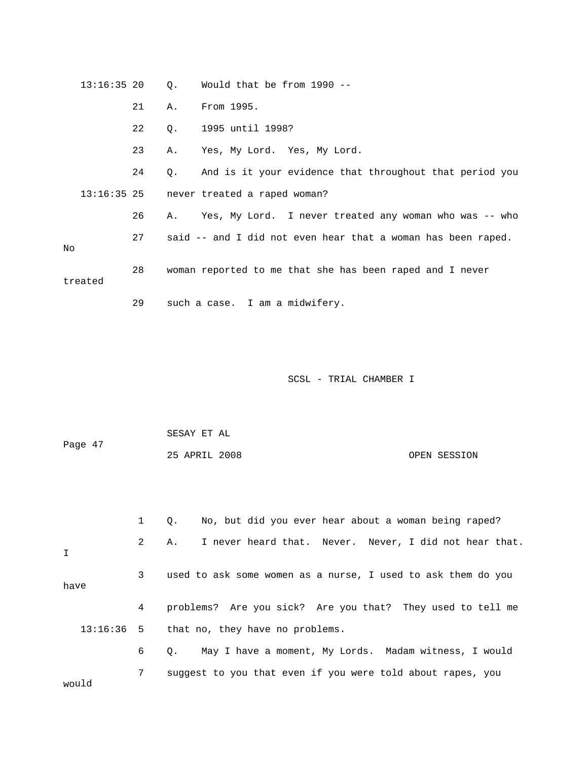| 13:16:35 20 |    | $\circ$ . | Would that be from 1990 --                                   |
|-------------|----|-----------|--------------------------------------------------------------|
|             | 21 | Α.        | From 1995.                                                   |
|             | 22 | Q.        | 1995 until 1998?                                             |
|             | 23 | Α.        | Yes, My Lord. Yes, My Lord.                                  |
|             | 24 |           | 0. And is it your evidence that throughout that period you   |
|             |    |           | 13:16:35 25 never treated a raped woman?                     |
|             | 26 | Α.        | Yes, My Lord. I never treated any woman who was -- who       |
| No          | 27 |           | said -- and I did not even hear that a woman has been raped. |
| treated     | 28 |           | woman reported to me that she has been raped and I never     |
|             | 29 |           | such a case. I am a midwifery.                               |

| Page 47 | SESAY ET AL   |              |
|---------|---------------|--------------|
|         | 25 APRIL 2008 | OPEN SESSION |

|             | 1              | No, but did you ever hear about a woman being raped?<br>$\circ$ .  |
|-------------|----------------|--------------------------------------------------------------------|
| $\mathbf I$ | $2^{\circ}$    | I never heard that. Never. Never, I did not hear that.<br>Α.       |
| have        | 3 <sup>7</sup> | used to ask some women as a nurse, I used to ask them do you       |
|             | 4              | problems? Are you sick? Are you that? They used to tell me         |
|             |                | 13:16:36 5 that no, they have no problems.                         |
|             | 6              | May I have a moment, My Lords. Madam witness, I would<br>$\circ$ . |
| would       | $7\degree$     | suggest to you that even if you were told about rapes, you         |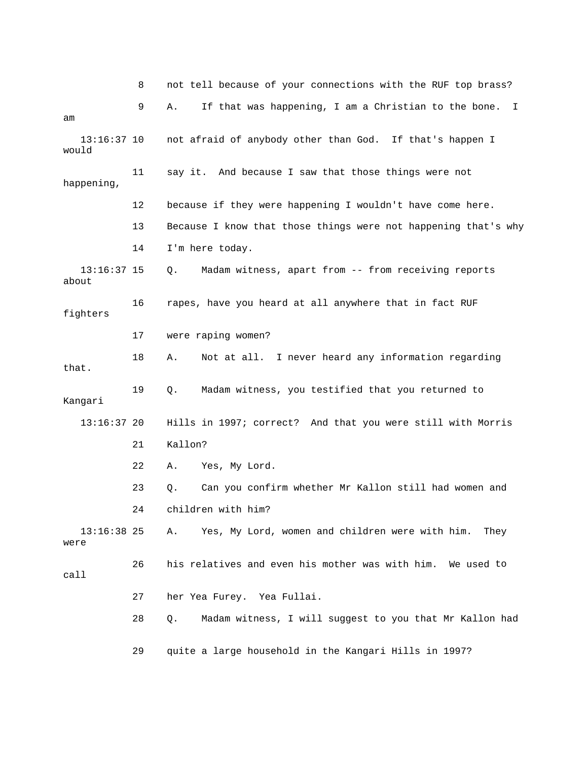8 not tell because of your connections with the RUF top brass? 9 A. If that was happening, I am a Christian to the bone. I am 13:16:37 10 not afraid of anybody other than God. If that's happen I 11 say it. And because I saw that those things were not 13 Because I know that those things were not happening that's why 13:16:37 15 Q. Madam witness, apart from -- from receiving reports 16 rapes, have you heard at all anywhere that in fact RUF 17 were raping women? 18 A. Not at all. I never heard any information regarding that. 19 Q. Madam witness, you testified that you returned to 13:16:37 20 Hills in 1997; correct? And that you were still with Morris 22 A. Yes, My Lord. 23 Q. Can you confirm whether Mr Kallon still had women and 26 his relatives and even his mother was with him. We used to 28 Q. Madam witness, I will suggest to you that Mr Kallon had would happening, 12 because if they were happening I wouldn't have come here. 14 I'm here today. about fighters Kangari 21 Kallon? 24 children with him? 13:16:38 25 A. Yes, My Lord, women and children were with him. They were call 27 her Yea Furey. Yea Fullai. 29 quite a large household in the Kangari Hills in 1997?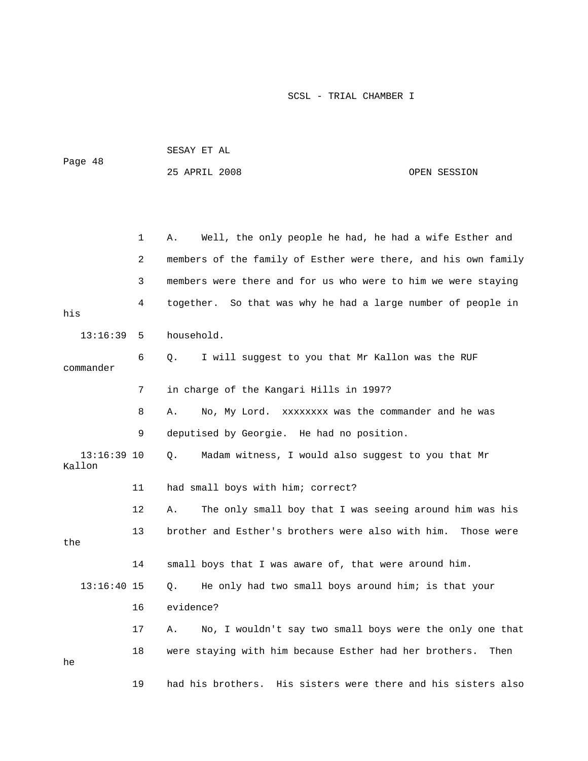|                         |              | SESAY ET AL                                                    |              |
|-------------------------|--------------|----------------------------------------------------------------|--------------|
| Page 48                 |              | 25 APRIL 2008                                                  | OPEN SESSION |
|                         |              |                                                                |              |
|                         |              |                                                                |              |
|                         | $\mathbf{1}$ | Well, the only people he had, he had a wife Esther and<br>Α.   |              |
|                         | 2            | members of the family of Esther were there, and his own family |              |
|                         | 3            | members were there and for us who were to him we were staying  |              |
| his                     | 4            | together. So that was why he had a large number of people in   |              |
| 13:16:39                | 5            | household.                                                     |              |
| commander               | 6            | I will suggest to you that Mr Kallon was the RUF<br>Q.         |              |
|                         | 7            | in charge of the Kangari Hills in 1997?                        |              |
|                         | 8            | No, My Lord. xxxxxxxx was the commander and he was<br>Α.       |              |
|                         | 9            | deputised by Georgie. He had no position.                      |              |
| $13:16:39$ 10<br>Kallon |              | Madam witness, I would also suggest to you that Mr<br>Q.       |              |
|                         | 11           | had small boys with him; correct?                              |              |
|                         | 12           | The only small boy that I was seeing around him was his<br>Α.  |              |
| the                     | 13           | brother and Esther's brothers were also with him.              | Those were   |
|                         | 14           | small boys that I was aware of, that were around him.          |              |
| $13:16:40$ 15           |              | He only had two small boys around him; is that your<br>Q.      |              |
|                         | 16           | evidence?                                                      |              |
|                         | 17           | No, I wouldn't say two small boys were the only one that<br>Α. |              |
| he                      | 18           | were staying with him because Esther had her brothers.         | Then         |
|                         | 19           | had his brothers. His sisters were there and his sisters also  |              |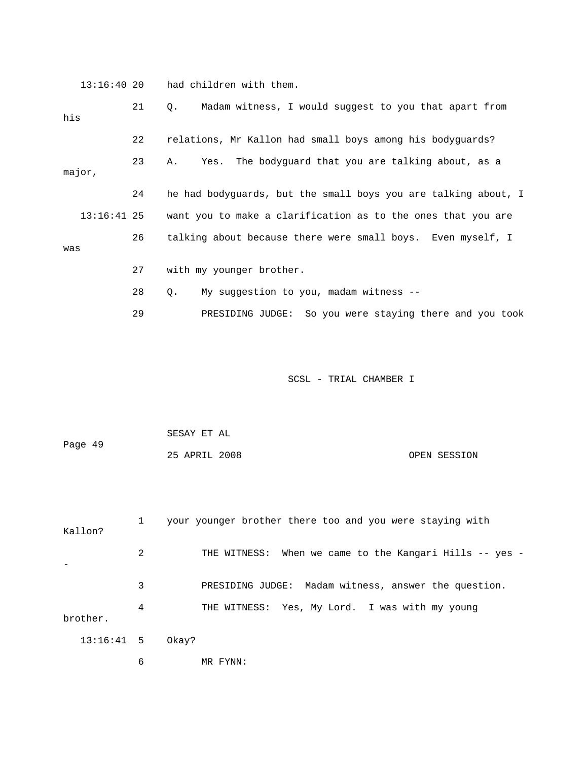13:16:40 20 had children with them.

| his         | 21 | Madam witness, I would suggest to you that apart from<br>$\circ$ . |
|-------------|----|--------------------------------------------------------------------|
|             | 22 | relations, Mr Kallon had small boys among his bodyquards?          |
| major,      | 23 | Yes. The bodyquard that you are talking about, as a<br>Α.          |
|             | 24 | he had bodyquards, but the small boys you are talking about, I     |
| 13:16:41 25 |    | want you to make a clarification as to the ones that you are       |
| was         | 26 | talking about because there were small boys. Even myself, I        |
|             | 27 | with my younger brother.                                           |
|             | 28 | My suggestion to you, madam witness --<br>0.                       |
|             | 29 | PRESIDING JUDGE: So you were staying there and you took            |

| Page 49 | SESAY ET AL   |              |
|---------|---------------|--------------|
|         | 25 APRIL 2008 | OPEN SESSION |

| Kallon?      | $\mathbf{1}$ | your younger brother there too and you were staying with |
|--------------|--------------|----------------------------------------------------------|
|              | 2            | THE WITNESS: When we came to the Kangari Hills -- yes -  |
|              | 3            | PRESIDING JUDGE: Madam witness, answer the question.     |
| brother.     | 4            | THE WITNESS: Yes, My Lord. I was with my young           |
| $13:16:41$ 5 |              | Okav?                                                    |
|              | 6            | MR FYNN:                                                 |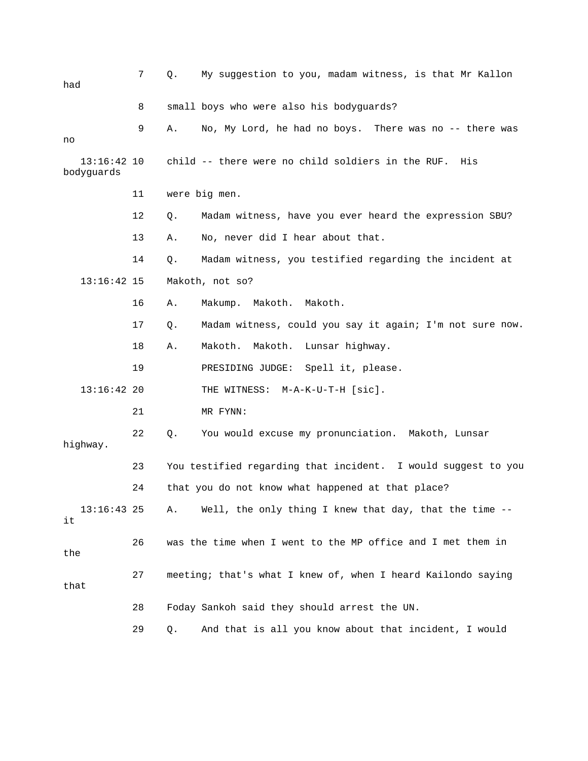| had                         | 7  | Q. | My suggestion to you, madam witness, is that Mr Kallon        |
|-----------------------------|----|----|---------------------------------------------------------------|
|                             | 8  |    | small boys who were also his bodyguards?                      |
| no                          | 9  | Α. | No, My Lord, he had no boys. There was no -- there was        |
| $13:16:42$ 10<br>bodyguards |    |    | child -- there were no child soldiers in the RUF.<br>His      |
|                             | 11 |    | were big men.                                                 |
|                             | 12 | Q. | Madam witness, have you ever heard the expression SBU?        |
|                             | 13 | Α. | No, never did I hear about that.                              |
|                             | 14 | Q. | Madam witness, you testified regarding the incident at        |
| $13:16:42$ 15               |    |    | Makoth, not so?                                               |
|                             | 16 | Α. | Makoth.<br>Makoth.<br>Makump.                                 |
|                             | 17 | Q. | Madam witness, could you say it again; I'm not sure now.      |
|                             | 18 | Α. | Makoth.<br>Makoth.<br>Lunsar highway.                         |
|                             | 19 |    | PRESIDING JUDGE:<br>Spell it, please.                         |
| $13:16:42$ 20               |    |    | THE WITNESS: M-A-K-U-T-H [sic].                               |
|                             | 21 |    | MR FYNN:                                                      |
| highway.                    | 22 | Q. | You would excuse my pronunciation. Makoth, Lunsar             |
|                             | 23 |    | You testified regarding that incident. I would suggest to you |
|                             | 24 |    | that you do not know what happened at that place?             |
| $13:16:43$ 25<br>it         |    | Α. | Well, the only thing I knew that day, that the time --        |
| the                         | 26 |    | was the time when I went to the MP office and I met them in   |
| that                        | 27 |    | meeting; that's what I knew of, when I heard Kailondo saying  |
|                             | 28 |    | Foday Sankoh said they should arrest the UN.                  |
|                             | 29 | Q. | And that is all you know about that incident, I would         |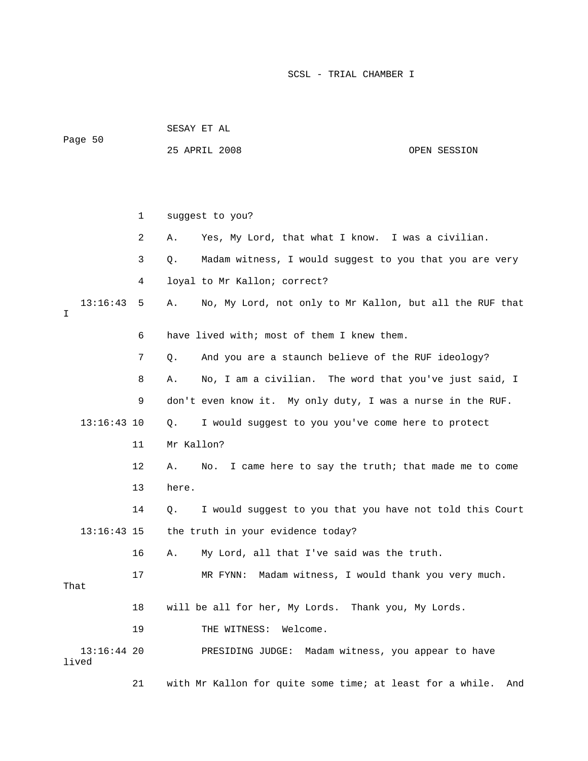| Page 50 |                        |             |            | 25 APRIL 2008                                               | OPEN SESSION |
|---------|------------------------|-------------|------------|-------------------------------------------------------------|--------------|
|         |                        |             |            |                                                             |              |
|         |                        | $\mathbf 1$ |            | suggest to you?                                             |              |
|         |                        | 2           | Α.         | Yes, My Lord, that what I know. I was a civilian.           |              |
|         |                        | 3           | Q.         | Madam witness, I would suggest to you that you are very     |              |
|         |                        | 4           |            | loyal to Mr Kallon; correct?                                |              |
| I       | 13:16:43               | 5           | Α.         | No, My Lord, not only to Mr Kallon, but all the RUF that    |              |
|         |                        | 6           |            | have lived with; most of them I knew them.                  |              |
|         |                        | 7           | Q.         | And you are a staunch believe of the RUF ideology?          |              |
|         |                        | 8           | Α.         | No, I am a civilian. The word that you've just said, I      |              |
|         |                        | 9           |            | don't even know it. My only duty, I was a nurse in the RUF. |              |
|         | $13:16:43$ 10          |             | Q.         | I would suggest to you you've come here to protect          |              |
|         |                        | 11          | Mr Kallon? |                                                             |              |
|         |                        | 12          | Α.         | I came here to say the truth; that made me to come<br>No.   |              |
|         |                        | 13          | here.      |                                                             |              |
|         |                        | 14          | Q.         | I would suggest to you that you have not told this Court    |              |
|         | $13:16:43$ 15          |             |            | the truth in your evidence today?                           |              |
|         |                        | 16          | Α.         | My Lord, all that I've said was the truth.                  |              |
| That    |                        | 17          |            | Madam witness, I would thank you very much.<br>MR FYNN:     |              |
|         |                        | 18          |            | will be all for her, My Lords. Thank you, My Lords.         |              |
|         |                        | 19          |            | THE WITNESS:<br>Welcome.                                    |              |
|         | $13:16:44$ 20<br>lived |             |            | Madam witness, you appear to have<br>PRESIDING JUDGE:       |              |

SESAY ET AL

21 with Mr Kallon for quite some time; at least for a while. And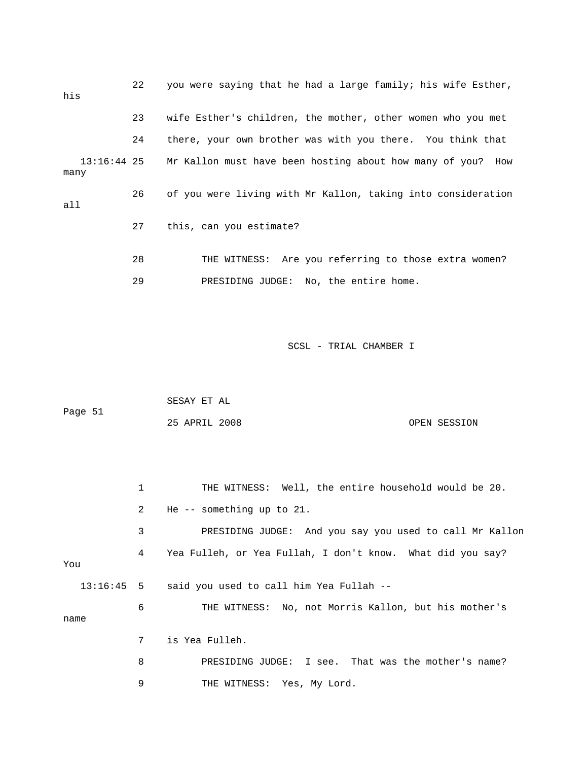| his  | 22 | you were saying that he had a large family; his wife Esther,               |
|------|----|----------------------------------------------------------------------------|
|      | 23 | wife Esther's children, the mother, other women who you met                |
|      | 24 | there, your own brother was with you there. You think that                 |
| many |    | 13:16:44 25 Mr Kallon must have been hosting about how many of you?<br>How |
| a11  | 26 | of you were living with Mr Kallon, taking into consideration               |
|      | 27 | this, can you estimate?                                                    |
|      | 28 | THE WITNESS: Are you referring to those extra women?                       |
|      | 29 | PRESIDING JUDGE: No, the entire home.                                      |

|         | SESAY ET AL   |  |              |
|---------|---------------|--|--------------|
| Page 51 |               |  |              |
|         | 25 APRIL 2008 |  | OPEN SESSION |

|      | $\mathbf{1}$ | THE WITNESS: Well, the entire household would be 20.       |
|------|--------------|------------------------------------------------------------|
|      | 2            | He $-$ something up to 21.                                 |
|      | 3            | PRESIDING JUDGE: And you say you used to call Mr Kallon    |
| You  | 4            | Yea Fulleh, or Yea Fullah, I don't know. What did you say? |
|      |              | $13:16:45$ 5 said you used to call him Yea Fullah $-$      |
| name | 6            | THE WITNESS: No, not Morris Kallon, but his mother's       |
|      | 7            | is Yea Fulleh.                                             |
|      | 8            | PRESIDING JUDGE: I see. That was the mother's name?        |
|      | 9            | THE WITNESS: Yes, My Lord.                                 |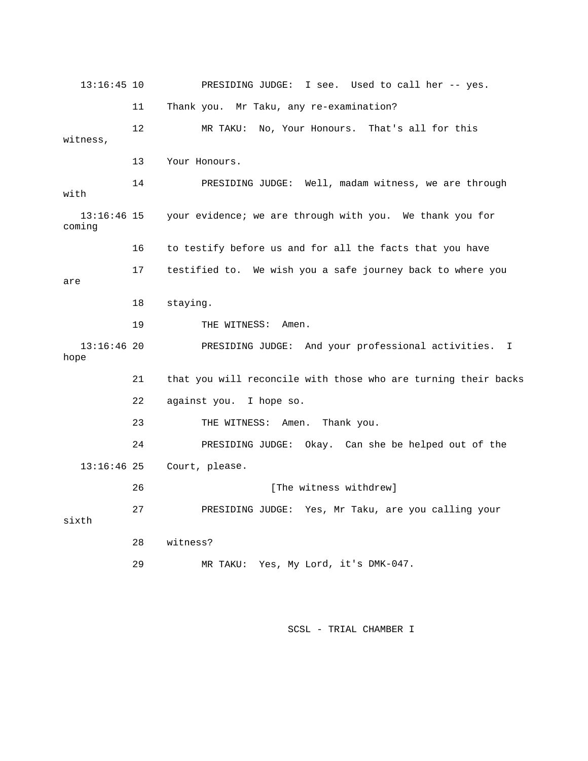13:16:45 10 PRESIDING JUDGE: I see. Used to call her -- yes. 11 Thank you. Mr Taku, any re-examination? 12 MR TAKU: No, Your Honours. That's all for this witness, 13 Your Honours. 14 PRESIDING JUDGE: Well, madam witness, we are through with 13:16:46 15 your evidence; we are through with you. We thank you for 17 testified to. We wish you a safe journey back to where you 18 staying. 19 THE WITNESS: Amen. 21 that you will reconcile with those who are turning their backs 22 against you. I hope so. 23 THE WITNESS: Amen. Thank you. Court, please. 26 **Extending Lines** [The witness withdrew] 29 MR TAKU: Yes, My Lord, it's DMK-047. coming 16 to testify before us and for all the facts that you have are 13:16:46 20 PRESIDING JUDGE: And your professional activities. I hope 24 PRESIDING JUDGE: Okay. Can she be helped out of the  $13:16:46$  25 27 PRESIDING JUDGE: Yes, Mr Taku, are you calling your sixth 28 witness?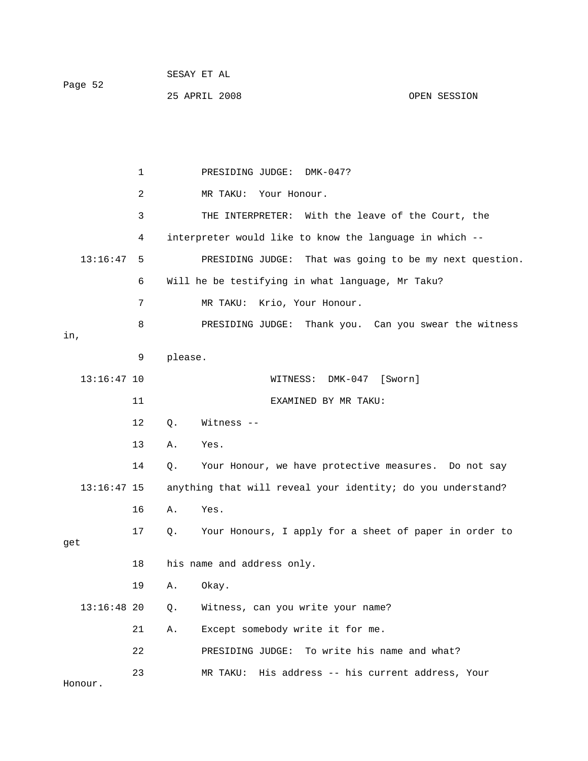| Page 52 | SESAY ET AL   |  |              |
|---------|---------------|--|--------------|
|         | 25 APRIL 2008 |  | OPEN SESSION |

 2 MR TAKU: Your Honour. 4 interpreter would like to know the language in which -- 13:16:47 5 PRESIDING JUDGE: That was going to be my next question. 6 Will he be testifying in what language, Mr Taku? 7 MR TAKU: Krio, Your Honour. Can you swear the witness 8 PRESIDING JUDGE: Thank you. , in 9 please. 11 EXAMINED BY MR TAKU: 12 Q. Witness -- 14 Q. Your Honour, we have protective measures. Do not say anything that will reveal your identity; do you understand? Yes. 17 Q. Your Honours, I apply for a sheet of paper in order to 18 his name and address only. 19 A. Okay. Witness, can you write your name? 21 A. Except somebody write it for me. 22 BRESIDING JUDGE: To write his name and what? 23 MR TAKU: His address -- his current address, Your Honour. 1 PRESIDING JUDGE: DMK-047? 3 THE INTERPRETER: With the leave of the Court, the 13:16:47 10 WITNESS: DMK-047 [Sworn] 13 A. Yes.  $13:16:47$  15 16 A. Yes get  $13:16:48$  20 Q.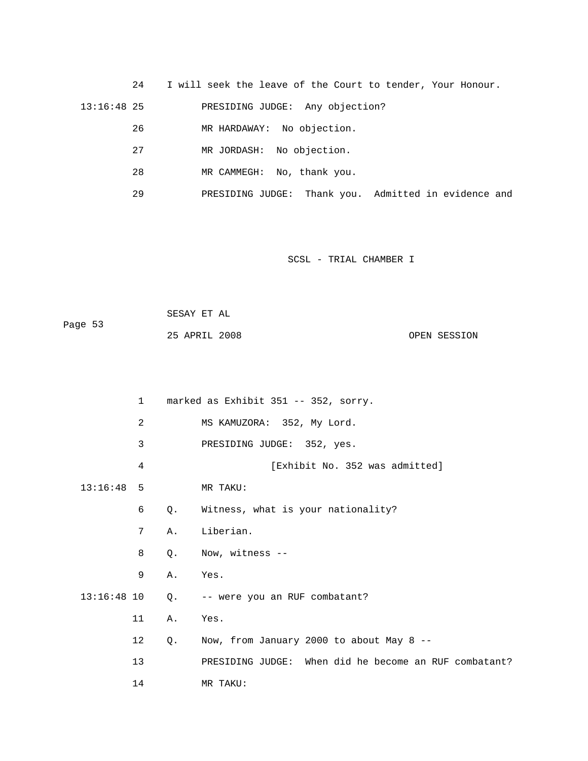24 I will seek the leave of the Court to tender, Your Honour. 13:16:48 25 PRESIDING JUDGE: Any objection?

- 26 MR HARDAWAY: No objection.
	- 27 MR JORDASH: No objection.
	- 28 MR CAMMEGH: No, thank you.
- nce and 29 PRESIDING JUDGE: Thank you. Admitted in evide

|         | SESAY ET AL   |              |
|---------|---------------|--------------|
| Page 53 |               |              |
|         | 25 APRIL 2008 | OPEN SESSION |

|               | $\mathbf{1}$   |    | marked as Exhibit 351 -- 352, sorry.                  |
|---------------|----------------|----|-------------------------------------------------------|
|               | $\overline{2}$ |    | MS KAMUZORA: 352, My Lord.                            |
|               | 3              |    | PRESIDING JUDGE: 352, yes.                            |
|               | 4              |    | [Exhibit No. 352 was admitted]                        |
| $13:16:48$ 5  |                |    | MR TAKU:                                              |
|               | 6              | Q. | Witness, what is your nationality?                    |
|               | 7              | Α. | Liberian.                                             |
|               | 8              | Q. | Now, witness --                                       |
|               | 9              | Α. | Yes.                                                  |
| $13:16:48$ 10 |                |    | Q. -- were you an RUF combatant?                      |
|               | 11             | Α. | Yes.                                                  |
|               | 12             | Q. | Now, from January 2000 to about May 8 --              |
|               | 13             |    | PRESIDING JUDGE: When did he become an RUF combatant? |
|               | 14             |    | MR TAKU:                                              |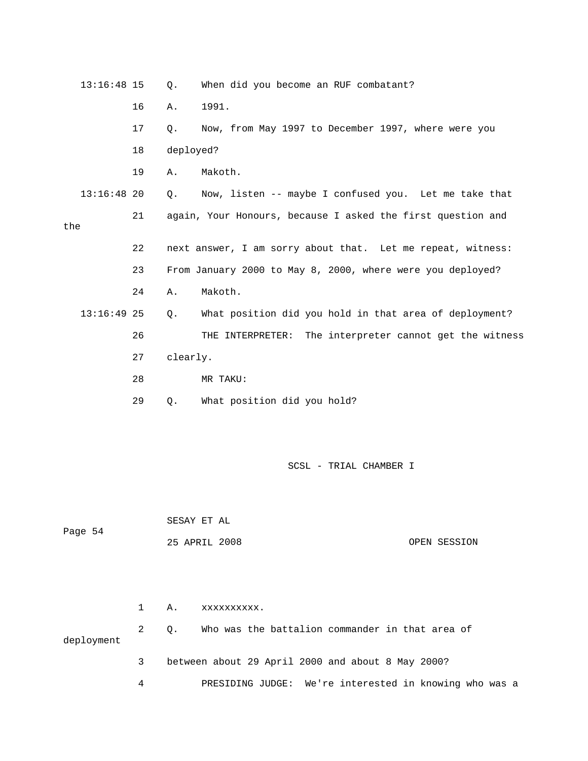| $13:16:48$ 15 |    | Q.        | When did you become an RUF combatant?                       |
|---------------|----|-----------|-------------------------------------------------------------|
|               | 16 | Α.        | 1991.                                                       |
|               | 17 | Q.        | Now, from May 1997 to December 1997, where were you         |
|               | 18 | deployed? |                                                             |
|               | 19 | Α.        | Makoth.                                                     |
| 13:16:48 20   |    | О.        | Now, listen -- maybe I confused you. Let me take that       |
| the           | 21 |           | again, Your Honours, because I asked the first question and |
|               | 22 |           | next answer, I am sorry about that. Let me repeat, witness: |
|               | 23 |           | From January 2000 to May 8, 2000, where were you deployed?  |
|               | 24 | Α.        | Makoth.                                                     |
| 13:16:49 25   |    | Q.        | What position did you hold in that area of deployment?      |
|               | 26 |           | THE INTERPRETER: The interpreter cannot get the witness     |
|               | 27 | clearly.  |                                                             |
|               | 28 |           | MR TAKU:                                                    |
|               | 29 | Q.        | What position did you hold?                                 |
|               |    |           | SCSL - TRIAL CHAMBER I                                      |
|               |    |           |                                                             |
| Page 54       |    |           | SESAY ET AL<br>25 APRIL 2008<br>OPEN SESSION                |
|               |    |           |                                                             |
|               |    |           |                                                             |

1 A. xxxxxxxxxx. 2 Q. Who was the battalion commander in that area of 3 between about 29 April 2000 and about 8 May 2000? 4 PRESIDING JUDGE: We're interested in knowing who was a deployment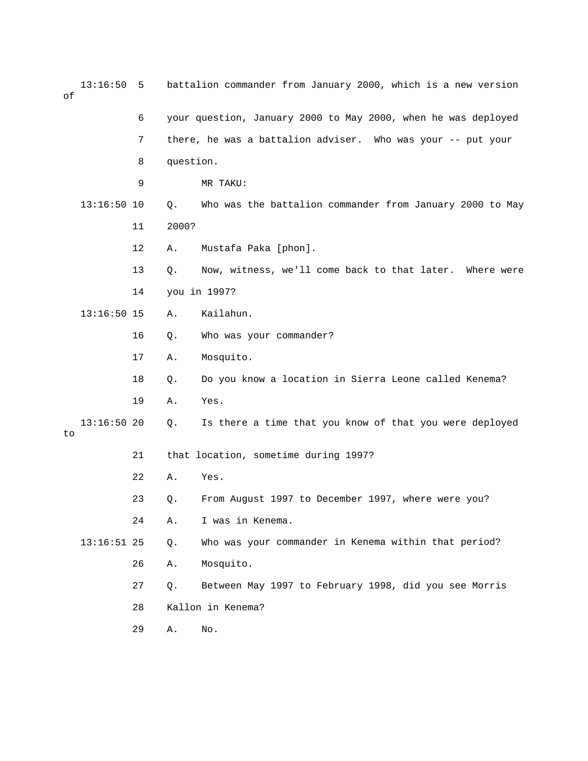| оf | 13:16:50      | 5  |           | battalion commander from January 2000, which is a new version |
|----|---------------|----|-----------|---------------------------------------------------------------|
|    |               | 6  |           | your question, January 2000 to May 2000, when he was deployed |
|    |               | 7  |           | there, he was a battalion adviser. Who was your -- put your   |
|    |               | 8  | question. |                                                               |
|    |               | 9  |           | MR TAKU:                                                      |
|    | $13:16:50$ 10 |    | Q.        | Who was the battalion commander from January 2000 to May      |
|    |               | 11 | 2000?     |                                                               |
|    |               | 12 | Α.        | Mustafa Paka [phon].                                          |
|    |               | 13 | Q.        | Now, witness, we'll come back to that later. Where were       |
|    |               | 14 |           | you in 1997?                                                  |
|    | $13:16:50$ 15 |    | Α.        | Kailahun.                                                     |
|    |               | 16 | Q.        | Who was your commander?                                       |
|    |               | 17 | Α.        | Mosquito.                                                     |
|    |               | 18 | Q.        | Do you know a location in Sierra Leone called Kenema?         |
|    |               | 19 | Α.        | Yes.                                                          |
| to | 13:16:5020    |    | Q.        | Is there a time that you know of that you were deployed       |
|    |               | 21 |           | that location, sometime during 1997?                          |
|    |               | 22 | Α.        | Yes.                                                          |
|    |               | 23 | Q.        | From August 1997 to December 1997, where were you?            |
|    |               | 24 | Α.        | I was in Kenema.                                              |
|    | $13:16:51$ 25 |    | Q.        | Who was your commander in Kenema within that period?          |
|    |               | 26 | Α.        | Mosquito.                                                     |
|    |               | 27 | Q.        | Between May 1997 to February 1998, did you see Morris         |
|    |               | 28 |           | Kallon in Kenema?                                             |
|    |               | 29 | Α.        | No.                                                           |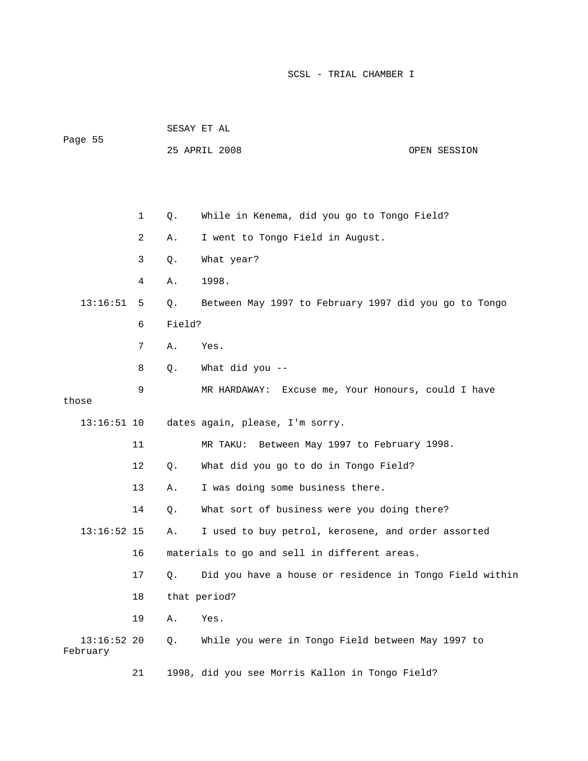| Page 55                   |    | SESAY ET AL |                                                         |              |  |  |
|---------------------------|----|-------------|---------------------------------------------------------|--------------|--|--|
|                           |    |             | 25 APRIL 2008                                           | OPEN SESSION |  |  |
|                           |    |             |                                                         |              |  |  |
|                           |    |             |                                                         |              |  |  |
|                           | 1  | Q.          | While in Kenema, did you go to Tongo Field?             |              |  |  |
|                           | 2  | Α.          | I went to Tongo Field in August.                        |              |  |  |
|                           | 3  | Q.          | What year?                                              |              |  |  |
|                           | 4  | Α.          | 1998.                                                   |              |  |  |
| 13:16:51                  | 5  | Q.          | Between May 1997 to February 1997 did you go to Tongo   |              |  |  |
|                           | 6  | Field?      |                                                         |              |  |  |
|                           | 7  | Α.          | Yes.                                                    |              |  |  |
|                           | 8  | Q.          | What did you $-$ -                                      |              |  |  |
|                           | 9  |             | MR HARDAWAY: Excuse me, Your Honours, could I have      |              |  |  |
| those                     |    |             |                                                         |              |  |  |
| $13:16:51$ 10             |    |             | dates again, please, I'm sorry.                         |              |  |  |
|                           | 11 |             | MR TAKU: Between May 1997 to February 1998.             |              |  |  |
|                           | 12 | Q.          | What did you go to do in Tongo Field?                   |              |  |  |
|                           | 13 | Α.          | I was doing some business there.                        |              |  |  |
|                           | 14 | Q.          | What sort of business were you doing there?             |              |  |  |
| $13:16:52$ 15             |    | Α.          | I used to buy petrol, kerosene, and order assorted      |              |  |  |
|                           | 16 |             | materials to go and sell in different areas.            |              |  |  |
|                           | 17 | Q.          | Did you have a house or residence in Tongo Field within |              |  |  |
|                           | 18 |             | that period?                                            |              |  |  |
|                           | 19 | Α.          | Yes.                                                    |              |  |  |
| $13:16:52$ 20<br>February |    | Q.          | While you were in Tongo Field between May 1997 to       |              |  |  |

21 1998, did you see Morris Kallon in Tongo Field?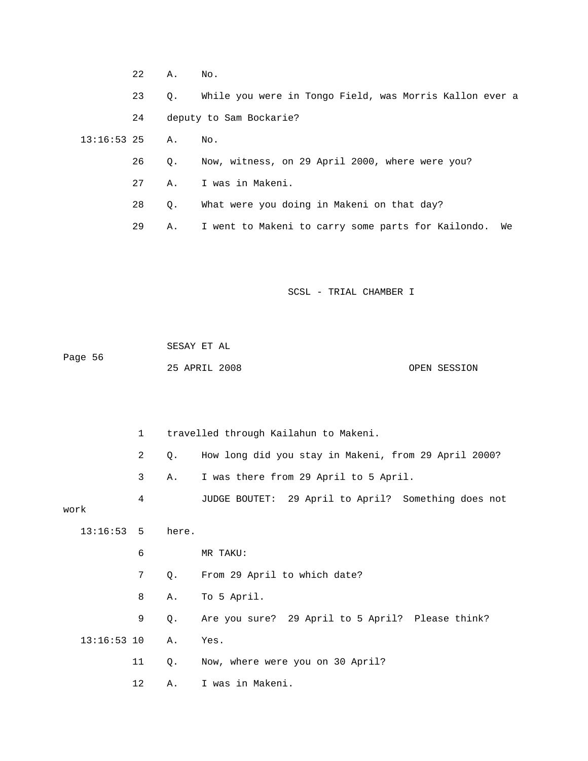22 A. No.

 23 Q. While you were in Tongo Field, was Morris Kallon ever a 24 deputy to Sam Bockarie?

13:16:53 25 A. No.

- 26 Q. Now, witness, on 29 April 2000, where were you?
- 27 A. I was in Makeni.
	- 28 Q. What were you doing in Makeni on that day?
	- 29 A. I went to Makeni to carry some parts for Kailondo. We

SCSL - TRIAL CHAMBER I

|         | SESAY ET AL   |  |              |
|---------|---------------|--|--------------|
| Page 56 |               |  |              |
|         | 25 APRIL 2008 |  | OPEN SESSION |

 1 travelled through Kailahun to Makeni. 2 Q. How long did you stay in Makeni, from 29 April 2000? 3 A. I was there from 29 April to 5 April. 4 JUDGE BOUTET: 29 April to April? Something does not work 13:16:53 5 here. 6 MR TAKU: 8 A. To 5 April. 9 Q. Are you sure? 29 April to 5 April? Please think? 11 Q. Now, where were you on 30 April? 12 A. I was in Makeni. 7 Q. From 29 April to which date? 13:16:53 10 A. Yes.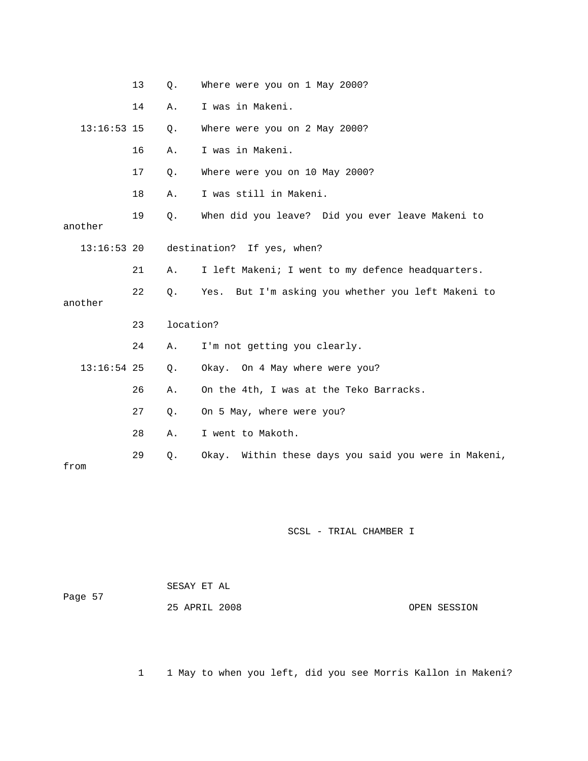|               | 13 | $Q$ .     | Where were you on 1 May 2000?                        |
|---------------|----|-----------|------------------------------------------------------|
|               | 14 | Α.        | I was in Makeni.                                     |
| $13:16:53$ 15 |    | Q.        | Where were you on 2 May 2000?                        |
|               | 16 | Α.        | I was in Makeni.                                     |
|               | 17 | Q.        | Where were you on 10 May 2000?                       |
|               | 18 | Α.        | I was still in Makeni.                               |
| another       | 19 | Q.        | When did you leave? Did you ever leave Makeni to     |
| $13:16:53$ 20 |    |           | destination? If yes, when?                           |
|               | 21 | Α.        | I left Makeni; I went to my defence headquarters.    |
| another       | 22 | Q.        | Yes. But I'm asking you whether you left Makeni to   |
|               | 23 | location? |                                                      |
|               | 24 | Α.        | I'm not getting you clearly.                         |
| $13:16:54$ 25 |    | Q.        | Okay. On 4 May where were you?                       |
|               | 26 | Α.        | On the 4th, I was at the Teko Barracks.              |
|               | 27 | Q.        | On 5 May, where were you?                            |
|               | 28 | Α.        | I went to Makoth.                                    |
| from          | 29 | Q.        | Okay. Within these days you said you were in Makeni, |

| Page 57 | SESAY ET AL   |              |
|---------|---------------|--------------|
|         | 25 APRIL 2008 | OPEN SESSION |

1 1 May to when you left, did you see Morris Kallon in Makeni?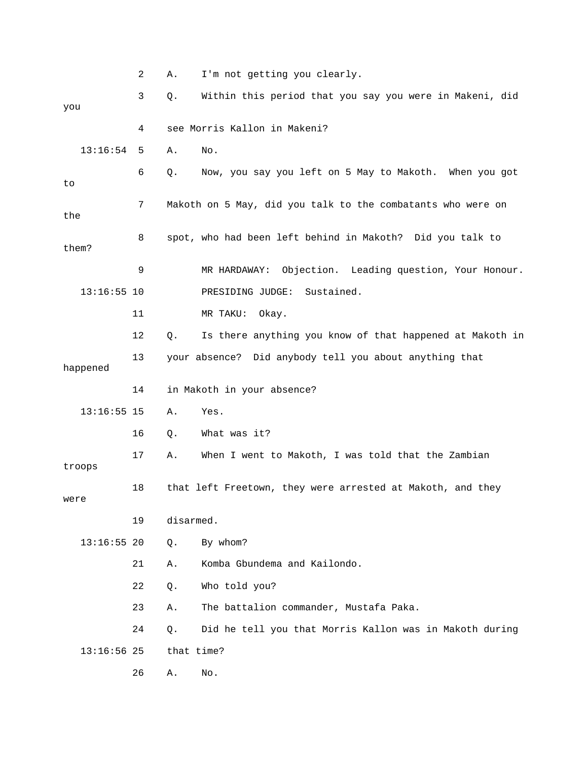|               | 2  | Α.         | I'm not getting you clearly.                                |
|---------------|----|------------|-------------------------------------------------------------|
| you           | 3  | Q.         | Within this period that you say you were in Makeni, did     |
|               | 4  |            | see Morris Kallon in Makeni?                                |
| 13:16:54      | 5  | Α.         | No.                                                         |
|               | 6  | Q.         | Now, you say you left on 5 May to Makoth. When you got      |
| to            |    |            |                                                             |
| the           | 7  |            | Makoth on 5 May, did you talk to the combatants who were on |
| them?         | 8  |            | spot, who had been left behind in Makoth? Did you talk to   |
|               | 9  |            | MR HARDAWAY: Objection. Leading question, Your Honour.      |
| $13:16:55$ 10 |    |            | PRESIDING JUDGE:<br>Sustained.                              |
|               | 11 |            | MR TAKU:<br>Okay.                                           |
|               | 12 | $Q$ .      | Is there anything you know of that happened at Makoth in    |
|               | 13 |            | your absence? Did anybody tell you about anything that      |
| happened      |    |            |                                                             |
|               | 14 |            | in Makoth in your absence?                                  |
| $13:16:55$ 15 |    | Α.         | Yes.                                                        |
|               | 16 | Q.         | What was it?                                                |
| troops        | 17 | Α.         | When I went to Makoth, I was told that the Zambian          |
|               | 18 |            | that left Freetown, they were arrested at Makoth, and they  |
| were          |    |            |                                                             |
|               | 19 | disarmed.  |                                                             |
| $13:16:55$ 20 |    | Q.         | By whom?                                                    |
|               | 21 | Α.         | Komba Gbundema and Kailondo.                                |
|               | 22 | Q.         | Who told you?                                               |
|               | 23 | Α.         | The battalion commander, Mustafa Paka.                      |
|               | 24 | $Q$ .      | Did he tell you that Morris Kallon was in Makoth during     |
| $13:16:56$ 25 |    | that time? |                                                             |
|               | 26 | Α.         | No.                                                         |
|               |    |            |                                                             |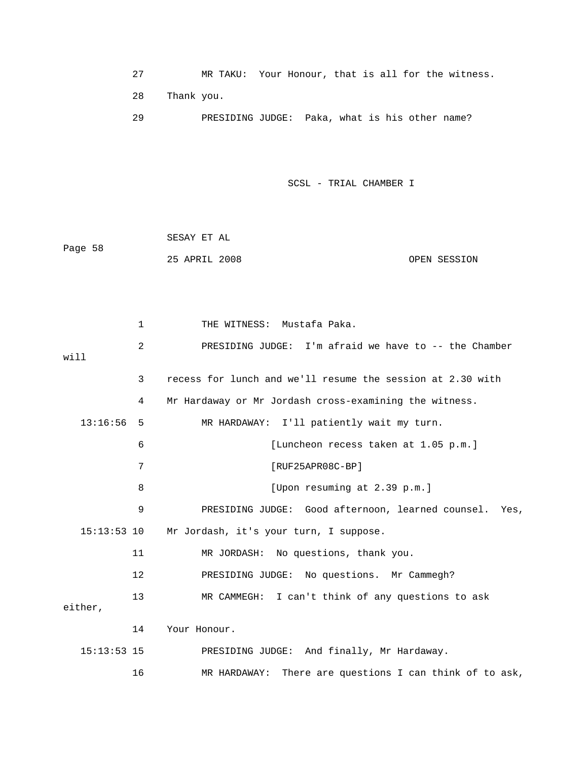27 MR TAKU: Your Honour, that is all for the witness. 28 Thank you. 29 PRESIDING JUDGE: Paka, what is his other name?

|         | SESAY ET AL   |  |              |
|---------|---------------|--|--------------|
| Page 58 |               |  |              |
|         | 25 APRIL 2008 |  | OPEN SESSION |

|         |               | $\mathbf{1}$ | THE WITNESS: Mustafa Paka.                                 |
|---------|---------------|--------------|------------------------------------------------------------|
| will    |               | 2            | PRESIDING JUDGE: I'm afraid we have to -- the Chamber      |
|         |               | 3            | recess for lunch and we'll resume the session at 2.30 with |
|         |               | 4            | Mr Hardaway or Mr Jordash cross-examining the witness.     |
|         | 13:16:56      | - 5          | MR HARDAWAY: I'll patiently wait my turn.                  |
|         |               | 6            | [Luncheon recess taken at 1.05 p.m.]                       |
|         |               | 7            | [RUF25APR08C-BP]                                           |
|         |               | 8            | [Upon resuming at 2.39 p.m.]                               |
|         |               | 9            | PRESIDING JUDGE: Good afternoon, learned counsel.<br>Yes,  |
|         | $15:13:53$ 10 |              | Mr Jordash, it's your turn, I suppose.                     |
|         |               | 11           | MR JORDASH: No questions, thank you.                       |
|         |               | 12           | PRESIDING JUDGE: No questions. Mr Cammegh?                 |
| either, |               | 13           | MR CAMMEGH: I can't think of any questions to ask          |
|         |               | 14           | Your Honour.                                               |
|         | $15:13:53$ 15 |              | PRESIDING JUDGE: And finally, Mr Hardaway.                 |
|         |               | 16           | There are questions I can think of to ask,<br>MR HARDAWAY: |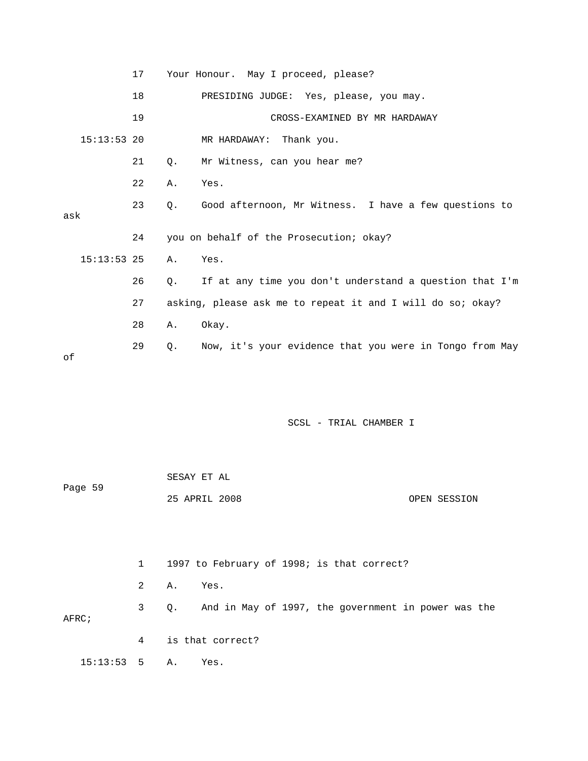|     | 17            |           | Your Honour. May I proceed, please?                        |
|-----|---------------|-----------|------------------------------------------------------------|
|     | 18            |           | PRESIDING JUDGE: Yes, please, you may.                     |
|     | 19            |           | CROSS-EXAMINED BY MR HARDAWAY                              |
|     | $15:13:53$ 20 |           | MR HARDAWAY: Thank you.                                    |
|     | 21            | Q.        | Mr Witness, can you hear me?                               |
|     | 22            | Α.        | Yes.                                                       |
|     | 23            | $\circ$ . | Good afternoon, Mr Witness. I have a few questions to      |
| ask |               |           |                                                            |
|     | 24            |           | you on behalf of the Prosecution; okay?                    |
|     | $15:13:53$ 25 | Α.        | Yes.                                                       |
|     | 26            | О.        | If at any time you don't understand a question that I'm    |
|     | 27            |           | asking, please ask me to repeat it and I will do so; okay? |
|     | 28            | Α.        | Okay.                                                      |
| оf  | 29            | Q.        | Now, it's your evidence that you were in Tongo from May    |

| Page 59                     |                | 25 APRIL 2008<br>OPEN SESSION                          |
|-----------------------------|----------------|--------------------------------------------------------|
|                             |                |                                                        |
|                             |                |                                                        |
|                             | 1              | 1997 to February of 1998; is that correct?             |
|                             | $\mathbf{2}$   | Yes.<br>А.                                             |
| AFRC;                       | 3 <sup>7</sup> | Q. And in May of 1997, the government in power was the |
|                             | $4 \quad$      | is that correct?                                       |
| $15:13:53 \quad 5 \quad A.$ |                | Yes.                                                   |

SESAY ET AL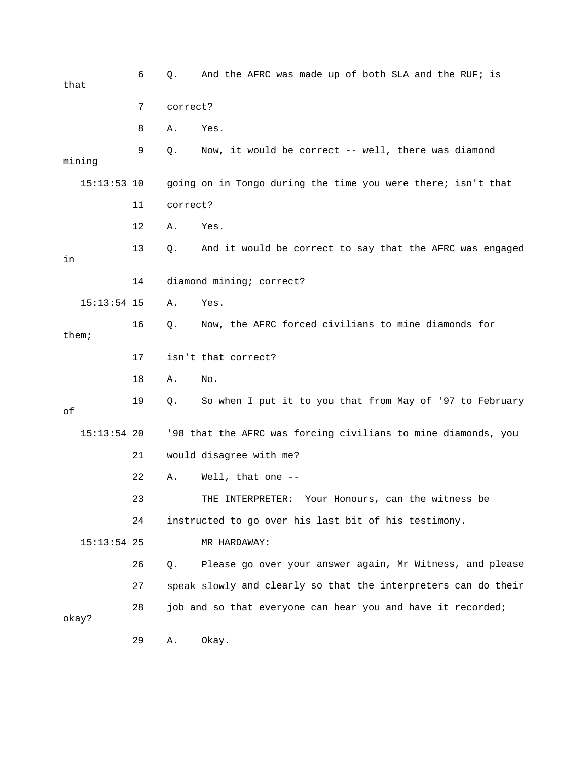| that          |               | 6  | Q.                                                            | And the AFRC was made up of both SLA and the RUF; is           |
|---------------|---------------|----|---------------------------------------------------------------|----------------------------------------------------------------|
|               |               | 7  | correct?                                                      |                                                                |
|               |               | 8  | Α.                                                            | Yes.                                                           |
|               | mining        | 9  | Q.                                                            | Now, it would be correct -- well, there was diamond            |
|               | $15:13:53$ 10 |    |                                                               | going on in Tongo during the time you were there; isn't that   |
|               |               | 11 | correct?                                                      |                                                                |
|               |               | 12 | Α.                                                            | Yes.                                                           |
| in            |               | 13 | Ο.                                                            | And it would be correct to say that the AFRC was engaged       |
|               |               | 14 |                                                               | diamond mining; correct?                                       |
|               | $15:13:54$ 15 |    | Α.                                                            | Yes.                                                           |
| them;         |               | 16 | Q.                                                            | Now, the AFRC forced civilians to mine diamonds for            |
|               |               | 17 |                                                               | isn't that correct?                                            |
|               |               | 18 | Α.                                                            | No.                                                            |
| οf            |               | 19 | Q.                                                            | So when I put it to you that from May of '97 to February       |
| $15:13:54$ 20 |               |    | '98 that the AFRC was forcing civilians to mine diamonds, you |                                                                |
|               |               | 21 |                                                               | would disagree with me?                                        |
|               |               | 22 | Α.                                                            | Well, that one --                                              |
|               |               | 23 |                                                               | Your Honours, can the witness be<br>THE INTERPRETER:           |
|               |               | 24 |                                                               | instructed to go over his last bit of his testimony.           |
|               | $15:13:54$ 25 |    |                                                               | MR HARDAWAY:                                                   |
|               |               | 26 | Q.                                                            | Please go over your answer again, Mr Witness, and please       |
|               |               | 27 |                                                               | speak slowly and clearly so that the interpreters can do their |
| okay?         |               | 28 |                                                               | job and so that everyone can hear you and have it recorded;    |
|               |               | 29 | Α.                                                            | Okay.                                                          |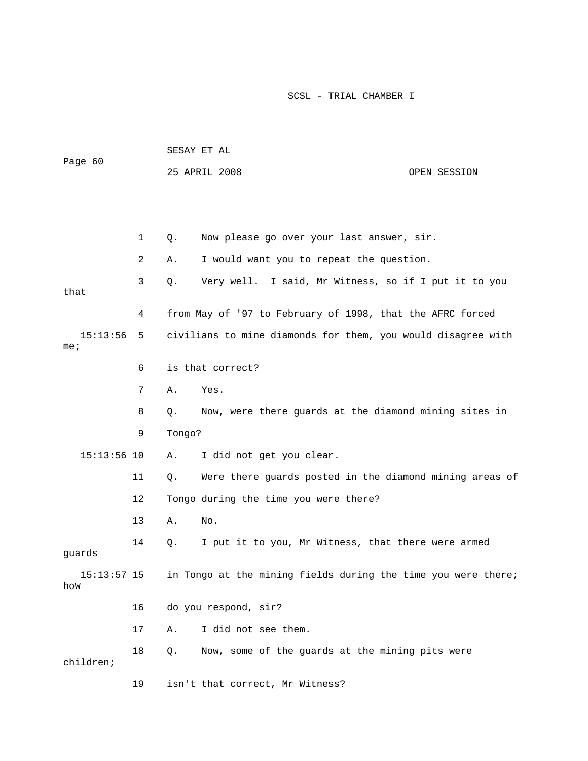| Page 60                     |    | SESAY ET AL |                                                               |              |  |
|-----------------------------|----|-------------|---------------------------------------------------------------|--------------|--|
|                             |    |             | 25 APRIL 2008                                                 | OPEN SESSION |  |
|                             |    |             |                                                               |              |  |
|                             |    |             |                                                               |              |  |
|                             | 1  | Q.          | Now please go over your last answer, sir.                     |              |  |
|                             | 2  | Α.          | I would want you to repeat the question.                      |              |  |
| that                        | 3  | Q.          | Very well. I said, Mr Witness, so if I put it to you          |              |  |
|                             | 4  |             | from May of '97 to February of 1998, that the AFRC forced     |              |  |
| 15:13:56<br>me <sub>i</sub> | 5  |             | civilians to mine diamonds for them, you would disagree with  |              |  |
|                             | 6  |             | is that correct?                                              |              |  |
|                             | 7  | Α.          | Yes.                                                          |              |  |
|                             | 8  | Q.          | Now, were there guards at the diamond mining sites in         |              |  |
|                             | 9  | Tongo?      |                                                               |              |  |
| $15:13:56$ 10               |    | Α.          | I did not get you clear.                                      |              |  |
|                             | 11 | Q.          | Were there guards posted in the diamond mining areas of       |              |  |
|                             | 12 |             | Tongo during the time you were there?                         |              |  |
|                             | 13 | Α.          | No.                                                           |              |  |
| guards                      | 14 | Q.          | I put it to you, Mr Witness, that there were armed            |              |  |
| $15:13:57$ 15<br>how        |    |             | in Tongo at the mining fields during the time you were there; |              |  |
|                             | 16 |             | do you respond, sir?                                          |              |  |
|                             | 17 | Α.          | I did not see them.                                           |              |  |
| children;                   | 18 | Q.          | Now, some of the guards at the mining pits were               |              |  |
|                             |    |             |                                                               |              |  |

19 isn't that correct, Mr Witness?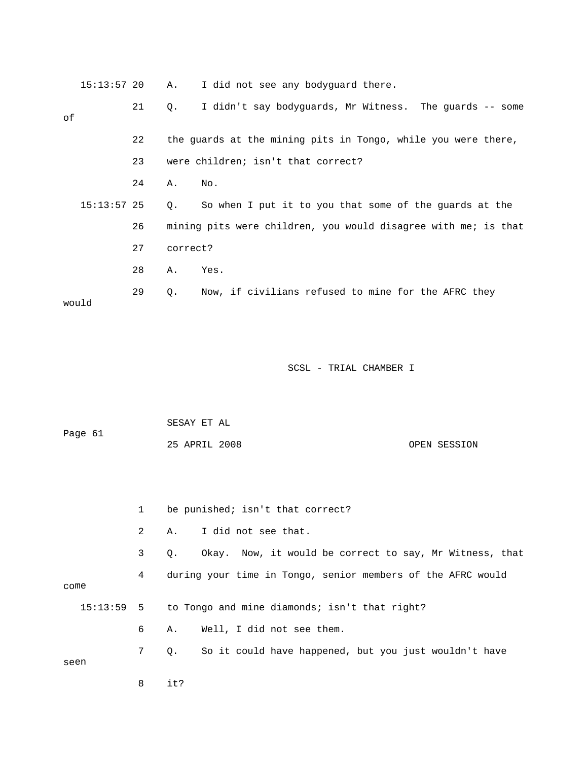|       | $15:13:57$ 20 | I did not see any bodyquard there.<br>Α.                       |
|-------|---------------|----------------------------------------------------------------|
| оf    | 21            | I didn't say bodyguards, Mr Witness. The guards -- some<br>Q.  |
|       | 22            | the guards at the mining pits in Tongo, while you were there,  |
|       | 23            | were children; isn't that correct?                             |
|       | 24            | No.<br>Α.                                                      |
|       | $15:13:57$ 25 | So when I put it to you that some of the quards at the<br>Q.   |
|       | 26            | mining pits were children, you would disagree with me; is that |
|       | 27            | correct?                                                       |
|       | 28            | Yes.<br>Α.                                                     |
| would | 29            | Now, if civilians refused to mine for the AFRC they<br>Q.      |

| Page 61 | SESAY ET AL   |              |
|---------|---------------|--------------|
|         | 25 APRIL 2008 | OPEN SESSION |

|      | $\mathbf{1}$ | be punished; isn't that correct?                                   |  |  |  |
|------|--------------|--------------------------------------------------------------------|--|--|--|
|      | $\mathbf{2}$ | A. I did not see that.                                             |  |  |  |
|      | 3            | Okay. Now, it would be correct to say, Mr Witness, that<br>Q.      |  |  |  |
| come | 4            | during your time in Tongo, senior members of the AFRC would        |  |  |  |
|      |              | $15:13:59$ 5 to Tongo and mine diamonds; isn't that right?         |  |  |  |
|      | 6            | Well, I did not see them.<br>A.                                    |  |  |  |
| seen | $7\degree$   | So it could have happened, but you just wouldn't have<br>$\circ$ . |  |  |  |
|      | 8            | it?                                                                |  |  |  |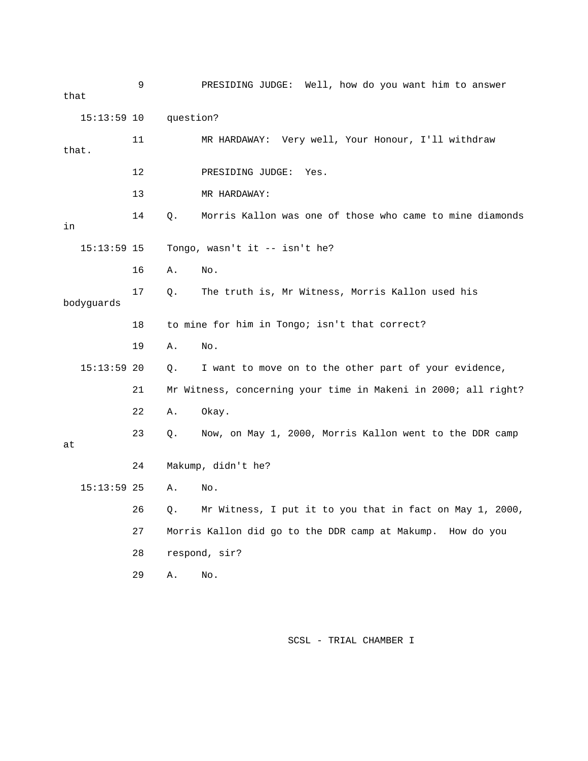| that  |               | 9  |           | PRESIDING JUDGE: Well, how do you want him to answer           |
|-------|---------------|----|-----------|----------------------------------------------------------------|
|       | $15:13:59$ 10 |    | question? |                                                                |
| that. |               | 11 |           | MR HARDAWAY: Very well, Your Honour, I'll withdraw             |
|       |               | 12 |           | PRESIDING JUDGE:<br>Yes.                                       |
|       |               | 13 |           | MR HARDAWAY:                                                   |
| in    |               | 14 | Q.        | Morris Kallon was one of those who came to mine diamonds       |
|       | $15:13:59$ 15 |    |           | Tongo, wasn't it -- isn't he?                                  |
|       |               | 16 | Α.        | No.                                                            |
|       | bodyguards    | 17 | Q.        | The truth is, Mr Witness, Morris Kallon used his               |
|       |               | 18 |           | to mine for him in Tongo; isn't that correct?                  |
|       |               | 19 | Α.        | No.                                                            |
|       | $15:13:59$ 20 |    | Q.        | I want to move on to the other part of your evidence,          |
|       |               | 21 |           | Mr Witness, concerning your time in Makeni in 2000; all right? |
|       |               | 22 | Α.        | Okay.                                                          |
| at    |               | 23 | Q.        | Now, on May 1, 2000, Morris Kallon went to the DDR camp        |
|       |               | 24 |           | Makump, didn't he?                                             |
|       | $15:13:59$ 25 |    | Α.        | No.                                                            |
|       |               | 26 | Q.        | Mr Witness, I put it to you that in fact on May 1, 2000,       |
|       |               | 27 |           | Morris Kallon did go to the DDR camp at Makump. How do you     |
|       |               | 28 |           | respond, sir?                                                  |
|       |               | 29 | Α.        | No.                                                            |
|       |               |    |           |                                                                |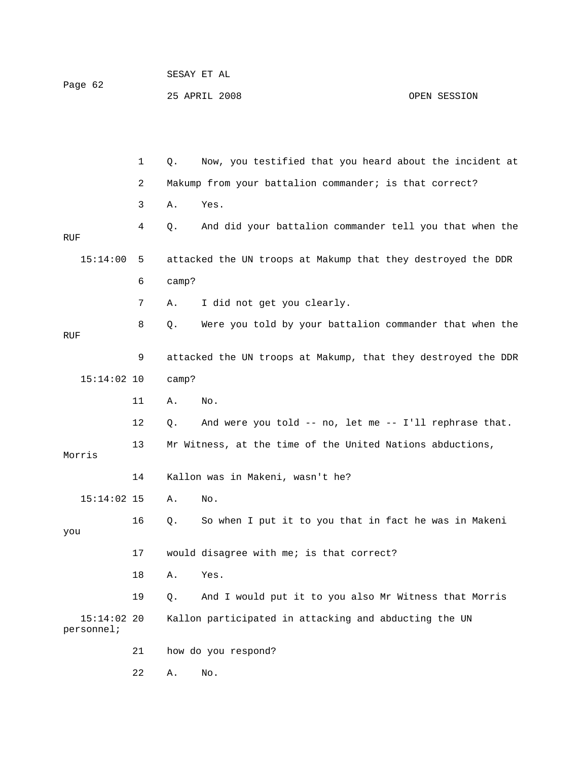|         | SESAY ET AL   |              |
|---------|---------------|--------------|
| Paqe 62 |               |              |
|         | 25 APRIL 2008 | OPEN SESSION |

|                           | 1  | Q.    | Now, you testified that you heard about the incident at       |
|---------------------------|----|-------|---------------------------------------------------------------|
|                           | 2  |       | Makump from your battalion commander; is that correct?        |
|                           | 3  | Α.    | Yes.                                                          |
| RUF                       | 4  | Q.    | And did your battalion commander tell you that when the       |
| 15:14:00                  | 5  |       | attacked the UN troops at Makump that they destroyed the DDR  |
|                           | 6  | camp? |                                                               |
|                           | 7  | Α.    | I did not get you clearly.                                    |
| RUF                       | 8  | Q.    | Were you told by your battalion commander that when the       |
|                           | 9  |       | attacked the UN troops at Makump, that they destroyed the DDR |
| 15:14:02 10               |    | camp? |                                                               |
|                           | 11 | Α.    | No.                                                           |
|                           | 12 | Q.    | And were you told -- no, let me -- I'll rephrase that.        |
| Morris                    | 13 |       | Mr Witness, at the time of the United Nations abductions,     |
|                           | 14 |       | Kallon was in Makeni, wasn't he?                              |
| $15:14:02$ 15             |    | Α.    | No.                                                           |
| you                       | 16 | Q.    | So when I put it to you that in fact he was in Makeni         |
|                           | 17 |       | would disagree with me; is that correct?                      |
|                           | 18 | Α.    | Yes.                                                          |
|                           | 19 | Q.    | And I would put it to you also Mr Witness that Morris         |
| 15:14:02 20<br>personnel; |    |       | Kallon participated in attacking and abducting the UN         |
|                           | 21 |       | how do you respond?                                           |
|                           | 22 | Α.    | $\rm No$ .                                                    |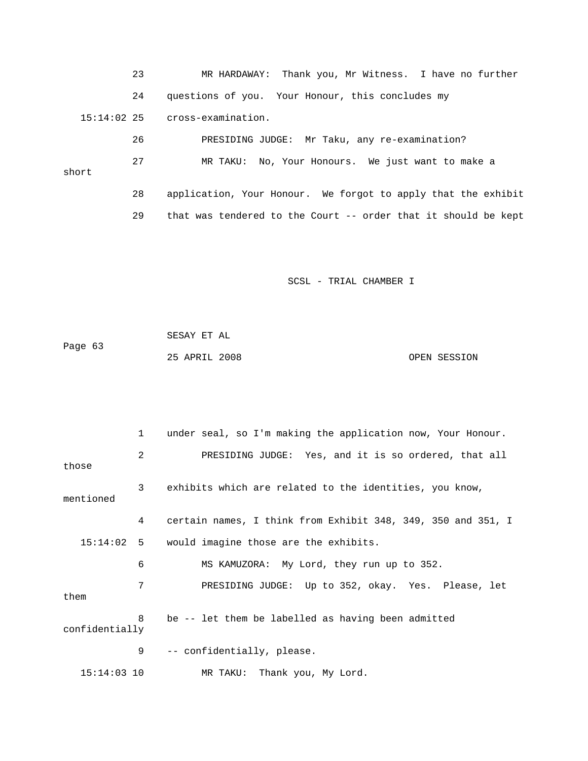23 MR HARDAWAY: Thank you, Mr Witness. I have no further 24 questions of you. Your Honour, this concludes my cross-examination. amination? 26 PRESIDING JUDGE: Mr Taku, any re-ex 27 MR TAKU: No, Your Honours. We just want to make a short 28 application, Your Honour. We forgot to apply that the exhibit 29 that was tendered to the Court -- order that it should be kept  $15:14:02$  25

| Page 63 | SESAY ET AL   |  |              |
|---------|---------------|--|--------------|
|         | 25 APRIL 2008 |  | OPEN SESSION |

|                | $\mathbf{1}$   | under seal, so I'm making the application now, Your Honour.  |
|----------------|----------------|--------------------------------------------------------------|
| those          | 2              | PRESIDING JUDGE: Yes, and it is so ordered, that all         |
| mentioned      | 3 <sup>7</sup> | exhibits which are related to the identities, you know,      |
|                | 4              | certain names, I think from Exhibit 348, 349, 350 and 351, I |
|                |                | 15:14:02 5 would imagine those are the exhibits.             |
|                | 6              | MS KAMUZORA: My Lord, they run up to 352.                    |
| them           | 7              | PRESIDING JUDGE: Up to 352, okay. Yes. Please, let           |
| confidentially | 8              | be -- let them be labelled as having been admitted           |
|                | 9              | -- confidentially, please.                                   |
| $15:14:03$ 10  |                | MR TAKU: Thank you, My Lord.                                 |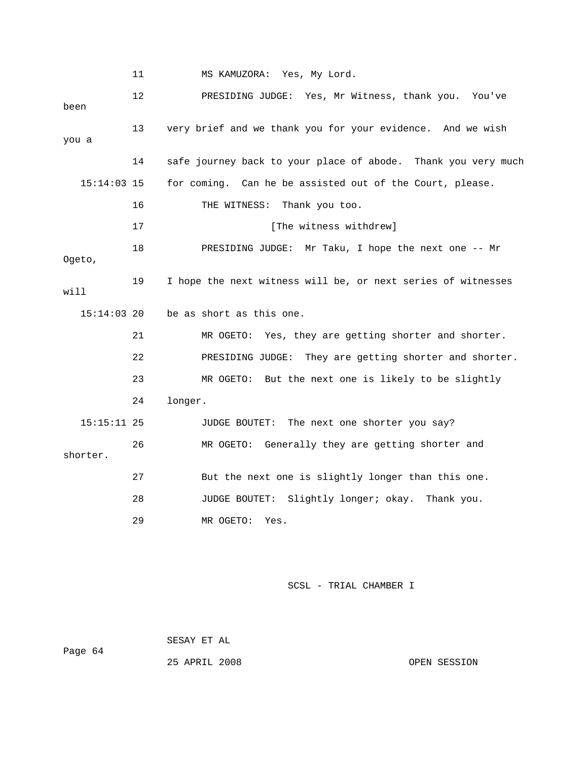|               | 11      | MS KAMUZORA: Yes, My Lord.                                    |
|---------------|---------|---------------------------------------------------------------|
| been          | $12 \,$ | PRESIDING JUDGE: Yes, Mr Witness, thank you.<br>You've        |
| you a         | 13      | very brief and we thank you for your evidence. And we wish    |
|               | 14      | safe journey back to your place of abode. Thank you very much |
| $15:14:03$ 15 |         | for coming. Can he be assisted out of the Court, please.      |
|               | 16      | Thank you too.<br>THE WITNESS:                                |
|               | 17      | [The witness withdrew]                                        |
| Ogeto,        | 18      | PRESIDING JUDGE: Mr Taku, I hope the next one -- Mr           |
| will          | 19      | I hope the next witness will be, or next series of witnesses  |
| $15:14:03$ 20 |         | be as short as this one.                                      |
|               | 21      | Yes, they are getting shorter and shorter.<br>MR OGETO:       |
|               | 22      | PRESIDING JUDGE: They are getting shorter and shorter.        |
|               | 23      | MR OGETO: But the next one is likely to be slightly           |
|               | 24      | longer.                                                       |
| $15:15:11$ 25 |         | The next one shorter you say?<br>JUDGE BOUTET:                |
| shorter.      | 26      | MR OGETO:<br>Generally they are getting shorter and           |
|               | 27      | But the next one is slightly longer than this one.            |
|               | 28      | Slightly longer; okay. Thank you.<br>JUDGE BOUTET:            |
|               | 29      | MR OGETO:<br>Yes.                                             |

Page 64

25 APRIL 2008 OPEN SESSION

SESAY ET AL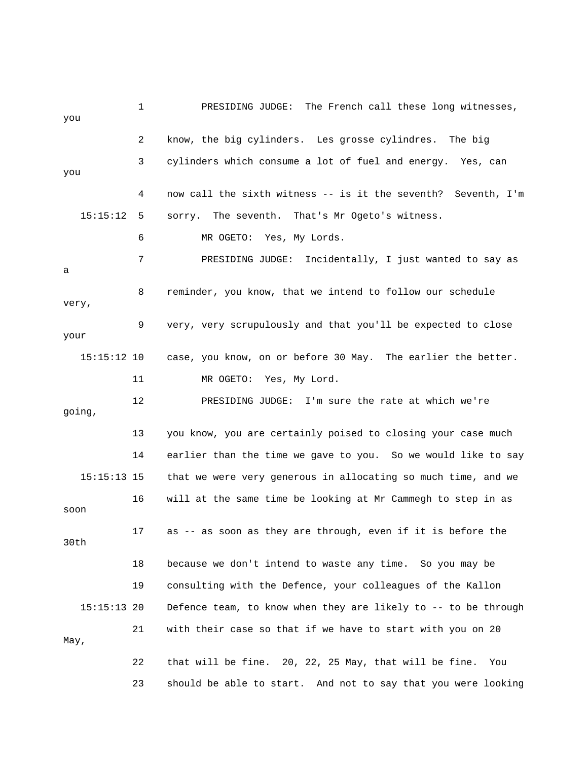1 PRESIDING JUDGE: The French call these long witnesses, 2 know, the big cylinders. Les grosse cylindres. The big 3 cylinders which consume a lot of fuel and energy. Yes, can you 4 now call the sixth witness -- is it the seventh? Seventh, I'm 15:15:12 5 sorry. The seventh. That's Mr Ogeto's witness. ay as 7 PRESIDING JUDGE: Incidentally, I just wanted to s 8 reminder, you know, that we intend to follow our schedule very, 15:15:12 10 case, you know, on or before 30 May. The earlier the better. 12 PRESIDING JUDGE: I'm sure the rate at which we're 13 you know, you are certainly poised to closing your case much 14 earlier than the time we gave to you. So we would like to say 16 will at the same time be looking at Mr Cammegh to step in as 17 as -- as soon as they are through, even if it is before the 18 because we don't intend to waste any time. So you may be 19 consulting with the Defence, your colleagues of the Kallon  $15:15:13$  20 Defence team, to know when they are likely to  $-$  to be through 21 with their case so that if we have to start with you on 20 22 that will be fine. 20, 22, 25 May, that will be fine. You 23 should be able to start. And not to say that you were looking you 6 MR OGETO: Yes, My Lords. a 9 very, very scrupulously and that you'll be expected to close your 11 MR OGETO: Yes, My Lord. going, 15:15:13 15 that we were very generous in allocating so much time, and we soon 30th May,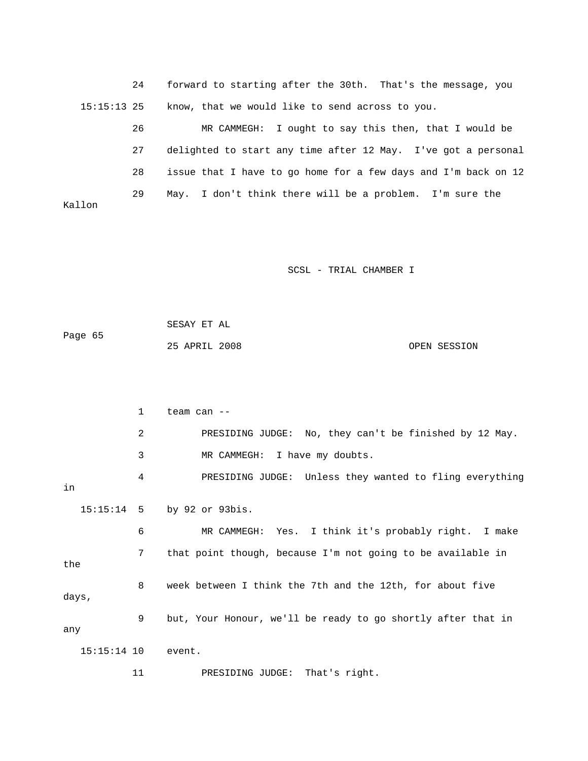24 forward to starting after the 30th. That's the message, you 15:15:13 25 know, that we would like to send across to you.

 26 MR CAMMEGH: I ought to say this then, that I would be 27 delighted to start any time after 12 May. I've got a personal 28 issue that I have to go home for a few days and I'm back on 12 29 May. I don't think there will be a problem. I'm sure the Kallon

SCSL - TRIAL CHAMBER I

Page 65 SESAY ET AL 25 APRIL 2008 OPEN SESSION

 2 PRESIDING JUDGE: No, they can't be finished by 12 May. 3 MR CAMMEGH: I have my doubts. 4 PRESIDING JUDGE: Unless they wanted to fling everything 15:15:14 5 by 92 or 93bis. 6 MR CAMMEGH: Yes. I think it's probably right. I make 7 that point though, because I'm not going to be available in 8 week between I think the 7th and the 12th, for about five days, 9 but, Your Honour, we'll be ready to go shortly after that in 1 team can - in the any 15:15:14 10 event. 11 PRESIDING JUDGE: That's right.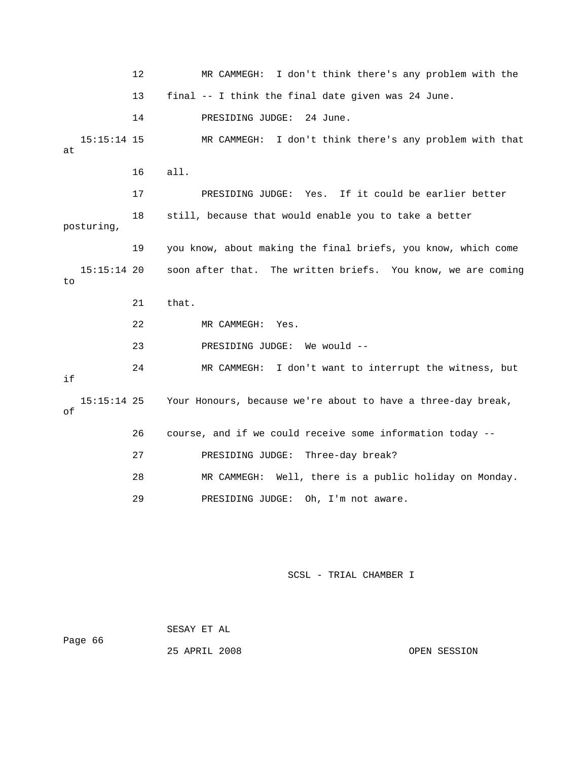12 MR CAMMEGH: I don't think there's any problem with the 13 final -- I think the final date given was 24 June. 15:15:14 15 MR CAMMEGH: I don't think there's any problem with that 16 all. 17 PRESIDING JUDGE: Yes. If it could be earlier better posturing, 19 you know, about making the final briefs, you know, which come 15:15:14 20 soon after that. The written briefs. You know, we are coming 21 that. 22 MR CAMMEGH: Yes. 24 MR CAMMEGH: I don't want to interrupt the witness, but 15:15:14 25 Your Honours, because we're about to have a three-day break, 26 course, and if we could receive some information today -- 27 PRESIDING JUDGE: Three-day break? 29 PRESIDING JUDGE: Oh, I'm not aware. 14 PRESIDING JUDGE: 24 June. at 18 still, because that would enable you to take a better to 23 PRESIDING JUDGE: We would - if of 28 MR CAMMEGH: Well, there is a public holiday on Monday.

SCSL - TRIAL CHAMBER I

 SESAY ET AL Page 66

25 APRIL 2008 OPEN SESSION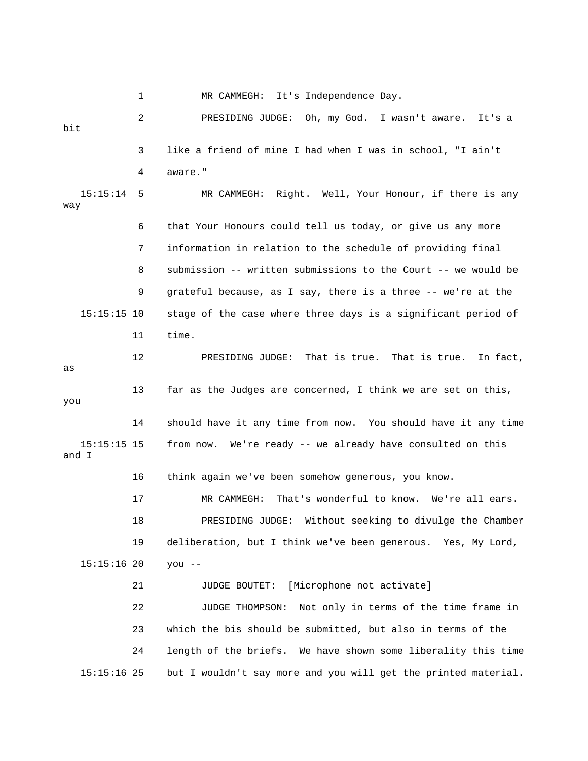1 MR CAMMEGH: It's Independence Day. 2 PRESIDING JUDGE: Oh, my God. I wasn't aware. It's a bit 3 like a friend of mine I had when I was in school, "I ain't 15:15:14 5 MR CAMMEGH: Right. Well, Your Honour, if there is any way 7 information in relation to the schedule of providing final 8 submission -- written submissions to the Court -- we would be 9 grateful because, as I say, there is a three -- we're at the 15:15:15 10 stage of the case where three days is a significant period of 12 PRESIDING JUDGE: That is true. That is true. In fact, 13 far as the Judges are concerned, I think we are set on this, you 14 should have it any time from now. You should have it any time and I 17 MR CAMMEGH: That's wonderful to know. We're all ears. 18 PRESIDING JUDGE: Without seeking to divulge the Chamber 15:15:16 20 you -- 21 JUDGE BOUTET: [Microphone not activate] 23 which the bis should be submitted, but also in terms of the 24 Iength of the briefs. We have shown some liberality this time 15:15:16 25 but I wouldn't say more and you will get the printed material. 4 aware." 6 that Your Honours could tell us today, or give us any more 11 time. as 15:15:15 15 from now. We're ready -- we already have consulted on this 16 think again we've been somehow generous, you know. 19 deliberation, but I think we've been generous. Yes, My Lord, 22 JUDGE THOMPSON: Not only in terms of the time frame in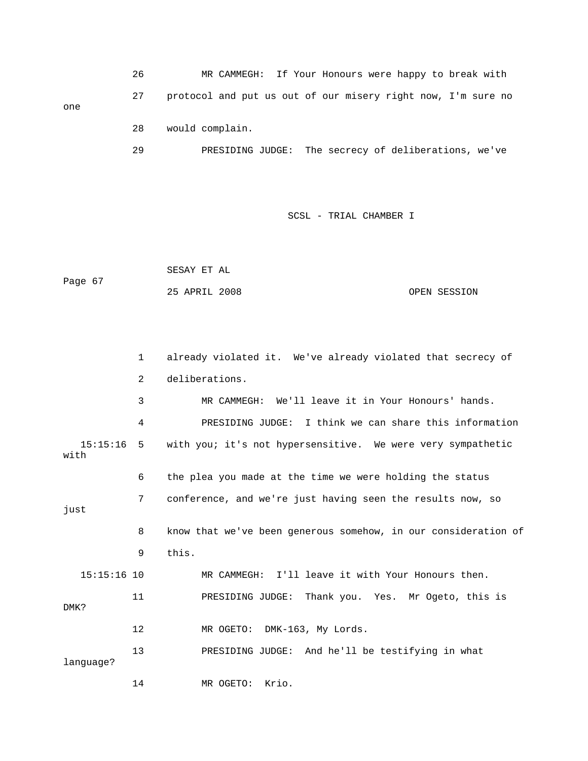26 MR CAMMEGH: If Your Honours were happy to break with 28 would complain. 27 protocol and put us out of our misery right now, I'm sure no one

RESIDING JUDGE: The secrecy of deliberations, we've 29 P

SCSL - TRIAL CHAMBER I

 SESAY ET AL Page 67 25 APRIL 2008 OPEN SESSION

 1 already violated it. We've already violated that secrecy of 3 MR CAMMEGH: We'll leave it in Your Honours' hands. 4 PRESIDING JUDGE: I think we can share this information 15:15:16 5 with you; it's not hypersensitive. We were very sympathetic with 6 the plea you made at the time we were holding the status 7 conference, and we're just having seen the results now, so 8 know that we've been generous somehow, in our consideration of 9 this. 11 PRESIDING JUDGE: Thank you. Yes. Mr Ogeto, this is 12 MR OGETO: DMK-163, My Lords. 14 MR OGETO: Krio. 2 deliberations. just 15:15:16 10 MR CAMMEGH: I'll leave it with Your Honours then. DMK? 13 PRESIDING JUDGE: And he'll be testifying in what language?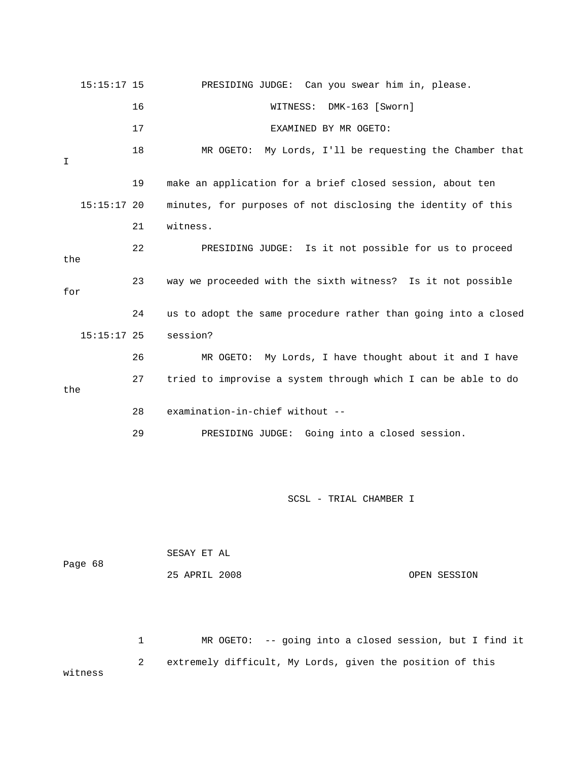|     | $15:15:17$ 15 |    | PRESIDING JUDGE: Can you swear him in, please.                 |
|-----|---------------|----|----------------------------------------------------------------|
|     |               | 16 | DMK-163 [Sworn]<br>WITNESS:                                    |
|     |               | 17 | EXAMINED BY MR OGETO:                                          |
| I   |               | 18 | MR OGETO:<br>My Lords, I'll be requesting the Chamber that     |
|     |               | 19 | make an application for a brief closed session, about ten      |
|     | $15:15:17$ 20 |    | minutes, for purposes of not disclosing the identity of this   |
|     |               | 21 | witness.                                                       |
| the |               | 22 | PRESIDING JUDGE: Is it not possible for us to proceed          |
| for |               | 23 | way we proceeded with the sixth witness? Is it not possible    |
|     |               | 24 | us to adopt the same procedure rather than going into a closed |
|     | $15:15:17$ 25 |    | session?                                                       |
|     |               | 26 | MR OGETO: My Lords, I have thought about it and I have         |
| the |               | 27 | tried to improvise a system through which I can be able to do  |
|     |               | 28 | examination-in-chief without --                                |
|     |               | 29 | PRESIDING JUDGE: Going into a closed session.                  |
|     |               |    |                                                                |

|         | SESAY ET AL   |              |
|---------|---------------|--------------|
| Page 68 |               |              |
|         | 25 APRIL 2008 | OPEN SESSION |

1 MR OGETO: -- going into a closed session, but I find it 2 extremely difficult, My Lords, given the position of this witness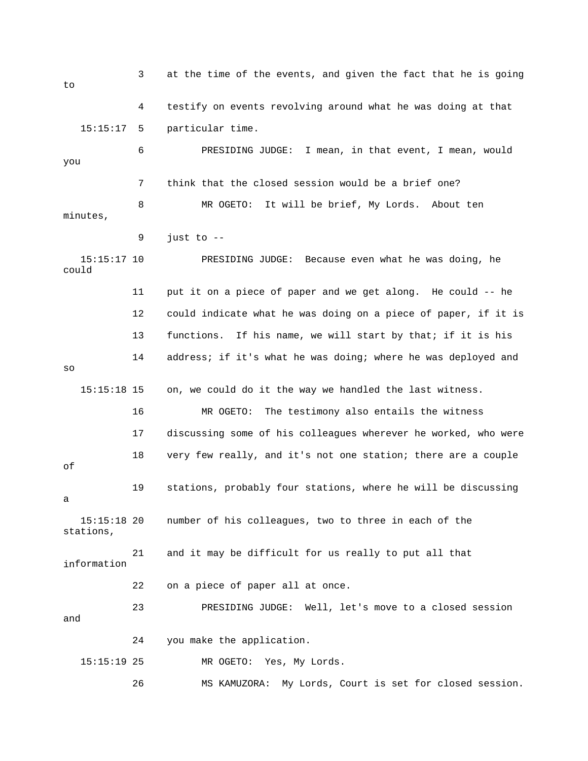3 at the time of the events, and given the fact that he is going 4 testify on events revolving around what he was doing at that 15:15:17 5 particular time. 7 think that the closed session would be a brief one? 8 MR OGETO: It will be brief, My Lords. About ten minutes, 12 could indicate what he was doing on a piece of paper, if it is 13 functions. If his name, we will start by that; if it is his 14 address; if it's what he was doing; where he was deployed and 15:15:18 15 on, we could do it the way we handled the last witness. 16 MR OGETO: The testimony also entails the witness 17 discussing some of his colleagues wherever he worked, who were 18 very few really, and it's not one station; there are a couple 19 stations, probably four stations, where he will be discussing 15:15:18 20 number of his colleagues, two to three in each of the information 22 on a piece of paper all at once. 23 PRESIDING JUDGE: Well, let's move to a closed session and 15:15:19 25 MR OGETO: Yes, My Lords. 26 MS KAMUZORA: My Lords, Court is set for closed session. to 6 PRESIDING JUDGE: I mean, in that event, I mean, would you 9 just to -- 15:15:17 10 PRESIDING JUDGE: Because even what he was doing, he could 11 put it on a piece of paper and we get along. He could -- he so of a stations, 21 and it may be difficult for us really to put all that 24 you make the application.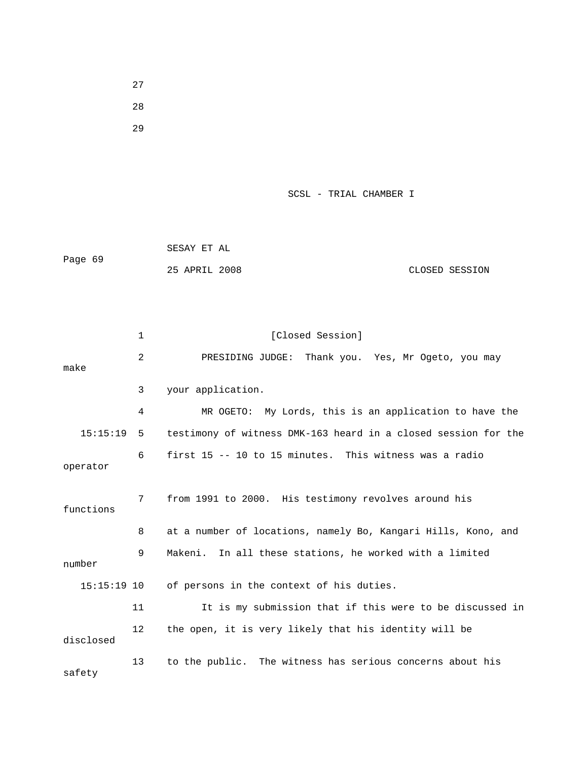27 28

29

SCSL - TRIAL CHAMBER I

|         | SESAY ET AL   |                |
|---------|---------------|----------------|
| Page 69 |               |                |
|         | 25 APRIL 2008 | CLOSED SESSION |

1 [Closed Session] 2 PRESIDING JUDGE: Thank you. Yes, Mr Ogeto, you may make 3 your application. 4 MR OGETO: My Lords, this is an application to have the 15:15:19 5 testimony of witness DMK-163 heard in a closed session for the 6 first 15 -- 10 to 15 minutes. This witness was a radio 7 from 1991 to 2000. His testimony revolves around his functions 8 at a number of locations, namely Bo, Kangari Hills, Kono, and 9 Makeni. In all these stations, he worked with a limited number of persons in the context of his duties. 11 It is my submission that if this were to be discussed in 13 to the public. The witness has serious concerns about his operator  $15:15:19$  10 12 the open, it is very likely that his identity will be disclosed safety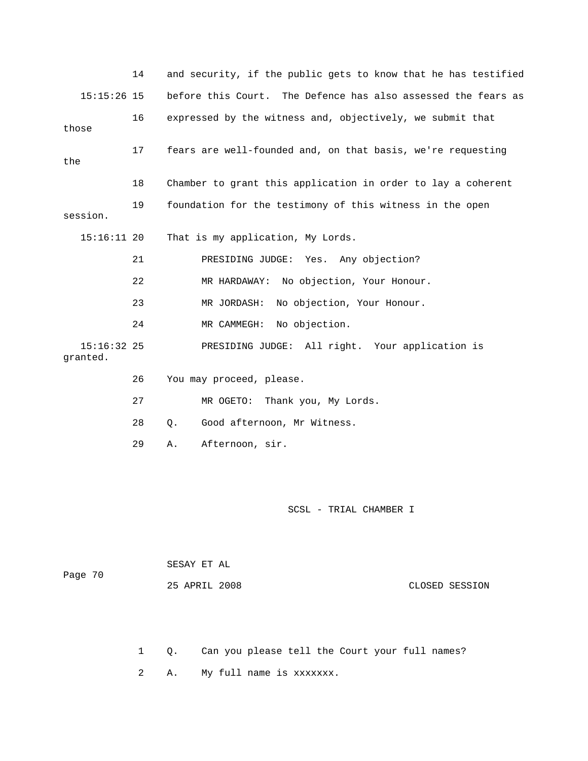|     |                           | 14 | and security, if the public gets to know that he has testified |
|-----|---------------------------|----|----------------------------------------------------------------|
|     | $15:15:26$ 15             |    | before this Court. The Defence has also assessed the fears as  |
|     | those                     | 16 | expressed by the witness and, objectively, we submit that      |
| the |                           | 17 | fears are well-founded and, on that basis, we're requesting    |
|     |                           | 18 | Chamber to grant this application in order to lay a coherent   |
|     | session.                  | 19 | foundation for the testimony of this witness in the open       |
|     | $15:16:11$ 20             |    | That is my application, My Lords.                              |
|     |                           | 21 | PRESIDING JUDGE: Yes. Any objection?                           |
|     |                           | 22 | MR HARDAWAY: No objection, Your Honour.                        |
|     |                           | 23 | No objection, Your Honour.<br>MR JORDASH:                      |
|     |                           | 24 | No objection.<br>MR CAMMEGH:                                   |
|     | $15:16:32$ 25<br>granted. |    | PRESIDING JUDGE: All right. Your application is                |
|     |                           | 26 | You may proceed, please.                                       |
|     |                           | 27 | Thank you, My Lords.<br>MR OGETO:                              |
|     |                           | 28 | Good afternoon, Mr Witness.<br>$Q$ .                           |
|     |                           | 29 | Afternoon, sir.<br>Α.                                          |
|     |                           |    |                                                                |

 25 APRIL 2008 CLOSED SESSION SESAY ET AL Page 70

1 Q. Can you please tell the Court your full names?

2 A. My full name is xxxxxxx.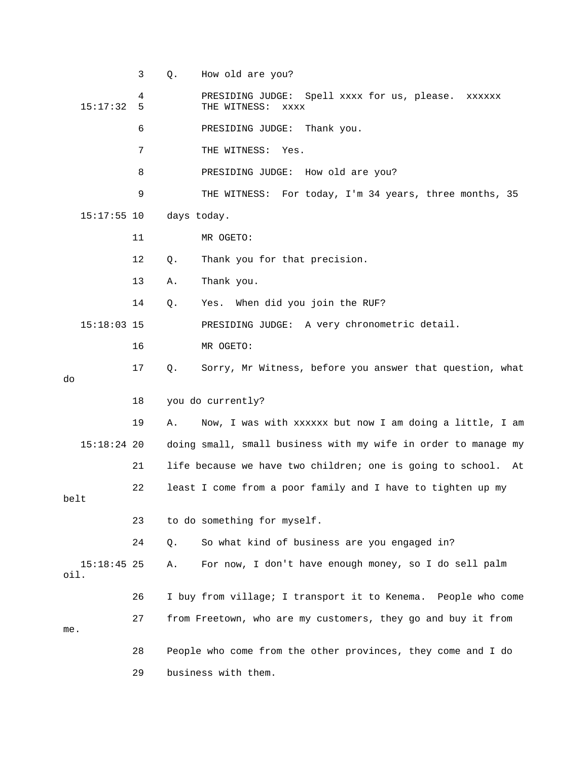3 Q. How old are you? 4 PRESIDING JUDGE: Spell xxxx for us, please. xxxxxx<br>15:17:32 5 THE WITNESS: xxxx 6 PRESIDING JUDGE: Thank you. 8 PRESIDING JUDGE: How old are you? 9 THE WITNESS: For today, I'm 34 years, three months, 35 15:17:55 10 days today. 11 MR OGETO: 12 Q. Thank you for that precision. 14 Q. Yes. When did you join the RUF? 15:18:03 15 PRESIDING JUDGE: A very chronometric detail. 17 Q. Sorry, Mr Witness, before you answer that question, what 18 you do currently? 19 A. Now, I was with xxxxxx but now I am doing a little, I am 15:18:24 20 doing small, small business with my wife in order to manage my 21 life because we have two children; one is going to school. At 22 least I come from a poor family and I have to tighten up my 15:18:45 25 A. For now, I don't have enough money, so I do sell palm 26 I buy from village; I transport it to Kenema. People who come 27 from Freetown, who are my customers, they go and buy it from . me THE WITNESS: xxxx 7 THE WITNESS: Yes. 13 A. Thank you. 16 MR OGETO: do belt 23 to do something for myself. 24 Q. So what kind of business are you engaged in? oil. 28 People who come from the other provinces, they come and I do 29 business with them.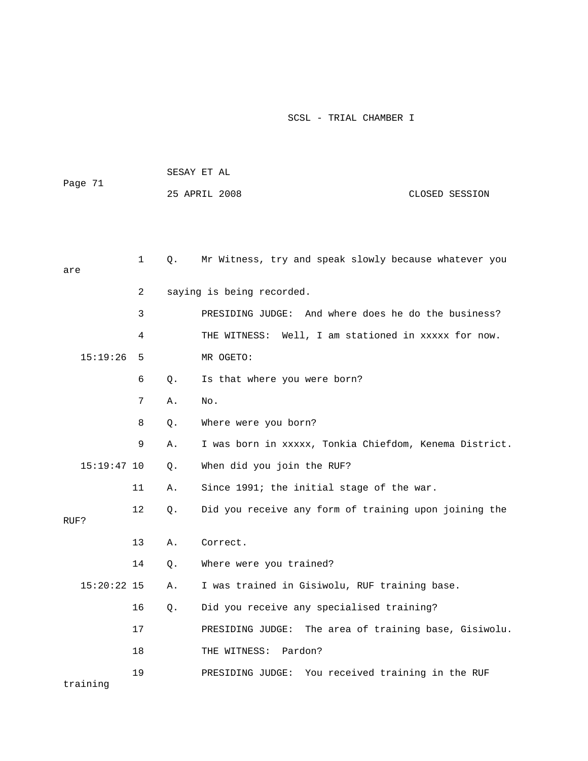| Page 71       |              | SESAY ET AL |                                                        |                                      |  |  |
|---------------|--------------|-------------|--------------------------------------------------------|--------------------------------------|--|--|
|               |              |             | 25 APRIL 2008                                          | CLOSED SESSION                       |  |  |
|               |              |             |                                                        |                                      |  |  |
|               |              |             |                                                        |                                      |  |  |
| are           | $\mathbf{1}$ | Q.          | Mr Witness, try and speak slowly because whatever you  |                                      |  |  |
|               | 2            |             | saying is being recorded.                              |                                      |  |  |
|               | 3            |             | And where does he do the business?<br>PRESIDING JUDGE: |                                      |  |  |
|               | 4            |             | Well, I am stationed in xxxxx for now.<br>THE WITNESS: |                                      |  |  |
| 15:19:26      | 5            |             | MR OGETO:                                              |                                      |  |  |
|               | 6            | Q.          | Is that where you were born?                           |                                      |  |  |
|               | 7            | Α.          | No.                                                    |                                      |  |  |
|               | 8            | Q.          | Where were you born?                                   |                                      |  |  |
|               | 9            | Α.          | I was born in xxxxx, Tonkia Chiefdom, Kenema District. |                                      |  |  |
| $15:19:47$ 10 |              | Q.          | When did you join the RUF?                             |                                      |  |  |
|               | 11           | Α.          | Since 1991; the initial stage of the war.              |                                      |  |  |
| RUF?          | 12           | Q.          | Did you receive any form of training upon joining the  |                                      |  |  |
|               | 13           | Α.          | Correct.                                               |                                      |  |  |
|               | 14           | Q.          | Where were you trained?                                |                                      |  |  |
| $15:20:22$ 15 |              | Α.          | I was trained in Gisiwolu, RUF training base.          |                                      |  |  |
|               | 16           | Q.          | Did you receive any specialised training?              |                                      |  |  |
|               | 17           |             | PRESIDING JUDGE:                                       | The area of training base, Gisiwolu. |  |  |
|               | 18           |             | Pardon?<br>THE WITNESS:                                |                                      |  |  |
| training      | 19           |             | You received training in the RUF<br>PRESIDING JUDGE:   |                                      |  |  |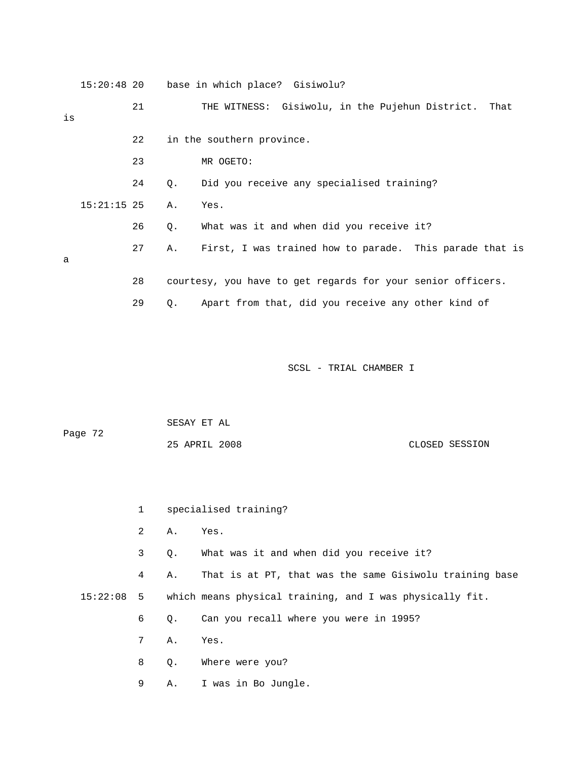|    | $15:20:48$ 20 |    |       | base in which place? Gisiwolu?                              |
|----|---------------|----|-------|-------------------------------------------------------------|
| is |               | 21 |       | THE WITNESS: Gisiwolu, in the Pujehun District. That        |
|    |               | 22 |       | in the southern province.                                   |
|    |               | 23 |       | MR OGETO:                                                   |
|    |               | 24 | $Q$ . | Did you receive any specialised training?                   |
|    | $15:21:15$ 25 |    | Α.    | Yes.                                                        |
|    |               | 26 | Q.    | What was it and when did you receive it?                    |
| a  |               | 27 | Α.    | First, I was trained how to parade. This parade that is     |
|    |               | 28 |       | courtesy, you have to get regards for your senior officers. |
|    |               | 29 | Q.    | Apart from that, did you receive any other kind of          |

| Page 72 | SESAY ET AL   |  |                |
|---------|---------------|--|----------------|
|         | 25 APRIL 2008 |  | CLOSED SESSION |

- 1 specialised training?
- 2 A. Yes.

3 Q. What was it and when did you receive it?

 4 A. That is at PT, that was the same Gisiwolu training base 15:22:08 5 which means physical training, and I was physically fit.

- 6 Q. Can you recall where you were in 1995?
- 7 A. Yes.
- 8 Q. Where were you?
- 9 A. I was in Bo Jungle.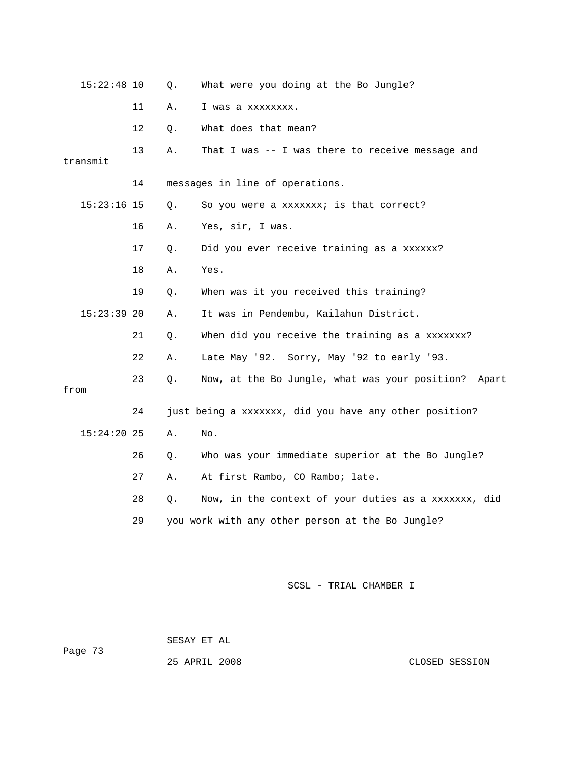|                                                        | $15:22:48$ 10 |    | Q. | What were you doing at the Bo Jungle?                   |
|--------------------------------------------------------|---------------|----|----|---------------------------------------------------------|
|                                                        |               | 11 | Α. | I was a xxxxxxxx.                                       |
|                                                        |               | 12 | Q. | What does that mean?                                    |
|                                                        | transmit      | 13 | Α. | That I was -- I was there to receive message and        |
|                                                        |               | 14 |    | messages in line of operations.                         |
|                                                        | $15:23:16$ 15 |    | Q. | So you were a xxxxxxx; is that correct?                 |
|                                                        |               | 16 | Α. | Yes, sir, I was.                                        |
|                                                        |               | 17 | Q. | Did you ever receive training as a xxxxxx?              |
|                                                        |               | 18 | Α. | Yes.                                                    |
|                                                        |               | 19 | О. | When was it you received this training?                 |
|                                                        | $15:23:39$ 20 |    | Α. | It was in Pendembu, Kailahun District.                  |
|                                                        |               | 21 | Q. | When did you receive the training as a xxxxxxx?         |
|                                                        |               | 22 | Α. | Late May '92. Sorry, May '92 to early '93.              |
| from                                                   |               | 23 | Q. | Now, at the Bo Jungle, what was your position?<br>Apart |
|                                                        |               | 24 |    | just being a xxxxxxx, did you have any other position?  |
|                                                        | $15:24:20$ 25 |    | Α. | No.                                                     |
|                                                        |               | 26 | Q. | Who was your immediate superior at the Bo Jungle?       |
|                                                        |               | 27 | Α. | At first Rambo, CO Rambo; late.                         |
|                                                        |               | 28 | О. | Now, in the context of your duties as a xxxxxxx, did    |
| 29<br>you work with any other person at the Bo Jungle? |               |    |    |                                                         |
|                                                        |               |    |    |                                                         |

SESAY ET AL

Page 73

25 APRIL 2008 CLOSED SESSION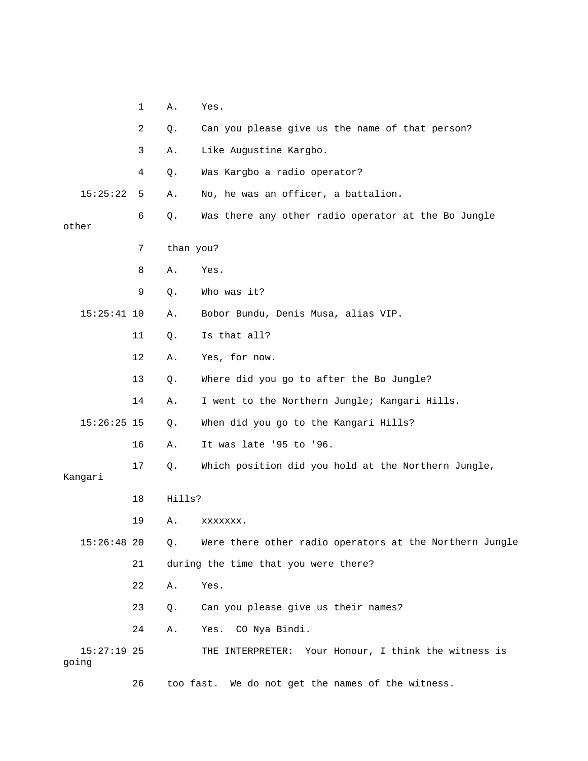1 A. Yes.

|         |                        | 2  | Q.        | Can you please give us the name of that person?         |
|---------|------------------------|----|-----------|---------------------------------------------------------|
|         |                        | 3  | Α.        | Like Augustine Kargbo.                                  |
|         |                        | 4  | Q.        | Was Kargbo a radio operator?                            |
|         | 15:25:22               | 5  | Α.        | No, he was an officer, a battalion.                     |
| other   |                        | 6  | Q.        | Was there any other radio operator at the Bo Jungle     |
|         |                        | 7  |           |                                                         |
|         |                        |    | than you? |                                                         |
|         |                        | 8  | Α.        | Yes.                                                    |
|         |                        | 9  | Q.        | Who was it?                                             |
|         | $15:25:41$ 10          |    | Α.        | Bobor Bundu, Denis Musa, alias VIP.                     |
|         |                        | 11 | Q.        | Is that all?                                            |
|         |                        | 12 | Α.        | Yes, for now.                                           |
|         |                        | 13 | Q.        | Where did you go to after the Bo Jungle?                |
|         |                        | 14 | Α.        | I went to the Northern Jungle; Kangari Hills.           |
|         | $15:26:25$ 15          |    | Q.        | When did you go to the Kangari Hills?                   |
|         |                        | 16 | Α.        | It was late '95 to '96.                                 |
|         |                        | 17 | Q.        | Which position did you hold at the Northern Jungle,     |
| Kangari |                        |    |           |                                                         |
|         |                        | 18 | Hills?    |                                                         |
|         |                        | 19 | Α.        | XXXXXXX.                                                |
|         | $15:26:48$ 20          |    | Q.        | Were there other radio operators at the Northern Jungle |
|         |                        | 21 |           | during the time that you were there?                    |
|         |                        | 22 | Α.        | Yes.                                                    |
|         |                        | 23 | Q.        | Can you please give us their names?                     |
|         |                        | 24 | Α.        | CO Nya Bindi.<br>Yes.                                   |
|         | $15:27:19$ 25<br>going |    |           | Your Honour, I think the witness is<br>THE INTERPRETER: |
|         |                        | 26 |           | too fast. We do not get the names of the witness.       |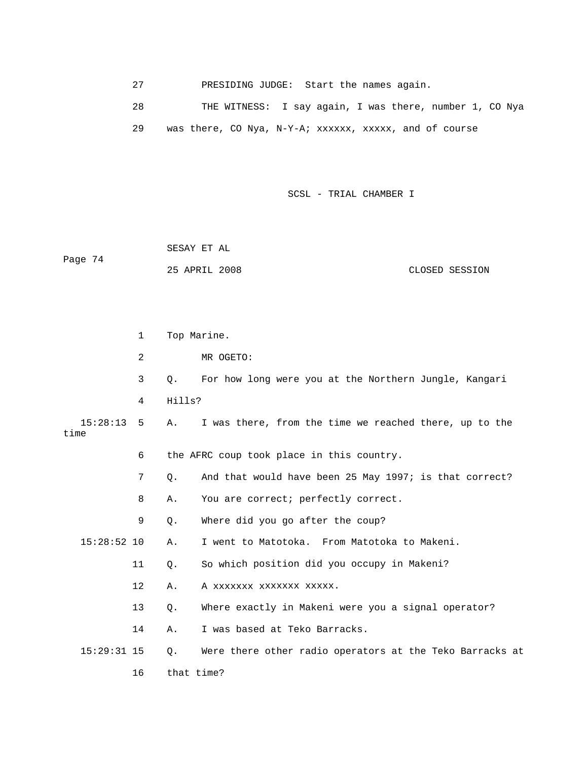27 PRESIDING JUDGE: Start the names again.

THE WITNESS: I say again, I was there, number 1, CO Nya 29 was there, CO Nya, N-Y-A; xxxxxx, xxxxx, and of course  $28$ 

SCSL - TRIAL CHAMBER I

 25 APRIL 2008 CLOSED SESSION SESAY ET AL Page 74

|                      | $\mathbf 1$    |        | Top Marine.                                              |
|----------------------|----------------|--------|----------------------------------------------------------|
|                      | $\overline{2}$ |        | MR OGETO:                                                |
|                      | 3              | 0.     | For how long were you at the Northern Jungle, Kangari    |
|                      | 4              | Hills? |                                                          |
| $15:28:13$ 5<br>time |                | Α.     | I was there, from the time we reached there, up to the   |
|                      | 6              |        | the AFRC coup took place in this country.                |
|                      | 7              | Q.     | And that would have been 25 May 1997; is that correct?   |
|                      | 8              | Α.     | You are correct; perfectly correct.                      |
|                      | 9              | $Q$ .  | Where did you go after the coup?                         |
| $15:28:52$ 10        |                | Α.     | I went to Matotoka. From Matotoka to Makeni.             |
|                      | 11             | Q.     | So which position did you occupy in Makeni?              |
|                      | 12             | Α.     | A XXXXXXX XXXXXXX XXXXX.                                 |
|                      | 13             | Q.     | Where exactly in Makeni were you a signal operator?      |
|                      | 14             | Α.     | I was based at Teko Barracks.                            |
| $15:29:31$ 15        |                | 0.     | Were there other radio operators at the Teko Barracks at |
|                      | 16             |        | that time?                                               |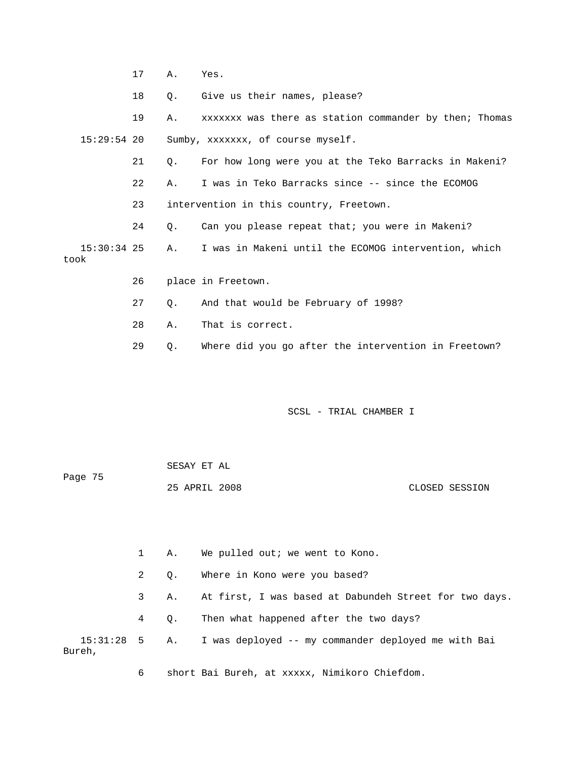|                       | 17                                | Α.        | Yes.                                                   |  |  |
|-----------------------|-----------------------------------|-----------|--------------------------------------------------------|--|--|
|                       | 18                                | $\circ$ . | Give us their names, please?                           |  |  |
|                       | 19                                | Α.        | xxxxxxx was there as station commander by then; Thomas |  |  |
| $15:29:54$ 20         | Sumby, xxxxxxx, of course myself. |           |                                                        |  |  |
|                       | 21                                | 0.        | For how long were you at the Teko Barracks in Makeni?  |  |  |
|                       | 22                                | Α.        | I was in Teko Barracks since -- since the ECOMOG       |  |  |
|                       | 23                                |           | intervention in this country, Freetown.                |  |  |
|                       | 24                                | 0.        | Can you please repeat that; you were in Makeni?        |  |  |
| $15:30:34$ 25<br>took |                                   | Α.        | I was in Makeni until the ECOMOG intervention, which   |  |  |
|                       | 26                                |           | place in Freetown.                                     |  |  |
|                       | 27                                | 0.        | And that would be February of 1998?                    |  |  |
|                       | 28                                | Α.        | That is correct.                                       |  |  |
|                       | 29                                | Q.        | Where did you go after the intervention in Freetown?   |  |  |

|         | SESAY ET AL   |  |                |
|---------|---------------|--|----------------|
| Page 75 |               |  |                |
|         | 25 APRIL 2008 |  | CLOSED SESSION |

1 A. We pulled out; we went to Kono. 3 A. At first, I was based at Dabundeh Street for two days. 4 Q. Then what happened after the two days? 15:31:28 5 A. I was deployed -- my commander deployed me with Bai Bureh, 6 short Bai Bureh, at xxxxx, Nimikoro Chiefdom. 2 Q. Where in Kono were you based?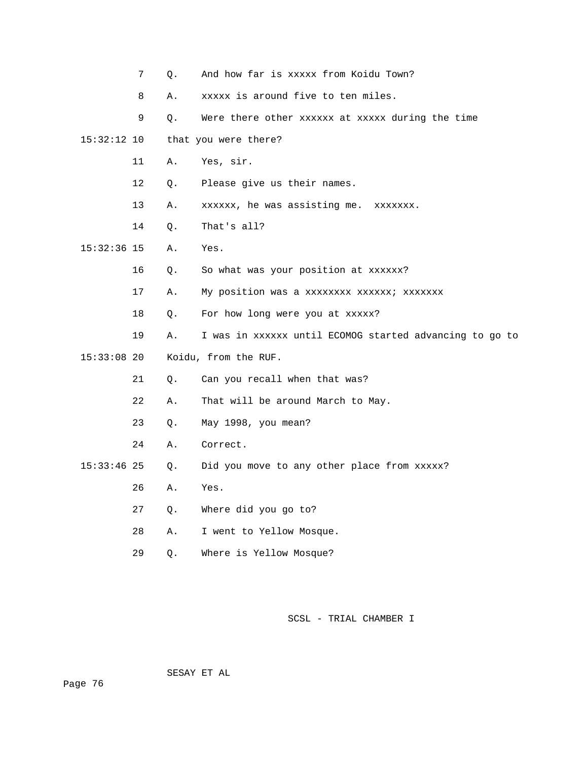|               | 7  | Q.        | And how far is xxxxx from Koidu Town?                   |
|---------------|----|-----------|---------------------------------------------------------|
|               | 8  | Α.        | xxxxx is around five to ten miles.                      |
|               | 9  | Q.        | Were there other xxxxxx at xxxxx during the time        |
| $15:32:12$ 10 |    |           | that you were there?                                    |
|               | 11 | Α.        | Yes, sir.                                               |
|               | 12 | Q.        | Please give us their names.                             |
|               | 13 | Α.        | xxxxxx, he was assisting me. xxxxxxx.                   |
|               | 14 | Q.        | That's all?                                             |
| $15:32:36$ 15 |    | Α.        | Yes.                                                    |
|               | 16 | Q.        | So what was your position at xxxxxx?                    |
|               | 17 | Α.        | My position was a xxxxxxxx xxxxxx; xxxxxxx              |
|               | 18 | Q.        | For how long were you at xxxxx?                         |
|               | 19 | Α.        | I was in xxxxxx until ECOMOG started advancing to go to |
| $15:33:08$ 20 |    |           | Koidu, from the RUF.                                    |
|               | 21 | Q.        | Can you recall when that was?                           |
|               | 22 | Α.        | That will be around March to May.                       |
|               | 23 | Q.        | May 1998, you mean?                                     |
|               | 24 | Α.        | Correct.                                                |
| $15:33:46$ 25 |    | Q.        | Did you move to any other place from xxxxx?             |
|               | 26 | Α.        | Yes.                                                    |
|               | 27 | $\circ$ . | Where did you go to?                                    |
|               | 28 | Α.        | I went to Yellow Mosque.                                |
|               | 29 | О.        | Where is Yellow Mosque?                                 |

SESAY ET AL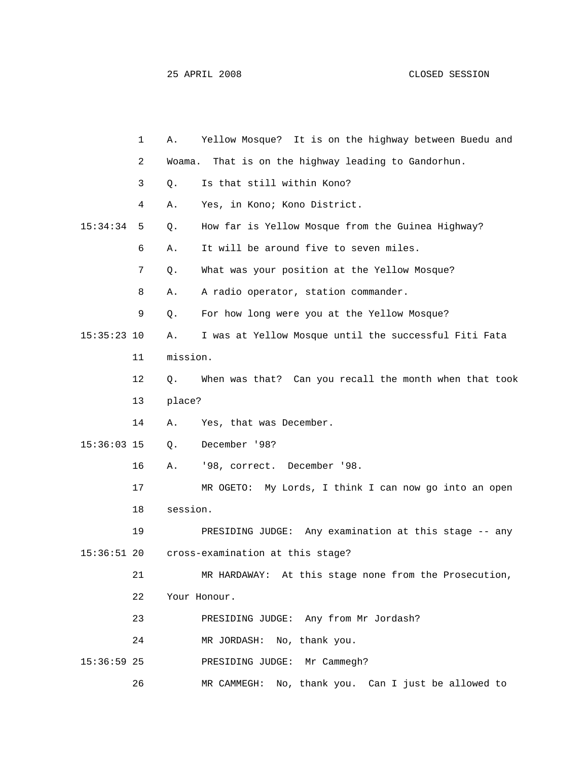|               | 1  | Α.       | Yellow Mosque? It is on the highway between Buedu and  |
|---------------|----|----------|--------------------------------------------------------|
|               | 2  | Woama.   | That is on the highway leading to Gandorhun.           |
|               | 3  | Q.       | Is that still within Kono?                             |
|               | 4  | Α.       | Yes, in Kono; Kono District.                           |
| 15:34:34      | 5  | Q.       | How far is Yellow Mosque from the Guinea Highway?      |
|               | 6  | Α.       | It will be around five to seven miles.                 |
|               | 7  | Q.       | What was your position at the Yellow Mosque?           |
|               | 8  | Α.       | A radio operator, station commander.                   |
|               | 9  | Q.       | For how long were you at the Yellow Mosque?            |
| $15:35:23$ 10 |    | Α.       | I was at Yellow Mosque until the successful Fiti Fata  |
|               | 11 | mission. |                                                        |
|               | 12 | Q.       | When was that? Can you recall the month when that took |
|               | 13 | place?   |                                                        |
|               | 14 | Α.       | Yes, that was December.                                |
| $15:36:03$ 15 |    | Q.       | December '98?                                          |
|               | 16 | Α.       | '98, correct. December '98.                            |
|               | 17 |          | MR OGETO: My Lords, I think I can now go into an open  |
|               | 18 | session. |                                                        |
|               | 19 |          | PRESIDING JUDGE: Any examination at this stage -- any  |
| $15:36:51$ 20 |    |          | cross-examination at this stage?                       |
|               | 21 |          | MR HARDAWAY: At this stage none from the Prosecution,  |
|               | 22 |          | Your Honour.                                           |
|               | 23 |          | PRESIDING JUDGE: Any from Mr Jordash?                  |
|               | 24 |          | No, thank you.<br>MR JORDASH:                          |
| $15:36:59$ 25 |    |          | Mr Cammegh?<br>PRESIDING JUDGE:                        |
|               | 26 |          | No, thank you. Can I just be allowed to<br>MR CAMMEGH: |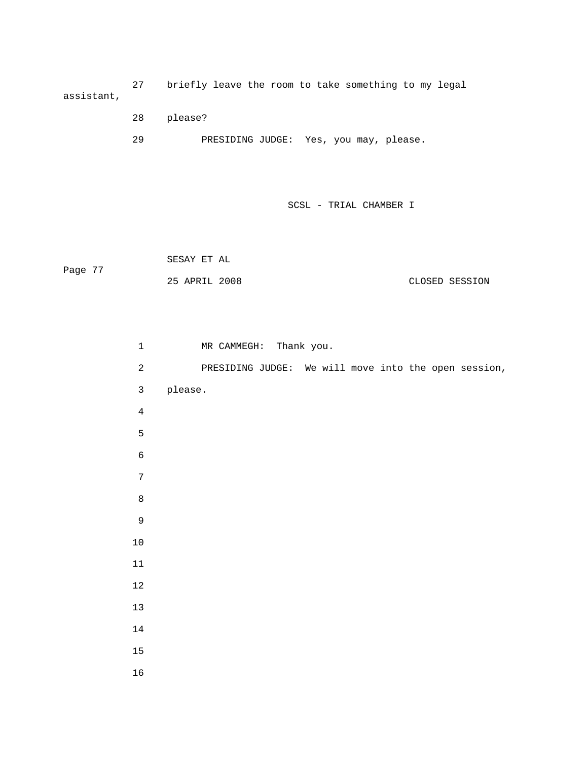27 briefly leave the room to take something to my legal assistant,

28 please?

29 PRESIDING JUDGE: Yes, you may, please.

SCSL - TRIAL CHAMBER I

 SESAY ET AL Page 77 25 APRIL 2008 CLOSED SESSION

MR CAMMEGH: Thank you. 2 **PRESIDING JUDGE:** We will move into the open session, 3 please. 4 6 7 8 9 10 11 12 14  $1 \qquad \qquad$  5 13 15 16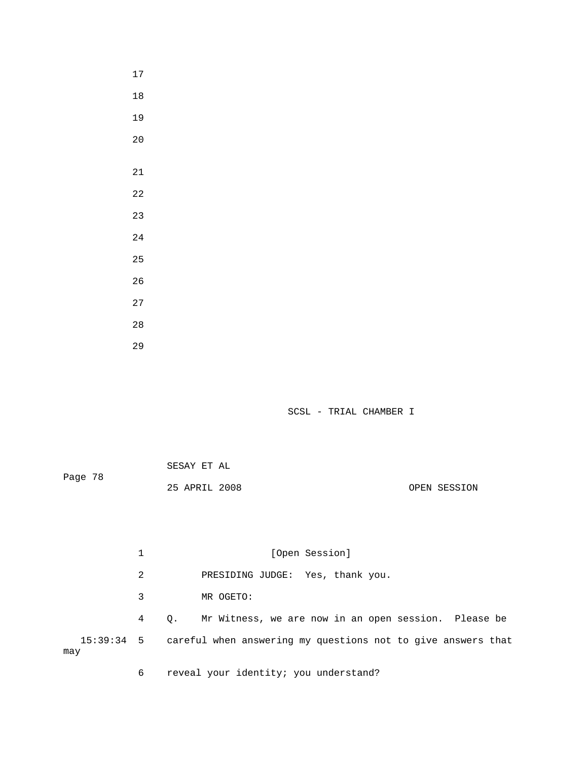17 18 20 19 21 22 23 24 25 26 27 28 29

SCSL - TRIAL CHAMBER I

|         | SESAY ET AL   |  |              |
|---------|---------------|--|--------------|
| Page 78 |               |  |              |
|         | 25 APRIL 2008 |  | OPEN SESSION |

|     |   |    | [Open Session]                                                          |
|-----|---|----|-------------------------------------------------------------------------|
|     | 2 |    | PRESIDING JUDGE: Yes, thank you.                                        |
|     | 3 |    | MR OGETO:                                                               |
|     | 4 | 0. | Mr Witness, we are now in an open session. Please be                    |
| may |   |    | 15:39:34 5 careful when answering my questions not to give answers that |

6 reveal your identity; you understand?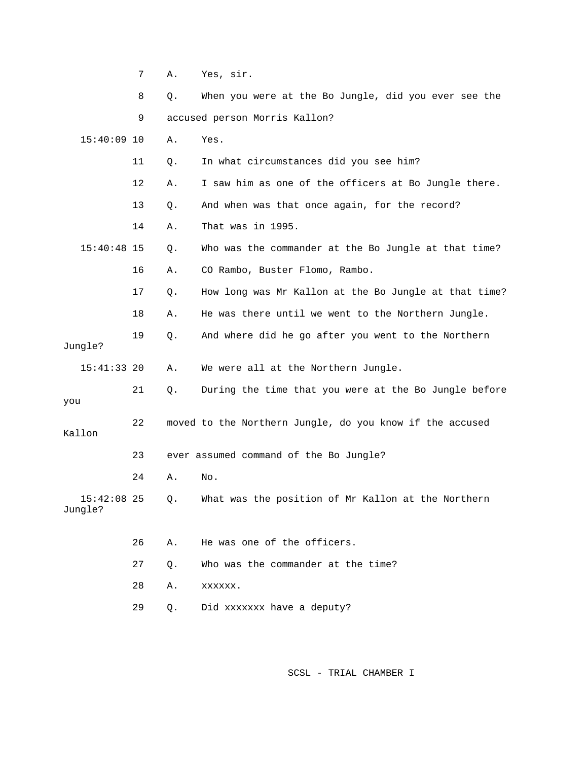|                          | 7  | Α. | Yes, sir.                                                |
|--------------------------|----|----|----------------------------------------------------------|
|                          | 8  | Q. | When you were at the Bo Jungle, did you ever see the     |
|                          | 9  |    | accused person Morris Kallon?                            |
| $15:40:09$ 10            |    | Α. | Yes.                                                     |
|                          | 11 | Q. | In what circumstances did you see him?                   |
|                          | 12 | Α. | I saw him as one of the officers at Bo Jungle there.     |
|                          | 13 | Q. | And when was that once again, for the record?            |
|                          | 14 | Α. | That was in 1995.                                        |
| $15:40:48$ 15            |    | Q. | Who was the commander at the Bo Jungle at that time?     |
|                          | 16 | Α. | CO Rambo, Buster Flomo, Rambo.                           |
|                          | 17 | Q. | How long was Mr Kallon at the Bo Jungle at that time?    |
|                          | 18 | Α. | He was there until we went to the Northern Jungle.       |
| Jungle?                  | 19 | Q. | And where did he go after you went to the Northern       |
| $15:41:33$ 20            |    | Α. | We were all at the Northern Jungle.                      |
| you                      | 21 | Q. | During the time that you were at the Bo Jungle before    |
| Kallon                   | 22 |    | moved to the Northern Jungle, do you know if the accused |
|                          | 23 |    | ever assumed command of the Bo Jungle?                   |
|                          | 24 | Α. | No.                                                      |
| $15:42:08$ 25<br>Jungle? |    | Q. | What was the position of Mr Kallon at the Northern       |
|                          | 26 | Α. | He was one of the officers.                              |
|                          | 27 | Q. | Who was the commander at the time?                       |
|                          | 28 | Α. | XXXXXX.                                                  |

29 Q. Did xxxxxxx have a deputy?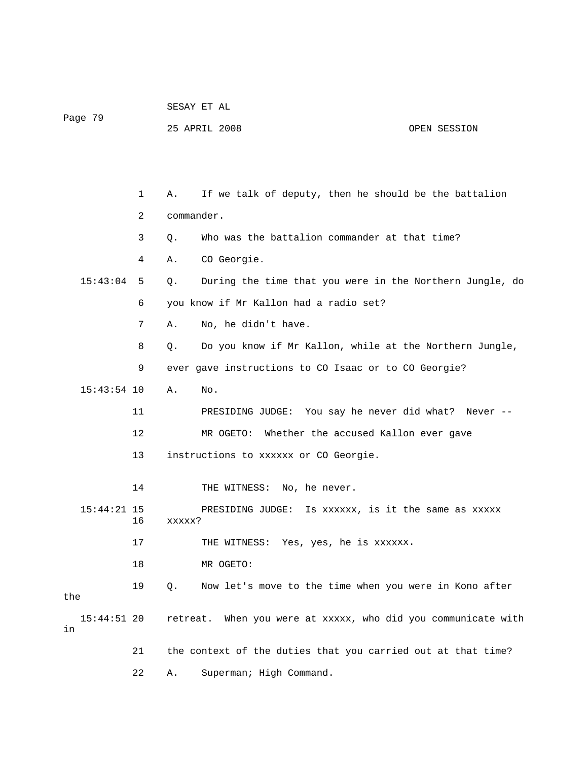|     | Page 79       |    | SESAY ET AL |                                                               |              |  |  |
|-----|---------------|----|-------------|---------------------------------------------------------------|--------------|--|--|
|     |               |    |             | 25 APRIL 2008                                                 | OPEN SESSION |  |  |
|     |               |    |             |                                                               |              |  |  |
|     |               |    |             |                                                               |              |  |  |
|     |               | 1  | Α.          | If we talk of deputy, then he should be the battalion         |              |  |  |
|     |               | 2  | commander.  |                                                               |              |  |  |
|     |               | 3  | Q.          | Who was the battalion commander at that time?                 |              |  |  |
|     |               | 4  | Α.          | CO Georgie.                                                   |              |  |  |
|     | 15:43:04      | 5  | Q.          | During the time that you were in the Northern Jungle, do      |              |  |  |
|     |               | 6  |             | you know if Mr Kallon had a radio set?                        |              |  |  |
|     |               | 7  | Α.          | No, he didn't have.                                           |              |  |  |
|     |               | 8  | Q.          | Do you know if Mr Kallon, while at the Northern Jungle,       |              |  |  |
|     |               | 9  |             | ever gave instructions to CO Isaac or to CO Georgie?          |              |  |  |
|     | $15:43:54$ 10 |    | Α.          | No.                                                           |              |  |  |
|     |               | 11 |             | PRESIDING JUDGE: You say he never did what? Never --          |              |  |  |
|     |               | 12 |             | MR OGETO: Whether the accused Kallon ever gave                |              |  |  |
|     |               | 13 |             | instructions to xxxxxx or CO Georgie.                         |              |  |  |
|     |               |    |             |                                                               |              |  |  |
|     |               | 14 |             | THE WITNESS: No, he never.                                    |              |  |  |
|     | 15:44:21 15   | 16 | xxxxx?      | Is xxxxxx, is it the same as xxxxx<br>PRESIDING JUDGE:        |              |  |  |
|     |               | 17 |             | THE WITNESS: Yes, yes, he is xxxxxx.                          |              |  |  |
|     |               | 18 |             | MR OGETO:                                                     |              |  |  |
| the |               | 19 | Q.          | Now let's move to the time when you were in Kono after        |              |  |  |
| in  | $15:44:51$ 20 |    |             | retreat. When you were at xxxxx, who did you communicate with |              |  |  |
|     |               | 21 |             | the context of the duties that you carried out at that time?  |              |  |  |
|     |               | 22 | Α.          | Superman; High Command.                                       |              |  |  |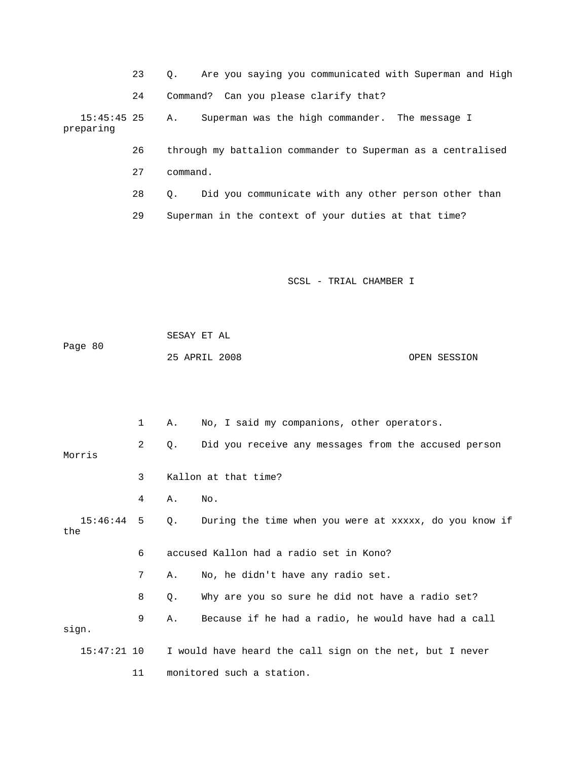23 Q. Are you saying you communicated with Superman and High 24 Command? Can you please clarify that? 15:45:45 25 A. Superman was the high commander. The message I preparing 26 through my battalion commander to Superman as a centralised 28 Q. Did you communicate with any other person other than 27 command.

29 Superman in the context of your duties at that time?

SCSL - TRIAL CHAMBER I

| Page 80 | SESAY ET AL   |  |              |
|---------|---------------|--|--------------|
|         | 25 APRIL 2008 |  | OPEN SESSION |

1 A. No, I said my companions, other operators. Morris 4 A. No. 15:46:44 5 Q. During the time when you were at xxxxx, do you know if 6 accused Kallon had a radio set in Kono? 7 A. No, he didn't have any radio set. 8 Q. Why are you so sure he did not have a radio set? 9 A. Because if he had a radio, he would have had a call sign. 15:47:21 10 I would have heard the call sign on the net, but I never 2 Q. Did you receive any messages from the accused person 3 Kallon at that time? the 11 monitored such a station.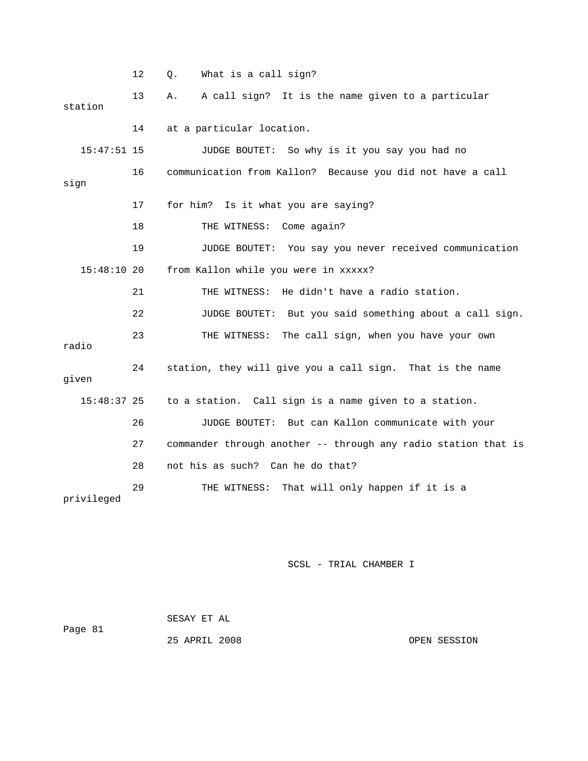12 Q. What is a call sign? 13 A. A call sign? It is the name given to a particular 14 at a particular location. 16 communication from Kallon? Because you did not have a call 19 JUDGE BOUTET: You say you never received communication 15:48:10 20 from Kallon while you were in xxxxx? 21 THE WITNESS: He didn't have a radio station. 22 JUDGE BOUTET: But you said something about a call sign. 23 THE WITNESS: The call sign, when you have your own 24 station, they will give you a call sign. That is the name 27 commander through another -- through any radio station that is 28 not his as such? Can he do that? 29 THE WITNESS: That will only happen if it is a station 15:47:51 15 JUDGE BOUTET: So why is it you say you had no sign 17 for him? Is it what you are saying? 18 THE WITNESS: Come again? radio given 15:48:37 25 to a station. Call sign is a name given to a station. 26 JUDGE BOUTET: But can Kallon communicate with your privileged

| Page 81 | SESAY ET AL   |              |
|---------|---------------|--------------|
|         | 25 APRIL 2008 | OPEN SESSION |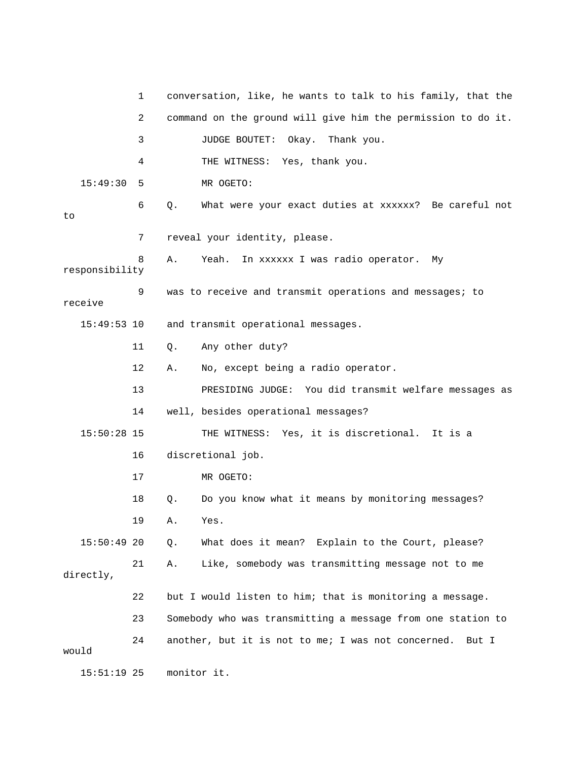|                | 1  |    | conversation, like, he wants to talk to his family, that the |
|----------------|----|----|--------------------------------------------------------------|
|                | 2  |    | command on the ground will give him the permission to do it. |
|                | 3  |    | JUDGE BOUTET:<br>Okay. Thank you.                            |
|                | 4  |    | THE WITNESS: Yes, thank you.                                 |
| 15:49:30       | 5  |    | MR OGETO:                                                    |
| to             | 6  | Q. | What were your exact duties at xxxxxx? Be careful not        |
|                | 7  |    | reveal your identity, please.                                |
| responsibility | 8  | Α. | In xxxxxx I was radio operator.<br>Yeah.<br>Мy               |
| receive        | 9  |    | was to receive and transmit operations and messages; to      |
| $15:49:53$ 10  |    |    | and transmit operational messages.                           |
|                | 11 | Q. | Any other duty?                                              |
|                | 12 | Α. | No, except being a radio operator.                           |
|                | 13 |    | PRESIDING JUDGE: You did transmit welfare messages as        |
|                | 14 |    | well, besides operational messages?                          |
| $15:50:28$ 15  |    |    | THE WITNESS: Yes, it is discretional. It is a                |
|                | 16 |    | discretional job.                                            |
|                | 17 |    | MR OGETO:                                                    |
|                | 18 | Q. | Do you know what it means by monitoring messages?            |
|                | 19 | Α. | Yes.                                                         |
| $15:50:49$ 20  |    | Q. | What does it mean? Explain to the Court, please?             |
| directly,      | 21 | Α. | Like, somebody was transmitting message not to me            |
|                | 22 |    | but I would listen to him; that is monitoring a message.     |
|                | 23 |    | Somebody who was transmitting a message from one station to  |
| would          | 24 |    | another, but it is not to me; I was not concerned.<br>But I  |
| $15:51:19$ 25  |    |    | monitor it.                                                  |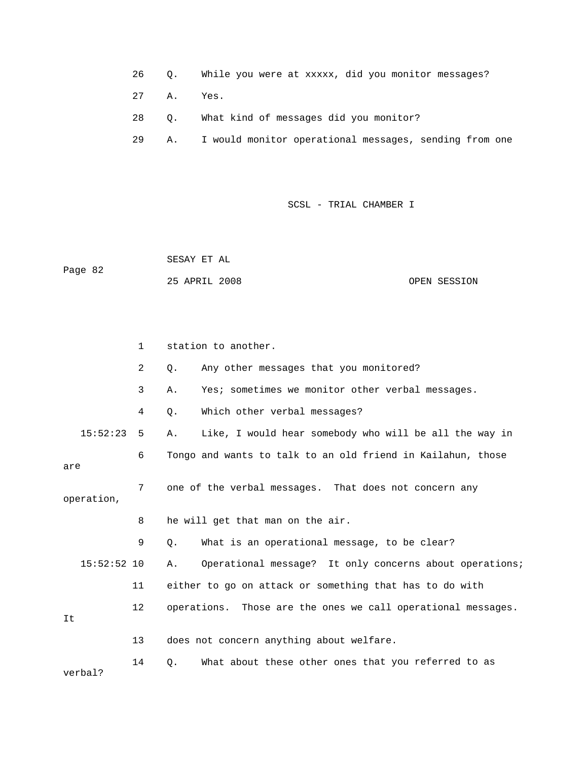26 Q. While you were at xxxxx, did you monitor messages?

27 A. Yes.

- 28 Q. What kind of messages did you monitor?
- 29 A. I would monitor operational messages, sending from one

SCSL - TRIAL CHAMBER I

 SESAY ET AL 25 APRIL 2008 OPEN SESSION Page 82

1 station to another. 4 Q. Which other verbal messages? 15:52:23 5 A. Like, I would hear somebody who will be all the way in 6 Tongo and wants to talk to an old friend in Kailahun, those are 7 one of the verbal messages. That does not concern any operation, 8 he will get that man on the air. 15:52:52 10 A. Operational message? It only concerns about operations; 11 either to go on attack or something that has to do with 12 operations. Those are the ones we call operational messages. 14 Q. What about these other ones that you referred to as 2 Q. Any other messages that you monitored? 3 A. Yes; sometimes we monitor other verbal messages. 9 Q. What is an operational message, to be clear? It 13 does not concern anything about welfare. verbal?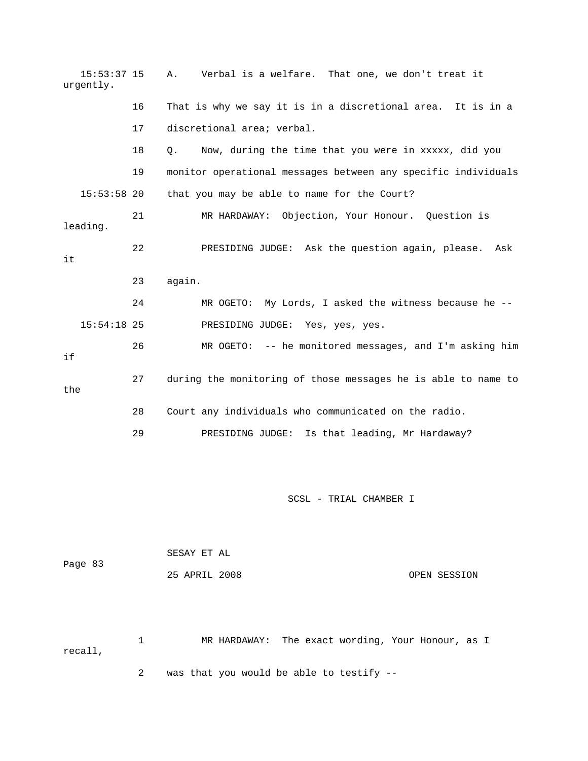| $15:53:37$ 15<br>urgently. |    | Verbal is a welfare. That one, we don't treat it<br>Α.        |
|----------------------------|----|---------------------------------------------------------------|
|                            | 16 | That is why we say it is in a discretional area. It is in a   |
|                            | 17 | discretional area; verbal.                                    |
|                            | 18 | Now, during the time that you were in xxxxx, did you<br>Q.    |
|                            | 19 | monitor operational messages between any specific individuals |
| $15:53:58$ 20              |    | that you may be able to name for the Court?                   |
| leading.                   | 21 | MR HARDAWAY: Objection, Your Honour. Question is              |
| it                         | 22 | PRESIDING JUDGE: Ask the question again, please.<br>Ask       |
|                            | 23 | again.                                                        |
|                            | 24 | MR OGETO: My Lords, I asked the witness because he --         |
| $15:54:18$ 25              |    | PRESIDING JUDGE: Yes, yes, yes.                               |
| if                         | 26 | MR OGETO: -- he monitored messages, and I'm asking him        |
| the                        | 27 | during the monitoring of those messages he is able to name to |
|                            | 28 | Court any individuals who communicated on the radio.          |
|                            | 29 | PRESIDING JUDGE:<br>Is that leading, Mr Hardaway?             |

|         | SESAY ET AL   |              |
|---------|---------------|--------------|
| Page 83 |               |              |
|         | 25 APRIL 2008 | OPEN SESSION |

 1 MR HARDAWAY: The exact wording, Your Honour, as I recall,

2 was that you would be able to testify --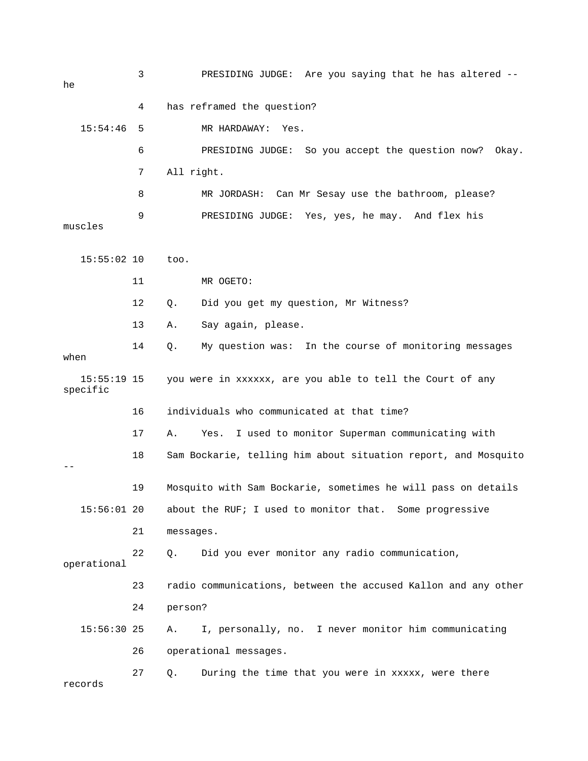| he                        | 3  | PRESIDING JUDGE: Are you saying that he has altered --         |
|---------------------------|----|----------------------------------------------------------------|
|                           | 4  | has reframed the question?                                     |
| 15:54:46                  | 5  | MR HARDAWAY:<br>Yes.                                           |
|                           | 6  | PRESIDING JUDGE: So you accept the question now? Okay.         |
|                           | 7  | All right.                                                     |
|                           | 8  | Can Mr Sesay use the bathroom, please?<br>MR JORDASH:          |
| muscles                   | 9  | PRESIDING JUDGE: Yes, yes, he may. And flex his                |
| $15:55:02$ 10             |    | too.                                                           |
|                           | 11 | MR OGETO:                                                      |
|                           | 12 | Did you get my question, Mr Witness?<br>Q.                     |
|                           | 13 | Say again, please.<br>Α.                                       |
| when                      | 14 | My question was: In the course of monitoring messages<br>Q.    |
| $15:55:19$ 15<br>specific |    | you were in xxxxxx, are you able to tell the Court of any      |
|                           | 16 | individuals who communicated at that time?                     |
|                           | 17 | I used to monitor Superman communicating with<br>Yes.<br>Α.    |
|                           | 18 | Sam Bockarie, telling him about situation report, and Mosquito |
|                           | 19 | Mosquito with Sam Bockarie, sometimes he will pass on details  |
| $15:56:01$ 20             |    | about the RUF; I used to monitor that. Some progressive        |
|                           | 21 | messages.                                                      |
| operational               | 22 | Did you ever monitor any radio communication,<br>О.            |
|                           | 23 | radio communications, between the accused Kallon and any other |
|                           | 24 | person?                                                        |
| $15:56:30$ 25             |    | I, personally, no. I never monitor him communicating<br>Α.     |
|                           | 26 | operational messages.                                          |
| records                   | 27 | During the time that you were in xxxxx, were there<br>Q.       |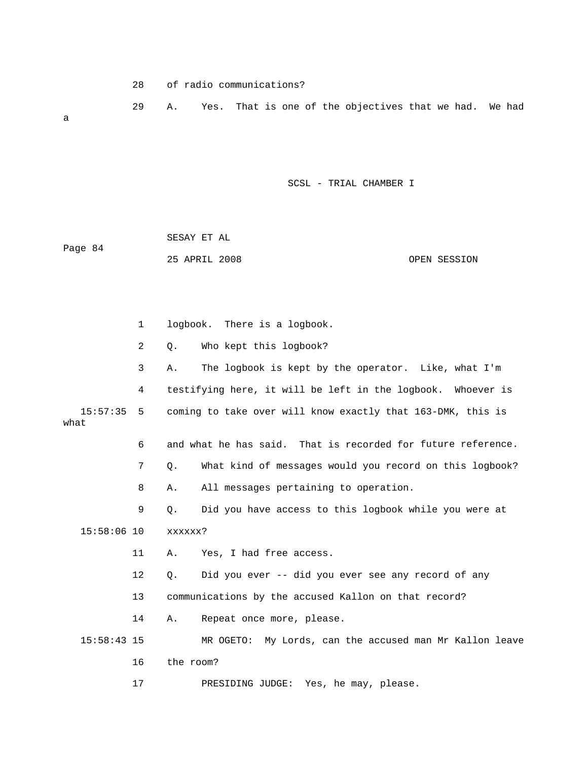|   | 28 | of radio communications? |  |  |  |  |  |  |                                                        |  |  |  |  |
|---|----|--------------------------|--|--|--|--|--|--|--------------------------------------------------------|--|--|--|--|
| a | 29 | A.                       |  |  |  |  |  |  | Yes. That is one of the objectives that we had. We had |  |  |  |  |

|         | SESAY ET AL   |  |              |
|---------|---------------|--|--------------|
| Page 84 |               |  |              |
|         | 25 APRIL 2008 |  | OPEN SESSION |

|                  | $\mathbf{1}$ |           | logbook. There is a logbook.                                 |
|------------------|--------------|-----------|--------------------------------------------------------------|
|                  | 2            | Q.        | Who kept this logbook?                                       |
|                  | 3            | Α.        | The logbook is kept by the operator. Like, what I'm          |
|                  | 4            |           | testifying here, it will be left in the logbook. Whoever is  |
| 15:57:35<br>what | -5           |           | coming to take over will know exactly that 163-DMK, this is  |
|                  | 6            |           | and what he has said. That is recorded for future reference. |
|                  | 7            | Q.        | What kind of messages would you record on this logbook?      |
|                  | 8            | Α.        | All messages pertaining to operation.                        |
|                  | 9            | Q.        | Did you have access to this logbook while you were at        |
| $15:58:06$ 10    |              | xxxxxx?   |                                                              |
|                  | 11           | Α.        | Yes, I had free access.                                      |
|                  | $12 \,$      | Q.        | Did you ever -- did you ever see any record of any           |
|                  | 13           |           | communications by the accused Kallon on that record?         |
|                  | 14           | Α.        | Repeat once more, please.                                    |
| $15:58:43$ 15    |              |           | MR OGETO: My Lords, can the accused man Mr Kallon leave      |
|                  | 16           | the room? |                                                              |
|                  | 17           |           | PRESIDING JUDGE:<br>Yes, he may, please.                     |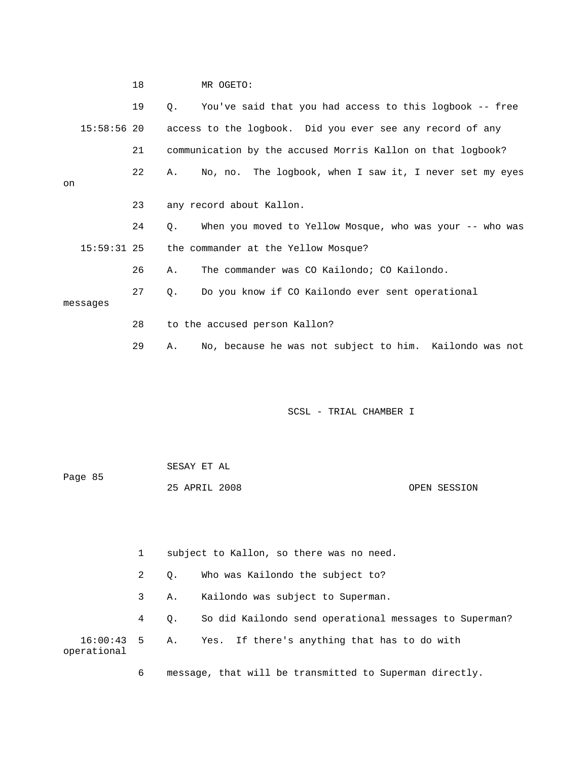18 MR OGETO:

|    |          | 19 | 0. You've said that you had access to this logbook -- free            |
|----|----------|----|-----------------------------------------------------------------------|
|    |          |    | 15:58:56 20 access to the logbook. Did you ever see any record of any |
|    |          | 21 | communication by the accused Morris Kallon on that logbook?           |
| on |          | 22 | No, no. The logbook, when I saw it, I never set my eyes<br>Α.         |
|    |          |    |                                                                       |
|    |          | 23 | any record about Kallon.                                              |
|    |          | 24 | When you moved to Yellow Mosque, who was your -- who was<br>$\circ$ . |
|    |          |    | 15:59:31 25 the commander at the Yellow Mosque?                       |
|    |          | 26 | The commander was CO Kailondo; CO Kailondo.<br>Α.                     |
|    | messages | 27 | Do you know if CO Kailondo ever sent operational<br>$\circ$ .         |
|    |          | 28 | to the accused person Kallon?                                         |
|    |          | 29 | No, because he was not subject to him. Kailondo was not<br>Α.         |

SCSL - TRIAL CHAMBER I

|         | SESAY ET AL |               |              |
|---------|-------------|---------------|--------------|
| Page 85 |             |               |              |
|         |             | 25 APRIL 2008 | OPEN SESSION |

 2 Q. Who was Kailondo the subject to? 3 A. Kailondo was subject to Superman. 4 Q. So did Kailondo send operational messages to Superman? 16:00:43 5 A. Yes. If there's anything that has to do with operational 6 message, that will be transmitted to Superman directly. 1 subject to Kallon, so there was no need.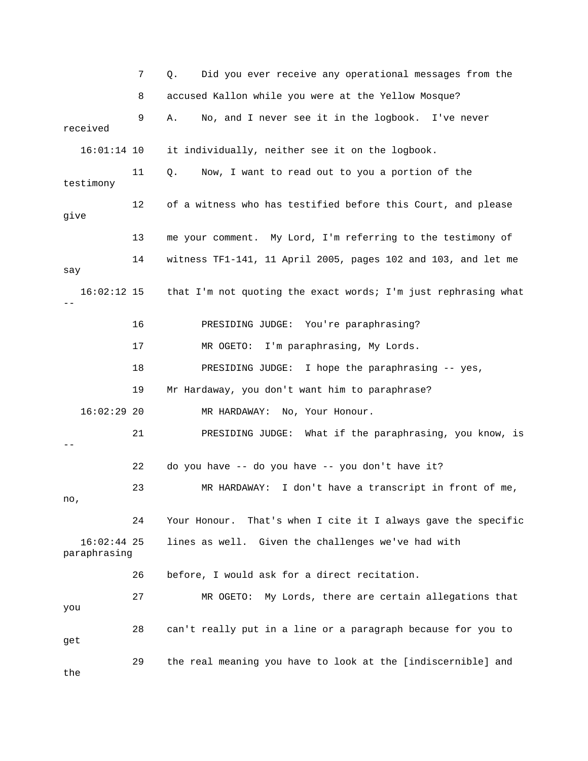|                               | Did you ever receive any operational messages from the<br>7<br>Q. |
|-------------------------------|-------------------------------------------------------------------|
|                               | accused Kallon while you were at the Yellow Mosque?<br>8          |
| received                      | 9<br>No, and I never see it in the logbook. I've never<br>Α.      |
| $16:01:14$ 10                 | it individually, neither see it on the logbook.                   |
| 11<br>testimony               | Now, I want to read out to you a portion of the<br>Q.             |
| 12<br>give                    | of a witness who has testified before this Court, and please      |
| 13                            | me your comment. My Lord, I'm referring to the testimony of       |
| 14<br>say                     | witness TF1-141, 11 April 2005, pages 102 and 103, and let me     |
| $16:02:12$ 15                 | that I'm not quoting the exact words; I'm just rephrasing what    |
| 16                            | PRESIDING JUDGE: You're paraphrasing?                             |
| 17                            | I'm paraphrasing, My Lords.<br>MR OGETO:                          |
| 18                            | I hope the paraphrasing -- yes,<br>PRESIDING JUDGE:               |
| 19                            | Mr Hardaway, you don't want him to paraphrase?                    |
| $16:02:29$ 20                 | MR HARDAWAY:<br>No, Your Honour.                                  |
| 21                            | PRESIDING JUDGE: What if the paraphrasing, you know, is           |
| 22                            | do you have -- do you have -- you don't have it?                  |
| 23<br>no,                     | I don't have a transcript in front of me,<br>MR HARDAWAY:         |
| 24                            | Your Honour. That's when I cite it I always gave the specific     |
| $16:02:44$ 25<br>paraphrasing | lines as well. Given the challenges we've had with                |
| 26                            | before, I would ask for a direct recitation.                      |
| 27<br>you                     | My Lords, there are certain allegations that<br>MR OGETO:         |
| 28<br>get                     | can't really put in a line or a paragraph because for you to      |
| 29<br>the                     | the real meaning you have to look at the [indiscernible] and      |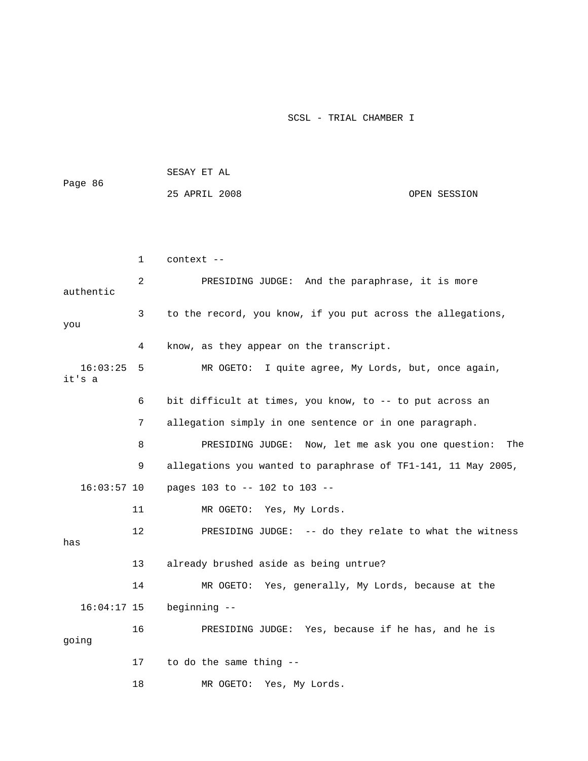| Page 86            |    | SESAY ET AL                                                   |     |
|--------------------|----|---------------------------------------------------------------|-----|
|                    |    | 25 APRIL 2008<br>OPEN SESSION                                 |     |
|                    |    |                                                               |     |
|                    |    |                                                               |     |
|                    | 1  | context --                                                    |     |
| authentic          | 2  | PRESIDING JUDGE: And the paraphrase, it is more               |     |
| you                | 3  | to the record, you know, if you put across the allegations,   |     |
|                    | 4  | know, as they appear on the transcript.                       |     |
| 16:03:25<br>it's a | 5  | MR OGETO: I quite agree, My Lords, but, once again,           |     |
|                    | 6  | bit difficult at times, you know, to -- to put across an      |     |
|                    | 7  | allegation simply in one sentence or in one paragraph.        |     |
|                    | 8  | PRESIDING JUDGE: Now, let me ask you one question:            | The |
|                    | 9  | allegations you wanted to paraphrase of TF1-141, 11 May 2005, |     |
| $16:03:57$ 10      |    | pages 103 to -- 102 to 103 --                                 |     |
|                    | 11 | MR OGETO: Yes, My Lords.                                      |     |
| has                | 12 | PRESIDING JUDGE: -- do they relate to what the witness        |     |
|                    | 13 | already brushed aside as being untrue?                        |     |
|                    | 14 | MR OGETO: Yes, generally, My Lords, because at the            |     |
| $16:04:17$ 15      |    | beginning --                                                  |     |
| going              | 16 | PRESIDING JUDGE: Yes, because if he has, and he is            |     |
|                    | 17 | to do the same thing --                                       |     |
|                    | 18 | Yes, My Lords.<br>MR OGETO:                                   |     |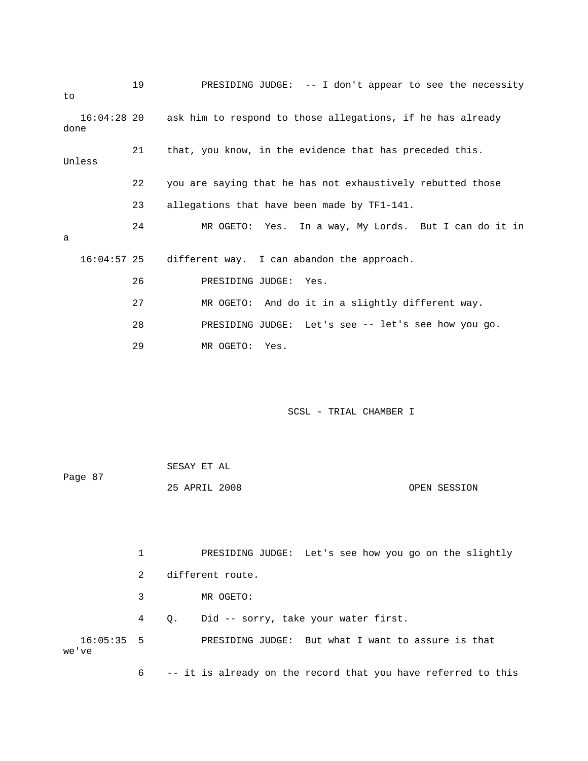| to     |               | 19 | PRESIDING JUDGE: $-$ - I don't appear to see the necessity             |
|--------|---------------|----|------------------------------------------------------------------------|
| done   |               |    | 16:04:28 20 ask him to respond to those allegations, if he has already |
| Unless |               | 21 | that, you know, in the evidence that has preceded this.                |
|        |               | 22 | you are saying that he has not exhaustively rebutted those             |
|        |               | 23 | allegations that have been made by TF1-141.                            |
| a      |               | 24 | MR OGETO: Yes. In a way, My Lords. But I can do it in                  |
|        | $16:04:57$ 25 |    | different way. I can abandon the approach.                             |
|        |               | 26 | PRESIDING JUDGE: Yes.                                                  |
|        |               | 27 | MR OGETO: And do it in a slightly different way.                       |
|        |               | 28 | PRESIDING JUDGE: Let's see -- let's see how you go.                    |
|        |               | 29 | Yes.<br>MR OGETO:                                                      |

|         | SESAY ET AL   |  |              |
|---------|---------------|--|--------------|
| Page 87 |               |  |              |
|         | 25 APRIL 2008 |  | OPEN SESSION |

 1 PRESIDING JUDGE: Let's see how you go on the slightly 3 MR OGETO: 4 Q. Did -- sorry, take your water first. 16:05:35 5 PRESIDING JUDGE: But what I want to assure is that 've we 6 -- it is already on the record that you have referred to this 2 different route.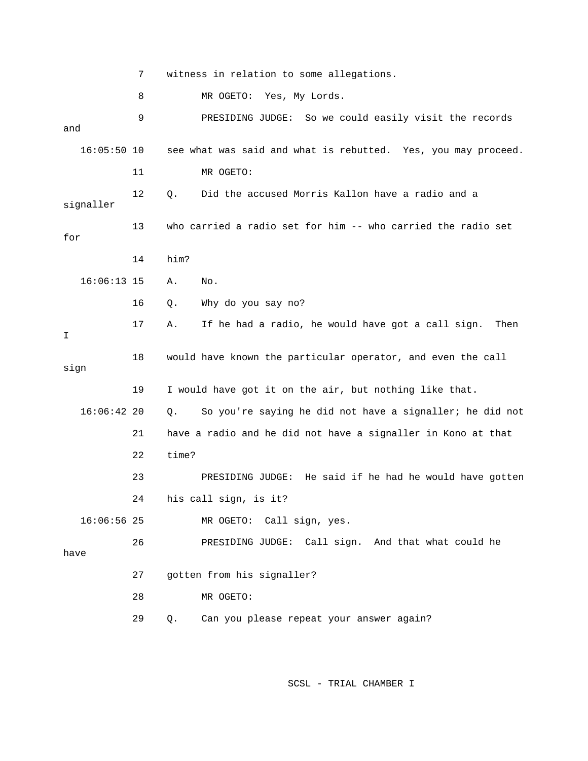7 witness in relation to some allegations. 8 MR OGETO: Yes, My Lords. 9 PRESIDING JUDGE: So we could easily visit the records 16:05:50 10 see what was said and what is rebutted. Yes, you may proceed. 11 MR OGETO: signaller 13 who carried a radio set for him -- who carried the radio set 16 Q. Why do you say no? 17 A. If he had a radio, he would have got a call sign. Then 18 would have known the particular operator, and even the call sign 19 I would have got it on the air, but nothing like that. 21 have a radio and he did not have a signaller in Kono at that 23 PRESIDING JUDGE: He said if he had he would have gotten 24 his call sign, is it? MR OGETO: Call sign, yes. DING JUDGE: Call sign. And that what could he 26 PRESI have ? 27 gotten from his signaller 28 MR OGETO: and 12 Q. Did the accused Morris Kallon have a radio and a for 14 him? 16:06:13 15 A. No.  $\mathsf{T}$  16:06:42 20 Q. So you're saying he did not have a signaller; he did not 22 time? 16:06:56 25 29 Q. Can you please repeat your answer again?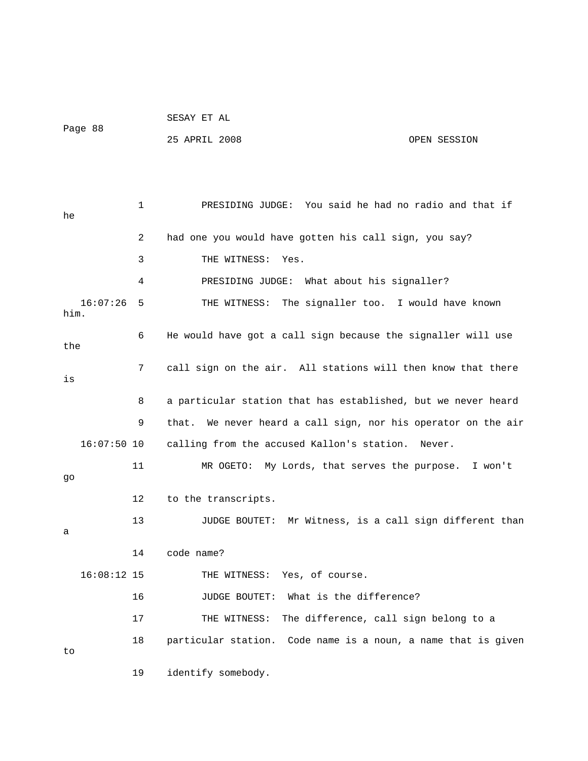|         | SESAY ET AL   |              |
|---------|---------------|--------------|
| Page 88 |               |              |
|         | 25 APRIL 2008 | OPEN SESSION |

 1 PRESIDING JUDGE: You said he had no radio and that if 2 had one you would have gotten his call sign, you say? 3 THE WITNESS: Yes. 4 PRESIDING JUDGE: What about his signaller? 16:07:26 5 THE WITNESS: The signaller too. I would have known him. 6 He would have got a call sign because the signaller will use the 7 call sign on the air. All stations will then know that there 8 a particular station that has established, but we never heard 9 that. We never heard a call sign, nor his operator on the air 16:07:50 10 calling from the accused Kallon's station. Never. 11 MR OGETO: My Lords, that serves the purpose. I won't 12 to the transcripts. 13 JUDGE BOUTET: Mr Witness, is a call sign different than 16 JUDGE BOUTET: What is the difference? 17 THE WITNESS: The difference, call sign belong to a he is go a 14 code name? 16:08:12 15 THE WITNESS: Yes, of course. 18 particular station. Code name is a noun, a name that is given to 19 identify somebody.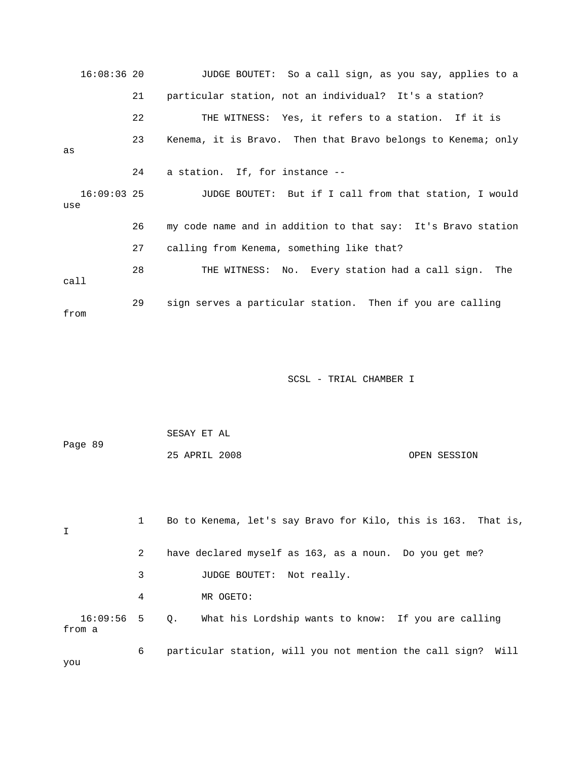16:08:36 20 JUDGE BOUTET: So a call sign, as you say, applies to a 21 particular station, not an individual? It's a station? 23 Kenema, it is Bravo. Then that Bravo belongs to Kenema; only 16:09:03 25 JUDGE BOUTET: But if I call from that station, I would 26 my code name and in addition to that say: It's Bravo station 28 THE WITNESS: No. Every station had a call sign. The 29 sign serves a particular station. Then if you are calling 22 THE WITNESS: Yes, it refers to a station. If it is as 24 a station. If, for instance - use 27 calling from Kenema, something like that? call from

SCSL - TRIAL CHAMBER I

| Page 89                |   | DEDAI EI AL                                                      |
|------------------------|---|------------------------------------------------------------------|
|                        |   | 25 APRIL 2008<br>OPEN SESSION                                    |
|                        |   |                                                                  |
| I                      | 1 | Bo to Kenema, let's say Bravo for Kilo, this is 163. That is,    |
|                        | 2 | have declared myself as 163, as a noun. Do you get me?           |
|                        | 3 | JUDGE BOUTET: Not really.                                        |
|                        | 4 | MR OGETO:                                                        |
| $16:09:56$ 5<br>from a |   | What his Lordship wants to know: If you are calling<br>$\circ$ . |
| you                    | 6 | particular station, will you not mention the call sign? Will     |
|                        |   |                                                                  |

CECAY ET AL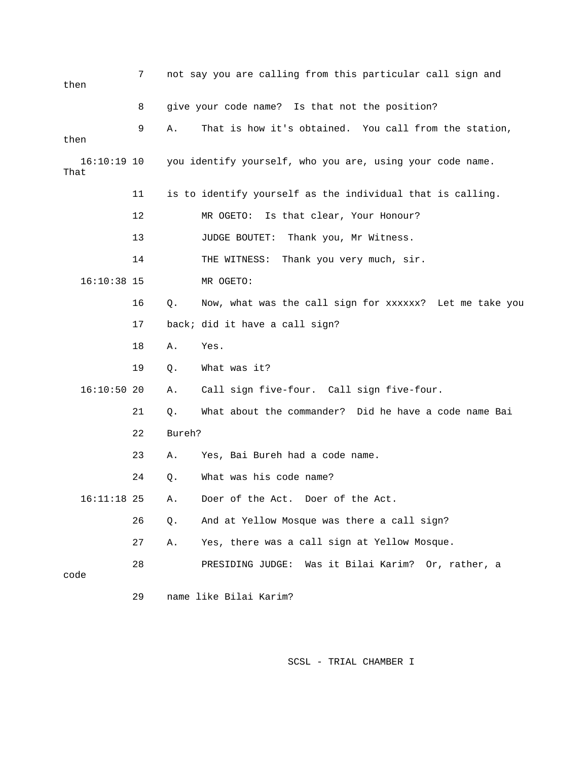| then                | 7  |        | not say you are calling from this particular call sign and |
|---------------------|----|--------|------------------------------------------------------------|
|                     | 8  |        | give your code name? Is that not the position?             |
| then                | 9  | Α.     | That is how it's obtained. You call from the station,      |
| 16:10:19 10<br>That |    |        | you identify yourself, who you are, using your code name.  |
|                     | 11 |        | is to identify yourself as the individual that is calling. |
|                     | 12 |        | Is that clear, Your Honour?<br>MR OGETO:                   |
|                     | 13 |        | JUDGE BOUTET:<br>Thank you, Mr Witness.                    |
|                     | 14 |        | Thank you very much, sir.<br>THE WITNESS:                  |
| $16:10:38$ 15       |    |        | MR OGETO:                                                  |
|                     | 16 | $Q$ .  | Now, what was the call sign for xxxxxx? Let me take you    |
|                     | 17 |        | back; did it have a call sign?                             |
|                     | 18 | Α.     | Yes.                                                       |
|                     | 19 | Q.     | What was it?                                               |
| $16:10:50$ 20       |    | Α.     | Call sign five-four. Call sign five-four.                  |
|                     | 21 | Q.     | What about the commander? Did he have a code name Bai      |
|                     | 22 | Bureh? |                                                            |
|                     | 23 | Α.     | Yes, Bai Bureh had a code name.                            |
|                     | 24 | Q.     | What was his code name?                                    |
| $16:11:18$ 25       |    | Α.     | Doer of the Act.<br>Doer of the Act                        |
|                     | 26 | $Q$ .  | And at Yellow Mosque was there a call sign?                |
|                     | 27 | Α.     | Yes, there was a call sign at Yellow Mosque.               |
| code                | 28 |        | PRESIDING JUDGE: Was it Bilai Karim? Or, rather, a         |

29 name like Bilai Karim?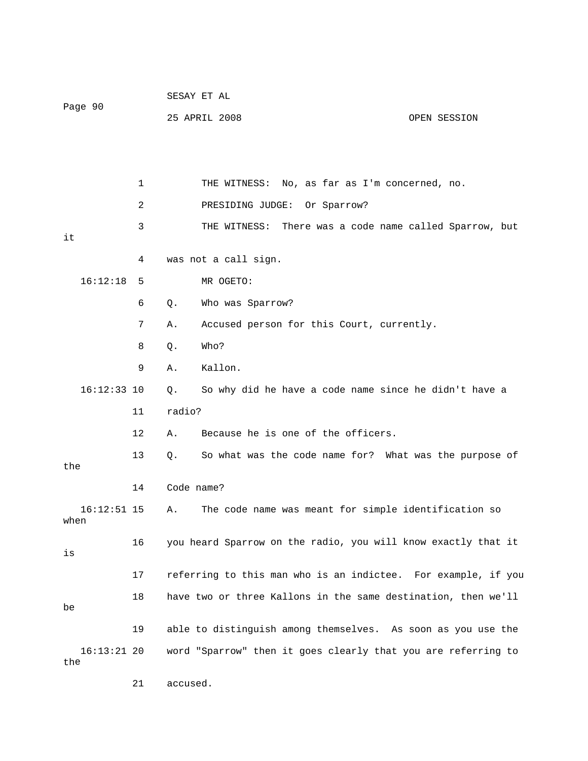| Page 90               |    | SESAY ET AL |                                                               |              |  |
|-----------------------|----|-------------|---------------------------------------------------------------|--------------|--|
|                       |    |             | 25 APRIL 2008                                                 | OPEN SESSION |  |
|                       |    |             |                                                               |              |  |
|                       |    |             |                                                               |              |  |
|                       | 1  |             | THE WITNESS: No, as far as I'm concerned, no.                 |              |  |
|                       | 2  |             | PRESIDING JUDGE: Or Sparrow?                                  |              |  |
|                       | 3  |             | THE WITNESS: There was a code name called Sparrow, but        |              |  |
| it                    |    |             |                                                               |              |  |
|                       | 4  |             | was not a call sign.                                          |              |  |
| 16:12:18              | 5  |             | MR OGETO:                                                     |              |  |
|                       | 6  | Q.          | Who was Sparrow?                                              |              |  |
|                       | 7  | Α.          | Accused person for this Court, currently.                     |              |  |
|                       | 8  | $Q$ .       | Who?                                                          |              |  |
|                       | 9  | Α.          | Kallon.                                                       |              |  |
| $16:12:33$ 10         |    | $Q$ .       | So why did he have a code name since he didn't have a         |              |  |
|                       | 11 | radio?      |                                                               |              |  |
|                       | 12 | Α.          | Because he is one of the officers.                            |              |  |
| the                   | 13 | Q.          | So what was the code name for? What was the purpose of        |              |  |
|                       |    |             |                                                               |              |  |
|                       | 14 | Code name?  |                                                               |              |  |
| $16:12:51$ 15<br>when |    | Α.          | The code name was meant for simple identification so          |              |  |
| is                    | 16 |             | you heard Sparrow on the radio, you will know exactly that it |              |  |
|                       | 17 |             | referring to this man who is an indictee. For example, if you |              |  |
| be                    | 18 |             | have two or three Kallons in the same destination, then we'll |              |  |
|                       | 19 |             | able to distinguish among themselves. As soon as you use the  |              |  |
| $16:13:21$ 20<br>the  |    |             | word "Sparrow" then it goes clearly that you are referring to |              |  |

21 accused.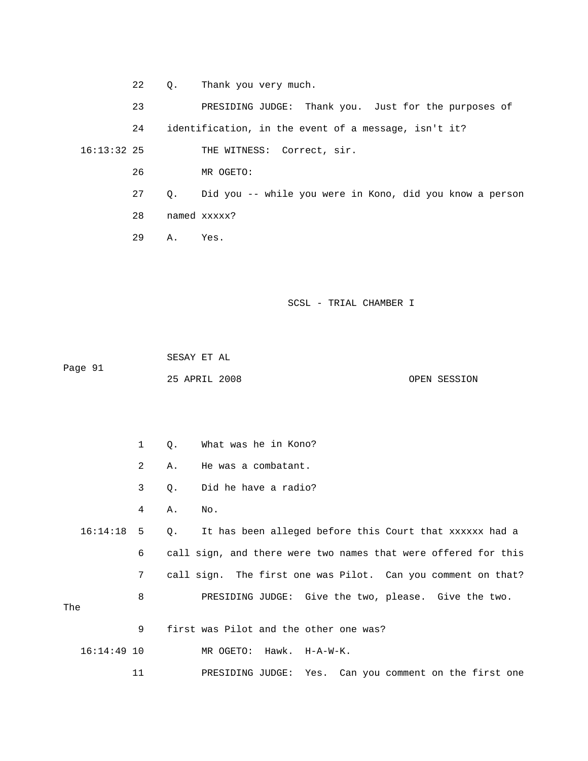22 Q. Thank you very much. 23 PRESIDING JUDGE: Thank you. Just for the purposes of 24 identification, in the event of a message, isn't it? 26 MR OGETO: 27 Q. Did you -- while you were in Kono, did you know a person 16:13:32 25 THE WITNESS: Correct, sir. 28 named xxxxx? 29 A. Yes.

SCSL - TRIAL CHAMBER I

 SESAY ET AL Page 91 25 APRIL 2008 OPEN SESSION

1 Q. What was he in Kono? 2 A. He was a combatant. 3 Q. Did he have a radio? 16:14:18 5 Q. It has been alleged before this Court that xxxxxx had a 6 call sign, and there were two names that were offered for this 7 call sign. The first one was Pilot. Can you comment on that? 8 PRESIDING JUDGE: Give the two, please. Give the two. The 9 first was Pilot and the other one was? 16:14:49 10 MR OGETO: Hawk. H-A-W-K. 11 PRESIDING JUDGE: Yes. Can you comment on the first one 4 A. No.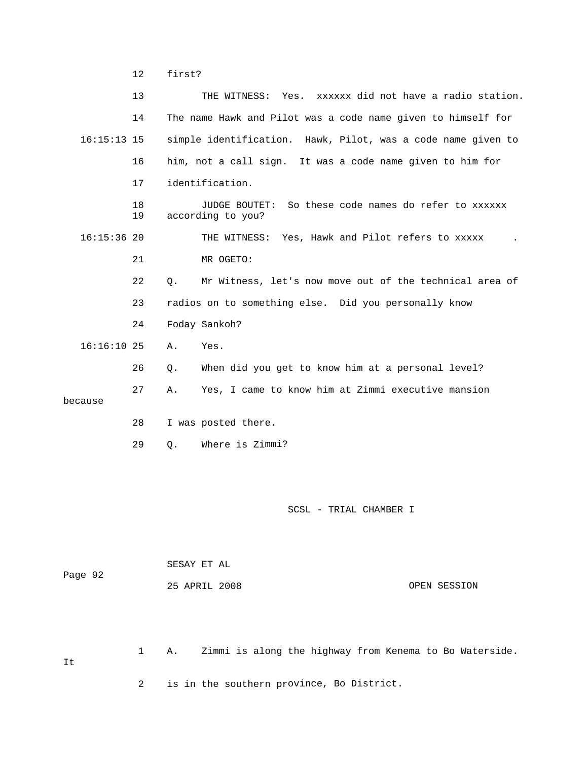12 first?

|               | 13       | THE WITNESS: Yes. XXXXXX did not have a radio station.                       |
|---------------|----------|------------------------------------------------------------------------------|
|               | 14       | The name Hawk and Pilot was a code name given to himself for                 |
| $16:15:13$ 15 |          | simple identification. Hawk, Pilot, was a code name given to                 |
|               | 16       | him, not a call sign. It was a code name given to him for                    |
|               | 17       | identification.                                                              |
|               | 18<br>19 | So these code names do refer to xxxxxx<br>JUDGE BOUTET:<br>according to you? |
| $16:15:36$ 20 |          | THE WITNESS: Yes, Hawk and Pilot refers to xxxxx                             |
|               | 21       | MR OGETO:                                                                    |
|               | 22       | Mr Witness, let's now move out of the technical area of<br>0.                |
|               | 23       | radios on to something else. Did you personally know                         |
|               | 24       | Foday Sankoh?                                                                |
| $16:16:10$ 25 |          | Yes.<br>Α.                                                                   |
|               | 26       | When did you get to know him at a personal level?<br>$\circ$ .               |
|               | 27       | Yes, I came to know him at Zimmi executive mansion<br>Α.                     |
|               |          |                                                                              |
|               | 28       | I was posted there.                                                          |
|               | 29       | Where is Zimmi?<br>$\circ$ .                                                 |
| because       |          |                                                                              |

SCSL - TRIAL CHAMBER I

| Page 92 | SESAY ET AL   |              |  |  |
|---------|---------------|--------------|--|--|
|         | 25 APRIL 2008 | OPEN SESSION |  |  |

1 A. Zimmi is along the highway from Kenema to Bo Waterside. 2 is in the southern province, Bo District. It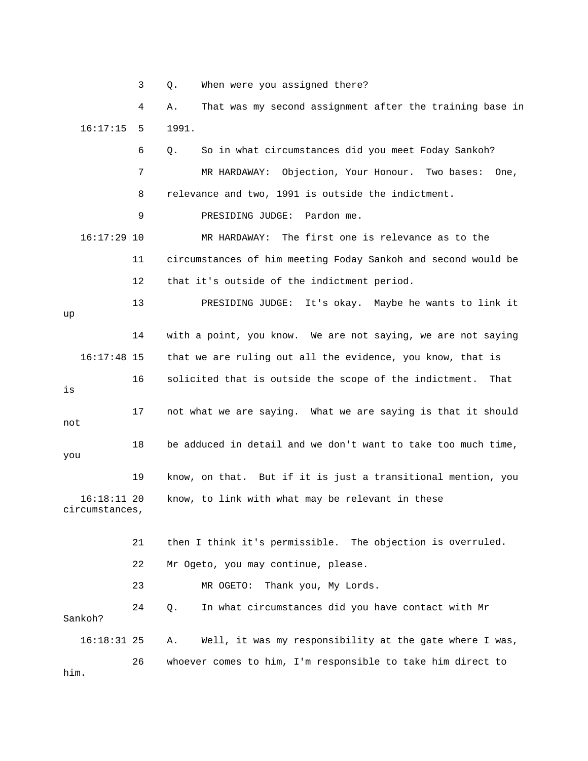3 Q. When were you assigned there?

 4 A. That was my second assignment after the training base in 16:17:15 5 1991.

6 Q. So in what circumstances did you meet Foday Sankoh? 7 MR HARDAWAY: Objection, Your Honour. Two bases: One, 8 relevance and two, 1991 is outside the indictment. 16:17:29 10 MR HARDAWAY: The first one is relevance as to the 11 circumstances of him meeting Foday Sankoh and second would be 13 PRESIDING JUDGE: It's okay. Maybe he wants to link it 14 with a point, you know. We are not saying, we are not saying 16:17:48 15 that we are ruling out all the evidence, you know, that is 17 not what we are saying. What we are saying is that it should not 9 PRESIDING JUDGE: Pardon me. 12 that it's outside of the indictment period. up 16 solicited that is outside the scope of the indictment. That is

19 know, on that. But if it is just a transitional mention, you 18 be adduced in detail and we don't want to take too much time, you 16:18:11 20 know, to link with what may be relevant in these circumstances,

21 then I think it's permissible. The objection is overruled. 23 MR OGETO: Thank you, My Lords. 26 whoever comes to him, I'm responsible to take him direct to 22 Mr Ogeto, you may continue, please. 24 Q. In what circumstances did you have contact with Mr Sankoh? 16:18:31 25 A. Well, it was my responsibility at the gate where I was, him.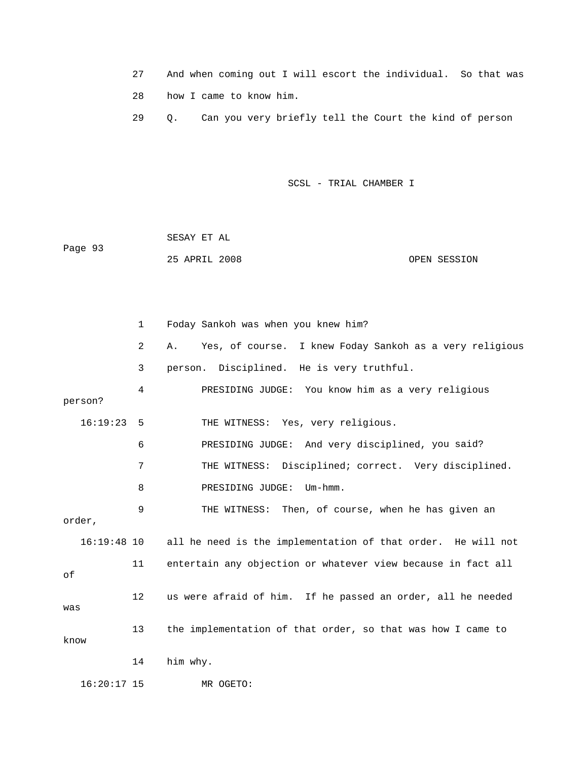- 27 And when coming out I will escort the individual. So that was 28 how I came to know him.
- 29 Q. Can you very briefly tell the Court the kind of person

| Page 93 | SESAY ET AL   |              |
|---------|---------------|--------------|
|         | 25 APRIL 2008 | OPEN SESSION |

|               | $\mathbf 1$ | Foday Sankoh was when you knew him?                              |
|---------------|-------------|------------------------------------------------------------------|
|               | 2           | I knew Foday Sankoh as a very religious<br>Yes, of course.<br>Α. |
|               | 3           | person. Disciplined. He is very truthful.                        |
| person?       | 4           | PRESIDING JUDGE: You know him as a very religious                |
| 16:19:23      | 5           | THE WITNESS: Yes, very religious.                                |
|               | 6           | PRESIDING JUDGE: And very disciplined, you said?                 |
|               | 7           | THE WITNESS: Disciplined; correct. Very disciplined.             |
|               | 8           | PRESIDING JUDGE:<br>$Um - hmm.$                                  |
| order,        | 9           | THE WITNESS: Then, of course, when he has given an               |
| $16:19:48$ 10 |             | all he need is the implementation of that order. He will not     |
| оf            | 11          | entertain any objection or whatever view because in fact all     |
| was           | 12          | us were afraid of him. If he passed an order, all he needed      |
| know          | 13          | the implementation of that order, so that was how I came to      |
|               | 14          | him why.                                                         |
| $16:20:17$ 15 |             | MR OGETO:                                                        |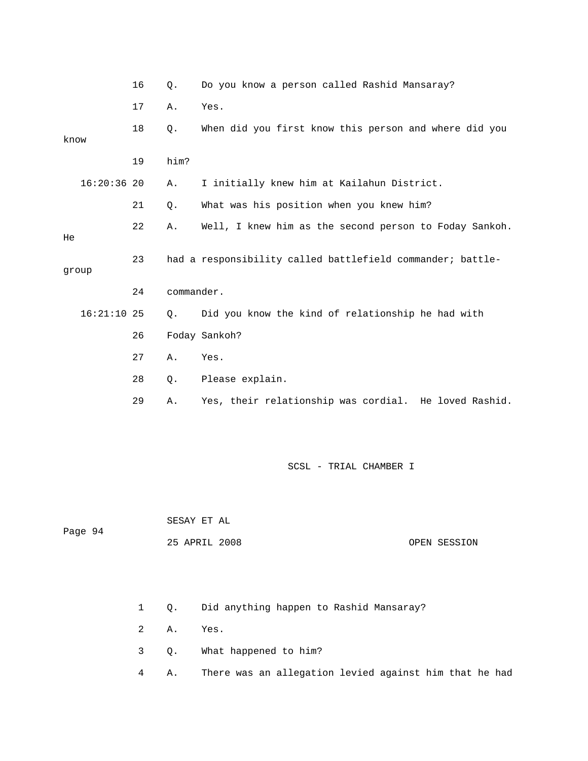|               | 16 | Q.         | Do you know a person called Rashid Mansaray?               |
|---------------|----|------------|------------------------------------------------------------|
|               | 17 | Α.         | Yes.                                                       |
| know          | 18 | $\circ$ .  | When did you first know this person and where did you      |
|               | 19 | him?       |                                                            |
| $16:20:36$ 20 |    | Α.         | I initially knew him at Kailahun District.                 |
|               | 21 | Q.         | What was his position when you knew him?                   |
| He            | 22 | Α.         | Well, I knew him as the second person to Foday Sankoh.     |
| qroup         | 23 |            | had a responsibility called battlefield commander; battle- |
|               | 24 | commander. |                                                            |
| $16:21:10$ 25 |    | Q.         | Did you know the kind of relationship he had with          |
|               | 26 |            | Foday Sankoh?                                              |
|               | 27 | Α.         | Yes.                                                       |
|               | 28 | Q.         | Please explain.                                            |
|               | 29 | Α.         | Yes, their relationship was cordial. He loved Rashid.      |

Page 94

SESAY ET AL

25 APRIL 2008 OPEN SESSION

1 Q. Did anything happen to Rashid Mansaray?

2 A. Yes.

3 Q. What happened to him?

4 A. There was an allegation levied against him that he had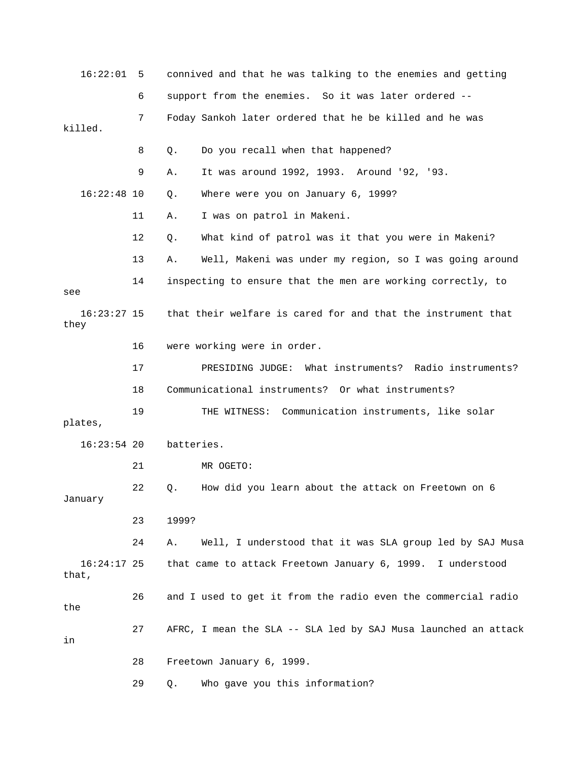16:22:01 5 connived and that he was talking to the enemies and getting 6 support from the enemies. So it was later ordered -- 7 Foday Sankoh later ordered that he be killed and he was killed. 9 A. It was around 1992, 1993. Around '92, '93. 16:22:48 10 Q. Where were you on January 6, 1999? 11 A. I was on patrol in Makeni. 12 Q. What kind of patrol was it that you were in Makeni? 13 A. Well, Makeni was under my region, so I was going around 14 inspecting to ensure that the men are working correctly, to they 17 PRESIDING JUDGE: What instruments? Radio instruments? 18 Communicational instruments? Or what instruments? 19 THE WITNESS: Communication instruments, like solar plates, 21 MR OGETO: 22 Q. How did you learn about the attack on Freetown on 6 a 24 A. Well, I understood that it was SLA group led by SAJ Mus 16:24:17 25 that came to attack Freetown January 6, 1999. I understood 26 and I used to get it from the radio even the commercial radio 28 Freetown January 6, 1999. 29 Q. Who gave you this information? 8 Q. Do you recall when that happened? see 16:23:27 15 that their welfare is cared for and that the instrument that 16 were working were in order. 16:23:54 20 batteries. January 23 1999? that, the 27 AFRC, I mean the SLA -- SLA led by SAJ Musa launched an attack in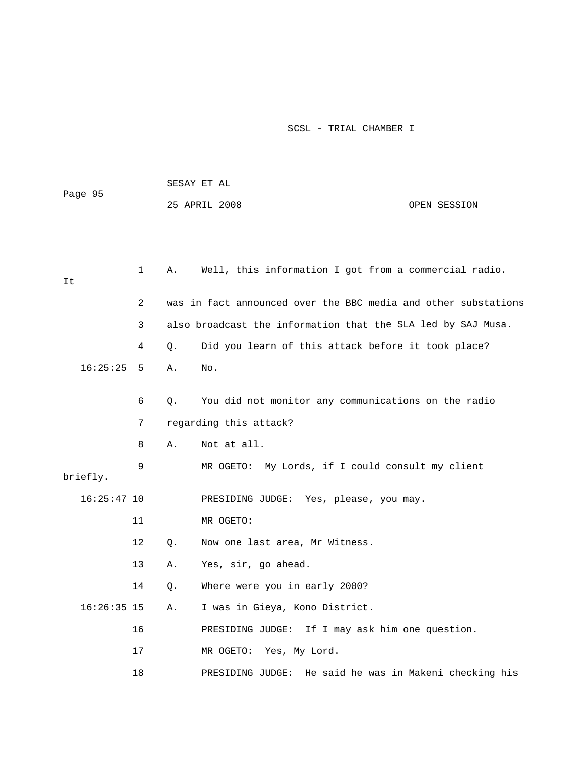| Page 95       |              | SESAY ET AL   |                                                                |                                       |  |  |
|---------------|--------------|---------------|----------------------------------------------------------------|---------------------------------------|--|--|
|               |              | 25 APRIL 2008 |                                                                | OPEN SESSION                          |  |  |
|               |              |               |                                                                |                                       |  |  |
|               |              |               |                                                                |                                       |  |  |
| It            | $\mathbf{1}$ | Α.            | Well, this information I got from a commercial radio.          |                                       |  |  |
|               | 2            |               | was in fact announced over the BBC media and other substations |                                       |  |  |
|               | 3            |               | also broadcast the information that the SLA led by SAJ Musa.   |                                       |  |  |
|               | 4            | Q.            | Did you learn of this attack before it took place?             |                                       |  |  |
| 16:25:25      | 5            | Α.            | No.                                                            |                                       |  |  |
|               |              |               |                                                                |                                       |  |  |
|               | 6            | О.            | You did not monitor any communications on the radio            |                                       |  |  |
|               | 7            |               | regarding this attack?                                         |                                       |  |  |
|               | 8            | Α.            | Not at all.                                                    |                                       |  |  |
| briefly.      | 9            |               | MR OGETO: My Lords, if I could consult my client               |                                       |  |  |
| $16:25:47$ 10 |              |               | PRESIDING JUDGE: Yes, please, you may.                         |                                       |  |  |
|               | 11           |               | MR OGETO:                                                      |                                       |  |  |
|               | 12           | Q.            | Now one last area, Mr Witness.                                 |                                       |  |  |
|               | 13           | Α.            | Yes, sir, go ahead.                                            |                                       |  |  |
|               | 14           | О.            | Where were you in early 2000?                                  |                                       |  |  |
| $16:26:35$ 15 |              | Α.            | I was in Gieya, Kono District.                                 |                                       |  |  |
|               | 16           |               | PRESIDING JUDGE: If I may ask him one question.                |                                       |  |  |
|               | 17           |               | Yes, My Lord.<br>MR OGETO:                                     |                                       |  |  |
|               | 18           |               | PRESIDING JUDGE:                                               | He said he was in Makeni checking his |  |  |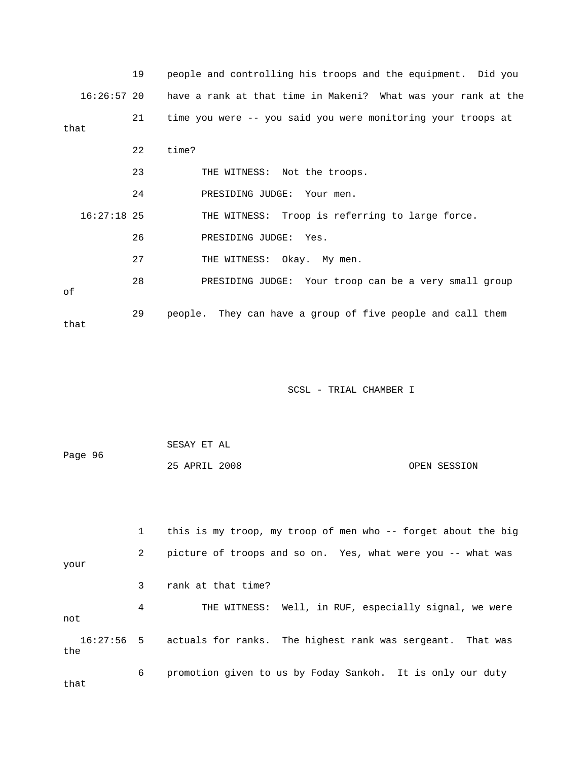|               | 19 | people and controlling his troops and the equipment. Did you  |
|---------------|----|---------------------------------------------------------------|
| 16:26:57 20   |    | have a rank at that time in Makeni? What was your rank at the |
| that          | 21 | time you were -- you said you were monitoring your troops at  |
|               | 22 | time?                                                         |
|               | 23 | THE WITNESS: Not the troops.                                  |
|               | 24 | PRESIDING JUDGE: Your men.                                    |
| $16:27:18$ 25 |    | THE WITNESS: Troop is referring to large force.               |
|               | 26 | PRESIDING JUDGE: Yes.                                         |
|               | 27 | THE WITNESS: Okay. My men.                                    |
| оf            | 28 | PRESIDING JUDGE: Your troop can be a very small group         |
| that          | 29 | people. They can have a group of five people and call them    |

| Page 96 | SESAY ET AL   |              |
|---------|---------------|--------------|
|         | 25 APRIL 2008 | OPEN SESSION |

 1 this is my troop, my troop of men who -- forget about the big 2 picture of troops and so on. Yes, what were you -- what was your 3 rank at that time? 4 THE WITNESS: Well, in RUF, especially signal, we were not 16:27:56 5 actuals for ranks. The highest rank was sergeant. That was 6 promotion given to us by Foday Sankoh. It is only our duty that the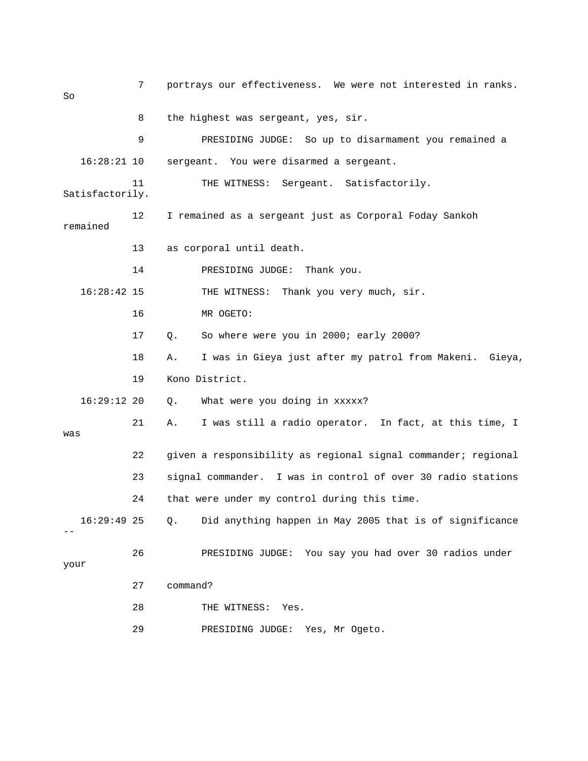7 portrays our effectiveness. We were not interested in ranks. So 8 the highest was sergeant, yes, sir. 9 PRESIDING JUDGE: So up to disarmament you remained a 16:28:21 10 sergeant. You were disarmed a sergeant. 12 I remained as a sergeant just as Corporal Foday Sankoh 14 PRESIDING JUDGE: Thank you. THE WITNESS: Thank you very much, sir. 17 Q. So where were you in 2000; early 2000? 18 A. I was in Gieya just after my patrol from Makeni. Gieya, 21 A. I was still a radio operator. In fact, at this time, I was given a responsibility as regional signal commander; regional 23 signal commander. I was in control of over 30 radio stations 24 that were under my control during this time. 16:29:49 25 Q. Did anything happen in May 2005 that is of significance radios under 26 PRESIDING JUDGE: You say you had over 30 your 27 command? 29 PRESIDING JUDGE: Yes, Mr Ogeto. 11 THE WITNESS: Sergeant. Satisfactorily. Satisfactorily. remained 13 as corporal until death.  $16:28:42$  15 16 MR OGETO: 19 Kono District. 16:29:12 20 Q. What were you doing in xxxxx? 22 -- 28 THE WITNESS: Yes.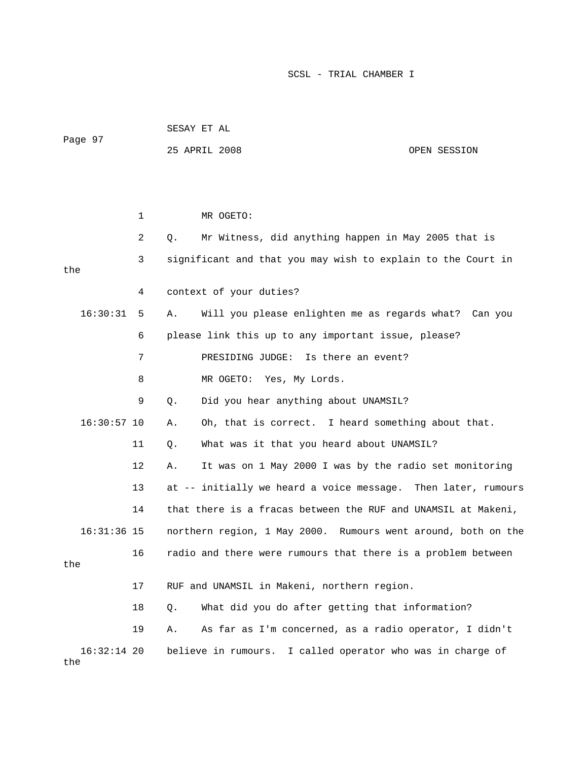| Page 97       |    |    | SESAY ET AL                                                   |              |
|---------------|----|----|---------------------------------------------------------------|--------------|
|               |    |    | 25 APRIL 2008                                                 | OPEN SESSION |
|               |    |    |                                                               |              |
|               |    |    |                                                               |              |
|               | 1  |    | MR OGETO:                                                     |              |
|               | 2  | Q. | Mr Witness, did anything happen in May 2005 that is           |              |
| the           | 3  |    | significant and that you may wish to explain to the Court in  |              |
|               | 4  |    | context of your duties?                                       |              |
| 16:30:31      | 5  | Α. | Will you please enlighten me as regards what? Can you         |              |
|               | 6  |    | please link this up to any important issue, please?           |              |
|               | 7  |    | PRESIDING JUDGE: Is there an event?                           |              |
|               | 8  |    | MR OGETO: Yes, My Lords.                                      |              |
|               | 9  | Q. | Did you hear anything about UNAMSIL?                          |              |
| $16:30:57$ 10 |    | Α. | Oh, that is correct. I heard something about that.            |              |
|               | 11 | Q. | What was it that you heard about UNAMSIL?                     |              |
|               | 12 | Α. | It was on 1 May 2000 I was by the radio set monitoring        |              |
|               | 13 |    | at -- initially we heard a voice message. Then later, rumours |              |
|               | 14 |    | that there is a fracas between the RUF and UNAMSIL at Makeni, |              |
| $16:31:36$ 15 |    |    | northern region, 1 May 2000. Rumours went around, both on the |              |
|               | 16 |    | radio and there were rumours that there is a problem between  |              |
| the           |    |    |                                                               |              |
|               | 17 |    | RUF and UNAMSIL in Makeni, northern region.                   |              |
|               | 18 | Q. | What did you do after getting that information?               |              |
|               | 19 | Α. | As far as I'm concerned, as a radio operator, I didn't        |              |
| $16:32:14$ 20 |    |    | I called operator who was in charge of<br>believe in rumours. |              |

the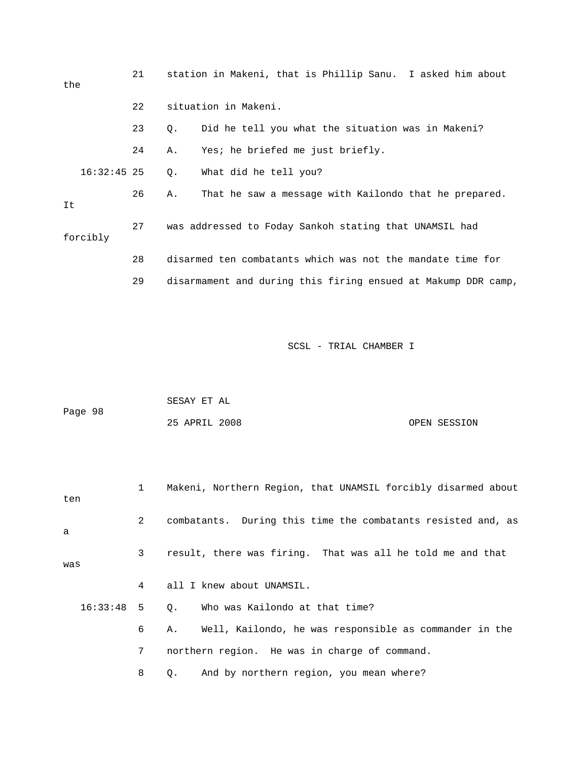| the      |               | 21 |                                                               | station in Makeni, that is Phillip Sanu. I asked him about |  |  |  |
|----------|---------------|----|---------------------------------------------------------------|------------------------------------------------------------|--|--|--|
|          |               | 22 |                                                               | situation in Makeni.                                       |  |  |  |
|          |               | 23 | Q.                                                            | Did he tell you what the situation was in Makeni?          |  |  |  |
|          |               | 24 | Α.                                                            | Yes; he briefed me just briefly.                           |  |  |  |
|          | $16:32:45$ 25 |    | Q.                                                            | What did he tell you?                                      |  |  |  |
| It       |               | 26 | Α.                                                            | That he saw a message with Kailondo that he prepared.      |  |  |  |
| forcibly |               | 27 |                                                               | was addressed to Foday Sankoh stating that UNAMSIL had     |  |  |  |
|          |               | 28 |                                                               | disarmed ten combatants which was not the mandate time for |  |  |  |
|          |               | 29 | disarmament and during this firing ensued at Makump DDR camp, |                                                            |  |  |  |

| Page 98 | SESAY ET AL   |  |              |
|---------|---------------|--|--------------|
|         | 25 APRIL 2008 |  | OPEN SESSION |

| ten          | $\mathbf{1}$ | Makeni, Northern Region, that UNAMSIL forcibly disarmed about |
|--------------|--------------|---------------------------------------------------------------|
| $\mathsf{a}$ | $2^{\circ}$  | combatants. During this time the combatants resisted and, as  |
| was          | 3            | result, there was firing. That was all he told me and that    |
|              | 4            | all I knew about UNAMSIL.                                     |
| $16:33:48$ 5 |              | Who was Kailondo at that time?<br>$\circ$ .                   |
|              | 6            | Well, Kailondo, he was responsible as commander in the<br>A., |
|              | 7            | northern region. He was in charge of command.                 |
|              | 8            | And by northern region, you mean where?<br>О.                 |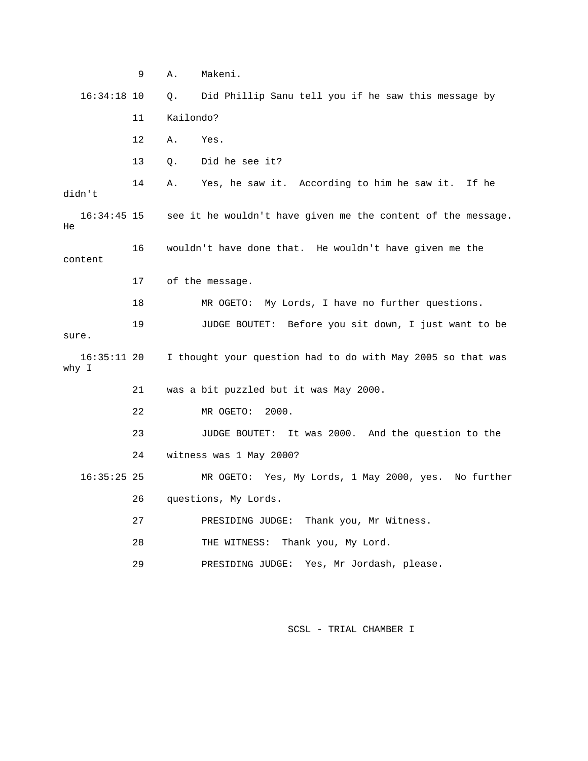9 A. Makeni. 16:34:18 10 Q. Did Phillip Sanu tell you if he saw this message by 11 Kailondo? 12 A. Yes. 13 Q. Did he see it? didn't 16 wouldn't have done that. He wouldn't have given me the content 18 MR OGETO: My Lords, I have no further questions. 19 JUDGE BOUTET: Before you sit down, I just want to be 16:35:11 20 I thought your question had to do with May 2005 so that was y I wh 21 was a bit puzzled but it was May 2000. 22 MR OGETO: 2000. 23 JUDGE BOUTET: It was 2000. And the question to the 24 witness was 1 May 2000? er 16:35:25 25 MR OGETO: Yes, My Lords, 1 May 2000, yes. No furth 27 PRESIDING JUDGE: Thank you, Mr Witness. UDGE: Yes, Mr Jordash, please. 29 PRESIDING J 14 A. Yes, he saw it. According to him he saw it. If he 16:34:45 15 see it he wouldn't have given me the content of the message. He 17 of the message. sure. 26 questions, My Lords. 28 THE WITNESS: Thank you, My Lord.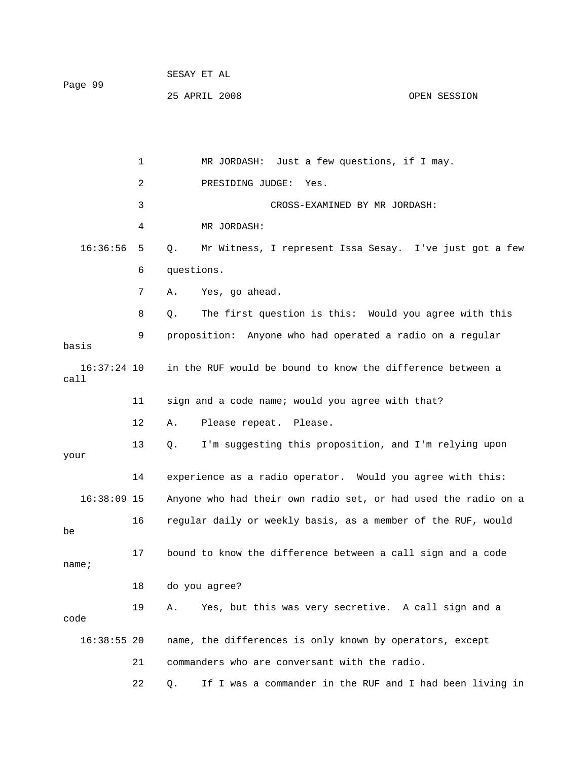25 APRIL 2008 OPEN SESSION

1 MR JORDASH: Just a few questions, if I may. 3 CROSS-EXAMINED BY MR JORDASH: 16:36:56 5 Q. Mr Witness, I represent Issa Sesay. I've just got a few 6 questions. 8 Q. The first question is this: Would you agree with this 9 proposition: Anyone who had operated a radio on a regular 16:37:24 10 in the RUF would be bound to know the difference between a 11 sign and a code name; would you agree with that? 12 A. Please repeat. Please. 13 Q. I'm suggesting this proposition, and I'm relying upon 14 experience as a radio operator. Would you agree with this: 16:38:09 15 Anyone who had their own radio set, or had used the radio on a 17 bound to know the difference between a call sign and a code 21 commanders who are conversant with the radio. 22 Q. If I was a commander in the RUF and I had been living in 2 PRESIDING JUDGE: Yes. 4 MR JORDASH: 7 A. Yes, go ahead. basis call your 16 regular daily or weekly basis, as a member of the RUF, would be name; 18 do you agree? 19 A. Yes, but this was very secretive. A call sign and a code 16:38:55 20 name, the differences is only known by operators, except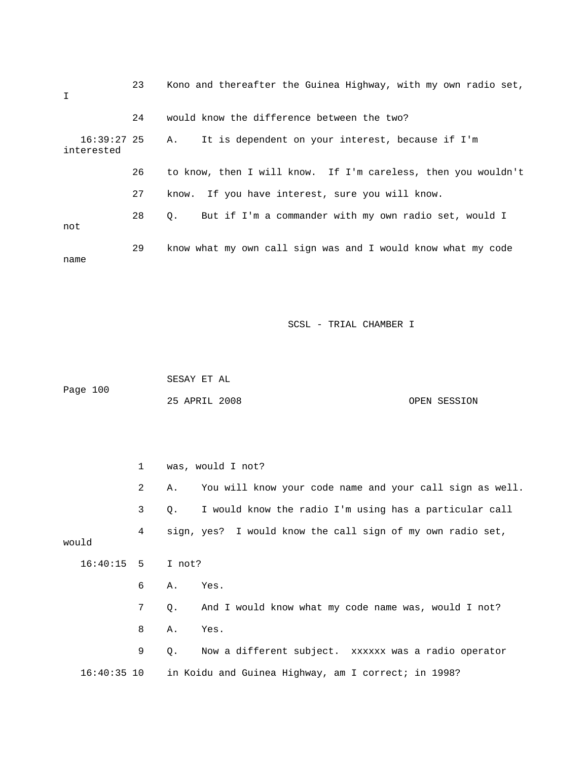| I                           | 23 | Kono and thereafter the Guinea Highway, with my own radio set,     |
|-----------------------------|----|--------------------------------------------------------------------|
|                             | 24 | would know the difference between the two?                         |
| $16:39:27$ 25<br>interested |    | It is dependent on your interest, because if I'm<br>А.             |
|                             | 26 | to know, then I will know. If I'm careless, then you wouldn't      |
|                             | 27 | know. If you have interest, sure you will know.                    |
| not                         | 28 | But if I'm a commander with my own radio set, would I<br>$\circ$ . |
| name                        | 29 | know what my own call sign was and I would know what my code       |

 SESAY ET AL 25 APRIL 2008 OPEN SESSION Page 100

. 2 A. You will know your code name and your call sign as well 3 Q. I would know the radio I'm using has a particular call 4 sign, yes? I would know the call sign of my own radio set, 16:40:15 5 I not? 6 A. Yes. 7 Q. And I would know what my code name was, would I not? 8 A. Yes. 1 was, would I not? would 9 Q. Now a different subject. xxxxxx was a radio operator 16:40:35 10 in Koidu and Guinea Highway, am I correct; in 1998?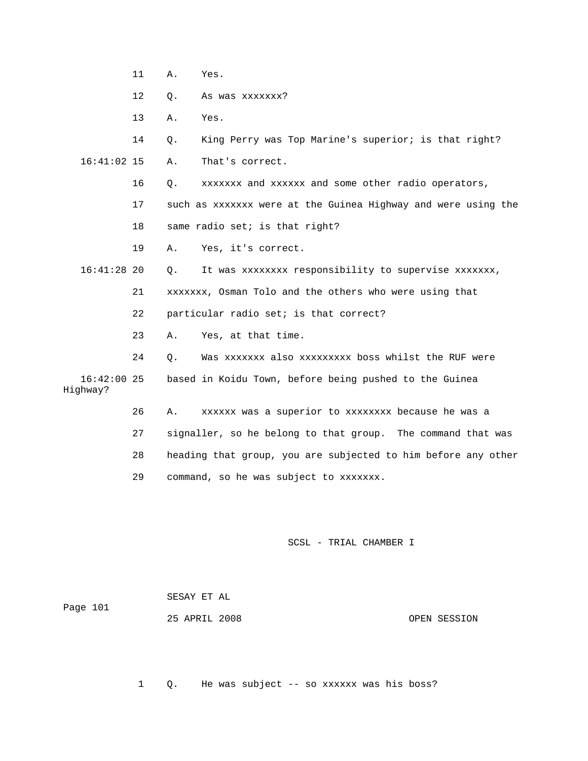- 11 A. Yes.
- 12 Q. As was xxxxxxx?

13 A. Yes.

 14 Q. King Perry was Top Marine's superior; is that right? 16:41:02 15 A. That's correct.

- 16 Q. xxxxxxx and xxxxxx and some other radio operators,
- 17 such as xxxxxxx were at the Guinea Highway and were using the
- 18 same radio set; is that right?
- 19 A. Yes, it's correct.
- 16:41:28 20 Q. It was xxxxxxxx responsibility to supervise xxxxxxx,
	- 21 xxxxxxx, Osman Tolo and the others who were using that
	- 22 particular radio set; is that correct?
	- 23 A. Yes, at that time.

 24 Q. Was xxxxxxx also xxxxxxxxx boss whilst the RUF were 16:42:00 25 based in Koidu Town, before being pushed to the Guinea Highway?

27 signaller, so he belong to that group. The command that was 28 heading that group, you are subjected to him before any other 26 A. xxxxxx was a superior to xxxxxxxx because he was a 29 command, so he was subject to xxxxxxx.

SCSL - TRIAL CHAMBER I

| Page 101 | SESAY ET AL   |  |              |
|----------|---------------|--|--------------|
|          | 25 APRIL 2008 |  | OPEN SESSION |

1 Q. He was subject -- so xxxxxx was his boss?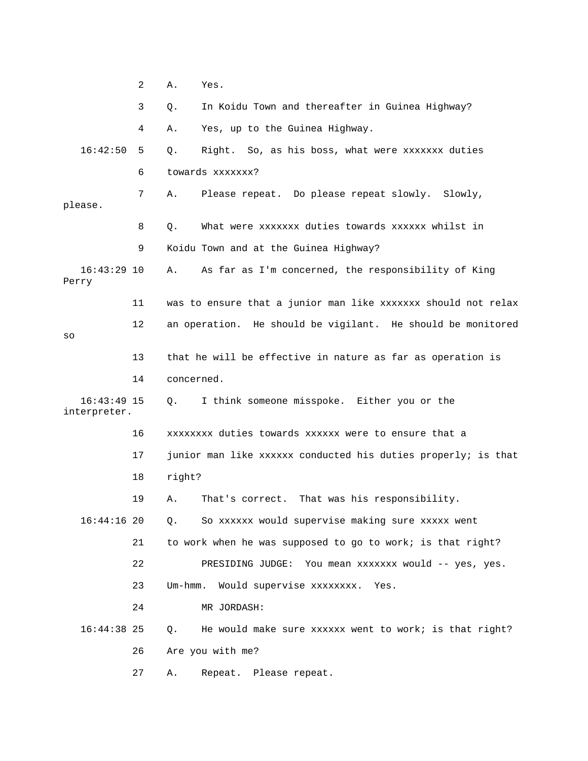|                               | 2  | Α.<br>Yes.                                                    |
|-------------------------------|----|---------------------------------------------------------------|
|                               | 3  | In Koidu Town and thereafter in Guinea Highway?<br>Q.         |
|                               | 4  | Yes, up to the Guinea Highway.<br>Α.                          |
| 16:42:50                      | 5  | Right. So, as his boss, what were xxxxxxx duties<br>Q.        |
|                               | 6  | towards xxxxxxx?                                              |
| please.                       | 7  | Please repeat. Do please repeat slowly. Slowly,<br>Α.         |
|                               | 8  | What were xxxxxxx duties towards xxxxxx whilst in<br>Q.       |
|                               | 9  | Koidu Town and at the Guinea Highway?                         |
| $16:43:29$ 10<br>Perry        |    | As far as I'm concerned, the responsibility of King<br>Α.     |
|                               | 11 | was to ensure that a junior man like xxxxxxx should not relax |
| SO                            | 12 | an operation. He should be vigilant. He should be monitored   |
|                               | 13 | that he will be effective in nature as far as operation is    |
|                               | 14 | concerned.                                                    |
| $16:43:49$ 15<br>interpreter. |    | I think someone misspoke. Either you or the<br>Q.             |
|                               | 16 | xxxxxxxx duties towards xxxxxx were to ensure that a          |
|                               | 17 | junior man like xxxxxx conducted his duties properly; is that |
|                               | 18 | right?                                                        |
|                               | 19 | That was his responsibility.<br>That's correct.<br>Α.         |
| $16:44:16$ 20                 |    | So xxxxxx would supervise making sure xxxxx went<br>Q.        |
|                               | 21 | to work when he was supposed to go to work; is that right?    |
|                               | 22 | PRESIDING JUDGE: You mean xxxxxxx would -- yes, yes.          |
|                               | 23 | Would supervise xxxxxxxx.<br>Um-hmm.<br>Yes.                  |
|                               | 24 | MR JORDASH:                                                   |
| $16:44:38$ 25                 |    | He would make sure xxxxxx went to work; is that right?<br>Q.  |
|                               | 26 | Are you with me?                                              |
|                               | 27 | Please repeat.<br>Repeat.<br>Α.                               |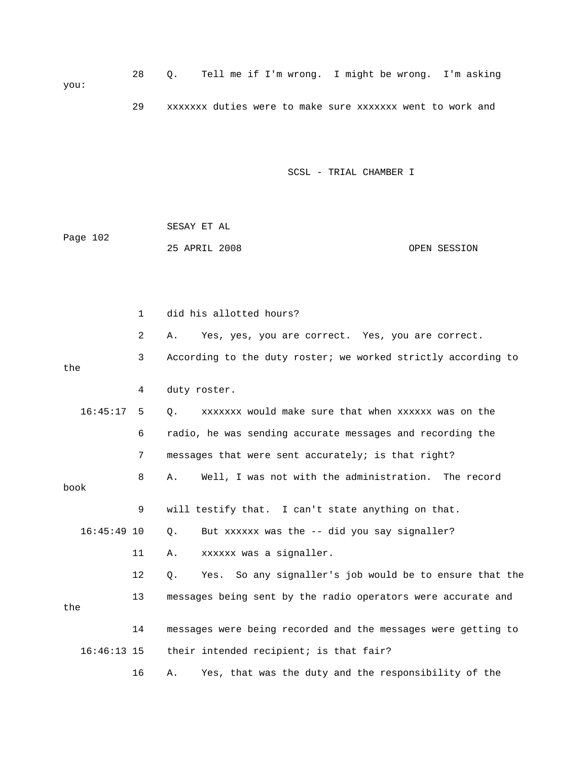|      | 28 0. |  | Tell me if I'm wrong. I might be wrong. I'm asking        |  |  |  |
|------|-------|--|-----------------------------------------------------------|--|--|--|
| vou: |       |  |                                                           |  |  |  |
|      |       |  | xxxxxxx duties were to make sure xxxxxxx went to work and |  |  |  |

| Page 102 | SESAY ET AL   |  |              |
|----------|---------------|--|--------------|
|          | 25 APRIL 2008 |  | OPEN SESSION |

|      |               | $\mathbf{1}$      | did his allotted hours?                                       |  |  |  |  |
|------|---------------|-------------------|---------------------------------------------------------------|--|--|--|--|
|      |               | $\overline{2}$    | Yes, yes, you are correct. Yes, you are correct.<br>Α.        |  |  |  |  |
| the  |               | 3                 | According to the duty roster; we worked strictly according to |  |  |  |  |
|      |               | 4                 | duty roster.                                                  |  |  |  |  |
|      | 16:45:17      | - 5               | xxxxxxx would make sure that when xxxxxx was on the<br>О.     |  |  |  |  |
|      |               | 6                 | radio, he was sending accurate messages and recording the     |  |  |  |  |
|      |               | 7                 | messages that were sent accurately; is that right?            |  |  |  |  |
| book |               | 8                 | Well, I was not with the administration. The record<br>Α.     |  |  |  |  |
|      |               | 9                 | will testify that. I can't state anything on that.            |  |  |  |  |
|      | $16:45:49$ 10 |                   | But xxxxxx was the -- did you say signaller?<br>$Q$ .         |  |  |  |  |
|      |               | 11                | xxxxxx was a signaller.<br>Α.                                 |  |  |  |  |
|      |               | $12 \overline{ }$ | Yes. So any signaller's job would be to ensure that the<br>Q. |  |  |  |  |
| the  |               | 13                | messages being sent by the radio operators were accurate and  |  |  |  |  |
|      |               | 14                | messages were being recorded and the messages were getting to |  |  |  |  |
|      | $16:46:13$ 15 |                   | their intended recipient; is that fair?                       |  |  |  |  |

16 A. Yes, that was the duty and the responsibility of the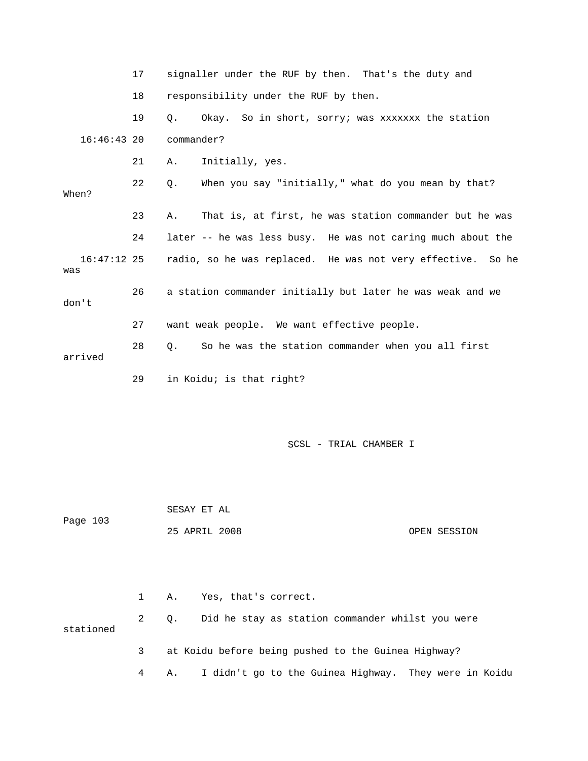|                    | 17 | signaller under the RUF by then. That's the duty and           |
|--------------------|----|----------------------------------------------------------------|
|                    | 18 | responsibility under the RUF by then.                          |
|                    | 19 | Okay. So in short, sorry; was xxxxxxx the station<br>$\circ$ . |
| $16:46:43$ 20      |    | commander?                                                     |
|                    | 21 | Initially, yes.<br>Α.                                          |
| When?              | 22 | When you say "initially," what do you mean by that?<br>О.      |
|                    | 23 | That is, at first, he was station commander but he was<br>Α.   |
|                    | 24 | later -- he was less busy. He was not caring much about the    |
| 16:47:12 25<br>was |    | radio, so he was replaced. He was not very effective. So he    |
| don't              | 26 | a station commander initially but later he was weak and we     |
|                    | 27 | want weak people. We want effective people.                    |
| arrived            | 28 | So he was the station commander when you all first<br>О.       |
|                    | 29 | in Koidu; is that right?                                       |

Page 103 SESAY ET AL 25 APRIL 2008 OPEN SESSION

3 at Koidu before being pushed to the Guinea Highway? 1 A. Yes, that's correct. 2 Q. Did he stay as station commander whilst you were stationed

4 A. I didn't go to the Guinea Highway. They were in Koidu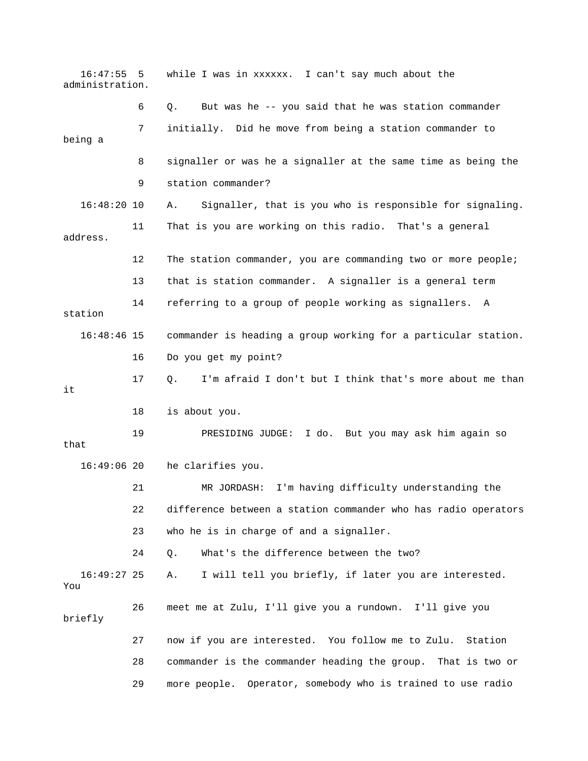| $16:47:55$ 5<br>administration. |    | while I was in xxxxxx. I can't say much about the              |
|---------------------------------|----|----------------------------------------------------------------|
|                                 | 6  | But was he -- you said that he was station commander<br>Q.     |
| being a                         | 7  | initially. Did he move from being a station commander to       |
|                                 | 8  | signaller or was he a signaller at the same time as being the  |
|                                 | 9  | station commander?                                             |
| $16:48:20$ 10                   |    | Signaller, that is you who is responsible for signaling.<br>Α. |
| address.                        | 11 | That is you are working on this radio.<br>That's a general     |
|                                 | 12 | The station commander, you are commanding two or more people;  |
|                                 | 13 | that is station commander. A signaller is a general term       |
| station                         | 14 | referring to a group of people working as signallers. A        |
| $16:48:46$ 15                   |    | commander is heading a group working for a particular station. |
|                                 | 16 | Do you get my point?                                           |
| it                              | 17 | I'm afraid I don't but I think that's more about me than<br>Q. |
|                                 | 18 | is about you.                                                  |
| that                            | 19 | PRESIDING JUDGE: I do. But you may ask him again so            |
| $16:49:06$ 20                   |    | he clarifies you.                                              |
|                                 | 21 | MR JORDASH:<br>I'm having difficulty understanding the         |
|                                 | 22 | difference between a station commander who has radio operators |
|                                 | 23 | who he is in charge of and a signaller.                        |
|                                 | 24 | What's the difference between the two?<br>$Q$ .                |
| $16:49:27$ 25<br>You            |    | I will tell you briefly, if later you are interested.<br>Α.    |
| briefly                         | 26 | meet me at Zulu, I'll give you a rundown. I'll give you        |
|                                 | 27 | now if you are interested. You follow me to Zulu.<br>Station   |
|                                 | 28 | commander is the commander heading the group. That is two or   |
|                                 | 29 | Operator, somebody who is trained to use radio<br>more people. |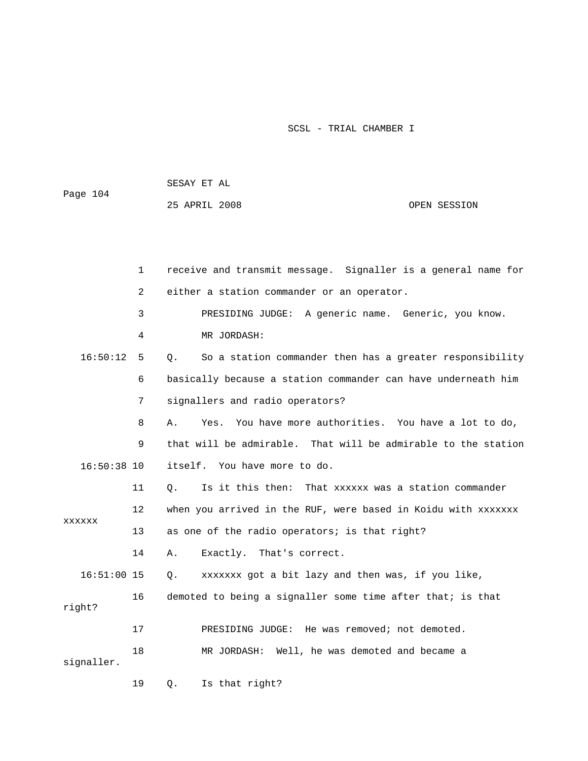|               |              | 25 APRIL 2008                                              | OPEN SESSION                                                  |
|---------------|--------------|------------------------------------------------------------|---------------------------------------------------------------|
|               |              |                                                            |                                                               |
|               |              |                                                            |                                                               |
|               | $\mathbf{1}$ |                                                            | receive and transmit message. Signaller is a general name for |
|               | 2            | either a station commander or an operator.                 |                                                               |
|               | 3            |                                                            | PRESIDING JUDGE: A generic name. Generic, you know.           |
|               | 4            | MR JORDASH:                                                |                                                               |
| 16:50:12      | 5            | О.                                                         | So a station commander then has a greater responsibility      |
|               | 6            |                                                            | basically because a station commander can have underneath him |
|               | 7            | signallers and radio operators?                            |                                                               |
|               | 8            | Α.<br>Yes.                                                 | You have more authorities. You have a lot to do,              |
|               | 9            | that will be admirable.                                    | That will be admirable to the station                         |
| $16:50:38$ 10 |              | itself.<br>You have more to do.                            |                                                               |
|               | 11           | О.                                                         | Is it this then: That xxxxxx was a station commander          |
|               | 12           |                                                            | when you arrived in the RUF, were based in Koidu with xxxxxxx |
| <b>XXXXXX</b> | 13           | as one of the radio operators; is that right?              |                                                               |
|               | 14           | Exactly. That's correct.<br>Α.                             |                                                               |
| $16:51:00$ 15 |              | О.                                                         | xxxxxxx got a bit lazy and then was, if you like,             |
| right?        | 16           | demoted to being a signaller some time after that; is that |                                                               |
|               |              |                                                            |                                                               |
|               | 17           | PRESIDING JUDGE: He was removed; not demoted.              |                                                               |
| signaller.    | 18           | MR JORDASH: Well, he was demoted and became a              |                                                               |
|               | 19           | Is that right?<br>Q.                                       |                                                               |

Page 104

SESAY ET AL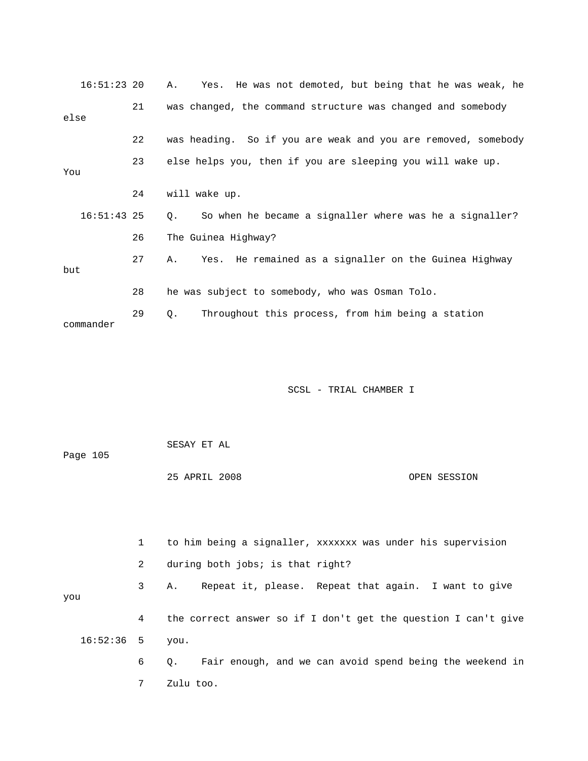| $16:51:23$ 20 |    | Yes. He was not demoted, but being that he was weak, he<br>Α. |
|---------------|----|---------------------------------------------------------------|
| else          | 21 | was changed, the command structure was changed and somebody   |
|               | 22 | was heading. So if you are weak and you are removed, somebody |
| You           | 23 | else helps you, then if you are sleeping you will wake up.    |
|               | 24 | will wake up.                                                 |
| $16:51:43$ 25 |    | So when he became a signaller where was he a signaller?<br>О. |
|               | 26 | The Guinea Highway?                                           |
| but           | 27 | Yes. He remained as a signaller on the Guinea Highway<br>Α.   |
|               | 28 | he was subject to somebody, who was Osman Tolo.               |
| commander     | 29 | Throughout this process, from him being a station<br>Q.       |

Page 105 OPEN SESSION 3 A. Repeat it, please. Repeat that again. I want to give 4 the correct answer so if I don't get the question I can't give 16:52:36 5 you. 6 Q. Fair enough, and we can avoid spend being the weekend in 7 Zulu too. 25 APRIL 2008 1 to him being a signaller, xxxxxxx was under his supervision 2 during both jobs; is that right? you

SESAY ET AL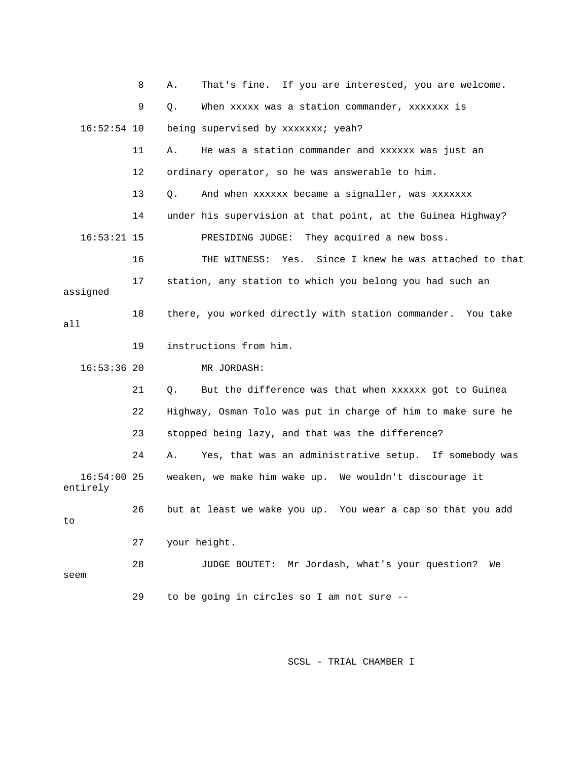|                           | 8  | That's fine. If you are interested, you are welcome.<br>Α.   |
|---------------------------|----|--------------------------------------------------------------|
|                           | 9  | When xxxxx was a station commander, xxxxxxx is<br>Q.         |
| $16:52:54$ 10             |    | being supervised by xxxxxxx; yeah?                           |
|                           | 11 | He was a station commander and xxxxxx was just an<br>Α.      |
|                           | 12 | ordinary operator, so he was answerable to him.              |
|                           | 13 | And when xxxxxx became a signaller, was xxxxxxx<br>Q.        |
|                           | 14 | under his supervision at that point, at the Guinea Highway?  |
| $16:53:21$ 15             |    | PRESIDING JUDGE: They acquired a new boss.                   |
|                           | 16 | Yes. Since I knew he was attached to that<br>THE WITNESS:    |
| assigned                  | 17 | station, any station to which you belong you had such an     |
| all                       | 18 | there, you worked directly with station commander. You take  |
|                           | 19 | instructions from him.                                       |
| $16:53:36$ 20             |    | MR JORDASH:                                                  |
|                           | 21 | But the difference was that when xxxxxx got to Guinea<br>Q.  |
|                           | 22 | Highway, Osman Tolo was put in charge of him to make sure he |
|                           | 23 | stopped being lazy, and that was the difference?             |
|                           | 24 | Yes, that was an administrative setup. If somebody was<br>Α. |
| $16:54:00$ 25<br>entirely |    | weaken, we make him wake up. We wouldn't discourage it       |
| to                        | 26 | but at least we wake you up. You wear a cap so that you add  |
|                           | 27 | your height.                                                 |
| seem                      | 28 | JUDGE BOUTET: Mr Jordash, what's your question?<br>We        |
|                           | 29 | to be going in circles so I am not sure --                   |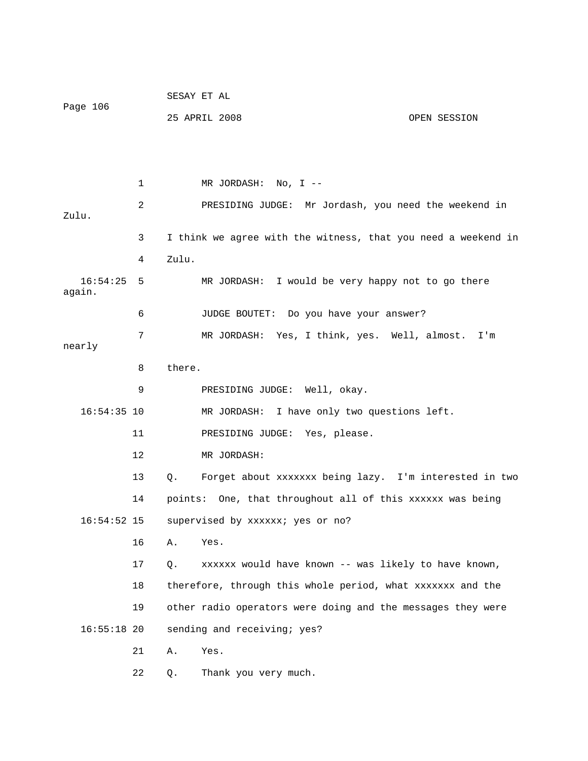| Page 106               |    |             | SESAY ET AL                                                   |              |
|------------------------|----|-------------|---------------------------------------------------------------|--------------|
|                        |    |             | 25 APRIL 2008                                                 | OPEN SESSION |
|                        |    |             |                                                               |              |
|                        |    |             |                                                               |              |
|                        | 1  |             | MR JORDASH: No, I --                                          |              |
| Zulu.                  | 2  |             | PRESIDING JUDGE: Mr Jordash, you need the weekend in          |              |
|                        | 3  |             | I think we agree with the witness, that you need a weekend in |              |
|                        | 4  | Zulu.       |                                                               |              |
|                        |    |             |                                                               |              |
| $16:54:25$ 5<br>again. |    |             | MR JORDASH: I would be very happy not to go there             |              |
|                        | 6  |             | JUDGE BOUTET: Do you have your answer?                        |              |
| nearly                 | 7  |             | MR JORDASH: Yes, I think, yes. Well, almost.                  | I'm          |
|                        | 8  | there.      |                                                               |              |
|                        |    |             |                                                               |              |
|                        | 9  |             | PRESIDING JUDGE: Well, okay.                                  |              |
| $16:54:35$ 10          |    |             | MR JORDASH: I have only two questions left.                   |              |
|                        | 11 |             | PRESIDING JUDGE: Yes, please.                                 |              |
|                        | 12 |             | MR JORDASH:                                                   |              |
|                        | 13 | $Q_{\star}$ | Forget about xxxxxxx being lazy. I'm interested in two        |              |
|                        | 14 |             | points: One, that throughout all of this xxxxxx was being     |              |
|                        |    |             | 16:54:52 15 supervised by xxxxxx; yes or no?                  |              |
|                        | 16 | Α.          | Yes.                                                          |              |
|                        | 17 | Q.          | xxxxxx would have known -- was likely to have known,          |              |
|                        | 18 |             | therefore, through this whole period, what xxxxxxx and the    |              |
|                        | 19 |             | other radio operators were doing and the messages they were   |              |
| $16:55:18$ 20          |    |             | sending and receiving; yes?                                   |              |
|                        | 21 | Α.          | Yes.                                                          |              |
|                        | 22 | Q.          | Thank you very much.                                          |              |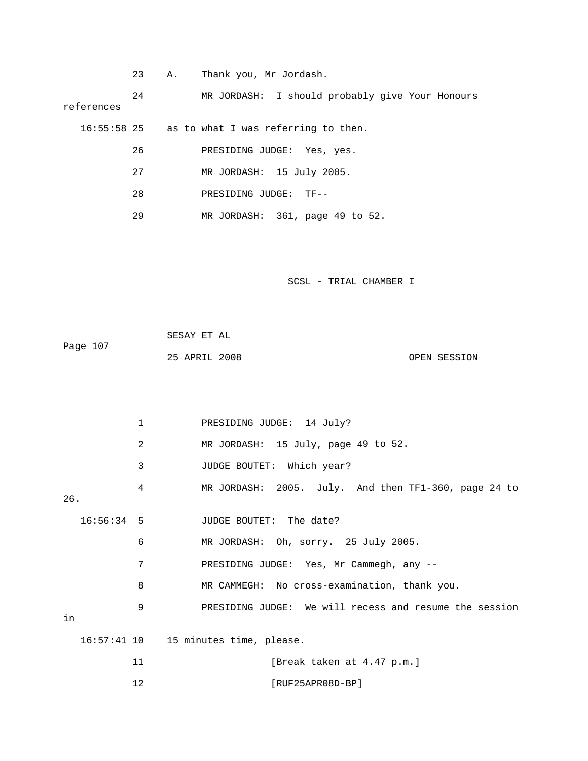|             | 23 | Α. | Thank you, Mr Jordash.                          |
|-------------|----|----|-------------------------------------------------|
| references  | 24 |    | MR JORDASH: I should probably give Your Honours |
| 16:55:58 25 |    |    | as to what I was referring to then.             |
|             | 26 |    | PRESIDING JUDGE: Yes, yes.                      |
|             | 27 |    | MR JORDASH: 15 July 2005.                       |
|             | 28 |    | PRESIDING JUDGE: TF--                           |
|             | 29 |    | MR JORDASH: 361, page 49 to 52.                 |

|          | SESAY ET AL   |  |              |
|----------|---------------|--|--------------|
| Page 107 |               |  |              |
|          | 25 APRIL 2008 |  | OPEN SESSION |

|     |              | 1              | PRESIDING JUDGE: 14 July?                              |
|-----|--------------|----------------|--------------------------------------------------------|
|     |              | $\overline{2}$ | MR JORDASH: 15 July, page 49 to 52.                    |
|     |              | 3              | JUDGE BOUTET: Which year?                              |
| 26. |              | 4              | MR JORDASH: 2005. July. And then TF1-360, page 24 to   |
|     |              |                |                                                        |
|     | $16:56:34$ 5 |                | JUDGE BOUTET: The date?                                |
|     |              | 6              | MR JORDASH: Oh, sorry. 25 July 2005.                   |
|     |              | 7              | PRESIDING JUDGE: Yes, Mr Cammegh, any --               |
|     |              | 8              | MR CAMMEGH: No cross-examination, thank you.           |
| in  |              | 9              | PRESIDING JUDGE: We will recess and resume the session |
|     |              |                | 16:57:41 10 15 minutes time, please.                   |
|     |              | 11             | [Break taken at 4.47 p.m.]                             |
|     |              |                |                                                        |
|     |              | 12             | $[RUF25APR08D-BP]$                                     |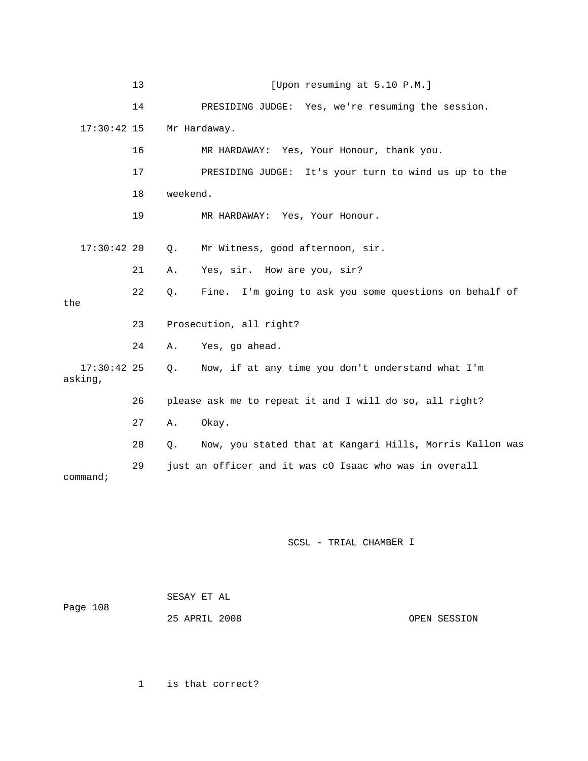|                          | 13 |           | [Upon resuming at 5.10 P.M.]                             |
|--------------------------|----|-----------|----------------------------------------------------------|
|                          | 14 |           | PRESIDING JUDGE: Yes, we're resuming the session.        |
| $17:30:42$ 15            |    |           | Mr Hardaway.                                             |
|                          | 16 |           | MR HARDAWAY: Yes, Your Honour, thank you.                |
|                          | 17 |           | PRESIDING JUDGE: It's your turn to wind us up to the     |
|                          | 18 | weekend.  |                                                          |
|                          | 19 |           | MR HARDAWAY: Yes, Your Honour.                           |
| $17:30:42$ 20            |    | Q.        | Mr Witness, good afternoon, sir.                         |
|                          |    |           |                                                          |
|                          | 21 | Α.        | Yes, sir. How are you, sir?                              |
| the                      | 22 | $\circ$ . | Fine. I'm going to ask you some questions on behalf of   |
|                          |    |           |                                                          |
|                          | 23 |           | Prosecution, all right?                                  |
|                          | 24 | Α.        | Yes, go ahead.                                           |
| $17:30:42$ 25<br>asking, |    | $\circ$ . | Now, if at any time you don't understand what I'm        |
|                          | 26 |           | please ask me to repeat it and I will do so, all right?  |
|                          | 27 | Α.        | Okay.                                                    |
|                          | 28 | $Q$ .     | Now, you stated that at Kangari Hills, Morris Kallon was |
| command;                 | 29 |           | just an officer and it was cO Isaac who was in overall   |

| Page 108 | SESAY ET AL   |              |
|----------|---------------|--------------|
|          | 25 APRIL 2008 | OPEN SESSION |

1 is that correct?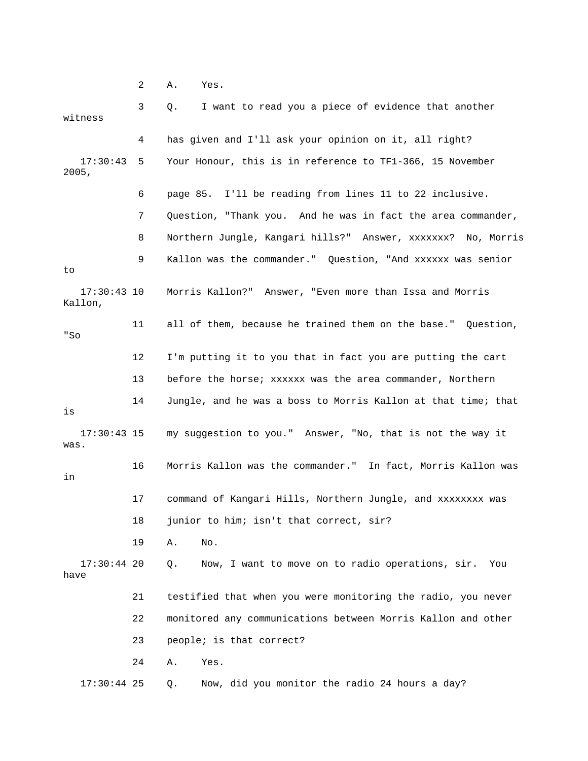2 A. Yes.

| witness                  | 3  | I want to read you a piece of evidence that another<br>Q.     |
|--------------------------|----|---------------------------------------------------------------|
|                          | 4  | has given and I'll ask your opinion on it, all right?         |
| 17:30:43<br>2005,        | 5  | Your Honour, this is in reference to TF1-366, 15 November     |
|                          | 6  | page 85. I'll be reading from lines 11 to 22 inclusive.       |
|                          | 7  | Question, "Thank you. And he was in fact the area commander,  |
|                          | 8  | Northern Jungle, Kangari hills?" Answer, xxxxxxx? No, Morris  |
| to                       | 9  | Kallon was the commander." Question, "And xxxxxx was senior   |
| $17:30:43$ 10<br>Kallon, |    | Morris Kallon?" Answer, "Even more than Issa and Morris       |
| "So                      | 11 | all of them, because he trained them on the base." Question,  |
|                          | 12 | I'm putting it to you that in fact you are putting the cart   |
|                          | 13 | before the horse; xxxxxx was the area commander, Northern     |
| is                       | 14 | Jungle, and he was a boss to Morris Kallon at that time; that |
| $17:30:43$ 15<br>was.    |    | my suggestion to you." Answer, "No, that is not the way it    |
| in                       | 16 | Morris Kallon was the commander." In fact, Morris Kallon was  |
|                          | 17 | command of Kangari Hills, Northern Jungle, and xxxxxxxx was   |
|                          | 18 | junior to him; isn't that correct, sir?                       |
|                          | 19 | No.<br>Α.                                                     |
| $17:30:44$ 20<br>have    |    | Now, I want to move on to radio operations, sir.<br>Q.<br>You |
|                          | 21 | testified that when you were monitoring the radio, you never  |
|                          | 22 | monitored any communications between Morris Kallon and other  |
|                          | 23 | people; is that correct?                                      |
|                          | 24 | Yes.<br>Α.                                                    |
| $17:30:44$ 25            |    | Now, did you monitor the radio 24 hours a day?<br>Q.          |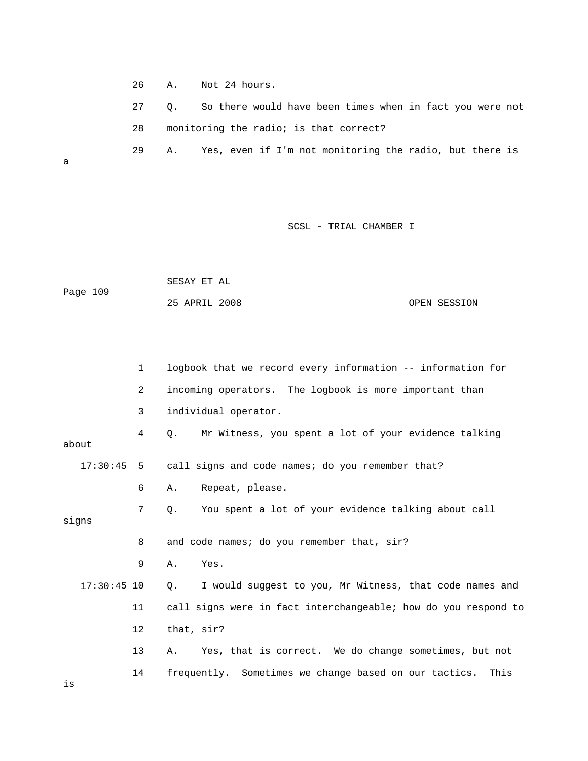26 A. Not 24 hours.

27 Q. So there would have been times when in fact you were not 28 monitoring the radio; is that correct?

29 A. Yes, even if I'm not monitoring the radio, but there is

a

## SCSL - TRIAL CHAMBER I

|          | SESAY ET AL   |  |              |
|----------|---------------|--|--------------|
| Page 109 |               |  |              |
|          | 25 APRIL 2008 |  | OPEN SESSION |

|               | $\mathbf{1}$   | logbook that we record every information -- information for          |
|---------------|----------------|----------------------------------------------------------------------|
|               | $\overline{2}$ | incoming operators. The logbook is more important than               |
|               | 3              | individual operator.                                                 |
| about         | 4              | Mr Witness, you spent a lot of your evidence talking<br>О.           |
| 17:30:45      | 5              | call signs and code names; do you remember that?                     |
|               | 6              | Repeat, please.<br>Α.                                                |
| signs         | 7              | You spent a lot of your evidence talking about call<br>Q.            |
|               |                |                                                                      |
|               | 8              | and code names; do you remember that, sir?                           |
|               | 9              | Α.<br>Yes.                                                           |
| $17:30:45$ 10 |                | I would suggest to you, Mr Witness, that code names and<br>$\circ$ . |
|               | 11             | call signs were in fact interchangeable; how do you respond to       |
|               | 12             | that, sir?                                                           |
|               | 13             | Yes, that is correct. We do change sometimes, but not<br>Α.          |
|               | 14             | frequently. Sometimes we change based on our tactics.<br>This        |

is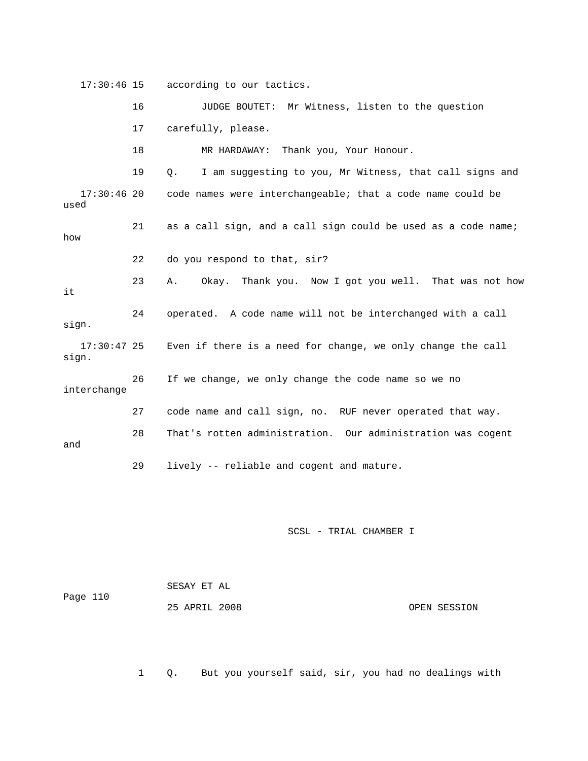17:30:46 15 according to our tactics.

 17 carefully, please. 18 MR HARDAWAY: Thank you, Your Honour. 19 Q. I am suggesting to you, Mr Witness, that call signs and code names were interchangeable; that a code name could be used 21 as a call sign, and a call sign could be used as a code name; w ho 22 do you respond to that, sir? 24 operated. A code name will not be interchanged with a call sign. 26 If we change, we only change the code name so we no . 27 code name and call sign, no. RUF never operated that way 28 That's rotten administration. Our administration was cogent 29 lively -- reliable and cogent and mature. 16 JUDGE BOUTET: Mr Witness, listen to the question 17:30:46 20 23 A. Okay. Thank you. Now I got you well. That was not how it 17:30:47 25 Even if there is a need for change, we only change the call sign. interchange and

SCSL - TRIAL CHAMBER I

|          | SESAY ET AL   |  |              |
|----------|---------------|--|--------------|
| Page 110 |               |  |              |
|          | 25 APRIL 2008 |  | OPEN SESSION |

1 Q. But you yourself said, sir, you had no dealings with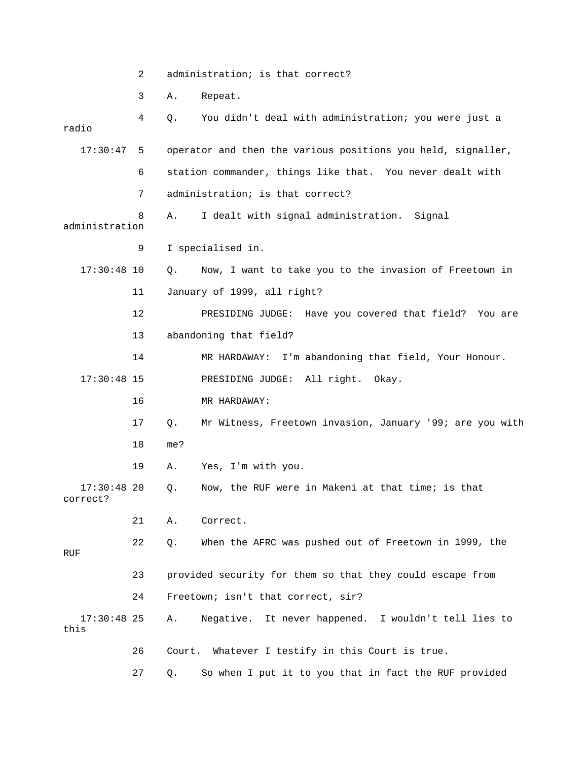2 administration; is that correct?

3 A. Repeat.

| radio                     | 4  | Q.  | You didn't deal with administration; you were just a         |
|---------------------------|----|-----|--------------------------------------------------------------|
| 17:30:47                  | 5  |     | operator and then the various positions you held, signaller, |
|                           | 6  |     | station commander, things like that. You never dealt with    |
|                           | 7  |     | administration; is that correct?                             |
| administration            | 8  | Α.  | I dealt with signal administration. Signal                   |
|                           | 9  |     | I specialised in.                                            |
| $17:30:48$ 10             |    | Q.  | Now, I want to take you to the invasion of Freetown in       |
|                           | 11 |     | January of 1999, all right?                                  |
|                           | 12 |     | PRESIDING JUDGE: Have you covered that field? You are        |
|                           | 13 |     | abandoning that field?                                       |
|                           | 14 |     | I'm abandoning that field, Your Honour.<br>MR HARDAWAY:      |
| $17:30:48$ 15             |    |     | PRESIDING JUDGE: All right.<br>Okay.                         |
|                           | 16 |     | MR HARDAWAY:                                                 |
|                           | 17 | Q.  | Mr Witness, Freetown invasion, January '99; are you with     |
|                           | 18 | me? |                                                              |
|                           | 19 | Α.  | Yes, I'm with you.                                           |
| $17:30:48$ 20<br>correct? |    | Q.  | Now, the RUF were in Makeni at that time; is that            |
|                           | 21 | Α.  | Correct.                                                     |
| RUF                       | 22 | Q.  | When the AFRC was pushed out of Freetown in 1999, the        |
|                           | 23 |     | provided security for them so that they could escape from    |
|                           | 24 |     | Freetown; isn't that correct, sir?                           |
| $17:30:48$ 25<br>this     |    | Α.  | Negative. It never happened. I wouldn't tell lies to         |
|                           | 26 |     | Court. Whatever I testify in this Court is true.             |
|                           | 27 | Q.  | So when I put it to you that in fact the RUF provided        |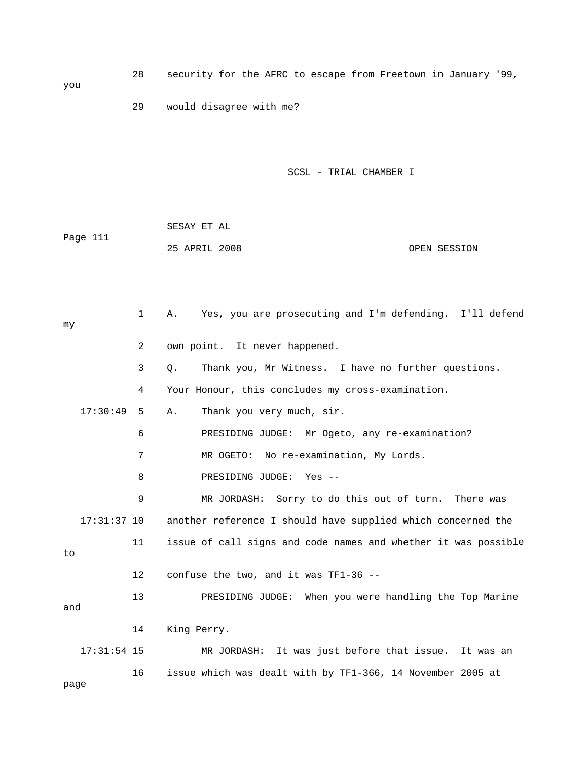28 security for the AFRC to escape from Freetown in January '99, 29 would disagree with me? SCSL - TRIAL CHAMBER I SESAY ET AL 25 APRIL 2008 OPEN SESSION A. Thank you very much, sir. 6 PRESIDING JUDGE: Mr Ogeto, any re-examination? 7 MR OGETO: No re-examination, My Lords. 8 PRESIDING JUDGE: Yes -- 9 MR JORDASH: Sorry to do this out of turn. There was 17:31:37 10 another reference I should have supplied which concerned the 11 issue of call signs and code names and whether it was possible 13 PRESIDING JUDGE: When you were handling the Top Marine and 17:31:54 15 MR JORDASH: It was just before that issue. It was an 16 issue which was dealt with by TF1-366, 14 November 2005 at you Page 111 1 A. Yes, you are prosecuting and I'm defending. I'll defend my 2 own point. It never happened. 3 Q. Thank you, Mr Witness. I have no further questions. 4 Your Honour, this concludes my cross-examination.  $17:30:49$  5 to 12 confuse the two, and it was TF1-36 -- 14 King Perry. page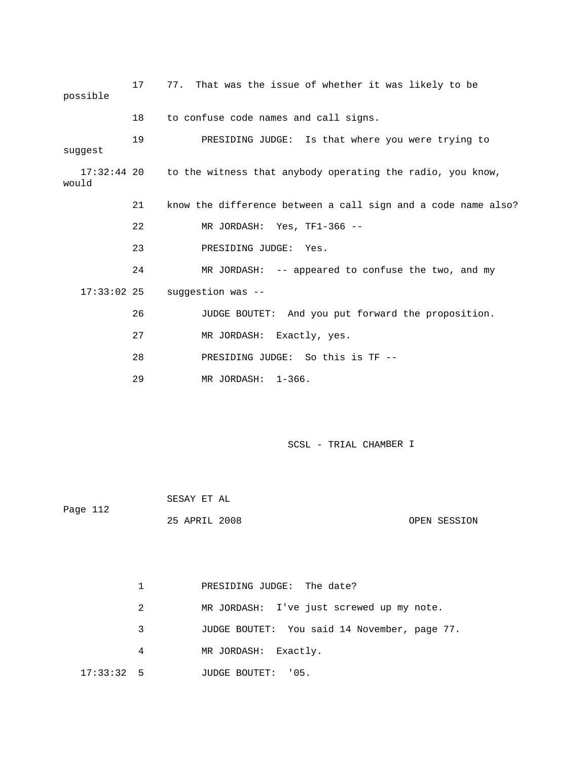17 77. That was the issue of whether it was likely to be possible 19 PRESIDING JUDGE: Is that where you were trying to 17:32:44 20 to the witness that anybody operating the radio, you know, 21 know the difference between a call sign and a code name also? 22 MR JORDASH: Yes, TF1-366 -- 23 PRESIDING JUDGE: Yes. 24 MR JORDASH: -- appeared to confuse the two, and my 26 JUDGE BOUTET: And you put forward the proposition. 27 MR JORDASH: Exactly, yes. 28 PRESIDING JUDGE: So this is TF -- 18 to confuse code names and call signs. suggest would 17:33:02 25 suggestion was -- 29 MR JORDASH: 1-366.

SCSL - TRIAL CHAMBER I

|          | SESAY ET AL   |  |              |
|----------|---------------|--|--------------|
| Page 112 |               |  |              |
|          | 25 APRIL 2008 |  | OPEN SESSION |

2 MR JORDASH: I've just screwed up my note. 1 PRESIDING JUDGE: The date? 3 JUDGE BOUTET: You said 14 November, page 77. 4 MR JORDASH: Exactly. 17:33:32 5 JUDGE BOUTET: '05.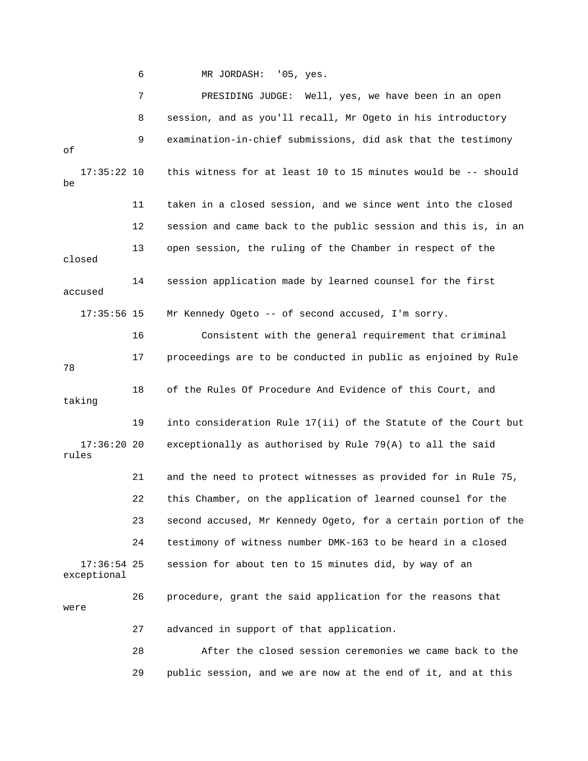6 MR JORDASH: '05, yes.

|                              | 7  | PRESIDING JUDGE: Well, yes, we have been in an open            |
|------------------------------|----|----------------------------------------------------------------|
|                              | 8  | session, and as you'll recall, Mr Ogeto in his introductory    |
| оf                           | 9  | examination-in-chief submissions, did ask that the testimony   |
| $17:35:22$ 10<br>be          |    | this witness for at least 10 to 15 minutes would be -- should  |
|                              | 11 | taken in a closed session, and we since went into the closed   |
|                              | 12 | session and came back to the public session and this is, in an |
| closed                       | 13 | open session, the ruling of the Chamber in respect of the      |
| accused                      | 14 | session application made by learned counsel for the first      |
| $17:35:56$ 15                |    | Mr Kennedy Ogeto -- of second accused, I'm sorry.              |
|                              | 16 | Consistent with the general requirement that criminal          |
| 78                           | 17 | proceedings are to be conducted in public as enjoined by Rule  |
| taking                       | 18 | of the Rules Of Procedure And Evidence of this Court, and      |
|                              | 19 | into consideration Rule 17(ii) of the Statute of the Court but |
| $17:36:20$ 20<br>rules       |    | exceptionally as authorised by Rule 79(A) to all the said      |
|                              | 21 | and the need to protect witnesses as provided for in Rule 75,  |
|                              | 22 | this Chamber, on the application of learned counsel for the    |
|                              | 23 | second accused, Mr Kennedy Ogeto, for a certain portion of the |
|                              | 24 | testimony of witness number DMK-163 to be heard in a closed    |
| $17:36:54$ 25<br>exceptional |    | session for about ten to 15 minutes did, by way of an          |
| were                         | 26 | procedure, grant the said application for the reasons that     |
|                              | 27 | advanced in support of that application.                       |
|                              | 28 | After the closed session ceremonies we came back to the        |
|                              | 29 | public session, and we are now at the end of it, and at this   |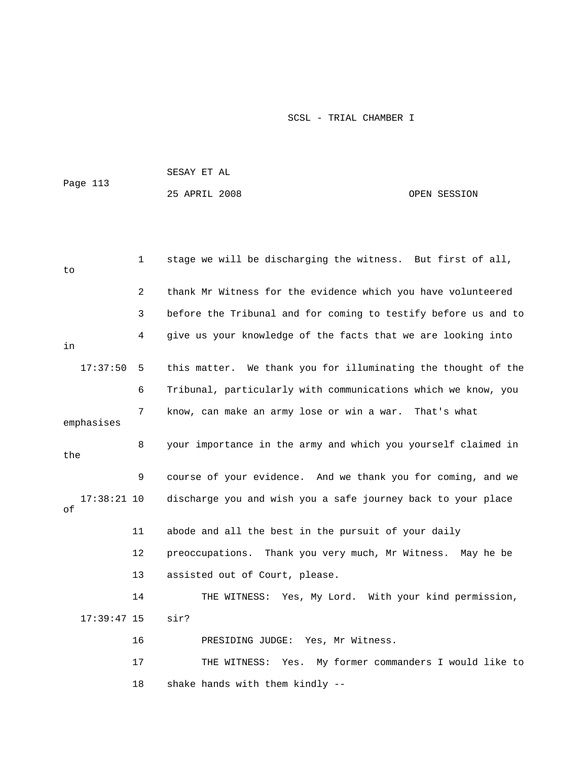| Page 113            |              | SESAY ET AL                                                    |              |
|---------------------|--------------|----------------------------------------------------------------|--------------|
|                     |              | 25 APRIL 2008                                                  | OPEN SESSION |
|                     |              |                                                                |              |
|                     |              |                                                                |              |
| to                  | $\mathbf{1}$ | stage we will be discharging the witness. But first of all,    |              |
|                     | 2            | thank Mr Witness for the evidence which you have volunteered   |              |
|                     | 3            | before the Tribunal and for coming to testify before us and to |              |
| in                  | 4            | give us your knowledge of the facts that we are looking into   |              |
| 17:37:50            | 5            | this matter. We thank you for illuminating the thought of the  |              |
|                     | 6            | Tribunal, particularly with communications which we know, you  |              |
| emphasises          | 7            | know, can make an army lose or win a war. That's what          |              |
| the                 | 8            | your importance in the army and which you yourself claimed in  |              |
|                     | 9            | course of your evidence. And we thank you for coming, and we   |              |
| $17:38:21$ 10<br>οf |              | discharge you and wish you a safe journey back to your place   |              |
|                     | 11           | abode and all the best in the pursuit of your daily            |              |
|                     | 12           | preoccupations. Thank you very much, Mr Witness. May he be     |              |
|                     | 13           | assisted out of Court, please.                                 |              |
|                     | 14           | THE WITNESS: Yes, My Lord. With your kind permission,          |              |
| $17:39:47$ 15       |              | sir?                                                           |              |
|                     | 16           | PRESIDING JUDGE: Yes, Mr Witness.                              |              |
|                     | 17           | THE WITNESS: Yes. My former commanders I would like to         |              |
|                     | 18           | shake hands with them kindly --                                |              |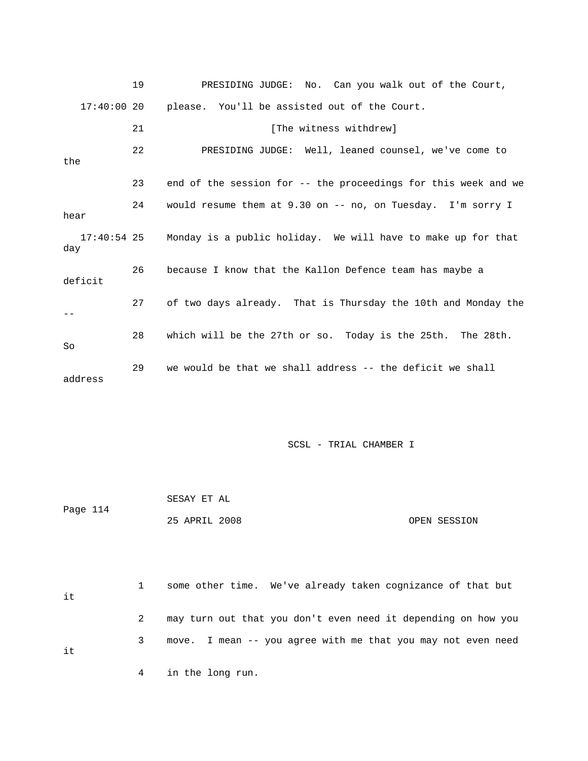|               | 19 | PRESIDING JUDGE: No. Can you walk out of the Court,                      |
|---------------|----|--------------------------------------------------------------------------|
| $17:40:00$ 20 |    | please. You'll be assisted out of the Court.                             |
|               | 21 | [The witness withdrew]                                                   |
| the           | 22 | PRESIDING JUDGE: Well, leaned counsel, we've come to                     |
|               | 23 | end of the session for -- the proceedings for this week and we           |
| hear          | 24 | would resume them at 9.30 on -- no, on Tuesday. I'm sorry I              |
| day           |    | 17:40:54 25 Monday is a public holiday. We will have to make up for that |
| deficit       | 26 | because I know that the Kallon Defence team has maybe a                  |
| $- -$         | 27 | of two days already. That is Thursday the 10th and Monday the            |
| So            | 28 | which will be the 27th or so. Today is the 25th. The 28th.               |
| address       | 29 | we would be that we shall address -- the deficit we shall                |

|          | SESAY ET AL   |  |              |
|----------|---------------|--|--------------|
| Page 114 |               |  |              |
|          | 25 APRIL 2008 |  | OPEN SESSION |

| it |   | some other time. We've already taken cognizance of that but   |
|----|---|---------------------------------------------------------------|
|    | 2 | may turn out that you don't even need it depending on how you |
| it | 3 | move. I mean -- you agree with me that you may not even need  |

4 in the long run.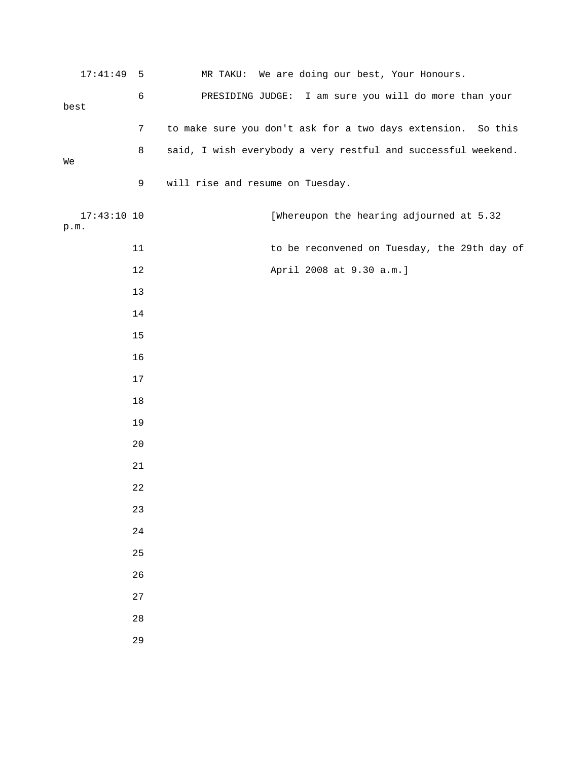| $17:41:49$ 5          |            | MR TAKU: We are doing our best, Your Honours.                 |
|-----------------------|------------|---------------------------------------------------------------|
| best                  | $\epsilon$ | PRESIDING JUDGE: I am sure you will do more than your         |
|                       | 7          | to make sure you don't ask for a two days extension. So this  |
| We                    | 8          | said, I wish everybody a very restful and successful weekend. |
|                       | 9          | will rise and resume on Tuesday.                              |
| $17:43:10$ 10<br>p.m. |            | [Whereupon the hearing adjourned at 5.32                      |
|                       | 11         | to be reconvened on Tuesday, the 29th day of                  |
|                       | 12         | April 2008 at 9.30 a.m.]                                      |
|                       | 13         |                                                               |
|                       | 14         |                                                               |
|                       | 15         |                                                               |
|                       | 16         |                                                               |
|                       | $17$       |                                                               |
|                       | 18         |                                                               |
|                       | 19         |                                                               |
|                       | 20         |                                                               |
|                       | 21         |                                                               |
|                       | 22         |                                                               |
|                       | 23         |                                                               |
|                       | 24         |                                                               |
|                       | 25         |                                                               |
|                       | 26         |                                                               |
|                       | 27         |                                                               |
|                       | 28         |                                                               |
|                       | 29         |                                                               |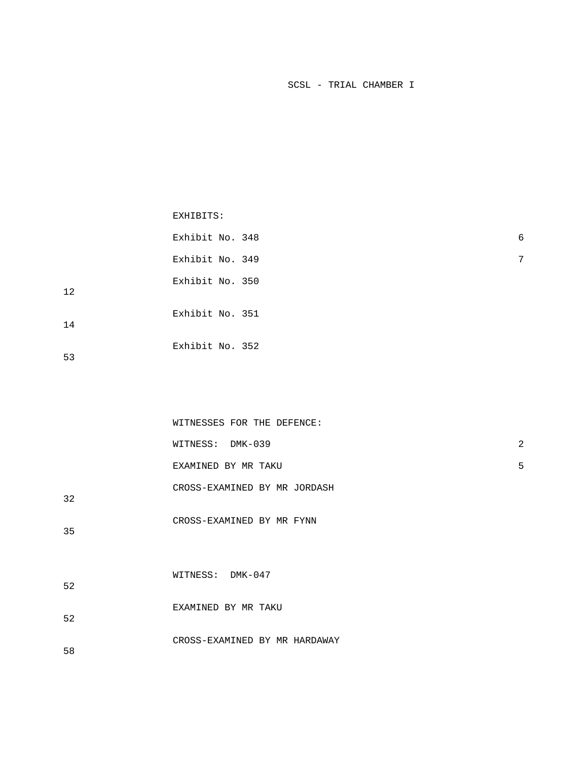EXHIBITS:

Exhibit No. 348 6 Exhibit No. 349 7 Exhibit No. 350 Exhibit No. 351

 Exhibit No. 352 53

> WITNESSES FOR THE DEFENCE: WITNESS: DMK-039 2 EXAMINED BY MR TAKU 5 CROSS-EXAMINED BY MR JORDASH

 CROSS-EXAMINED BY MR FYNN 35

32

12

14

 WITNESS: DMK-047 52 EXAMINED BY MR TAKU 52 CROSS-EXAMINED BY MR HARDAWAY 58